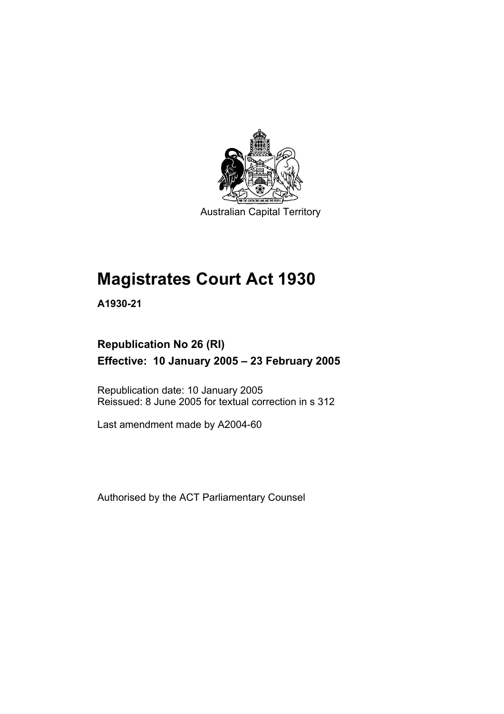

Australian Capital Territory

# **Magistrates Court Act 1930**

**A1930-21** 

# **Republication No 26 (RI) Effective: 10 January 2005 – 23 February 2005**

Republication date: 10 January 2005 Reissued: 8 June 2005 for textual correction in s 312

Last amendment made by A2004-60

Authorised by the ACT Parliamentary Counsel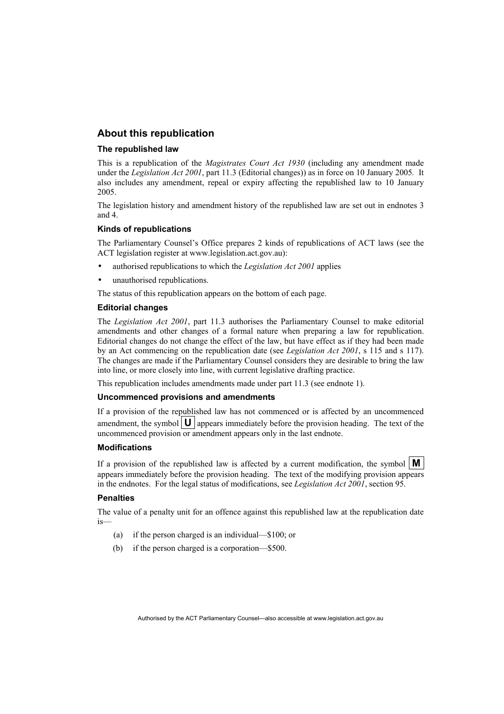#### **About this republication**

#### **The republished law**

This is a republication of the *Magistrates Court Act 1930* (including any amendment made under the *Legislation Act 2001*, part 11.3 (Editorial changes)) as in force on 10 January 2005*.* It also includes any amendment, repeal or expiry affecting the republished law to 10 January 2005.

The legislation history and amendment history of the republished law are set out in endnotes 3 and 4.

#### **Kinds of republications**

The Parliamentary Counsel's Office prepares 2 kinds of republications of ACT laws (see the ACT legislation register at www.legislation.act.gov.au):

- authorised republications to which the *Legislation Act 2001* applies
- unauthorised republications.

The status of this republication appears on the bottom of each page.

#### **Editorial changes**

The *Legislation Act 2001*, part 11.3 authorises the Parliamentary Counsel to make editorial amendments and other changes of a formal nature when preparing a law for republication. Editorial changes do not change the effect of the law, but have effect as if they had been made by an Act commencing on the republication date (see *Legislation Act 2001*, s 115 and s 117). The changes are made if the Parliamentary Counsel considers they are desirable to bring the law into line, or more closely into line, with current legislative drafting practice.

This republication includes amendments made under part 11.3 (see endnote 1).

#### **Uncommenced provisions and amendments**

If a provision of the republished law has not commenced or is affected by an uncommenced amendment, the symbol  $\mathbf{U}$  appears immediately before the provision heading. The text of the uncommenced provision or amendment appears only in the last endnote.

#### **Modifications**

If a provision of the republished law is affected by a current modification, the symbol  $\mathbf{M}$ appears immediately before the provision heading. The text of the modifying provision appears in the endnotes. For the legal status of modifications, see *Legislation Act 2001*, section 95.

#### **Penalties**

The value of a penalty unit for an offence against this republished law at the republication date is—

- (a) if the person charged is an individual—\$100; or
- (b) if the person charged is a corporation—\$500.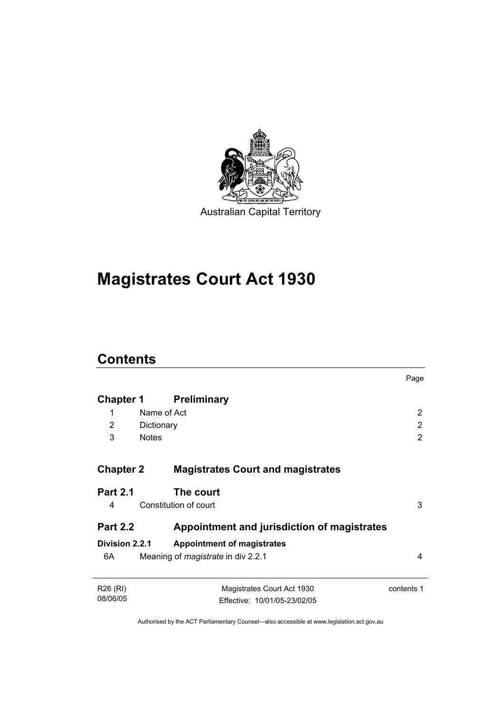

# **Magistrates Court Act 1930**

# **Contents**

|                      |                                             | Page       |
|----------------------|---------------------------------------------|------------|
| Chapter 1            | <b>Preliminary</b>                          |            |
| 1                    | Name of Act                                 | 2          |
| 2                    | Dictionary                                  | 2          |
| 3                    | <b>Notes</b>                                | 2          |
|                      |                                             |            |
| <b>Chapter 2</b>     | <b>Magistrates Court and magistrates</b>    |            |
| <b>Part 2.1</b>      | The court                                   |            |
| 4                    | Constitution of court                       | 3          |
| <b>Part 2.2</b>      | Appointment and jurisdiction of magistrates |            |
| Division 2.2.1       | <b>Appointment of magistrates</b>           |            |
| 6A                   | Meaning of <i>magistrate</i> in div 2.2.1   | 4          |
| R <sub>26</sub> (RI) | Magistrates Court Act 1930                  | contents 1 |
| 08/06/05             | Effective: 10/01/05-23/02/05                |            |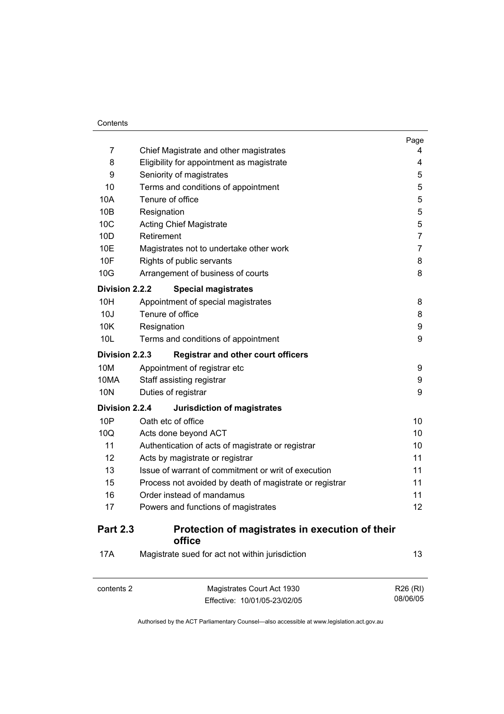#### **Contents**

 $\overline{a}$ 

| 7                 | Chief Magistrate and other magistrates                          | Page<br>4 |  |
|-------------------|-----------------------------------------------------------------|-----------|--|
| 8                 | Eligibility for appointment as magistrate                       | 4         |  |
| 9                 |                                                                 |           |  |
| 10                | Seniority of magistrates<br>Terms and conditions of appointment |           |  |
| 10A               | Tenure of office                                                |           |  |
| 10B               | Resignation                                                     | 5<br>5    |  |
| 10 <sub>C</sub>   | <b>Acting Chief Magistrate</b>                                  | 5         |  |
| 10 <sub>D</sub>   | Retirement                                                      | 7         |  |
| 10E               | Magistrates not to undertake other work                         | 7         |  |
| 10F               | Rights of public servants                                       | 8         |  |
| 10G               | Arrangement of business of courts                               | 8         |  |
| Division 2.2.2    | <b>Special magistrates</b>                                      |           |  |
| 10H               | Appointment of special magistrates                              | 8         |  |
| 10J               | Tenure of office                                                | 8         |  |
| 10K               | Resignation                                                     | 9         |  |
| 10L               | Terms and conditions of appointment                             | 9         |  |
| Division 2.2.3    | <b>Registrar and other court officers</b>                       |           |  |
| 10M               | Appointment of registrar etc                                    | 9         |  |
| 10MA              | Staff assisting registrar                                       | 9         |  |
| 10N               | Duties of registrar                                             | 9         |  |
| Division 2.2.4    | Jurisdiction of magistrates                                     |           |  |
| 10P               | Oath etc of office                                              | 10        |  |
| 10Q               | Acts done beyond ACT                                            | 10        |  |
| 11                | Authentication of acts of magistrate or registrar               | 10        |  |
| $12 \overline{ }$ | Acts by magistrate or registrar                                 | 11        |  |
| 13                | Issue of warrant of commitment or writ of execution             | 11        |  |
| 15                | Process not avoided by death of magistrate or registrar         | 11        |  |
| 16                | Order instead of mandamus                                       | 11        |  |
| 17                | Powers and functions of magistrates                             | 12        |  |
| <b>Part 2.3</b>   | Protection of magistrates in execution of their<br>office       |           |  |
| 17A               | Magistrate sued for act not within jurisdiction                 | 13        |  |
| contents 2        | Magistrates Court Act 1930                                      | R26 (RI)  |  |

Authorised by the ACT Parliamentary Counsel—also accessible at www.legislation.act.gov.au

R26 (RI) 08/06/05

Effective: 10/01/05-23/02/05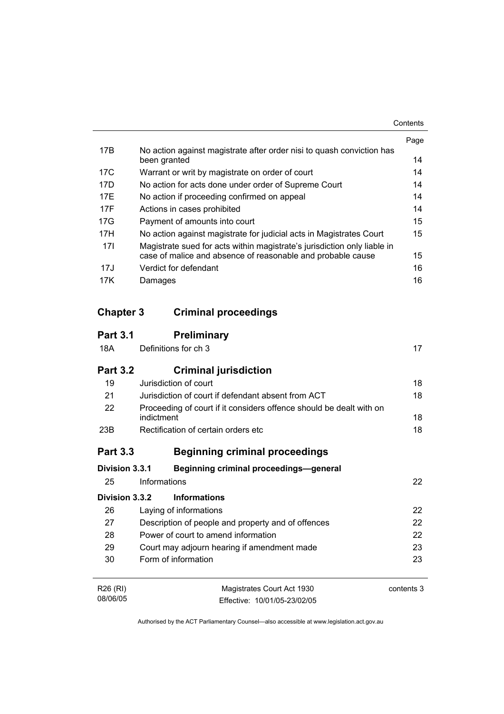|     |                                                                                       | Page |
|-----|---------------------------------------------------------------------------------------|------|
| 17B | No action against magistrate after order nisi to quash conviction has<br>been granted | 14   |
| 17C | Warrant or writ by magistrate on order of court                                       | 14   |
| 17D | No action for acts done under order of Supreme Court                                  | 14   |
| 17F | No action if proceeding confirmed on appeal                                           | 14   |
| 17F | Actions in cases prohibited                                                           | 14   |
| 17G | Payment of amounts into court                                                         | 15   |
| 17H | No action against magistrate for judicial acts in Magistrates Court                   | 15   |
| 171 | Magistrate sued for acts within magistrate's jurisdiction only liable in              |      |
|     | case of malice and absence of reasonable and probable cause                           | 15   |
| 17J | Verdict for defendant                                                                 | 16   |
| 17K | Damages                                                                               | 16   |

# **Chapter 3 Criminal proceedings**

| <b>Part 3.1</b>      | <b>Preliminary</b>                                                                |            |  |
|----------------------|-----------------------------------------------------------------------------------|------------|--|
| 18A                  | Definitions for ch 3                                                              | 17         |  |
| <b>Part 3.2</b>      | <b>Criminal jurisdiction</b>                                                      |            |  |
| 19                   | Jurisdiction of court                                                             | 18         |  |
| 21                   | Jurisdiction of court if defendant absent from ACT                                | 18         |  |
| 22                   | Proceeding of court if it considers offence should be dealt with on<br>indictment |            |  |
| 23B                  | Rectification of certain orders etc                                               | 18         |  |
| <b>Part 3.3</b>      | <b>Beginning criminal proceedings</b>                                             |            |  |
| Division 3.3.1       | <b>Beginning criminal proceedings-general</b>                                     |            |  |
| 25                   | Informations                                                                      | 22         |  |
| Division 3.3.2       | <b>Informations</b>                                                               |            |  |
| 26                   | Laying of informations                                                            | 22         |  |
| 27                   | Description of people and property and of offences                                | 22         |  |
| 28                   | 22<br>Power of court to amend information                                         |            |  |
| 29                   | 23<br>Court may adjourn hearing if amendment made                                 |            |  |
| 30                   | Form of information                                                               | 23         |  |
| R <sub>26</sub> (RI) | Magistrates Court Act 1930                                                        | contents 3 |  |
| 08/06/05             | Effective: 10/01/05-23/02/05                                                      |            |  |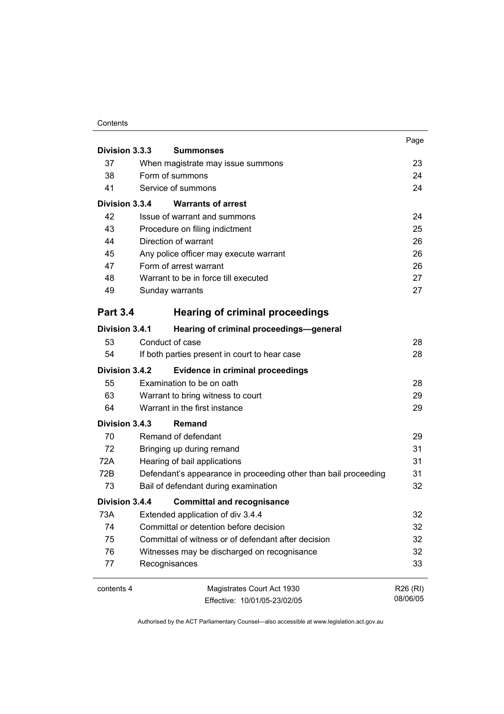#### **Contents**

|                                                           |                                                                 | Page     |  |
|-----------------------------------------------------------|-----------------------------------------------------------------|----------|--|
| Division 3.3.3                                            | <b>Summonses</b>                                                |          |  |
| 37                                                        | When magistrate may issue summons                               |          |  |
| 38                                                        | Form of summons                                                 | 24       |  |
| 41                                                        | Service of summons                                              | 24       |  |
| Division 3.3.4                                            | <b>Warrants of arrest</b>                                       |          |  |
| 42                                                        | Issue of warrant and summons                                    | 24       |  |
| 43                                                        | Procedure on filing indictment                                  | 25       |  |
| 44                                                        | Direction of warrant                                            | 26       |  |
| 45                                                        | Any police officer may execute warrant                          | 26       |  |
| 47                                                        | Form of arrest warrant                                          | 26       |  |
| 48                                                        | Warrant to be in force till executed                            | 27       |  |
| 49                                                        | Sunday warrants                                                 | 27       |  |
| <b>Part 3.4</b>                                           | <b>Hearing of criminal proceedings</b>                          |          |  |
| Division 3.4.1                                            | Hearing of criminal proceedings-general                         |          |  |
| 53                                                        | Conduct of case                                                 | 28       |  |
| 54                                                        | If both parties present in court to hear case                   | 28       |  |
| Division 3.4.2<br><b>Evidence in criminal proceedings</b> |                                                                 |          |  |
| 55                                                        | Examination to be on oath                                       | 28       |  |
| 63                                                        | Warrant to bring witness to court                               | 29       |  |
| 64                                                        | Warrant in the first instance                                   | 29       |  |
| Division 3.4.3                                            | Remand                                                          |          |  |
| 70                                                        | Remand of defendant                                             | 29       |  |
| 72                                                        | Bringing up during remand                                       | 31       |  |
| 72A                                                       | Hearing of bail applications                                    | 31       |  |
| 72B                                                       | Defendant's appearance in proceeding other than bail proceeding | 31       |  |
| 73                                                        | Bail of defendant during examination                            | 32       |  |
| Division 3.4.4                                            | <b>Committal and recognisance</b>                               |          |  |
| 73A                                                       | Extended application of div 3.4.4                               | 32       |  |
| 74                                                        | Committal or detention before decision                          | 32       |  |
| 75                                                        | Committal of witness or of defendant after decision             | 32       |  |
| 76                                                        | Witnesses may be discharged on recognisance                     | 32       |  |
| 77                                                        | Recognisances                                                   | 33       |  |
| contents 4                                                | Magistrates Court Act 1930                                      | R26 (RI) |  |
|                                                           | Effective: 10/01/05-23/02/05                                    | 08/06/05 |  |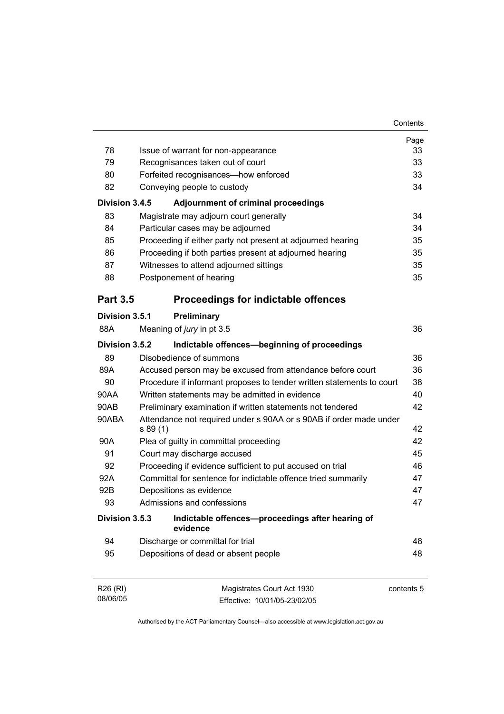|                                  |                                                               |                                                                       | Page       |  |  |
|----------------------------------|---------------------------------------------------------------|-----------------------------------------------------------------------|------------|--|--|
| 78                               | Issue of warrant for non-appearance                           |                                                                       |            |  |  |
| 79                               | Recognisances taken out of court                              |                                                                       |            |  |  |
| 80                               |                                                               | Forfeited recognisances-how enforced                                  | 33         |  |  |
| 82                               |                                                               | Conveying people to custody                                           | 34         |  |  |
| Division 3.4.5                   |                                                               | <b>Adjournment of criminal proceedings</b>                            |            |  |  |
| 83                               |                                                               | Magistrate may adjourn court generally                                | 34         |  |  |
| 84                               |                                                               | Particular cases may be adjourned                                     | 34         |  |  |
| 85                               |                                                               | Proceeding if either party not present at adjourned hearing           | 35         |  |  |
| 86                               |                                                               | Proceeding if both parties present at adjourned hearing               | 35         |  |  |
| 87                               |                                                               | Witnesses to attend adjourned sittings                                | 35         |  |  |
| 88                               |                                                               | Postponement of hearing                                               | 35         |  |  |
| <b>Part 3.5</b>                  |                                                               | <b>Proceedings for indictable offences</b>                            |            |  |  |
| Division 3.5.1                   |                                                               | Preliminary                                                           |            |  |  |
| 88A                              |                                                               | Meaning of jury in pt 3.5                                             | 36         |  |  |
| Division 3.5.2                   |                                                               | Indictable offences-beginning of proceedings                          |            |  |  |
| 89                               |                                                               | Disobedience of summons                                               | 36         |  |  |
| 89A                              | Accused person may be excused from attendance before court    |                                                                       | 36         |  |  |
| 90                               |                                                               | Procedure if informant proposes to tender written statements to court | 38         |  |  |
| 90AA                             |                                                               | Written statements may be admitted in evidence                        | 40         |  |  |
| 90AB                             |                                                               | Preliminary examination if written statements not tendered            | 42         |  |  |
| 90ABA                            | s 89 (1)                                                      | Attendance not required under s 90AA or s 90AB if order made under    | 42         |  |  |
| 90A                              | Plea of guilty in committal proceeding                        |                                                                       |            |  |  |
| 91                               |                                                               | Court may discharge accused                                           | 45         |  |  |
| 92                               |                                                               | Proceeding if evidence sufficient to put accused on trial             | 46         |  |  |
| 92A                              | Committal for sentence for indictable offence tried summarily |                                                                       | 47         |  |  |
| 92B                              |                                                               | Depositions as evidence                                               | 47         |  |  |
| 93                               |                                                               | Admissions and confessions                                            | 47         |  |  |
| Division 3.5.3                   |                                                               | Indictable offences-proceedings after hearing of<br>evidence          |            |  |  |
| 94                               |                                                               | Discharge or committal for trial                                      | 48         |  |  |
| 95                               |                                                               | Depositions of dead or absent people                                  | 48         |  |  |
| R <sub>26</sub> (RI)<br>08/06/05 |                                                               | Magistrates Court Act 1930<br>Effective: 10/01/05-23/02/05            | contents 5 |  |  |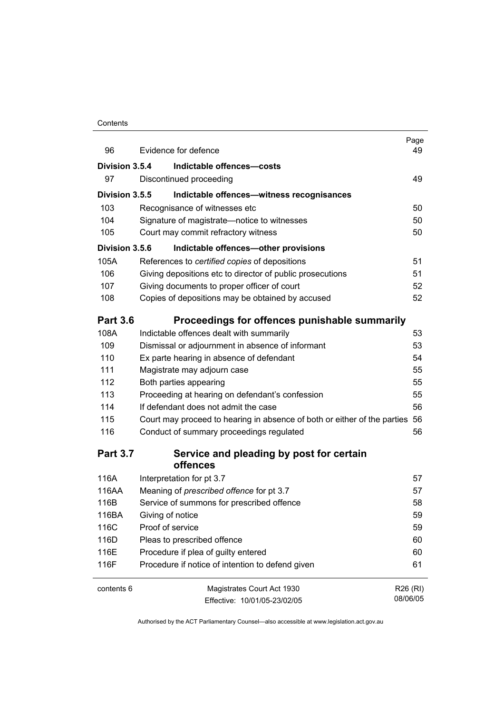#### **Contents**

| 96              | Evidence for defence                                                        | Page<br>49 |
|-----------------|-----------------------------------------------------------------------------|------------|
| Division 3.5.4  | Indictable offences-costs                                                   |            |
| 97              | Discontinued proceeding                                                     | 49         |
| Division 3.5.5  | Indictable offences-witness recognisances                                   |            |
| 103             | Recognisance of witnesses etc                                               | 50         |
| 104             | Signature of magistrate-notice to witnesses                                 | 50         |
| 105             | Court may commit refractory witness                                         | 50         |
| Division 3.5.6  | Indictable offences-other provisions                                        |            |
| 105A            | References to certified copies of depositions                               | 51         |
| 106             | Giving depositions etc to director of public prosecutions                   | 51         |
| 107             | Giving documents to proper officer of court                                 | 52         |
| 108             | Copies of depositions may be obtained by accused                            | 52         |
| <b>Part 3.6</b> | Proceedings for offences punishable summarily                               |            |
| 108A            | Indictable offences dealt with summarily                                    | 53         |
| 109             | Dismissal or adjournment in absence of informant                            | 53         |
| 110             | Ex parte hearing in absence of defendant                                    | 54         |
| 111             | Magistrate may adjourn case                                                 | 55         |
| 112             | Both parties appearing                                                      | 55         |
| 113             | Proceeding at hearing on defendant's confession                             | 55         |
| 114             | If defendant does not admit the case                                        | 56         |
| 115             | Court may proceed to hearing in absence of both or either of the parties 56 |            |
| 116             | Conduct of summary proceedings regulated                                    | 56         |
| <b>Part 3.7</b> | Service and pleading by post for certain<br>offences                        |            |
| 116A            | Interpretation for pt 3.7                                                   | 57         |
| 116AA           | Meaning of <i>prescribed</i> offence for pt 3.7                             | 57         |
| 116B            | Service of summons for prescribed offence                                   | 58         |
| 116BA           | Giving of notice                                                            | 59         |
| 116C            | Proof of service                                                            | 59         |
| 116D            | Pleas to prescribed offence                                                 | 60         |
| 116E            | Procedure if plea of guilty entered                                         | 60         |
| 116F            | Procedure if notice of intention to defend given                            | 61         |
| contents 6      | Magistrates Court Act 1930                                                  | R26 (RI)   |
|                 | Effective: 10/01/05-23/02/05                                                | 08/06/05   |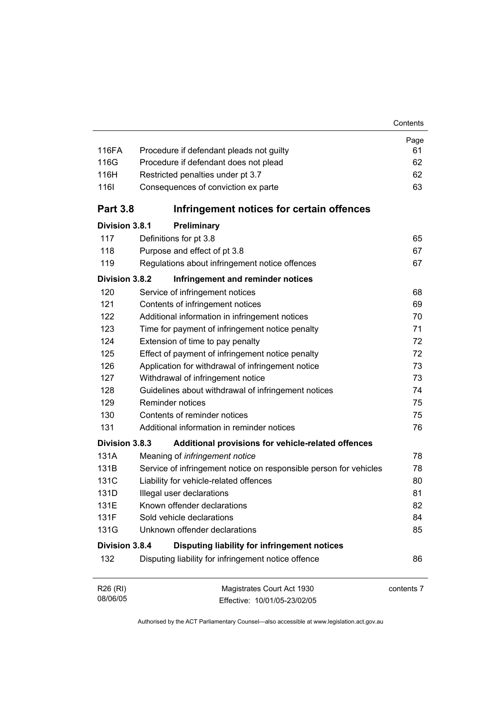| 116FA                | Procedure if defendant pleads not guilty                          | Page<br>61 |  |  |
|----------------------|-------------------------------------------------------------------|------------|--|--|
| 116G                 | Procedure if defendant does not plead                             |            |  |  |
| 116H                 | Restricted penalties under pt 3.7                                 |            |  |  |
| 1161                 | Consequences of conviction ex parte                               | 62<br>63   |  |  |
| <b>Part 3.8</b>      | Infringement notices for certain offences                         |            |  |  |
| Division 3.8.1       | Preliminary                                                       |            |  |  |
| 117                  | Definitions for pt 3.8                                            | 65         |  |  |
| 118                  | Purpose and effect of pt 3.8                                      | 67         |  |  |
| 119                  | Regulations about infringement notice offences                    | 67         |  |  |
| Division 3.8.2       | Infringement and reminder notices                                 |            |  |  |
| 120                  | Service of infringement notices                                   | 68         |  |  |
| 121                  | Contents of infringement notices                                  | 69         |  |  |
| 122                  | Additional information in infringement notices                    | 70         |  |  |
| 123                  | Time for payment of infringement notice penalty                   | 71         |  |  |
| 124                  | Extension of time to pay penalty                                  | 72         |  |  |
| 125                  | Effect of payment of infringement notice penalty                  | 72         |  |  |
| 126                  | Application for withdrawal of infringement notice                 | 73         |  |  |
| 127                  | Withdrawal of infringement notice                                 | 73         |  |  |
| 128                  | Guidelines about withdrawal of infringement notices               | 74         |  |  |
| 129                  | <b>Reminder notices</b>                                           | 75         |  |  |
| 130                  | Contents of reminder notices                                      | 75         |  |  |
| 131                  | Additional information in reminder notices                        | 76         |  |  |
| Division 3.8.3       | Additional provisions for vehicle-related offences                |            |  |  |
| 131A                 | Meaning of infringement notice                                    | 78         |  |  |
| 131B                 | Service of infringement notice on responsible person for vehicles | 78         |  |  |
| 131C                 | Liability for vehicle-related offences                            | 80         |  |  |
| 131D                 | Illegal user declarations                                         | 81         |  |  |
| 131E                 | Known offender declarations                                       | 82         |  |  |
| 131F                 | Sold vehicle declarations                                         | 84         |  |  |
| 131G                 | Unknown offender declarations                                     | 85         |  |  |
| Division 3.8.4       | Disputing liability for infringement notices                      |            |  |  |
| 132                  | Disputing liability for infringement notice offence               | 86         |  |  |
| R26 (RI)<br>08/06/05 | Magistrates Court Act 1930<br>Fffective: 10/01/05-23/02/05        | contents 7 |  |  |

Effective: 10/01/05-23/02/05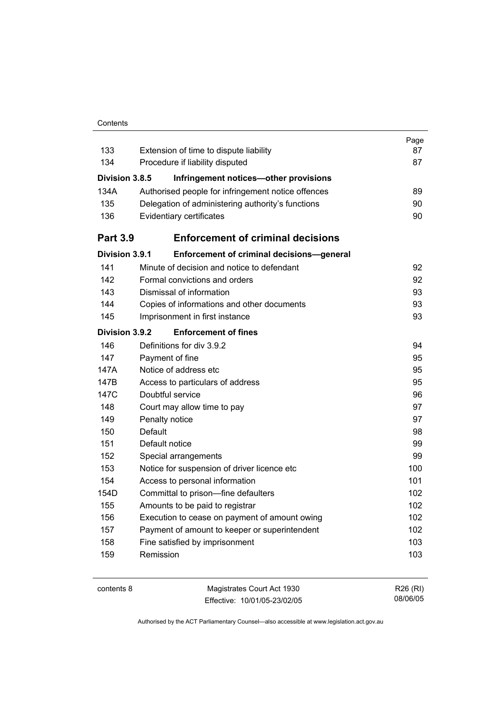#### **Contents**

|                       |                                                    | Page |
|-----------------------|----------------------------------------------------|------|
| 133                   | Extension of time to dispute liability             | 87   |
| 134                   | Procedure if liability disputed                    | 87   |
| <b>Division 3.8.5</b> | Infringement notices-other provisions              |      |
| 134A                  | Authorised people for infringement notice offences | 89   |
| 135                   | Delegation of administering authority's functions  | 90   |
| 136                   | Evidentiary certificates                           | 90   |
| <b>Part 3.9</b>       | <b>Enforcement of criminal decisions</b>           |      |
| Division 3.9.1        | Enforcement of criminal decisions-general          |      |
| 141                   | Minute of decision and notice to defendant         | 92   |
| 142                   | Formal convictions and orders                      | 92   |
| 143                   | Dismissal of information                           | 93   |
| 144                   | Copies of informations and other documents         | 93   |
| 145                   | Imprisonment in first instance                     | 93   |
| Division 3.9.2        | <b>Enforcement of fines</b>                        |      |
| 146                   | Definitions for div 3.9.2                          | 94   |
| 147                   | Payment of fine                                    | 95   |
| 147A                  | Notice of address etc                              | 95   |
| 147B                  | Access to particulars of address                   | 95   |
| 147C                  | Doubtful service                                   | 96   |
| 148                   | Court may allow time to pay                        | 97   |
| 149                   | Penalty notice                                     | 97   |
| 150                   | Default                                            | 98   |
| 151                   | Default notice                                     | 99   |
| 152                   | Special arrangements                               | 99   |
| 153                   | Notice for suspension of driver licence etc        | 100  |
| 154                   | Access to personal information                     | 101  |
| 154D                  | Committal to prison-fine defaulters                | 102  |
| 155                   | Amounts to be paid to registrar                    | 102  |
| 156                   | Execution to cease on payment of amount owing      | 102  |
| 157                   | Payment of amount to keeper or superintendent      | 102  |
| 158                   | Fine satisfied by imprisonment                     | 103  |
| 159                   | Remission                                          | 103  |
|                       |                                                    |      |

contents 8 Magistrates Court Act 1930 Effective: 10/01/05-23/02/05

R26 (RI) 08/06/05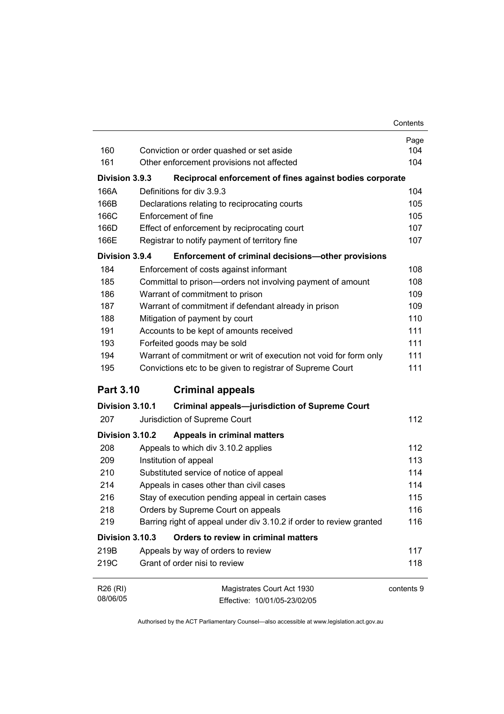| Contents |
|----------|
|----------|

|                  |                                                                     | Page       |
|------------------|---------------------------------------------------------------------|------------|
| 160              | Conviction or order quashed or set aside                            | 104        |
| 161              | Other enforcement provisions not affected                           | 104        |
| Division 3.9.3   | Reciprocal enforcement of fines against bodies corporate            |            |
| 166A             | Definitions for div 3.9.3                                           | 104        |
| 166B             | Declarations relating to reciprocating courts                       | 105        |
| 166C             | Enforcement of fine                                                 | 105        |
| 166D             | Effect of enforcement by reciprocating court                        | 107        |
| 166E             | Registrar to notify payment of territory fine                       | 107        |
| Division 3.9.4   | Enforcement of criminal decisions-other provisions                  |            |
| 184              | Enforcement of costs against informant                              | 108        |
| 185              | Committal to prison-orders not involving payment of amount          | 108        |
| 186              | Warrant of commitment to prison                                     | 109        |
| 187              | Warrant of commitment if defendant already in prison                | 109        |
| 188              | Mitigation of payment by court                                      | 110        |
| 191              | Accounts to be kept of amounts received                             | 111        |
| 193              | Forfeited goods may be sold                                         | 111        |
| 194              | Warrant of commitment or writ of execution not void for form only   | 111        |
| 195              | Convictions etc to be given to registrar of Supreme Court           | 111        |
| <b>Part 3.10</b> | <b>Criminal appeals</b>                                             |            |
| Division 3.10.1  | <b>Criminal appeals-jurisdiction of Supreme Court</b>               |            |
| 207              | Jurisdiction of Supreme Court                                       | 112        |
| Division 3.10.2  | Appeals in criminal matters                                         |            |
| 208              | Appeals to which div 3.10.2 applies                                 | 112        |
| 209              | Institution of appeal                                               | 113        |
| 210              | Substituted service of notice of appeal                             | 114        |
| 214              | Appeals in cases other than civil cases                             | 114        |
| 216              | Stay of execution pending appeal in certain cases                   | 115        |
| 218              | Orders by Supreme Court on appeals                                  | 116        |
| 219              | Barring right of appeal under div 3.10.2 if order to review granted | 116        |
| Division 3.10.3  | Orders to review in criminal matters                                |            |
| 219B             | Appeals by way of orders to review                                  | 117        |
| 219C             | Grant of order nisi to review                                       | 118        |
| R26 (RI)         | Magistrates Court Act 1930                                          | contents 9 |
| 08/06/05         | Effective: 10/01/05-23/02/05                                        |            |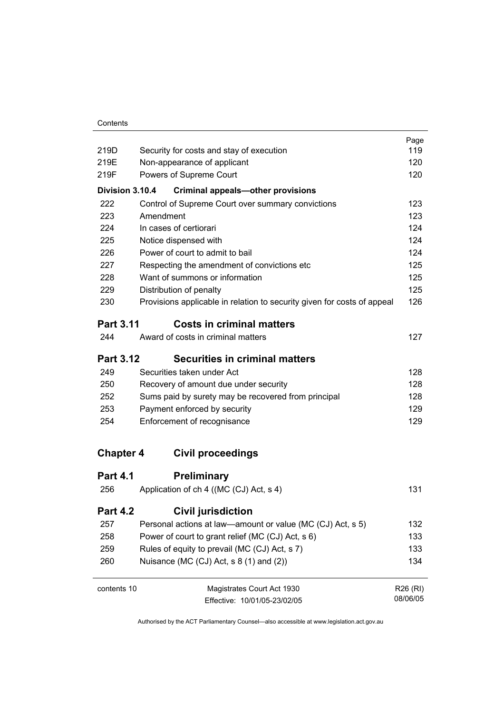| Contents |  |
|----------|--|

|                  |                                                                         | Page     |
|------------------|-------------------------------------------------------------------------|----------|
| 219D             | Security for costs and stay of execution                                | 119      |
| 219E             | Non-appearance of applicant                                             | 120      |
| 219F             | Powers of Supreme Court                                                 | 120      |
| Division 3.10.4  | <b>Criminal appeals-other provisions</b>                                |          |
| 222              | Control of Supreme Court over summary convictions                       | 123      |
| 223              | Amendment                                                               | 123      |
| 224              | In cases of certiorari                                                  | 124      |
| 225              | Notice dispensed with                                                   | 124      |
| 226              | Power of court to admit to bail                                         | 124      |
| 227              | Respecting the amendment of convictions etc                             | 125      |
| 228              | Want of summons or information                                          | 125      |
| 229              | Distribution of penalty                                                 | 125      |
| 230              | Provisions applicable in relation to security given for costs of appeal | 126      |
| <b>Part 3.11</b> | <b>Costs in criminal matters</b>                                        |          |
| 244              | Award of costs in criminal matters                                      | 127      |
| <b>Part 3.12</b> | <b>Securities in criminal matters</b>                                   |          |
| 249              | Securities taken under Act                                              | 128      |
| 250              | Recovery of amount due under security                                   | 128      |
| 252              | Sums paid by surety may be recovered from principal                     | 128      |
| 253              | Payment enforced by security                                            | 129      |
| 254              | Enforcement of recognisance                                             | 129      |
| <b>Chapter 4</b> | <b>Civil proceedings</b>                                                |          |
|                  |                                                                         |          |
| <b>Part 4.1</b>  | <b>Preliminary</b>                                                      |          |
| 256              | Application of ch 4 ((MC (CJ) Act, s 4)                                 | 131      |
| <b>Part 4.2</b>  | <b>Civil jurisdiction</b>                                               |          |
| 257              | Personal actions at law—amount or value (MC (CJ) Act, s 5)              | 132      |
| 258              | Power of court to grant relief (MC (CJ) Act, s 6)                       | 133      |
| 259              | Rules of equity to prevail (MC (CJ) Act, s 7)                           | 133      |
| 260              | Nuisance (MC $(CJ)$ Act, s 8 $(1)$ and $(2)$ )                          | 134      |
| contents 10      | Magistrates Court Act 1930                                              | R26 (RI) |
|                  | Fffective: 10/01/05-23/02/05                                            | 08/06/05 |

Effective: 10/01/05-23/02/05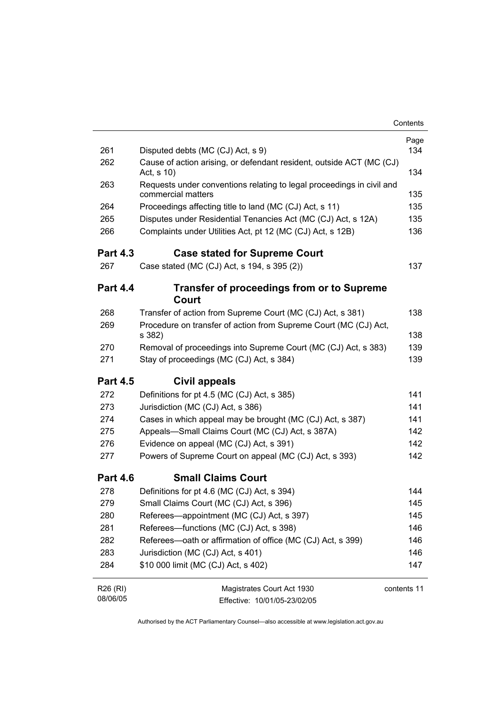|                      |                                                                                             | Contents    |
|----------------------|---------------------------------------------------------------------------------------------|-------------|
|                      |                                                                                             | Page        |
| 261                  | Disputed debts (MC (CJ) Act, s 9)                                                           | 134         |
| 262                  | Cause of action arising, or defendant resident, outside ACT (MC (CJ)<br>Act, s 10)          | 134         |
| 263                  | Requests under conventions relating to legal proceedings in civil and<br>commercial matters | 135         |
| 264                  | Proceedings affecting title to land (MC (CJ) Act, s 11)                                     | 135         |
| 265                  | Disputes under Residential Tenancies Act (MC (CJ) Act, s 12A)                               | 135         |
| 266                  | Complaints under Utilities Act, pt 12 (MC (CJ) Act, s 12B)                                  | 136         |
| <b>Part 4.3</b>      | <b>Case stated for Supreme Court</b>                                                        |             |
| 267                  | Case stated (MC (CJ) Act, s 194, s 395 (2))                                                 | 137         |
| <b>Part 4.4</b>      | <b>Transfer of proceedings from or to Supreme</b><br>Court                                  |             |
| 268                  | Transfer of action from Supreme Court (MC (CJ) Act, s 381)                                  | 138         |
| 269                  | Procedure on transfer of action from Supreme Court (MC (CJ) Act,<br>s 382)                  | 138         |
| 270                  | Removal of proceedings into Supreme Court (MC (CJ) Act, s 383)                              | 139         |
| 271                  | Stay of proceedings (MC (CJ) Act, s 384)                                                    | 139         |
| <b>Part 4.5</b>      | Civil appeals                                                                               |             |
| 272                  | Definitions for pt 4.5 (MC (CJ) Act, s 385)                                                 | 141         |
| 273                  | Jurisdiction (MC (CJ) Act, s 386)                                                           | 141         |
| 274                  | Cases in which appeal may be brought (MC (CJ) Act, s 387)                                   | 141         |
| 275                  | Appeals-Small Claims Court (MC (CJ) Act, s 387A)                                            | 142         |
| 276                  | Evidence on appeal (MC (CJ) Act, s 391)                                                     | 142         |
| 277                  | Powers of Supreme Court on appeal (MC (CJ) Act, s 393)                                      | 142         |
| <b>Part 4.6</b>      | <b>Small Claims Court</b>                                                                   |             |
| 278                  | Definitions for pt 4.6 (MC (CJ) Act, s 394)                                                 | 144         |
| 279                  | Small Claims Court (MC (CJ) Act, s 396)                                                     | 145         |
| 280                  | Referees—appointment (MC (CJ) Act, s 397)                                                   | 145         |
| 281                  | Referees-functions (MC (CJ) Act, s 398)                                                     | 146         |
| 282                  | Referees—oath or affirmation of office (MC (CJ) Act, s 399)                                 | 146         |
| 283                  | Jurisdiction (MC (CJ) Act, s 401)                                                           | 146         |
| 284                  | \$10 000 limit (MC (CJ) Act, s 402)                                                         | 147         |
| R26 (RI)<br>08/06/05 | Magistrates Court Act 1930<br>Effective: 10/01/05-23/02/05                                  | contents 11 |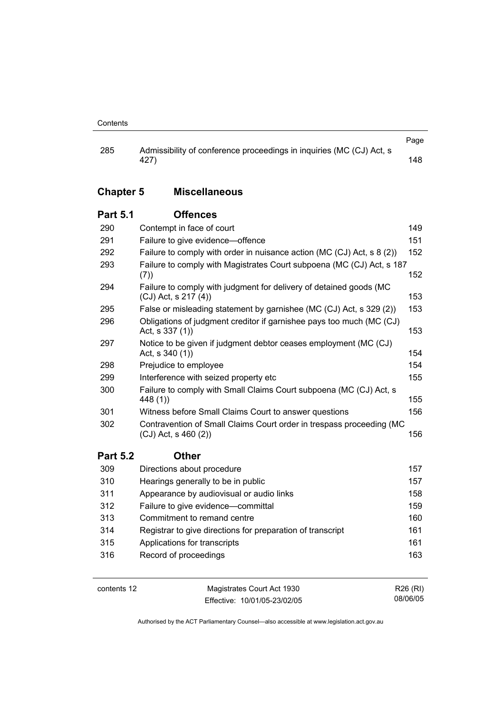|     |                                                                      | Page |
|-----|----------------------------------------------------------------------|------|
| 285 | Admissibility of conference proceedings in inquiries (MC (CJ) Act, s |      |
|     | 427)                                                                 | 148  |

# **Chapter 5 Miscellaneous**

#### **Part 5.1 Offences**

| 290             | Contempt in face of court                                                                         | 149 |
|-----------------|---------------------------------------------------------------------------------------------------|-----|
| 291             | Failure to give evidence-offence                                                                  | 151 |
| 292             | Failure to comply with order in nuisance action (MC (CJ) Act, s 8 (2))<br>152                     |     |
| 293             | Failure to comply with Magistrates Court subpoena (MC (CJ) Act, s 187<br>(7)                      | 152 |
| 294             | Failure to comply with judgment for delivery of detained goods (MC<br>$(CJ)$ Act, s 217 $(4)$     | 153 |
| 295             | False or misleading statement by garnishee (MC (CJ) Act, s 329 (2))                               | 153 |
| 296             | Obligations of judgment creditor if garnishee pays too much (MC (CJ)<br>Act, s 337 (1))           | 153 |
| 297             | Notice to be given if judgment debtor ceases employment (MC (CJ)<br>Act, $s$ 340 (1))             | 154 |
| 298             | Prejudice to employee                                                                             | 154 |
| 299             | Interference with seized property etc                                                             | 155 |
| 300             | Failure to comply with Small Claims Court subpoena (MC (CJ) Act, s<br>448 (1))                    | 155 |
| 301             | Witness before Small Claims Court to answer questions                                             | 156 |
| 302             | Contravention of Small Claims Court order in trespass proceeding (MC<br>$(CJ)$ Act, s 460 $(2)$ ) | 156 |
| <b>Part 5.2</b> | <b>Other</b>                                                                                      |     |
| 309             | Directions about procedure                                                                        | 157 |
| 310             | Hearings generally to be in public                                                                | 157 |
| 311             | Appearance by audiovisual or audio links                                                          | 158 |
| 312             | Failure to give evidence-committal                                                                | 159 |
| 313             | Commitment to remand centre                                                                       | 160 |
| 314             | Registrar to give directions for preparation of transcript                                        | 161 |
| 315             | Applications for transcripts                                                                      | 161 |
| 316             | Record of proceedings                                                                             | 163 |

contents 12 Magistrates Court Act 1930 Effective: 10/01/05-23/02/05

R26 (RI) 08/06/05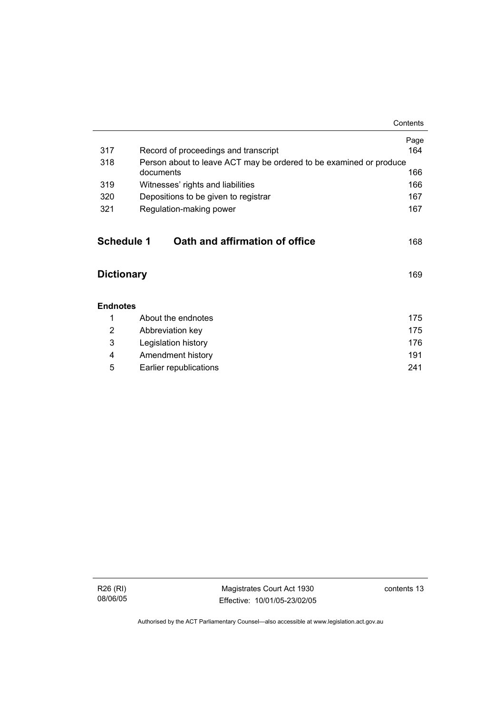|                   |                                                                    | Contents |
|-------------------|--------------------------------------------------------------------|----------|
|                   |                                                                    | Page     |
| 317               | Record of proceedings and transcript                               | 164      |
| 318               | Person about to leave ACT may be ordered to be examined or produce |          |
|                   | documents                                                          | 166      |
| 319               | Witnesses' rights and liabilities                                  | 166      |
| 320               | Depositions to be given to registrar                               | 167      |
| 321               | Regulation-making power                                            | 167      |
|                   |                                                                    |          |
| <b>Schedule 1</b> | Oath and affirmation of office                                     | 168      |
|                   |                                                                    |          |
| <b>Dictionary</b> |                                                                    | 169      |
|                   |                                                                    |          |
| <b>Endnotes</b>   |                                                                    |          |
| 1                 | About the endnotes                                                 | 175      |
| 2                 | Abbreviation key                                                   | 175      |
| 3                 | Legislation history                                                | 176      |
| 4                 | Amendment history                                                  | 191      |
| 5                 | Earlier republications                                             | 241      |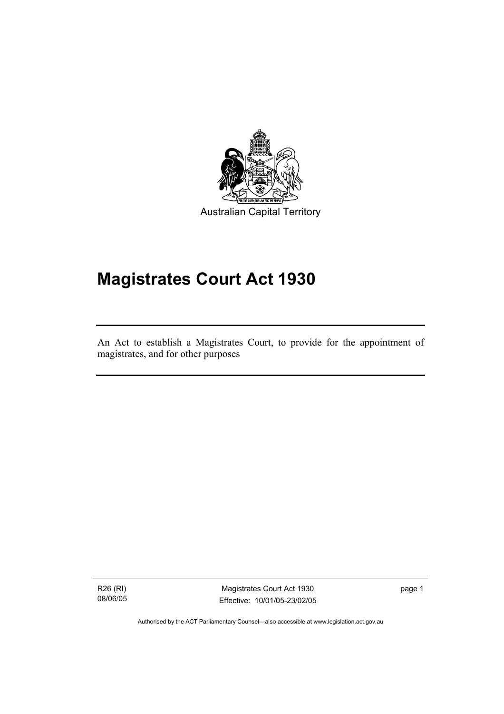

# **Magistrates Court Act 1930**

An Act to establish a Magistrates Court, to provide for the appointment of magistrates, and for other purposes

R26 (RI) 08/06/05

I

Magistrates Court Act 1930 Effective: 10/01/05-23/02/05 page 1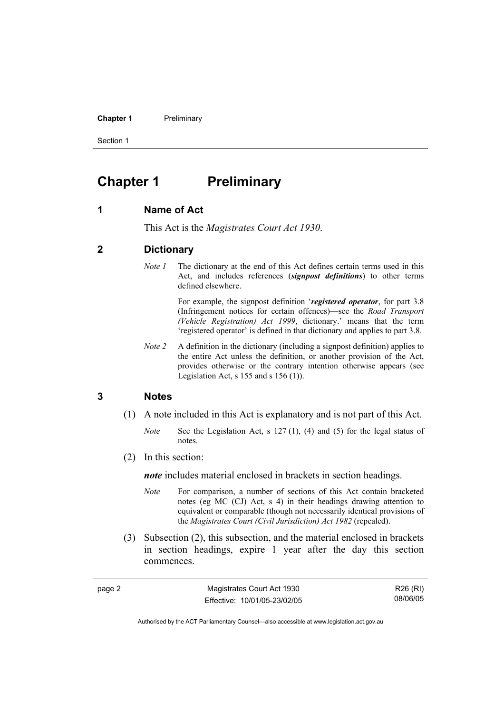**Chapter 1** Preliminary

Section 1

# **Chapter 1 Preliminary**

#### **1 Name of Act**

This Act is the *Magistrates Court Act 1930*.

#### **2 Dictionary**

*Note 1* The dictionary at the end of this Act defines certain terms used in this Act, and includes references (*signpost definitions*) to other terms defined elsewhere.

> For example, the signpost definition '*registered operator*, for part 3.8 (Infringement notices for certain offences)—see the *Road Transport (Vehicle Registration) Act 1999*, dictionary.' means that the term 'registered operator' is defined in that dictionary and applies to part 3.8.

*Note 2* A definition in the dictionary (including a signpost definition) applies to the entire Act unless the definition, or another provision of the Act, provides otherwise or the contrary intention otherwise appears (see Legislation Act,  $s$  155 and  $s$  156 (1)).

#### **3 Notes**

page 2

- (1) A note included in this Act is explanatory and is not part of this Act.
	- *Note* See the Legislation Act, s 127 (1), (4) and (5) for the legal status of notes.
- (2) In this section:

*note* includes material enclosed in brackets in section headings.

- *Note* For comparison, a number of sections of this Act contain bracketed notes (eg MC (CJ) Act, s 4) in their headings drawing attention to equivalent or comparable (though not necessarily identical provisions of the *Magistrates Court (Civil Jurisdiction) Act 1982* (repealed).
- (3) Subsection (2), this subsection, and the material enclosed in brackets in section headings, expire 1 year after the day this section commences.

| Magistrates Court Act 1930   | R26 (RI) |
|------------------------------|----------|
| Effective: 10/01/05-23/02/05 | 08/06/05 |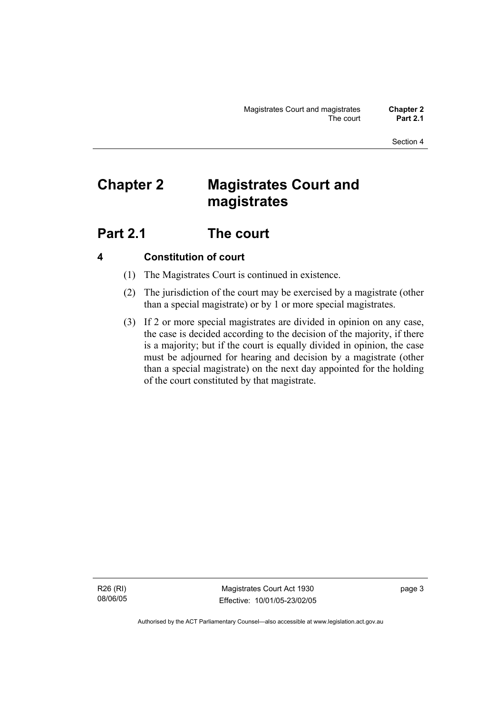# **Chapter 2 Magistrates Court and magistrates**

# **Part 2.1 The court**

## **4 Constitution of court**

- (1) The Magistrates Court is continued in existence.
- (2) The jurisdiction of the court may be exercised by a magistrate (other than a special magistrate) or by 1 or more special magistrates.
- (3) If 2 or more special magistrates are divided in opinion on any case, the case is decided according to the decision of the majority, if there is a majority; but if the court is equally divided in opinion, the case must be adjourned for hearing and decision by a magistrate (other than a special magistrate) on the next day appointed for the holding of the court constituted by that magistrate.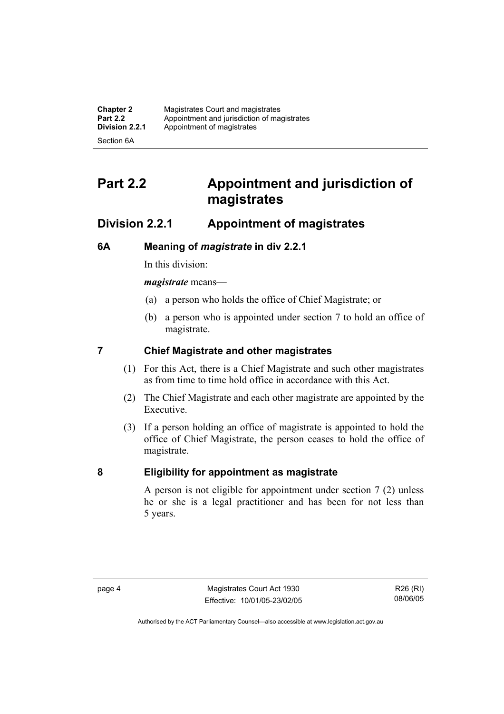| <b>Chapter 2</b> | Magistrates Court and magistrates           |
|------------------|---------------------------------------------|
| <b>Part 2.2</b>  | Appointment and jurisdiction of magistrates |
| Division 2.2.1   | Appointment of magistrates                  |
| Section 6A       |                                             |

# **Part 2.2 Appointment and jurisdiction of magistrates**

## **Division 2.2.1 Appointment of magistrates**

### **6A Meaning of** *magistrate* **in div 2.2.1**

In this division:

*magistrate* means—

- (a) a person who holds the office of Chief Magistrate; or
- (b) a person who is appointed under section 7 to hold an office of magistrate.

### **7 Chief Magistrate and other magistrates**

- (1) For this Act, there is a Chief Magistrate and such other magistrates as from time to time hold office in accordance with this Act.
- (2) The Chief Magistrate and each other magistrate are appointed by the Executive.
- (3) If a person holding an office of magistrate is appointed to hold the office of Chief Magistrate, the person ceases to hold the office of magistrate.

### **8 Eligibility for appointment as magistrate**

A person is not eligible for appointment under section 7 (2) unless he or she is a legal practitioner and has been for not less than 5 years.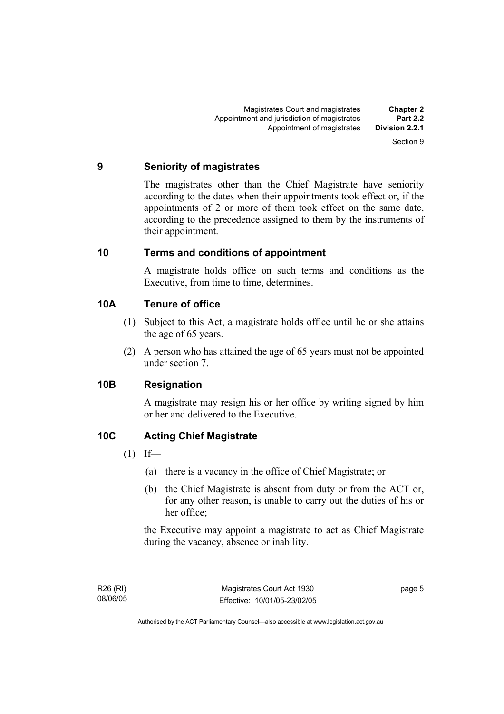#### **9 Seniority of magistrates**

The magistrates other than the Chief Magistrate have seniority according to the dates when their appointments took effect or, if the appointments of 2 or more of them took effect on the same date, according to the precedence assigned to them by the instruments of their appointment.

#### **10 Terms and conditions of appointment**

A magistrate holds office on such terms and conditions as the Executive, from time to time, determines.

#### **10A Tenure of office**

- (1) Subject to this Act, a magistrate holds office until he or she attains the age of 65 years.
- (2) A person who has attained the age of 65 years must not be appointed under section 7.

## **10B Resignation**

A magistrate may resign his or her office by writing signed by him or her and delivered to the Executive.

## **10C Acting Chief Magistrate**

- $(1)$  If—
	- (a) there is a vacancy in the office of Chief Magistrate; or
	- (b) the Chief Magistrate is absent from duty or from the ACT or, for any other reason, is unable to carry out the duties of his or her office;

the Executive may appoint a magistrate to act as Chief Magistrate during the vacancy, absence or inability.

page 5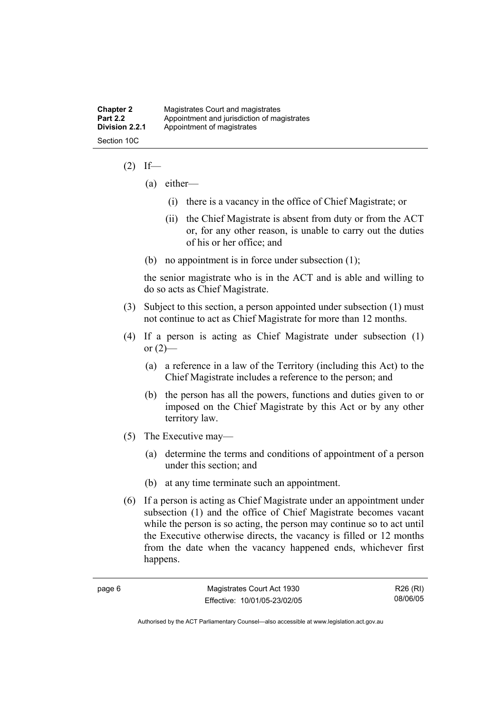| <b>Chapter 2</b> | Magistrates Court and magistrates           |
|------------------|---------------------------------------------|
| <b>Part 2.2</b>  | Appointment and jurisdiction of magistrates |
| Division 2.2.1   | Appointment of magistrates                  |
| Section 10C      |                                             |

#### $(2)$  If—

- (a) either—
	- (i) there is a vacancy in the office of Chief Magistrate; or
	- (ii) the Chief Magistrate is absent from duty or from the ACT or, for any other reason, is unable to carry out the duties of his or her office; and
- (b) no appointment is in force under subsection (1);

the senior magistrate who is in the ACT and is able and willing to do so acts as Chief Magistrate.

- (3) Subject to this section, a person appointed under subsection (1) must not continue to act as Chief Magistrate for more than 12 months.
- (4) If a person is acting as Chief Magistrate under subsection (1) or  $(2)$ —
	- (a) a reference in a law of the Territory (including this Act) to the Chief Magistrate includes a reference to the person; and
	- (b) the person has all the powers, functions and duties given to or imposed on the Chief Magistrate by this Act or by any other territory law.
- (5) The Executive may—
	- (a) determine the terms and conditions of appointment of a person under this section; and
	- (b) at any time terminate such an appointment.
- (6) If a person is acting as Chief Magistrate under an appointment under subsection (1) and the office of Chief Magistrate becomes vacant while the person is so acting, the person may continue so to act until the Executive otherwise directs, the vacancy is filled or 12 months from the date when the vacancy happened ends, whichever first happens.

R26 (RI) 08/06/05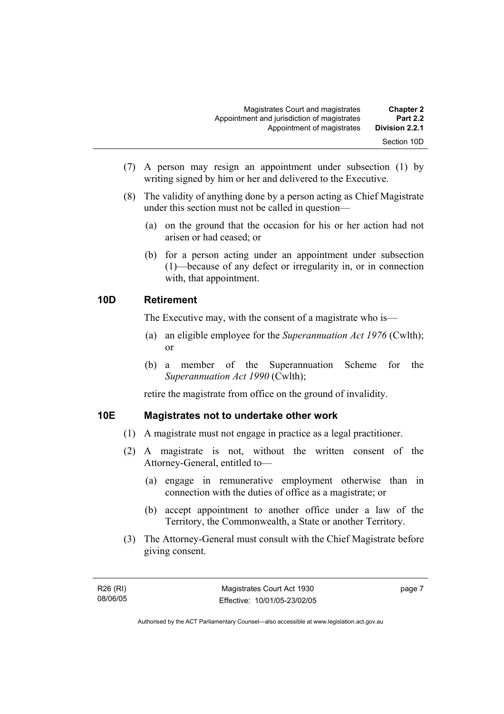| <b>Chapter 2</b><br><b>Part 2.2</b> | Magistrates Court and magistrates<br>Appointment and jurisdiction of magistrates |
|-------------------------------------|----------------------------------------------------------------------------------|
| Division 2.2.1                      | Appointment of magistrates                                                       |
| Section 10D                         |                                                                                  |

- (7) A person may resign an appointment under subsection (1) by writing signed by him or her and delivered to the Executive.
- (8) The validity of anything done by a person acting as Chief Magistrate under this section must not be called in question—
	- (a) on the ground that the occasion for his or her action had not arisen or had ceased; or
	- (b) for a person acting under an appointment under subsection (1)—because of any defect or irregularity in, or in connection with, that appointment.

#### **10D Retirement**

The Executive may, with the consent of a magistrate who is—

- (a) an eligible employee for the *Superannuation Act 1976* (Cwlth); or
- (b) a member of the Superannuation Scheme for the *Superannuation Act 1990* (Cwlth);

retire the magistrate from office on the ground of invalidity.

#### **10E Magistrates not to undertake other work**

- (1) A magistrate must not engage in practice as a legal practitioner.
- (2) A magistrate is not, without the written consent of the Attorney-General, entitled to—
	- (a) engage in remunerative employment otherwise than in connection with the duties of office as a magistrate; or
	- (b) accept appointment to another office under a law of the Territory, the Commonwealth, a State or another Territory.
- (3) The Attorney-General must consult with the Chief Magistrate before giving consent.

page 7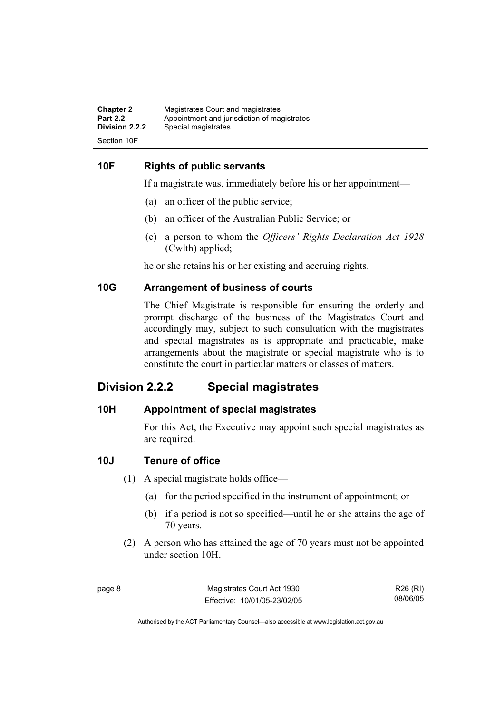| <b>Chapter 2</b> | Magistrates Court and magistrates           |
|------------------|---------------------------------------------|
| <b>Part 2.2</b>  | Appointment and jurisdiction of magistrates |
| Division 2.2.2   | Special magistrates                         |
| Section 10F      |                                             |

#### **10F Rights of public servants**

If a magistrate was, immediately before his or her appointment—

- (a) an officer of the public service;
- (b) an officer of the Australian Public Service; or
- (c) a person to whom the *Officers' Rights Declaration Act 1928* (Cwlth) applied;

he or she retains his or her existing and accruing rights.

#### **10G Arrangement of business of courts**

The Chief Magistrate is responsible for ensuring the orderly and prompt discharge of the business of the Magistrates Court and accordingly may, subject to such consultation with the magistrates and special magistrates as is appropriate and practicable, make arrangements about the magistrate or special magistrate who is to constitute the court in particular matters or classes of matters.

## **Division 2.2.2 Special magistrates**

#### **10H Appointment of special magistrates**

For this Act, the Executive may appoint such special magistrates as are required.

#### **10J Tenure of office**

- (1) A special magistrate holds office—
	- (a) for the period specified in the instrument of appointment; or
	- (b) if a period is not so specified—until he or she attains the age of 70 years.
- (2) A person who has attained the age of 70 years must not be appointed under section 10H.

| ٠ |  |
|---|--|
|---|--|

R26 (RI) 08/06/05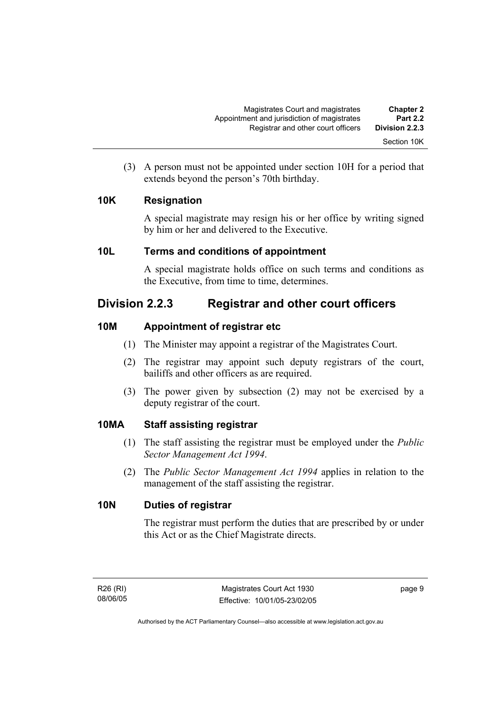(3) A person must not be appointed under section 10H for a period that extends beyond the person's 70th birthday.

## **10K Resignation**

A special magistrate may resign his or her office by writing signed by him or her and delivered to the Executive.

### **10L Terms and conditions of appointment**

A special magistrate holds office on such terms and conditions as the Executive, from time to time, determines.

## **Division 2.2.3 Registrar and other court officers**

## **10M Appointment of registrar etc**

- (1) The Minister may appoint a registrar of the Magistrates Court.
- (2) The registrar may appoint such deputy registrars of the court, bailiffs and other officers as are required.
- (3) The power given by subsection (2) may not be exercised by a deputy registrar of the court.

## **10MA Staff assisting registrar**

- (1) The staff assisting the registrar must be employed under the *Public Sector Management Act 1994*.
- (2) The *Public Sector Management Act 1994* applies in relation to the management of the staff assisting the registrar.

### **10N Duties of registrar**

The registrar must perform the duties that are prescribed by or under this Act or as the Chief Magistrate directs.

page 9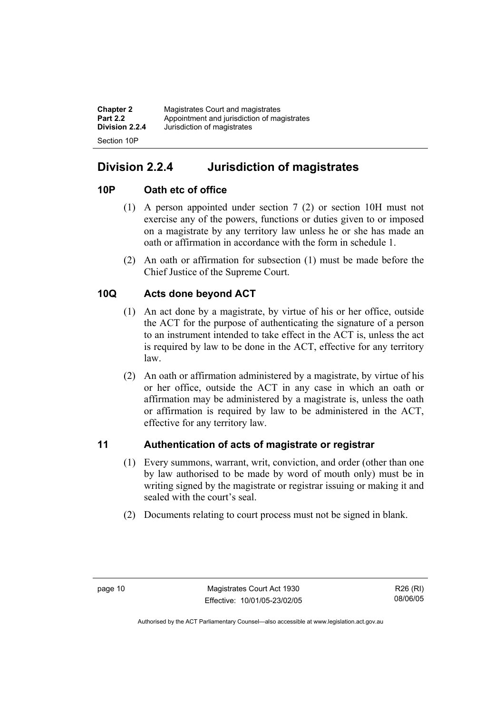| <b>Chapter 2</b> | Magistrates Court and magistrates           |
|------------------|---------------------------------------------|
| <b>Part 2.2</b>  | Appointment and jurisdiction of magistrates |
| Division 2.2.4   | Jurisdiction of magistrates                 |
| Section 10P      |                                             |

# **Division 2.2.4 Jurisdiction of magistrates**

## **10P Oath etc of office**

- (1) A person appointed under section 7 (2) or section 10H must not exercise any of the powers, functions or duties given to or imposed on a magistrate by any territory law unless he or she has made an oath or affirmation in accordance with the form in schedule 1.
- (2) An oath or affirmation for subsection (1) must be made before the Chief Justice of the Supreme Court.

## **10Q Acts done beyond ACT**

- (1) An act done by a magistrate, by virtue of his or her office, outside the ACT for the purpose of authenticating the signature of a person to an instrument intended to take effect in the ACT is, unless the act is required by law to be done in the ACT, effective for any territory law.
- (2) An oath or affirmation administered by a magistrate, by virtue of his or her office, outside the ACT in any case in which an oath or affirmation may be administered by a magistrate is, unless the oath or affirmation is required by law to be administered in the ACT, effective for any territory law.

## **11 Authentication of acts of magistrate or registrar**

- (1) Every summons, warrant, writ, conviction, and order (other than one by law authorised to be made by word of mouth only) must be in writing signed by the magistrate or registrar issuing or making it and sealed with the court's seal.
- (2) Documents relating to court process must not be signed in blank.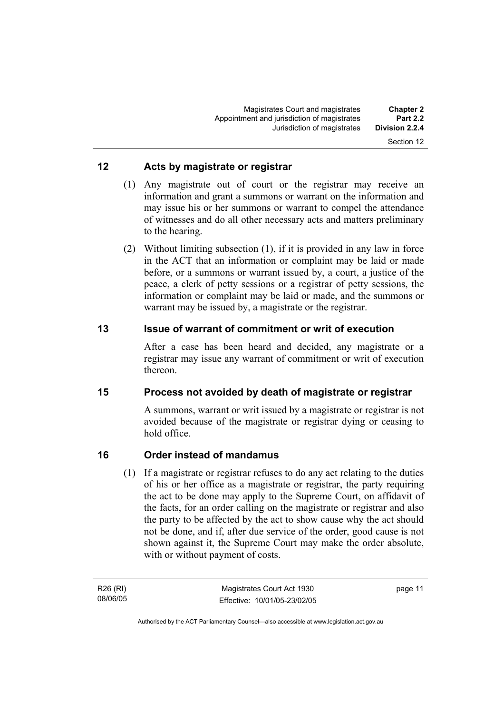#### **12 Acts by magistrate or registrar**

- (1) Any magistrate out of court or the registrar may receive an information and grant a summons or warrant on the information and may issue his or her summons or warrant to compel the attendance of witnesses and do all other necessary acts and matters preliminary to the hearing.
- (2) Without limiting subsection (1), if it is provided in any law in force in the ACT that an information or complaint may be laid or made before, or a summons or warrant issued by, a court, a justice of the peace, a clerk of petty sessions or a registrar of petty sessions, the information or complaint may be laid or made, and the summons or warrant may be issued by, a magistrate or the registrar.

#### **13 Issue of warrant of commitment or writ of execution**

After a case has been heard and decided, any magistrate or a registrar may issue any warrant of commitment or writ of execution thereon.

### **15 Process not avoided by death of magistrate or registrar**

A summons, warrant or writ issued by a magistrate or registrar is not avoided because of the magistrate or registrar dying or ceasing to hold office.

### **16 Order instead of mandamus**

 (1) If a magistrate or registrar refuses to do any act relating to the duties of his or her office as a magistrate or registrar, the party requiring the act to be done may apply to the Supreme Court, on affidavit of the facts, for an order calling on the magistrate or registrar and also the party to be affected by the act to show cause why the act should not be done, and if, after due service of the order, good cause is not shown against it, the Supreme Court may make the order absolute, with or without payment of costs.

R26 (RI) 08/06/05 page 11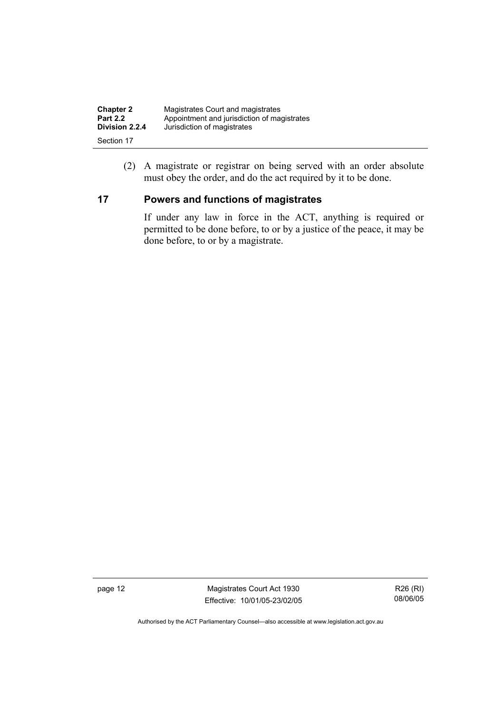| <b>Chapter 2</b> | Magistrates Court and magistrates           |
|------------------|---------------------------------------------|
| <b>Part 2.2</b>  | Appointment and jurisdiction of magistrates |
| Division 2.2.4   | Jurisdiction of magistrates                 |
| Section 17       |                                             |

 (2) A magistrate or registrar on being served with an order absolute must obey the order, and do the act required by it to be done.

## **17 Powers and functions of magistrates**

If under any law in force in the ACT, anything is required or permitted to be done before, to or by a justice of the peace, it may be done before, to or by a magistrate.

page 12 Magistrates Court Act 1930 Effective: 10/01/05-23/02/05

R26 (RI) 08/06/05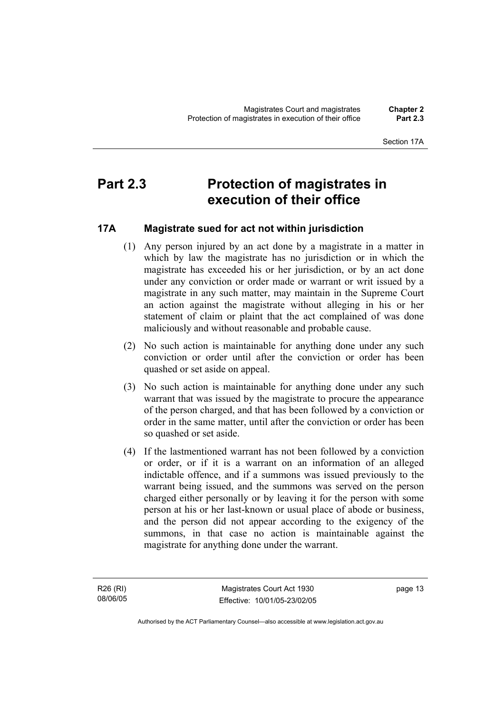#### Section 17A

# **Part 2.3 Protection of magistrates in execution of their office**

## **17A Magistrate sued for act not within jurisdiction**

- (1) Any person injured by an act done by a magistrate in a matter in which by law the magistrate has no jurisdiction or in which the magistrate has exceeded his or her jurisdiction, or by an act done under any conviction or order made or warrant or writ issued by a magistrate in any such matter, may maintain in the Supreme Court an action against the magistrate without alleging in his or her statement of claim or plaint that the act complained of was done maliciously and without reasonable and probable cause.
- (2) No such action is maintainable for anything done under any such conviction or order until after the conviction or order has been quashed or set aside on appeal.
- (3) No such action is maintainable for anything done under any such warrant that was issued by the magistrate to procure the appearance of the person charged, and that has been followed by a conviction or order in the same matter, until after the conviction or order has been so quashed or set aside.
- (4) If the lastmentioned warrant has not been followed by a conviction or order, or if it is a warrant on an information of an alleged indictable offence, and if a summons was issued previously to the warrant being issued, and the summons was served on the person charged either personally or by leaving it for the person with some person at his or her last-known or usual place of abode or business, and the person did not appear according to the exigency of the summons, in that case no action is maintainable against the magistrate for anything done under the warrant.

R26 (RI) 08/06/05 page 13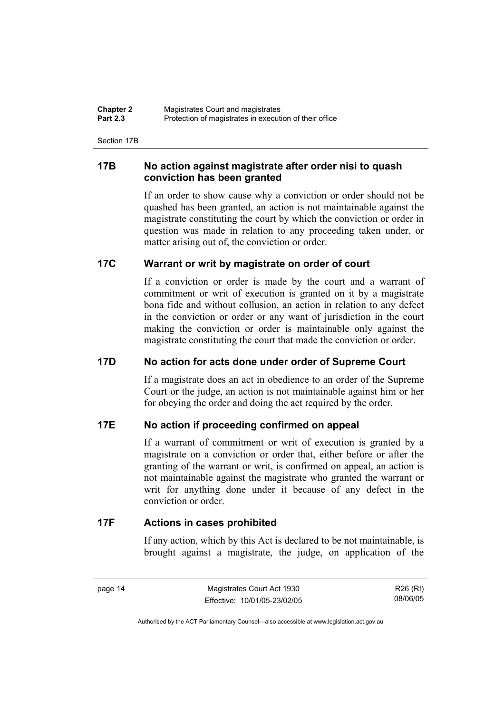| <b>Chapter 2</b> | Magistrates Court and magistrates                      |  |
|------------------|--------------------------------------------------------|--|
| <b>Part 2.3</b>  | Protection of magistrates in execution of their office |  |

Section 17B

#### **17B No action against magistrate after order nisi to quash conviction has been granted**

If an order to show cause why a conviction or order should not be quashed has been granted, an action is not maintainable against the magistrate constituting the court by which the conviction or order in question was made in relation to any proceeding taken under, or matter arising out of, the conviction or order.

#### **17C Warrant or writ by magistrate on order of court**

If a conviction or order is made by the court and a warrant of commitment or writ of execution is granted on it by a magistrate bona fide and without collusion, an action in relation to any defect in the conviction or order or any want of jurisdiction in the court making the conviction or order is maintainable only against the magistrate constituting the court that made the conviction or order.

### **17D No action for acts done under order of Supreme Court**

If a magistrate does an act in obedience to an order of the Supreme Court or the judge, an action is not maintainable against him or her for obeying the order and doing the act required by the order.

#### **17E No action if proceeding confirmed on appeal**

If a warrant of commitment or writ of execution is granted by a magistrate on a conviction or order that, either before or after the granting of the warrant or writ, is confirmed on appeal, an action is not maintainable against the magistrate who granted the warrant or writ for anything done under it because of any defect in the conviction or order.

#### **17F Actions in cases prohibited**

If any action, which by this Act is declared to be not maintainable, is brought against a magistrate, the judge, on application of the

page 14 Magistrates Court Act 1930 Effective: 10/01/05-23/02/05

R26 (RI) 08/06/05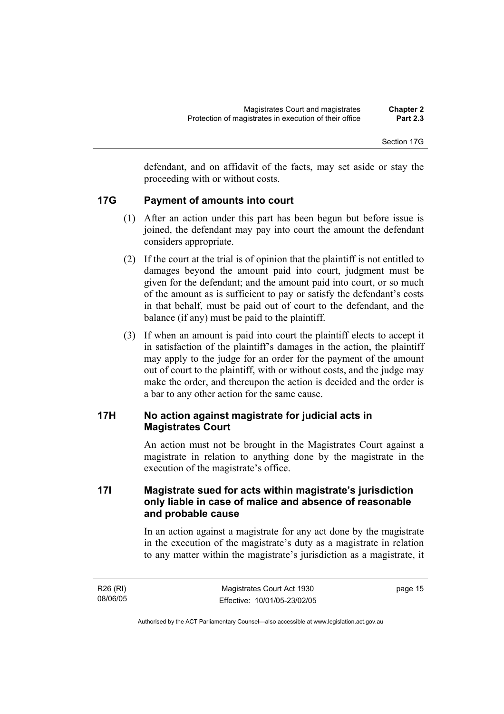Section 17G

defendant, and on affidavit of the facts, may set aside or stay the proceeding with or without costs.

#### **17G Payment of amounts into court**

- (1) After an action under this part has been begun but before issue is joined, the defendant may pay into court the amount the defendant considers appropriate.
- (2) If the court at the trial is of opinion that the plaintiff is not entitled to damages beyond the amount paid into court, judgment must be given for the defendant; and the amount paid into court, or so much of the amount as is sufficient to pay or satisfy the defendant's costs in that behalf, must be paid out of court to the defendant, and the balance (if any) must be paid to the plaintiff.
- (3) If when an amount is paid into court the plaintiff elects to accept it in satisfaction of the plaintiff's damages in the action, the plaintiff may apply to the judge for an order for the payment of the amount out of court to the plaintiff, with or without costs, and the judge may make the order, and thereupon the action is decided and the order is a bar to any other action for the same cause.

#### **17H No action against magistrate for judicial acts in Magistrates Court**

An action must not be brought in the Magistrates Court against a magistrate in relation to anything done by the magistrate in the execution of the magistrate's office.

## **17I Magistrate sued for acts within magistrate's jurisdiction only liable in case of malice and absence of reasonable and probable cause**

In an action against a magistrate for any act done by the magistrate in the execution of the magistrate's duty as a magistrate in relation to any matter within the magistrate's jurisdiction as a magistrate, it

| R26 (RI) |  |
|----------|--|
| 08/06/05 |  |

page 15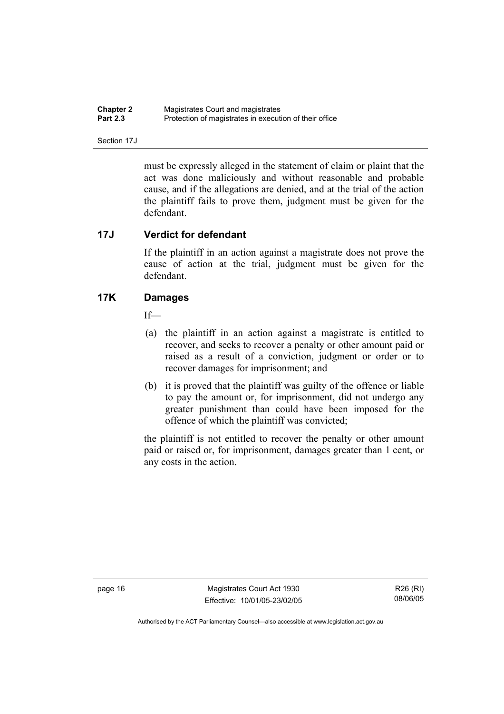| <b>Chapter 2</b> | Magistrates Court and magistrates                      |
|------------------|--------------------------------------------------------|
| <b>Part 2.3</b>  | Protection of magistrates in execution of their office |

Section 17J

must be expressly alleged in the statement of claim or plaint that the act was done maliciously and without reasonable and probable cause, and if the allegations are denied, and at the trial of the action the plaintiff fails to prove them, judgment must be given for the defendant.

#### **17J Verdict for defendant**

If the plaintiff in an action against a magistrate does not prove the cause of action at the trial, judgment must be given for the defendant.

#### **17K Damages**

If—

- (a) the plaintiff in an action against a magistrate is entitled to recover, and seeks to recover a penalty or other amount paid or raised as a result of a conviction, judgment or order or to recover damages for imprisonment; and
- (b) it is proved that the plaintiff was guilty of the offence or liable to pay the amount or, for imprisonment, did not undergo any greater punishment than could have been imposed for the offence of which the plaintiff was convicted;

the plaintiff is not entitled to recover the penalty or other amount paid or raised or, for imprisonment, damages greater than 1 cent, or any costs in the action.

page 16 Magistrates Court Act 1930 Effective: 10/01/05-23/02/05

R26 (RI) 08/06/05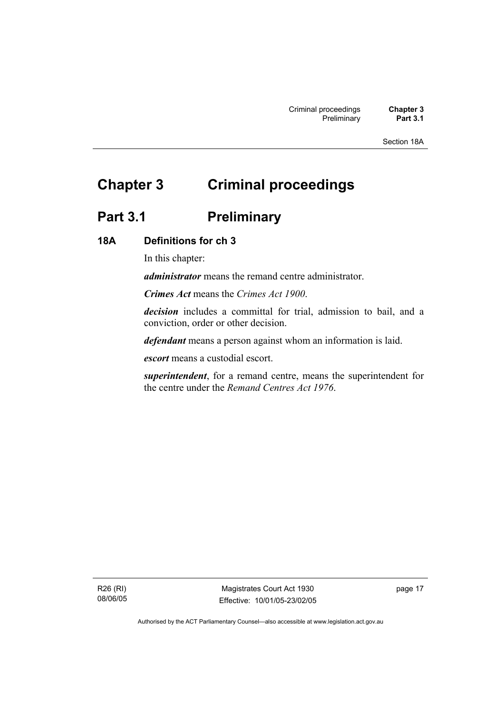Section 18A

# **Chapter 3 Criminal proceedings**

# Part 3.1 **Preliminary**

#### **18A Definitions for ch 3**

In this chapter:

*administrator* means the remand centre administrator.

*Crimes Act* means the *Crimes Act 1900*.

*decision* includes a committal for trial, admission to bail, and a conviction, order or other decision.

*defendant* means a person against whom an information is laid.

*escort* means a custodial escort.

*superintendent*, for a remand centre, means the superintendent for the centre under the *Remand Centres Act 1976*.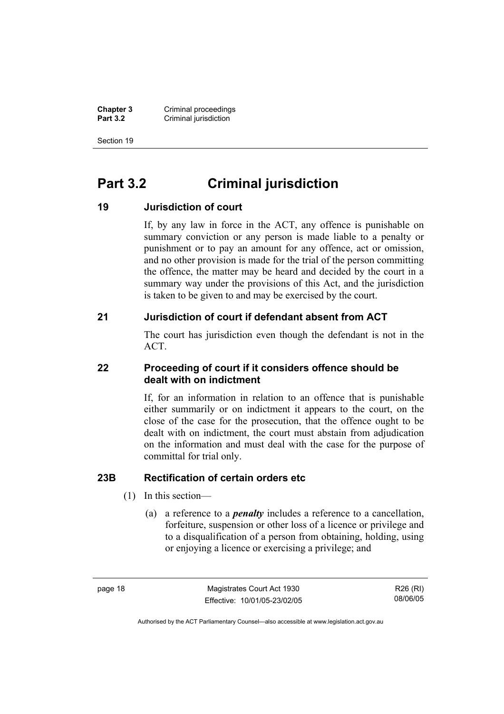**Chapter 3 Criminal proceedings**<br>**Part 3.2 Criminal jurisdiction Criminal jurisdiction** 

Section 19

# **Part 3.2 Criminal jurisdiction**

#### **19 Jurisdiction of court**

If, by any law in force in the ACT, any offence is punishable on summary conviction or any person is made liable to a penalty or punishment or to pay an amount for any offence, act or omission, and no other provision is made for the trial of the person committing the offence, the matter may be heard and decided by the court in a summary way under the provisions of this Act, and the jurisdiction is taken to be given to and may be exercised by the court.

#### **21 Jurisdiction of court if defendant absent from ACT**

The court has jurisdiction even though the defendant is not in the ACT.

#### **22 Proceeding of court if it considers offence should be dealt with on indictment**

If, for an information in relation to an offence that is punishable either summarily or on indictment it appears to the court, on the close of the case for the prosecution, that the offence ought to be dealt with on indictment, the court must abstain from adjudication on the information and must deal with the case for the purpose of committal for trial only.

### **23B Rectification of certain orders etc**

- (1) In this section—
	- (a) a reference to a *penalty* includes a reference to a cancellation, forfeiture, suspension or other loss of a licence or privilege and to a disqualification of a person from obtaining, holding, using or enjoying a licence or exercising a privilege; and

page 18 Magistrates Court Act 1930 Effective: 10/01/05-23/02/05

R26 (RI) 08/06/05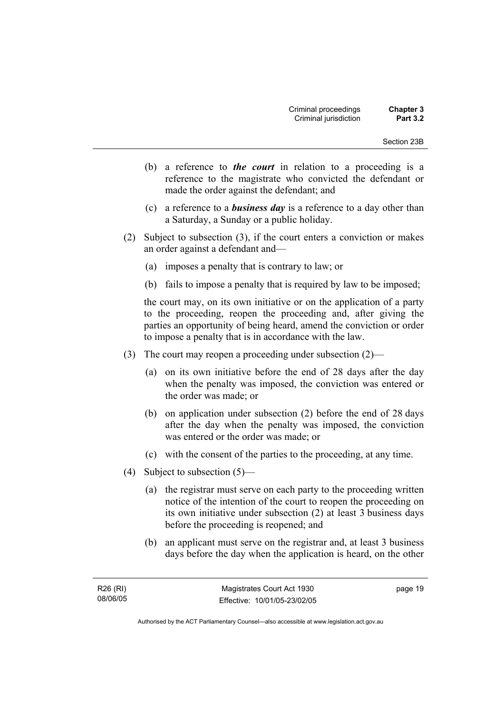- (b) a reference to *the court* in relation to a proceeding is a reference to the magistrate who convicted the defendant or made the order against the defendant; and
- (c) a reference to a *business day* is a reference to a day other than a Saturday, a Sunday or a public holiday.
- (2) Subject to subsection (3), if the court enters a conviction or makes an order against a defendant and—
	- (a) imposes a penalty that is contrary to law; or
	- (b) fails to impose a penalty that is required by law to be imposed;

the court may, on its own initiative or on the application of a party to the proceeding, reopen the proceeding and, after giving the parties an opportunity of being heard, amend the conviction or order to impose a penalty that is in accordance with the law.

- (3) The court may reopen a proceeding under subsection (2)—
	- (a) on its own initiative before the end of 28 days after the day when the penalty was imposed, the conviction was entered or the order was made; or
	- (b) on application under subsection (2) before the end of 28 days after the day when the penalty was imposed, the conviction was entered or the order was made; or
	- (c) with the consent of the parties to the proceeding, at any time.
- (4) Subject to subsection (5)—
	- (a) the registrar must serve on each party to the proceeding written notice of the intention of the court to reopen the proceeding on its own initiative under subsection (2) at least 3 business days before the proceeding is reopened; and
	- (b) an applicant must serve on the registrar and, at least 3 business days before the day when the application is heard, on the other

page 19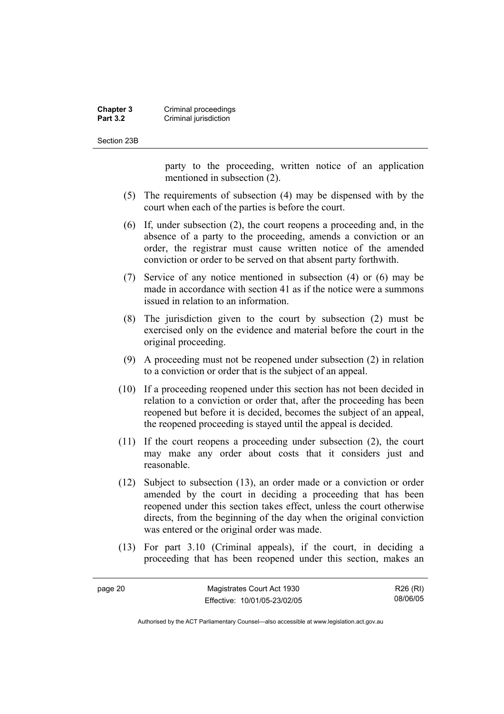#### **Chapter 3 Criminal proceedings**<br>**Part 3.2 Criminal jurisdiction Criminal jurisdiction**

Section 23B

page 20

party to the proceeding, written notice of an application mentioned in subsection (2).

- (5) The requirements of subsection (4) may be dispensed with by the court when each of the parties is before the court.
- (6) If, under subsection (2), the court reopens a proceeding and, in the absence of a party to the proceeding, amends a conviction or an order, the registrar must cause written notice of the amended conviction or order to be served on that absent party forthwith.
- (7) Service of any notice mentioned in subsection (4) or (6) may be made in accordance with section 41 as if the notice were a summons issued in relation to an information.
- (8) The jurisdiction given to the court by subsection (2) must be exercised only on the evidence and material before the court in the original proceeding.
- (9) A proceeding must not be reopened under subsection (2) in relation to a conviction or order that is the subject of an appeal.
- (10) If a proceeding reopened under this section has not been decided in relation to a conviction or order that, after the proceeding has been reopened but before it is decided, becomes the subject of an appeal, the reopened proceeding is stayed until the appeal is decided.
- (11) If the court reopens a proceeding under subsection (2), the court may make any order about costs that it considers just and reasonable.
- (12) Subject to subsection (13), an order made or a conviction or order amended by the court in deciding a proceeding that has been reopened under this section takes effect, unless the court otherwise directs, from the beginning of the day when the original conviction was entered or the original order was made.
- (13) For part 3.10 (Criminal appeals), if the court, in deciding a proceeding that has been reopened under this section, makes an

| Magistrates Court Act 1930   | R26 (RI) |
|------------------------------|----------|
| Effective: 10/01/05-23/02/05 | 08/06/05 |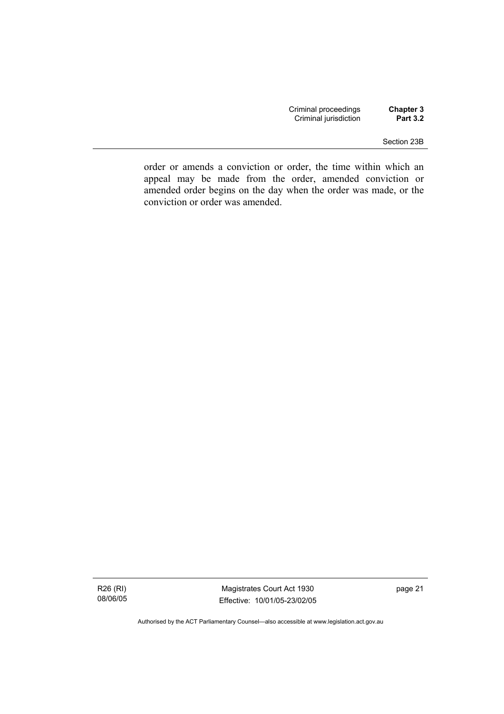| Criminal proceedings  | Chapter 3       |
|-----------------------|-----------------|
| Criminal jurisdiction | <b>Part 3.2</b> |

#### Section 23B

order or amends a conviction or order, the time within which an appeal may be made from the order, amended conviction or amended order begins on the day when the order was made, or the conviction or order was amended.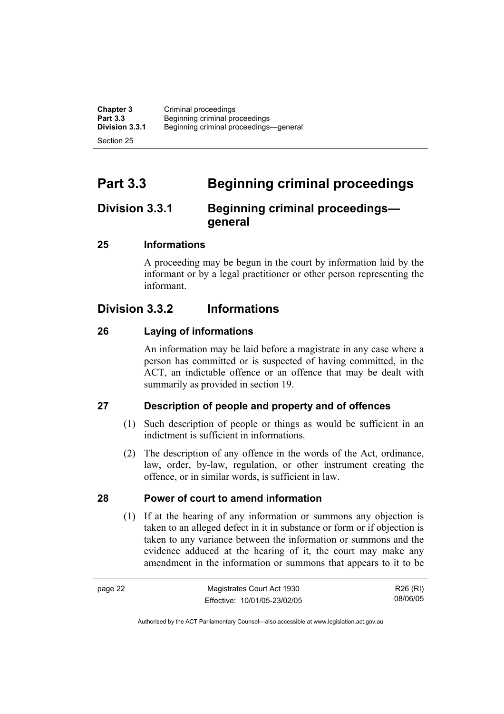**Chapter 3** Criminal proceedings<br> **Part 3.3** Beginning criminal pro-**Part 3.3 Beginning criminal proceedings**<br>**Division 3.3.1** Beginning criminal proceedings **Division 3.3.1** Beginning criminal proceedings—general Section 25

**Part 3.3 Beginning criminal proceedings** 

# **Division 3.3.1 Beginning criminal proceedings general**

# **25 Informations**

A proceeding may be begun in the court by information laid by the informant or by a legal practitioner or other person representing the informant.

# **Division 3.3.2 Informations**

# **26 Laying of informations**

An information may be laid before a magistrate in any case where a person has committed or is suspected of having committed, in the ACT, an indictable offence or an offence that may be dealt with summarily as provided in section 19.

# **27 Description of people and property and of offences**

- (1) Such description of people or things as would be sufficient in an indictment is sufficient in informations.
- (2) The description of any offence in the words of the Act, ordinance, law, order, by-law, regulation, or other instrument creating the offence, or in similar words, is sufficient in law.

### **28 Power of court to amend information**

 (1) If at the hearing of any information or summons any objection is taken to an alleged defect in it in substance or form or if objection is taken to any variance between the information or summons and the evidence adduced at the hearing of it, the court may make any amendment in the information or summons that appears to it to be

page 22 Magistrates Court Act 1930 Effective: 10/01/05-23/02/05 R26 (RI) 08/06/05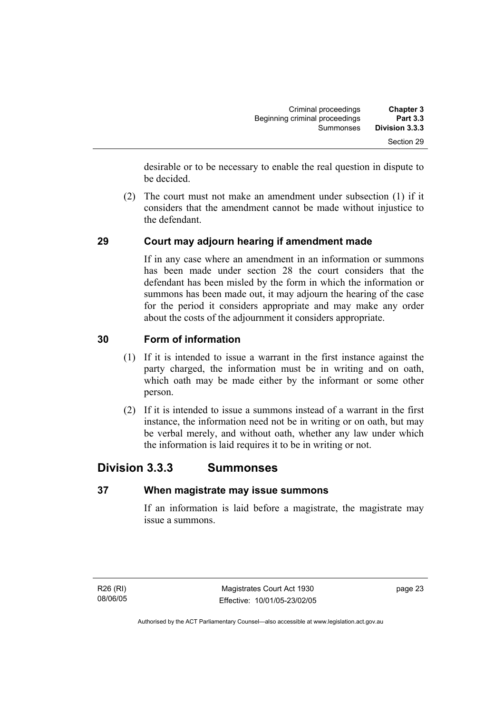| <b>Chapter 3</b> | Criminal proceedings           |
|------------------|--------------------------------|
| <b>Part 3.3</b>  | Beginning criminal proceedings |
| Division 3.3.3   | Summonses                      |
| Section 29       |                                |

desirable or to be necessary to enable the real question in dispute to be decided.

 (2) The court must not make an amendment under subsection (1) if it considers that the amendment cannot be made without injustice to the defendant.

# **29 Court may adjourn hearing if amendment made**

If in any case where an amendment in an information or summons has been made under section 28 the court considers that the defendant has been misled by the form in which the information or summons has been made out, it may adjourn the hearing of the case for the period it considers appropriate and may make any order about the costs of the adjournment it considers appropriate.

## **30 Form of information**

- (1) If it is intended to issue a warrant in the first instance against the party charged, the information must be in writing and on oath, which oath may be made either by the informant or some other person.
- (2) If it is intended to issue a summons instead of a warrant in the first instance, the information need not be in writing or on oath, but may be verbal merely, and without oath, whether any law under which the information is laid requires it to be in writing or not.

# **Division 3.3.3 Summonses**

### **37 When magistrate may issue summons**

If an information is laid before a magistrate, the magistrate may issue a summons.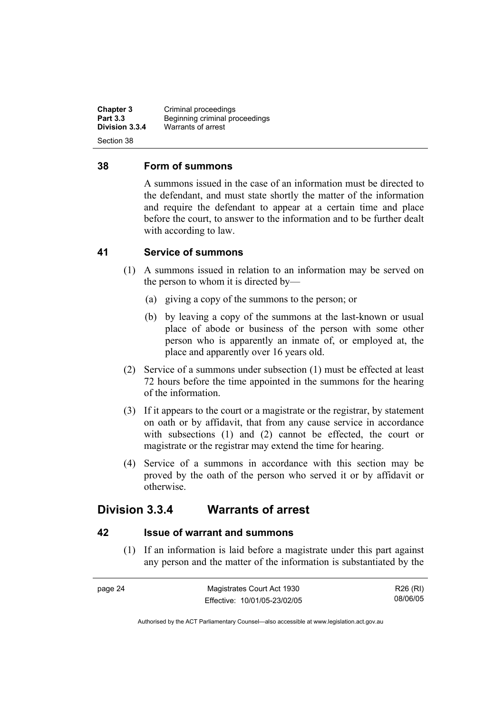**Chapter 3** Criminal proceedings<br> **Part 3.3** Beginning criminal pro-**Part 3.3 Beginning criminal proceedings**<br>**Division 3.3.4** *Marrants of arrest* **Division 3.3.4** Warrants of arrest Section 38

### **38 Form of summons**

A summons issued in the case of an information must be directed to the defendant, and must state shortly the matter of the information and require the defendant to appear at a certain time and place before the court, to answer to the information and to be further dealt with according to law.

### **41 Service of summons**

- (1) A summons issued in relation to an information may be served on the person to whom it is directed by—
	- (a) giving a copy of the summons to the person; or
	- (b) by leaving a copy of the summons at the last-known or usual place of abode or business of the person with some other person who is apparently an inmate of, or employed at, the place and apparently over 16 years old.
- (2) Service of a summons under subsection (1) must be effected at least 72 hours before the time appointed in the summons for the hearing of the information.
- (3) If it appears to the court or a magistrate or the registrar, by statement on oath or by affidavit, that from any cause service in accordance with subsections (1) and (2) cannot be effected, the court or magistrate or the registrar may extend the time for hearing.
- (4) Service of a summons in accordance with this section may be proved by the oath of the person who served it or by affidavit or otherwise.

# **Division 3.3.4 Warrants of arrest**

### **42 Issue of warrant and summons**

 (1) If an information is laid before a magistrate under this part against any person and the matter of the information is substantiated by the

| page 24 | Magistrates Court Act 1930   | R26 (RI) |
|---------|------------------------------|----------|
|         | Effective: 10/01/05-23/02/05 | 08/06/05 |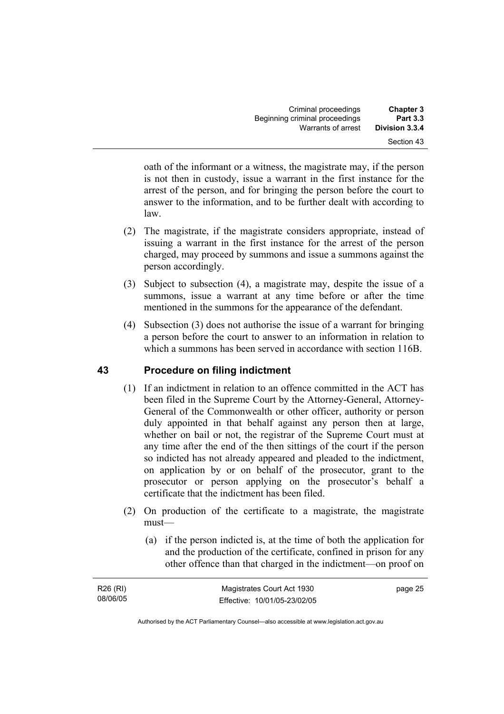| <b>Chapter 3</b> | Criminal proceedings           |
|------------------|--------------------------------|
| <b>Part 3.3</b>  | Beginning criminal proceedings |
| Division 3.3.4   | Warrants of arrest             |
| Section 43       |                                |

oath of the informant or a witness, the magistrate may, if the person is not then in custody, issue a warrant in the first instance for the arrest of the person, and for bringing the person before the court to answer to the information, and to be further dealt with according to law.

- (2) The magistrate, if the magistrate considers appropriate, instead of issuing a warrant in the first instance for the arrest of the person charged, may proceed by summons and issue a summons against the person accordingly.
- (3) Subject to subsection (4), a magistrate may, despite the issue of a summons, issue a warrant at any time before or after the time mentioned in the summons for the appearance of the defendant.
- (4) Subsection (3) does not authorise the issue of a warrant for bringing a person before the court to answer to an information in relation to which a summons has been served in accordance with section 116B.

# **43 Procedure on filing indictment**

- (1) If an indictment in relation to an offence committed in the ACT has been filed in the Supreme Court by the Attorney-General, Attorney-General of the Commonwealth or other officer, authority or person duly appointed in that behalf against any person then at large, whether on bail or not, the registrar of the Supreme Court must at any time after the end of the then sittings of the court if the person so indicted has not already appeared and pleaded to the indictment, on application by or on behalf of the prosecutor, grant to the prosecutor or person applying on the prosecutor's behalf a certificate that the indictment has been filed.
- (2) On production of the certificate to a magistrate, the magistrate must—
	- (a) if the person indicted is, at the time of both the application for and the production of the certificate, confined in prison for any other offence than that charged in the indictment—on proof on

| R26 (RI) | Magistrates Court Act 1930   | page 25 |
|----------|------------------------------|---------|
| 08/06/05 | Effective: 10/01/05-23/02/05 |         |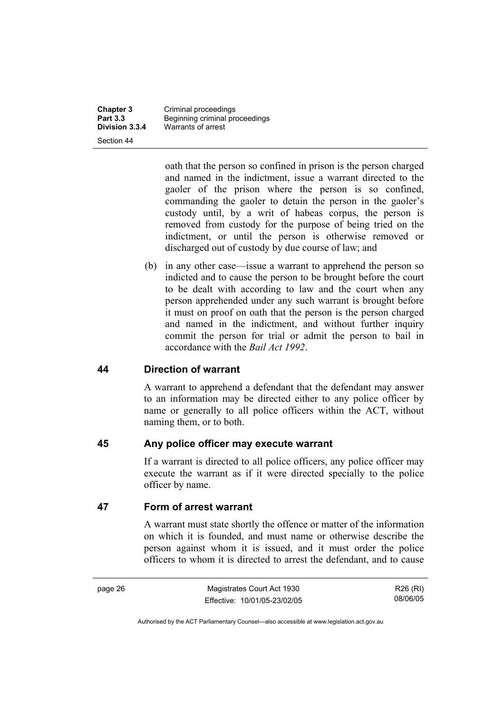Section 44

**Chapter 3** Criminal proceedings<br> **Part 3.3** Beginning criminal pro-**Part 3.3 Beginning criminal proceedings**<br>**Division 3.3.4** Warrants of arrest **Division 3.3.4** Warrants of arrest

> oath that the person so confined in prison is the person charged and named in the indictment, issue a warrant directed to the gaoler of the prison where the person is so confined, commanding the gaoler to detain the person in the gaoler's custody until, by a writ of habeas corpus, the person is removed from custody for the purpose of being tried on the indictment, or until the person is otherwise removed or discharged out of custody by due course of law; and

 (b) in any other case—issue a warrant to apprehend the person so indicted and to cause the person to be brought before the court to be dealt with according to law and the court when any person apprehended under any such warrant is brought before it must on proof on oath that the person is the person charged and named in the indictment, and without further inquiry commit the person for trial or admit the person to bail in accordance with the *Bail Act 1992*.

### **44 Direction of warrant**

A warrant to apprehend a defendant that the defendant may answer to an information may be directed either to any police officer by name or generally to all police officers within the ACT, without naming them, or to both.

### **45 Any police officer may execute warrant**

If a warrant is directed to all police officers, any police officer may execute the warrant as if it were directed specially to the police officer by name.

### **47 Form of arrest warrant**

A warrant must state shortly the offence or matter of the information on which it is founded, and must name or otherwise describe the person against whom it is issued, and it must order the police officers to whom it is directed to arrest the defendant, and to cause

page 26 Magistrates Court Act 1930 Effective: 10/01/05-23/02/05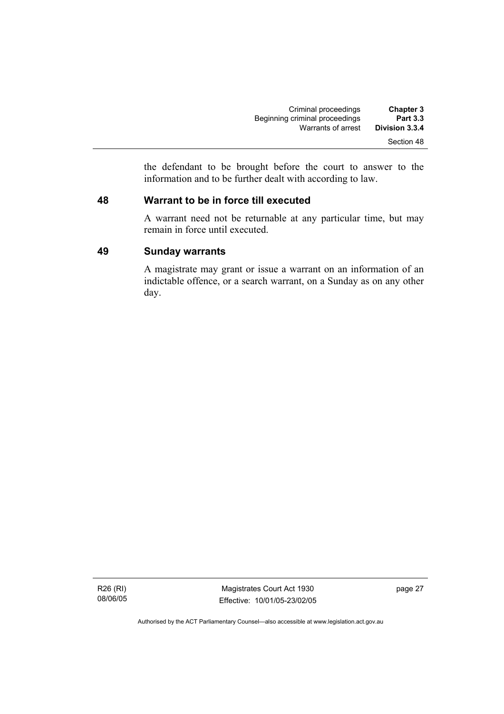| <b>Chapter 3</b> | Criminal proceedings           |
|------------------|--------------------------------|
| <b>Part 3.3</b>  | Beginning criminal proceedings |
| Division 3.3.4   | Warrants of arrest             |
| Section 48       |                                |

the defendant to be brought before the court to answer to the information and to be further dealt with according to law.

## **48 Warrant to be in force till executed**

A warrant need not be returnable at any particular time, but may remain in force until executed.

## **49 Sunday warrants**

A magistrate may grant or issue a warrant on an information of an indictable offence, or a search warrant, on a Sunday as on any other day.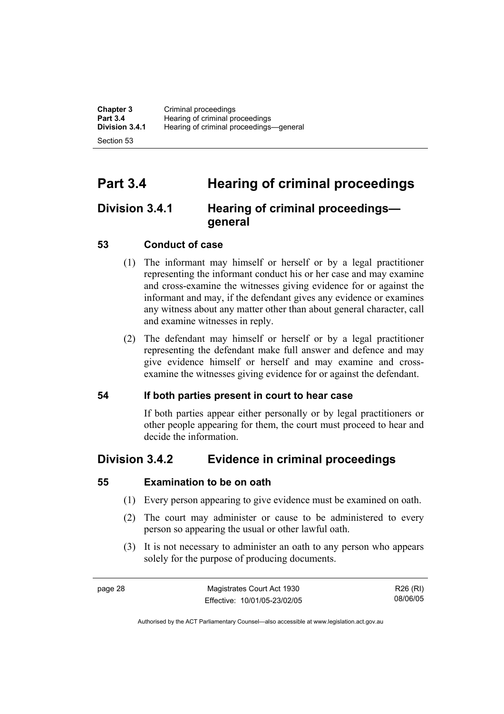**Chapter 3** Criminal proceedings<br> **Part 3.4** Hearing of criminal pro **Part 3.4 Hearing of criminal proceedings**<br>**Division 3.4.1** Hearing of criminal proceedings **Division 3.4.1** Hearing of criminal proceedings—general Section 53

# **Part 3.4 Hearing of criminal proceedings**

# **Division 3.4.1 Hearing of criminal proceedings general**

# **53 Conduct of case**

- (1) The informant may himself or herself or by a legal practitioner representing the informant conduct his or her case and may examine and cross-examine the witnesses giving evidence for or against the informant and may, if the defendant gives any evidence or examines any witness about any matter other than about general character, call and examine witnesses in reply.
- (2) The defendant may himself or herself or by a legal practitioner representing the defendant make full answer and defence and may give evidence himself or herself and may examine and crossexamine the witnesses giving evidence for or against the defendant.

# **54 If both parties present in court to hear case**

If both parties appear either personally or by legal practitioners or other people appearing for them, the court must proceed to hear and decide the information.

# **Division 3.4.2 Evidence in criminal proceedings**

# **55 Examination to be on oath**

- (1) Every person appearing to give evidence must be examined on oath.
- (2) The court may administer or cause to be administered to every person so appearing the usual or other lawful oath.
- (3) It is not necessary to administer an oath to any person who appears solely for the purpose of producing documents.

page 28 Magistrates Court Act 1930 Effective: 10/01/05-23/02/05

R26 (RI) 08/06/05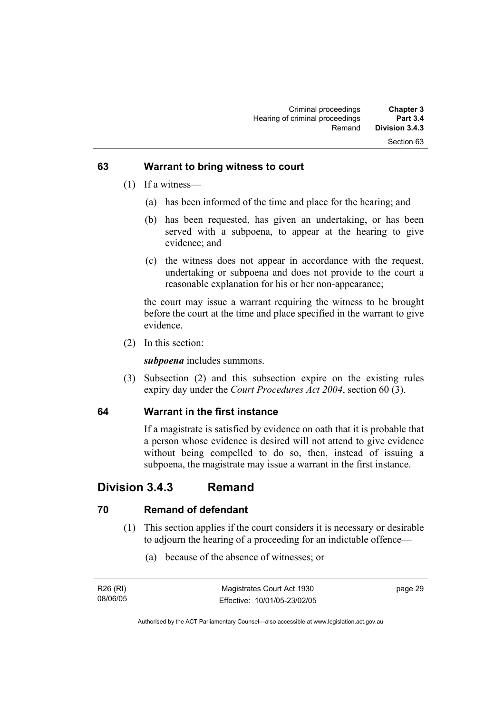### **63 Warrant to bring witness to court**

- (1) If a witness—
	- (a) has been informed of the time and place for the hearing; and
	- (b) has been requested, has given an undertaking, or has been served with a subpoena, to appear at the hearing to give evidence; and
	- (c) the witness does not appear in accordance with the request, undertaking or subpoena and does not provide to the court a reasonable explanation for his or her non-appearance;

the court may issue a warrant requiring the witness to be brought before the court at the time and place specified in the warrant to give evidence.

(2) In this section:

*subpoena* includes summons.

 (3) Subsection (2) and this subsection expire on the existing rules expiry day under the *Court Procedures Act 2004*, section 60 (3).

# **64 Warrant in the first instance**

If a magistrate is satisfied by evidence on oath that it is probable that a person whose evidence is desired will not attend to give evidence without being compelled to do so, then, instead of issuing a subpoena, the magistrate may issue a warrant in the first instance.

# **Division 3.4.3 Remand**

# **70 Remand of defendant**

- (1) This section applies if the court considers it is necessary or desirable to adjourn the hearing of a proceeding for an indictable offence—
	- (a) because of the absence of witnesses; or

| R26 (RI) | Magistrates Court Act 1930   | page 29 |
|----------|------------------------------|---------|
| 08/06/05 | Effective: 10/01/05-23/02/05 |         |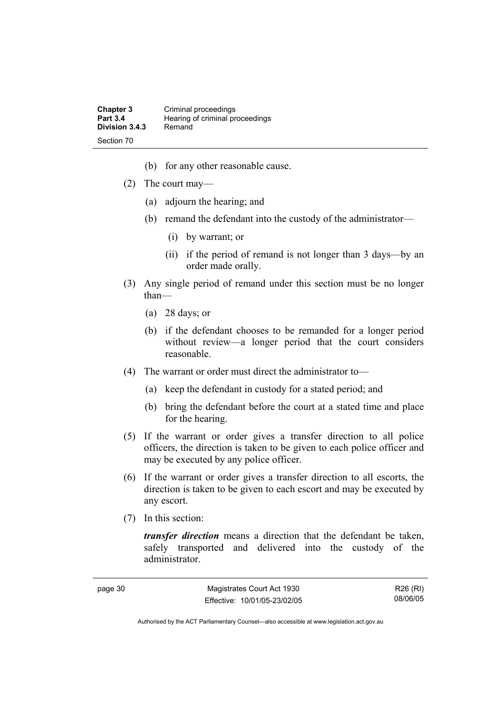| <b>Chapter 3</b> | Criminal proceedings            |
|------------------|---------------------------------|
| <b>Part 3.4</b>  | Hearing of criminal proceedings |
| Division 3.4.3   | Remand                          |
| Section 70       |                                 |

- (b) for any other reasonable cause.
- (2) The court may—
	- (a) adjourn the hearing; and
	- (b) remand the defendant into the custody of the administrator—
		- (i) by warrant; or
		- (ii) if the period of remand is not longer than 3 days—by an order made orally.
- (3) Any single period of remand under this section must be no longer than—
	- (a) 28 days; or
	- (b) if the defendant chooses to be remanded for a longer period without review—a longer period that the court considers reasonable.
- (4) The warrant or order must direct the administrator to—
	- (a) keep the defendant in custody for a stated period; and
	- (b) bring the defendant before the court at a stated time and place for the hearing.
- (5) If the warrant or order gives a transfer direction to all police officers, the direction is taken to be given to each police officer and may be executed by any police officer.
- (6) If the warrant or order gives a transfer direction to all escorts, the direction is taken to be given to each escort and may be executed by any escort.
- (7) In this section:

*transfer direction* means a direction that the defendant be taken, safely transported and delivered into the custody of the administrator.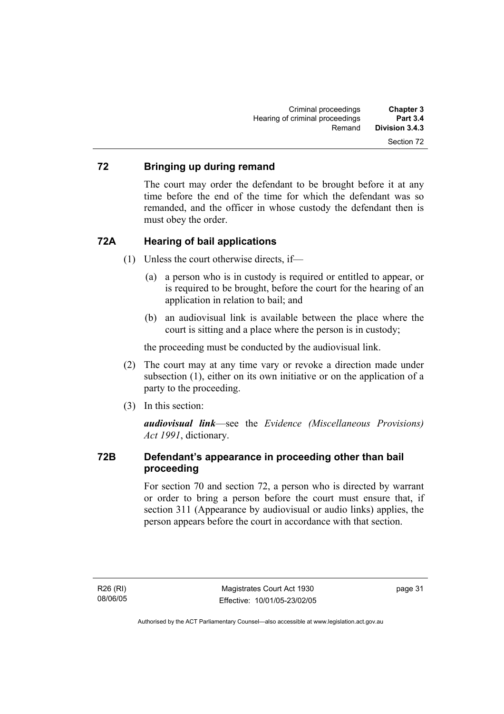# **72 Bringing up during remand**

The court may order the defendant to be brought before it at any time before the end of the time for which the defendant was so remanded, and the officer in whose custody the defendant then is must obey the order.

## **72A Hearing of bail applications**

- (1) Unless the court otherwise directs, if—
	- (a) a person who is in custody is required or entitled to appear, or is required to be brought, before the court for the hearing of an application in relation to bail; and
	- (b) an audiovisual link is available between the place where the court is sitting and a place where the person is in custody;

the proceeding must be conducted by the audiovisual link.

- (2) The court may at any time vary or revoke a direction made under subsection (1), either on its own initiative or on the application of a party to the proceeding.
- (3) In this section:

*audiovisual link*—see the *Evidence (Miscellaneous Provisions) Act 1991*, dictionary.

# **72B Defendant's appearance in proceeding other than bail proceeding**

For section 70 and section 72, a person who is directed by warrant or order to bring a person before the court must ensure that, if section 311 (Appearance by audiovisual or audio links) applies, the person appears before the court in accordance with that section.

R26 (RI) 08/06/05 page 31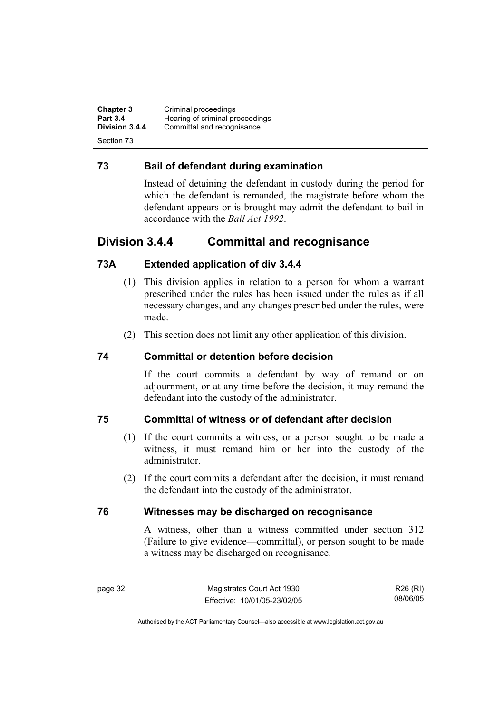**Chapter 3** Criminal proceedings<br> **Part 3.4** Hearing of criminal pro **Part 3.4 Hearing of criminal proceedings**<br>**Division 3.4.4** Committal and recognisance Committal and recognisance Section 73

## **73 Bail of defendant during examination**

Instead of detaining the defendant in custody during the period for which the defendant is remanded, the magistrate before whom the defendant appears or is brought may admit the defendant to bail in accordance with the *Bail Act 1992*.

# **Division 3.4.4 Committal and recognisance**

# **73A Extended application of div 3.4.4**

- (1) This division applies in relation to a person for whom a warrant prescribed under the rules has been issued under the rules as if all necessary changes, and any changes prescribed under the rules, were made.
- (2) This section does not limit any other application of this division.

## **74 Committal or detention before decision**

If the court commits a defendant by way of remand or on adjournment, or at any time before the decision, it may remand the defendant into the custody of the administrator.

### **75 Committal of witness or of defendant after decision**

- (1) If the court commits a witness, or a person sought to be made a witness, it must remand him or her into the custody of the administrator.
- (2) If the court commits a defendant after the decision, it must remand the defendant into the custody of the administrator.

### **76 Witnesses may be discharged on recognisance**

A witness, other than a witness committed under section 312 (Failure to give evidence—committal), or person sought to be made a witness may be discharged on recognisance.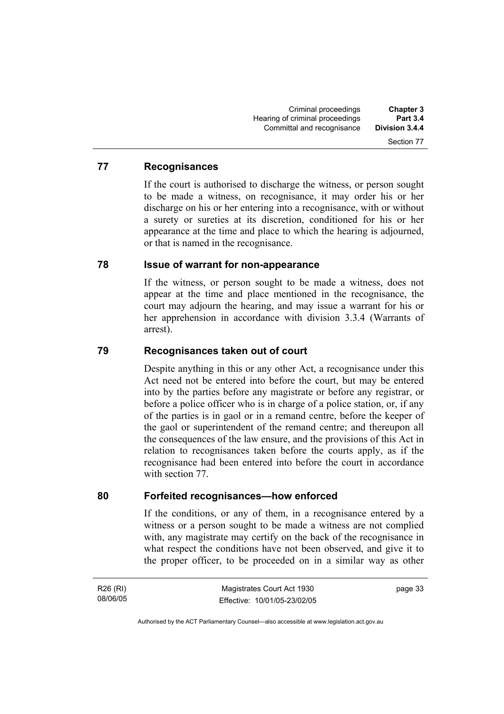### **77 Recognisances**

If the court is authorised to discharge the witness, or person sought to be made a witness, on recognisance, it may order his or her discharge on his or her entering into a recognisance, with or without a surety or sureties at its discretion, conditioned for his or her appearance at the time and place to which the hearing is adjourned, or that is named in the recognisance.

### **78 Issue of warrant for non-appearance**

If the witness, or person sought to be made a witness, does not appear at the time and place mentioned in the recognisance, the court may adjourn the hearing, and may issue a warrant for his or her apprehension in accordance with division 3.3.4 (Warrants of arrest).

### **79 Recognisances taken out of court**

Despite anything in this or any other Act, a recognisance under this Act need not be entered into before the court, but may be entered into by the parties before any magistrate or before any registrar, or before a police officer who is in charge of a police station, or, if any of the parties is in gaol or in a remand centre, before the keeper of the gaol or superintendent of the remand centre; and thereupon all the consequences of the law ensure, and the provisions of this Act in relation to recognisances taken before the courts apply, as if the recognisance had been entered into before the court in accordance with section 77.

### **80 Forfeited recognisances—how enforced**

If the conditions, or any of them, in a recognisance entered by a witness or a person sought to be made a witness are not complied with, any magistrate may certify on the back of the recognisance in what respect the conditions have not been observed, and give it to the proper officer, to be proceeded on in a similar way as other

R26 (RI) 08/06/05 page 33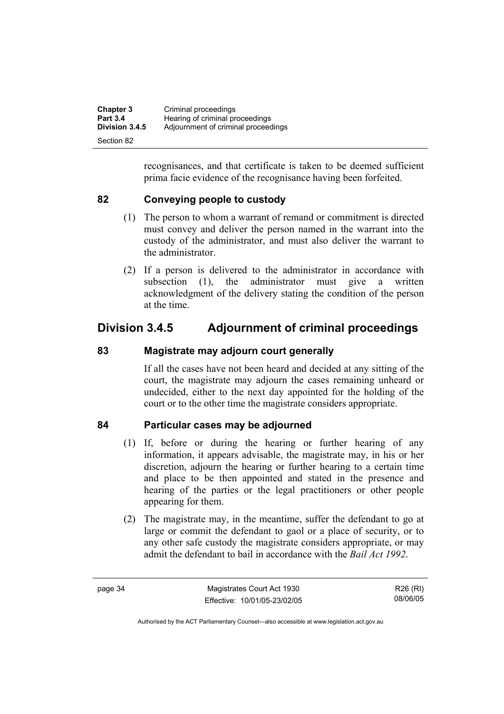| <b>Chapter 3</b> | Criminal proceedings                |
|------------------|-------------------------------------|
| <b>Part 3.4</b>  | Hearing of criminal proceedings     |
| Division 3.4.5   | Adjournment of criminal proceedings |
| Section 82       |                                     |

recognisances, and that certificate is taken to be deemed sufficient prima facie evidence of the recognisance having been forfeited.

# **82 Conveying people to custody**

- (1) The person to whom a warrant of remand or commitment is directed must convey and deliver the person named in the warrant into the custody of the administrator, and must also deliver the warrant to the administrator.
- (2) If a person is delivered to the administrator in accordance with subsection (1), the administrator must give a written acknowledgment of the delivery stating the condition of the person at the time.

# **Division 3.4.5 Adjournment of criminal proceedings**

## **83 Magistrate may adjourn court generally**

If all the cases have not been heard and decided at any sitting of the court, the magistrate may adjourn the cases remaining unheard or undecided, either to the next day appointed for the holding of the court or to the other time the magistrate considers appropriate.

### **84 Particular cases may be adjourned**

- (1) If, before or during the hearing or further hearing of any information, it appears advisable, the magistrate may, in his or her discretion, adjourn the hearing or further hearing to a certain time and place to be then appointed and stated in the presence and hearing of the parties or the legal practitioners or other people appearing for them.
- (2) The magistrate may, in the meantime, suffer the defendant to go at large or commit the defendant to gaol or a place of security, or to any other safe custody the magistrate considers appropriate, or may admit the defendant to bail in accordance with the *Bail Act 1992*.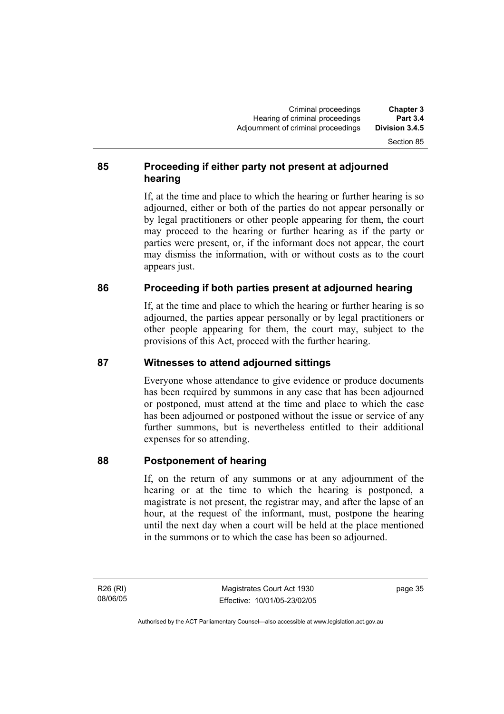# **85 Proceeding if either party not present at adjourned hearing**

If, at the time and place to which the hearing or further hearing is so adjourned, either or both of the parties do not appear personally or by legal practitioners or other people appearing for them, the court may proceed to the hearing or further hearing as if the party or parties were present, or, if the informant does not appear, the court may dismiss the information, with or without costs as to the court appears just.

# **86 Proceeding if both parties present at adjourned hearing**

If, at the time and place to which the hearing or further hearing is so adjourned, the parties appear personally or by legal practitioners or other people appearing for them, the court may, subject to the provisions of this Act, proceed with the further hearing.

# **87 Witnesses to attend adjourned sittings**

Everyone whose attendance to give evidence or produce documents has been required by summons in any case that has been adjourned or postponed, must attend at the time and place to which the case has been adjourned or postponed without the issue or service of any further summons, but is nevertheless entitled to their additional expenses for so attending.

# **88 Postponement of hearing**

If, on the return of any summons or at any adjournment of the hearing or at the time to which the hearing is postponed, a magistrate is not present, the registrar may, and after the lapse of an hour, at the request of the informant, must, postpone the hearing until the next day when a court will be held at the place mentioned in the summons or to which the case has been so adjourned.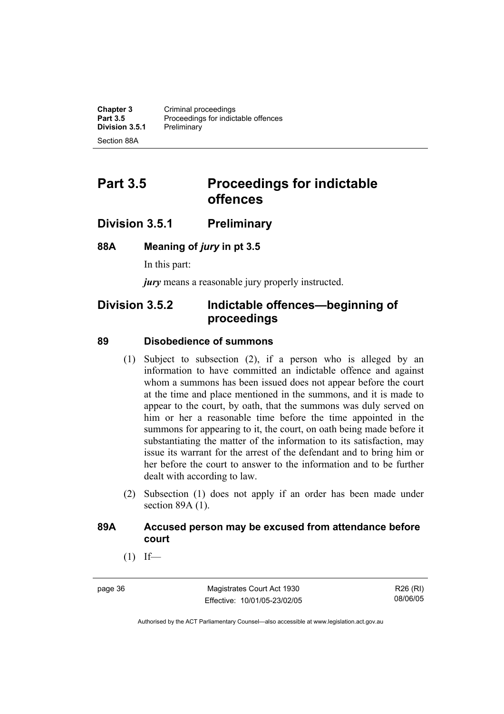**Chapter 3 Criminal proceedings**<br>**Part 3.5 Proceedings for indict** Proceedings for indictable offences<br>Preliminary **Division 3.5.1** Section 88A

# **Part 3.5** Proceedings for indictable **offences**

# **Division 3.5.1 Preliminary**

### **88A Meaning of** *jury* **in pt 3.5**

In this part:

*jury* means a reasonable jury properly instructed.

# **Division 3.5.2 Indictable offences—beginning of proceedings**

### **89 Disobedience of summons**

- (1) Subject to subsection (2), if a person who is alleged by an information to have committed an indictable offence and against whom a summons has been issued does not appear before the court at the time and place mentioned in the summons, and it is made to appear to the court, by oath, that the summons was duly served on him or her a reasonable time before the time appointed in the summons for appearing to it, the court, on oath being made before it substantiating the matter of the information to its satisfaction, may issue its warrant for the arrest of the defendant and to bring him or her before the court to answer to the information and to be further dealt with according to law.
- (2) Subsection (1) does not apply if an order has been made under section 89A (1).

### **89A Accused person may be excused from attendance before court**

 $(1)$  If—

page 36 Magistrates Court Act 1930 Effective: 10/01/05-23/02/05

R26 (RI) 08/06/05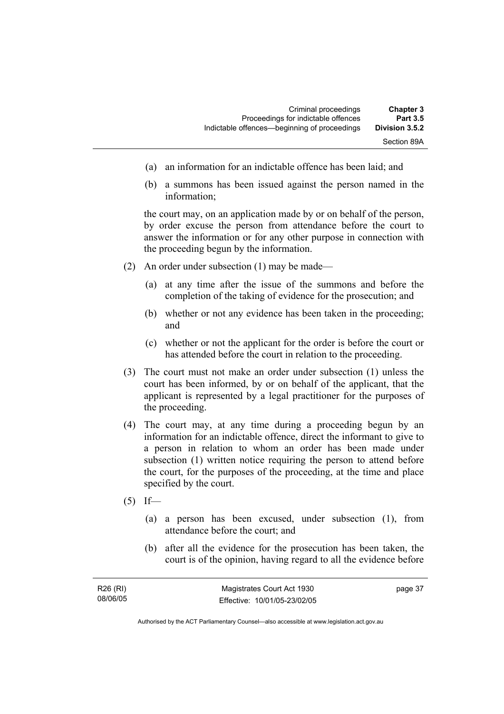- (a) an information for an indictable offence has been laid; and
- (b) a summons has been issued against the person named in the information;

the court may, on an application made by or on behalf of the person, by order excuse the person from attendance before the court to answer the information or for any other purpose in connection with the proceeding begun by the information.

- (2) An order under subsection (1) may be made—
	- (a) at any time after the issue of the summons and before the completion of the taking of evidence for the prosecution; and
	- (b) whether or not any evidence has been taken in the proceeding; and
	- (c) whether or not the applicant for the order is before the court or has attended before the court in relation to the proceeding.
- (3) The court must not make an order under subsection (1) unless the court has been informed, by or on behalf of the applicant, that the applicant is represented by a legal practitioner for the purposes of the proceeding.
- (4) The court may, at any time during a proceeding begun by an information for an indictable offence, direct the informant to give to a person in relation to whom an order has been made under subsection (1) written notice requiring the person to attend before the court, for the purposes of the proceeding, at the time and place specified by the court.
- $(5)$  If—
	- (a) a person has been excused, under subsection (1), from attendance before the court; and
	- (b) after all the evidence for the prosecution has been taken, the court is of the opinion, having regard to all the evidence before

| R26 (RI) | Magistrates Court Act 1930   | page 37 |
|----------|------------------------------|---------|
| 08/06/05 | Effective: 10/01/05-23/02/05 |         |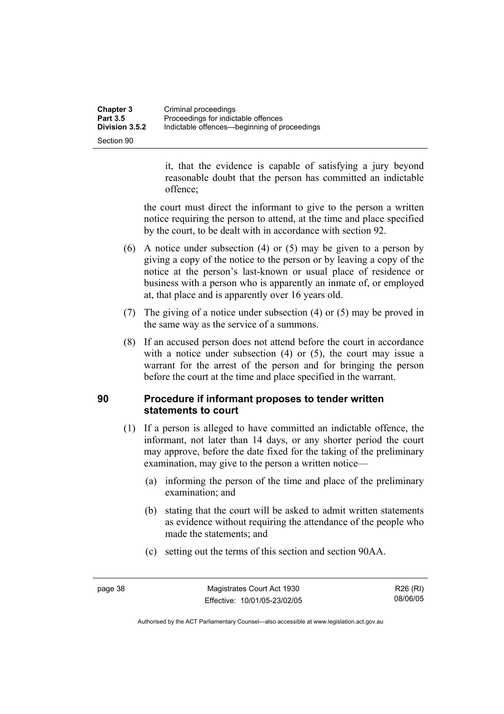| Chapter 3             | Criminal proceedings                         |
|-----------------------|----------------------------------------------|
| <b>Part 3.5</b>       | Proceedings for indictable offences          |
| <b>Division 3.5.2</b> | Indictable offences—beginning of proceedings |
| Section 90            |                                              |

it, that the evidence is capable of satisfying a jury beyond reasonable doubt that the person has committed an indictable offence;

the court must direct the informant to give to the person a written notice requiring the person to attend, at the time and place specified by the court, to be dealt with in accordance with section 92.

- (6) A notice under subsection (4) or (5) may be given to a person by giving a copy of the notice to the person or by leaving a copy of the notice at the person's last-known or usual place of residence or business with a person who is apparently an inmate of, or employed at, that place and is apparently over 16 years old.
- (7) The giving of a notice under subsection (4) or (5) may be proved in the same way as the service of a summons.
- (8) If an accused person does not attend before the court in accordance with a notice under subsection (4) or (5), the court may issue a warrant for the arrest of the person and for bringing the person before the court at the time and place specified in the warrant.

# **90 Procedure if informant proposes to tender written statements to court**

- (1) If a person is alleged to have committed an indictable offence, the informant, not later than 14 days, or any shorter period the court may approve, before the date fixed for the taking of the preliminary examination, may give to the person a written notice—
	- (a) informing the person of the time and place of the preliminary examination; and
	- (b) stating that the court will be asked to admit written statements as evidence without requiring the attendance of the people who made the statements; and
	- (c) setting out the terms of this section and section 90AA.

R26 (RI) 08/06/05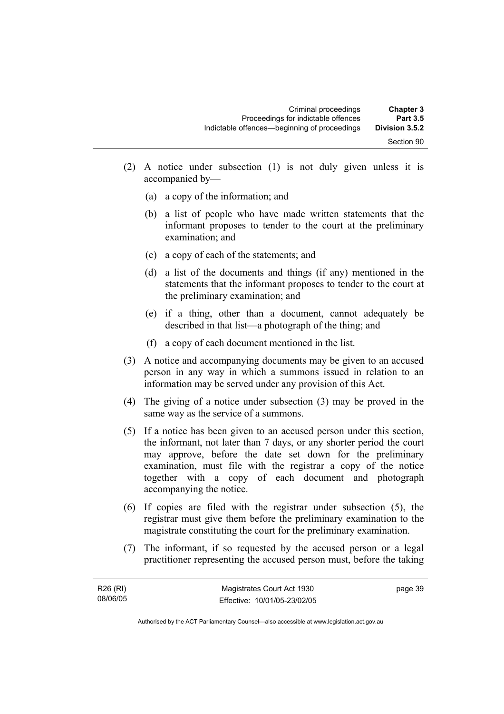- (2) A notice under subsection (1) is not duly given unless it is accompanied by—
	- (a) a copy of the information; and
	- (b) a list of people who have made written statements that the informant proposes to tender to the court at the preliminary examination; and
	- (c) a copy of each of the statements; and
	- (d) a list of the documents and things (if any) mentioned in the statements that the informant proposes to tender to the court at the preliminary examination; and
	- (e) if a thing, other than a document, cannot adequately be described in that list—a photograph of the thing; and
	- (f) a copy of each document mentioned in the list.
- (3) A notice and accompanying documents may be given to an accused person in any way in which a summons issued in relation to an information may be served under any provision of this Act.
- (4) The giving of a notice under subsection (3) may be proved in the same way as the service of a summons.
- (5) If a notice has been given to an accused person under this section, the informant, not later than 7 days, or any shorter period the court may approve, before the date set down for the preliminary examination, must file with the registrar a copy of the notice together with a copy of each document and photograph accompanying the notice.
- (6) If copies are filed with the registrar under subsection (5), the registrar must give them before the preliminary examination to the magistrate constituting the court for the preliminary examination.
- (7) The informant, if so requested by the accused person or a legal practitioner representing the accused person must, before the taking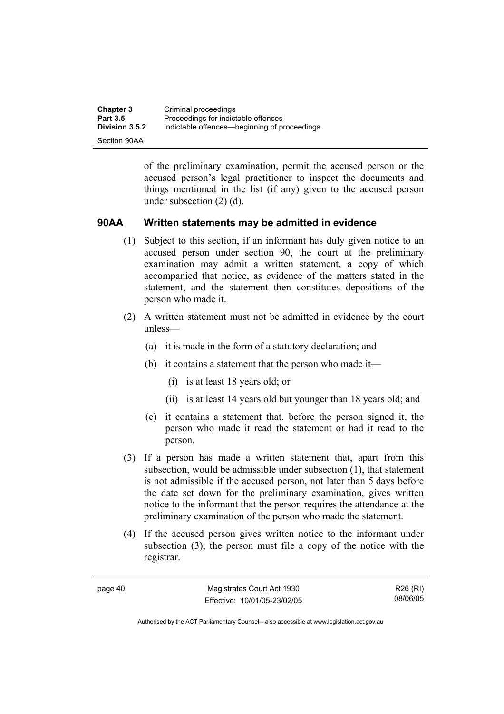| <b>Chapter 3</b>      | Criminal proceedings                         |
|-----------------------|----------------------------------------------|
| <b>Part 3.5</b>       | Proceedings for indictable offences          |
| <b>Division 3.5.2</b> | Indictable offences—beginning of proceedings |
| Section 90AA          |                                              |

of the preliminary examination, permit the accused person or the accused person's legal practitioner to inspect the documents and things mentioned in the list (if any) given to the accused person under subsection (2) (d).

### **90AA Written statements may be admitted in evidence**

- (1) Subject to this section, if an informant has duly given notice to an accused person under section 90, the court at the preliminary examination may admit a written statement, a copy of which accompanied that notice, as evidence of the matters stated in the statement, and the statement then constitutes depositions of the person who made it.
- (2) A written statement must not be admitted in evidence by the court unless—
	- (a) it is made in the form of a statutory declaration; and
	- (b) it contains a statement that the person who made it—
		- (i) is at least 18 years old; or
		- (ii) is at least 14 years old but younger than 18 years old; and
	- (c) it contains a statement that, before the person signed it, the person who made it read the statement or had it read to the person.
- (3) If a person has made a written statement that, apart from this subsection, would be admissible under subsection (1), that statement is not admissible if the accused person, not later than 5 days before the date set down for the preliminary examination, gives written notice to the informant that the person requires the attendance at the preliminary examination of the person who made the statement.
- (4) If the accused person gives written notice to the informant under subsection (3), the person must file a copy of the notice with the registrar.

page 40 Magistrates Court Act 1930 Effective: 10/01/05-23/02/05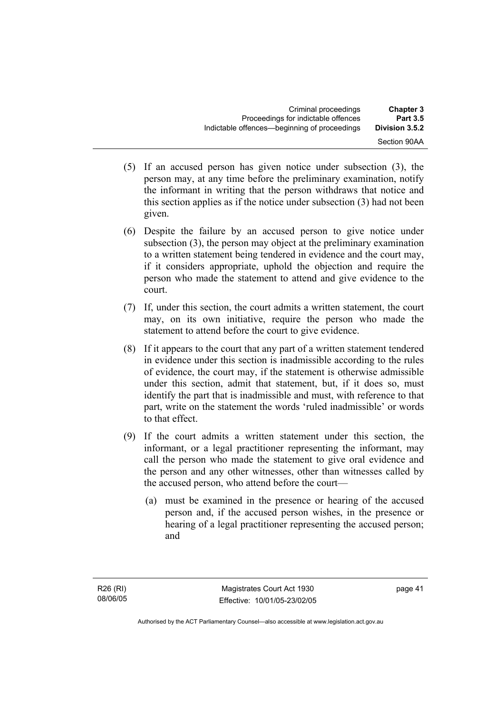- (5) If an accused person has given notice under subsection (3), the person may, at any time before the preliminary examination, notify the informant in writing that the person withdraws that notice and this section applies as if the notice under subsection (3) had not been given.
- (6) Despite the failure by an accused person to give notice under subsection (3), the person may object at the preliminary examination to a written statement being tendered in evidence and the court may, if it considers appropriate, uphold the objection and require the person who made the statement to attend and give evidence to the court.
- (7) If, under this section, the court admits a written statement, the court may, on its own initiative, require the person who made the statement to attend before the court to give evidence.
- (8) If it appears to the court that any part of a written statement tendered in evidence under this section is inadmissible according to the rules of evidence, the court may, if the statement is otherwise admissible under this section, admit that statement, but, if it does so, must identify the part that is inadmissible and must, with reference to that part, write on the statement the words 'ruled inadmissible' or words to that effect.
- (9) If the court admits a written statement under this section, the informant, or a legal practitioner representing the informant, may call the person who made the statement to give oral evidence and the person and any other witnesses, other than witnesses called by the accused person, who attend before the court—
	- (a) must be examined in the presence or hearing of the accused person and, if the accused person wishes, in the presence or hearing of a legal practitioner representing the accused person; and

page 41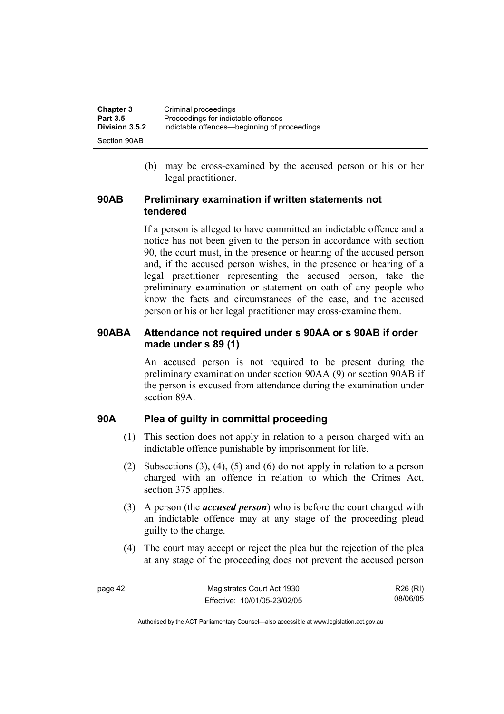| <b>Chapter 3</b> | Criminal proceedings                         |
|------------------|----------------------------------------------|
| <b>Part 3.5</b>  | Proceedings for indictable offences          |
| Division 3.5.2   | Indictable offences—beginning of proceedings |
| Section 90AB     |                                              |

 (b) may be cross-examined by the accused person or his or her legal practitioner.

### **90AB Preliminary examination if written statements not tendered**

If a person is alleged to have committed an indictable offence and a notice has not been given to the person in accordance with section 90, the court must, in the presence or hearing of the accused person and, if the accused person wishes, in the presence or hearing of a legal practitioner representing the accused person, take the preliminary examination or statement on oath of any people who know the facts and circumstances of the case, and the accused person or his or her legal practitioner may cross-examine them.

## **90ABA Attendance not required under s 90AA or s 90AB if order made under s 89 (1)**

An accused person is not required to be present during the preliminary examination under section 90AA (9) or section 90AB if the person is excused from attendance during the examination under section 89A.

### **90A Plea of guilty in committal proceeding**

- (1) This section does not apply in relation to a person charged with an indictable offence punishable by imprisonment for life.
- (2) Subsections (3), (4), (5) and (6) do not apply in relation to a person charged with an offence in relation to which the Crimes Act, section 375 applies.
- (3) A person (the *accused person*) who is before the court charged with an indictable offence may at any stage of the proceeding plead guilty to the charge.
- (4) The court may accept or reject the plea but the rejection of the plea at any stage of the proceeding does not prevent the accused person

R26 (RI) 08/06/05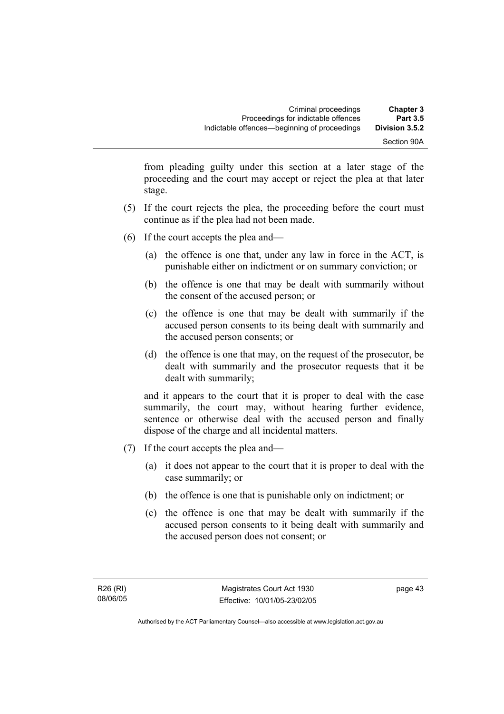from pleading guilty under this section at a later stage of the proceeding and the court may accept or reject the plea at that later stage.

- (5) If the court rejects the plea, the proceeding before the court must continue as if the plea had not been made.
- (6) If the court accepts the plea and—
	- (a) the offence is one that, under any law in force in the ACT, is punishable either on indictment or on summary conviction; or
	- (b) the offence is one that may be dealt with summarily without the consent of the accused person; or
	- (c) the offence is one that may be dealt with summarily if the accused person consents to its being dealt with summarily and the accused person consents; or
	- (d) the offence is one that may, on the request of the prosecutor, be dealt with summarily and the prosecutor requests that it be dealt with summarily;

and it appears to the court that it is proper to deal with the case summarily, the court may, without hearing further evidence, sentence or otherwise deal with the accused person and finally dispose of the charge and all incidental matters.

- (7) If the court accepts the plea and—
	- (a) it does not appear to the court that it is proper to deal with the case summarily; or
	- (b) the offence is one that is punishable only on indictment; or
	- (c) the offence is one that may be dealt with summarily if the accused person consents to it being dealt with summarily and the accused person does not consent; or

page 43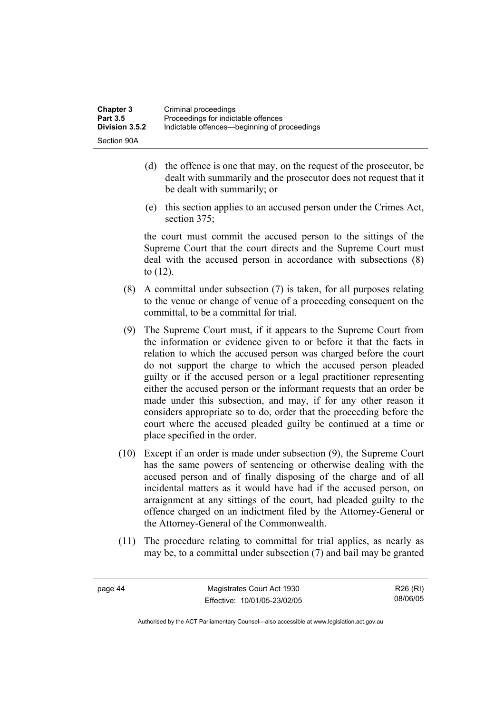- (d) the offence is one that may, on the request of the prosecutor, be dealt with summarily and the prosecutor does not request that it be dealt with summarily; or
- (e) this section applies to an accused person under the Crimes Act, section 375:

the court must commit the accused person to the sittings of the Supreme Court that the court directs and the Supreme Court must deal with the accused person in accordance with subsections (8) to (12).

- (8) A committal under subsection (7) is taken, for all purposes relating to the venue or change of venue of a proceeding consequent on the committal, to be a committal for trial.
- (9) The Supreme Court must, if it appears to the Supreme Court from the information or evidence given to or before it that the facts in relation to which the accused person was charged before the court do not support the charge to which the accused person pleaded guilty or if the accused person or a legal practitioner representing either the accused person or the informant requests that an order be made under this subsection, and may, if for any other reason it considers appropriate so to do, order that the proceeding before the court where the accused pleaded guilty be continued at a time or place specified in the order.
- (10) Except if an order is made under subsection (9), the Supreme Court has the same powers of sentencing or otherwise dealing with the accused person and of finally disposing of the charge and of all incidental matters as it would have had if the accused person, on arraignment at any sittings of the court, had pleaded guilty to the offence charged on an indictment filed by the Attorney-General or the Attorney-General of the Commonwealth.
- (11) The procedure relating to committal for trial applies, as nearly as may be, to a committal under subsection (7) and bail may be granted

R26 (RI) 08/06/05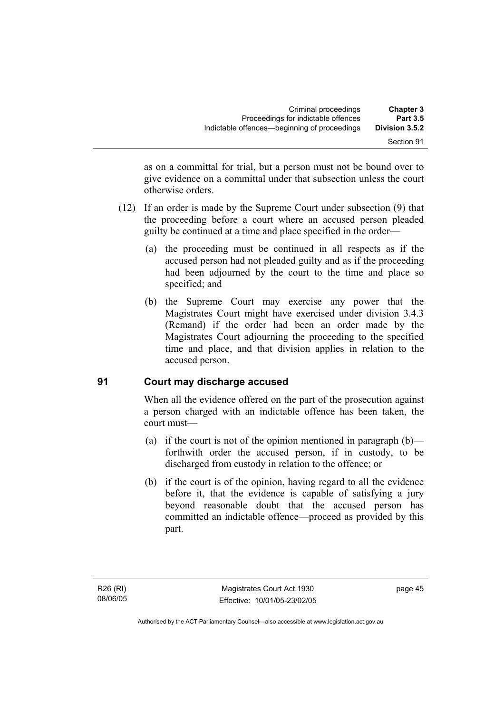| <b>Chapter 3</b>                  | Criminal proceedings                                                                |  |
|-----------------------------------|-------------------------------------------------------------------------------------|--|
| <b>Part 3.5</b><br>Division 3.5.2 | Proceedings for indictable offences<br>Indictable offences—beginning of proceedings |  |
| Section 91                        |                                                                                     |  |

as on a committal for trial, but a person must not be bound over to give evidence on a committal under that subsection unless the court otherwise orders.

- (12) If an order is made by the Supreme Court under subsection (9) that the proceeding before a court where an accused person pleaded guilty be continued at a time and place specified in the order—
	- (a) the proceeding must be continued in all respects as if the accused person had not pleaded guilty and as if the proceeding had been adjourned by the court to the time and place so specified; and
	- (b) the Supreme Court may exercise any power that the Magistrates Court might have exercised under division 3.4.3 (Remand) if the order had been an order made by the Magistrates Court adjourning the proceeding to the specified time and place, and that division applies in relation to the accused person.

# **91 Court may discharge accused**

When all the evidence offered on the part of the prosecution against a person charged with an indictable offence has been taken, the court must—

- (a) if the court is not of the opinion mentioned in paragraph  $(b)$  forthwith order the accused person, if in custody, to be discharged from custody in relation to the offence; or
- (b) if the court is of the opinion, having regard to all the evidence before it, that the evidence is capable of satisfying a jury beyond reasonable doubt that the accused person has committed an indictable offence—proceed as provided by this part.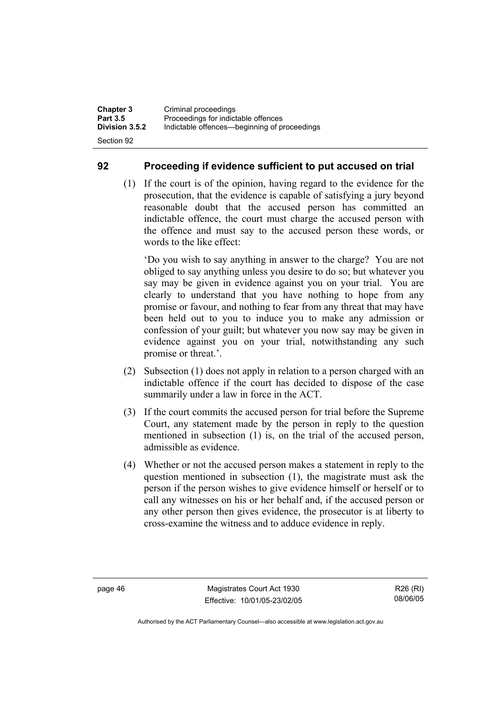## **92 Proceeding if evidence sufficient to put accused on trial**

 (1) If the court is of the opinion, having regard to the evidence for the prosecution, that the evidence is capable of satisfying a jury beyond reasonable doubt that the accused person has committed an indictable offence, the court must charge the accused person with the offence and must say to the accused person these words, or words to the like effect:

'Do you wish to say anything in answer to the charge? You are not obliged to say anything unless you desire to do so; but whatever you say may be given in evidence against you on your trial. You are clearly to understand that you have nothing to hope from any promise or favour, and nothing to fear from any threat that may have been held out to you to induce you to make any admission or confession of your guilt; but whatever you now say may be given in evidence against you on your trial, notwithstanding any such promise or threat.'.

- (2) Subsection (1) does not apply in relation to a person charged with an indictable offence if the court has decided to dispose of the case summarily under a law in force in the ACT.
- (3) If the court commits the accused person for trial before the Supreme Court, any statement made by the person in reply to the question mentioned in subsection (1) is, on the trial of the accused person, admissible as evidence.
- (4) Whether or not the accused person makes a statement in reply to the question mentioned in subsection (1), the magistrate must ask the person if the person wishes to give evidence himself or herself or to call any witnesses on his or her behalf and, if the accused person or any other person then gives evidence, the prosecutor is at liberty to cross-examine the witness and to adduce evidence in reply.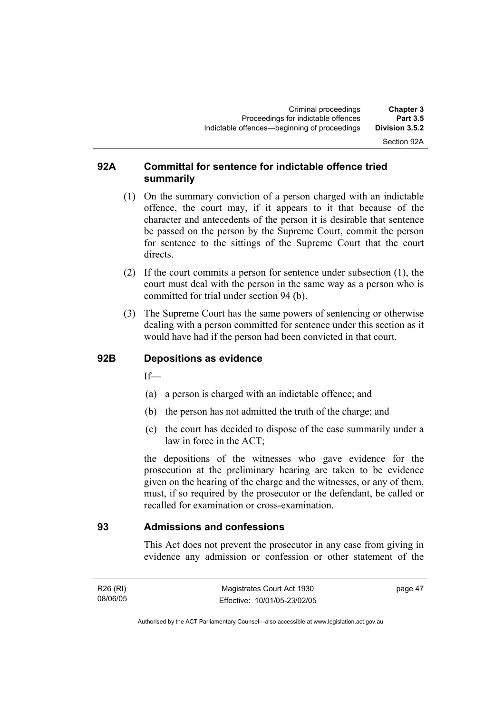# Section 92A

### **92A Committal for sentence for indictable offence tried summarily**

- (1) On the summary conviction of a person charged with an indictable offence, the court may, if it appears to it that because of the character and antecedents of the person it is desirable that sentence be passed on the person by the Supreme Court, commit the person for sentence to the sittings of the Supreme Court that the court directs.
- (2) If the court commits a person for sentence under subsection (1), the court must deal with the person in the same way as a person who is committed for trial under section 94 (b).
- (3) The Supreme Court has the same powers of sentencing or otherwise dealing with a person committed for sentence under this section as it would have had if the person had been convicted in that court.

## **92B Depositions as evidence**

 $If$ —

- (a) a person is charged with an indictable offence; and
- (b) the person has not admitted the truth of the charge; and
- (c) the court has decided to dispose of the case summarily under a law in force in the ACT;

the depositions of the witnesses who gave evidence for the prosecution at the preliminary hearing are taken to be evidence given on the hearing of the charge and the witnesses, or any of them, must, if so required by the prosecutor or the defendant, be called or recalled for examination or cross-examination.

## **93 Admissions and confessions**

This Act does not prevent the prosecutor in any case from giving in evidence any admission or confession or other statement of the

R26 (RI) 08/06/05 page 47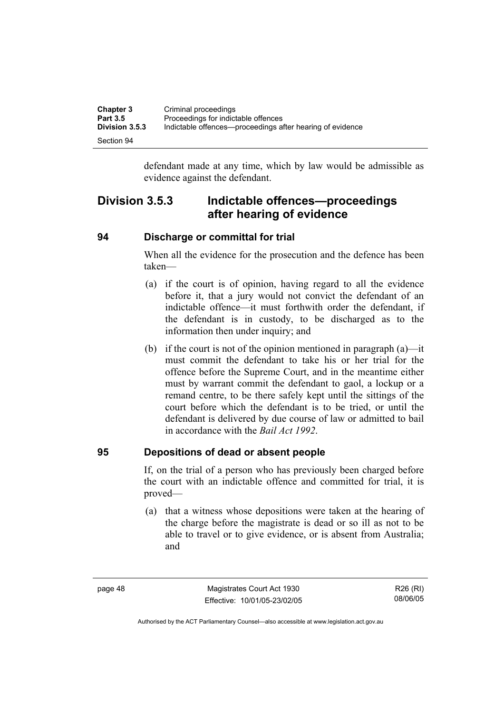| <b>Chapter 3</b>      | Criminal proceedings                                      |
|-----------------------|-----------------------------------------------------------|
| <b>Part 3.5</b>       | Proceedings for indictable offences                       |
| <b>Division 3.5.3</b> | Indictable offences—proceedings after hearing of evidence |
| Section 94            |                                                           |

defendant made at any time, which by law would be admissible as evidence against the defendant.

# **Division 3.5.3 Indictable offences—proceedings after hearing of evidence**

### **94 Discharge or committal for trial**

When all the evidence for the prosecution and the defence has been taken—

- (a) if the court is of opinion, having regard to all the evidence before it, that a jury would not convict the defendant of an indictable offence—it must forthwith order the defendant, if the defendant is in custody, to be discharged as to the information then under inquiry; and
- (b) if the court is not of the opinion mentioned in paragraph  $(a)$ —it must commit the defendant to take his or her trial for the offence before the Supreme Court, and in the meantime either must by warrant commit the defendant to gaol, a lockup or a remand centre, to be there safely kept until the sittings of the court before which the defendant is to be tried, or until the defendant is delivered by due course of law or admitted to bail in accordance with the *Bail Act 1992*.

### **95 Depositions of dead or absent people**

If, on the trial of a person who has previously been charged before the court with an indictable offence and committed for trial, it is proved—

 (a) that a witness whose depositions were taken at the hearing of the charge before the magistrate is dead or so ill as not to be able to travel or to give evidence, or is absent from Australia; and

page 48 Magistrates Court Act 1930 Effective: 10/01/05-23/02/05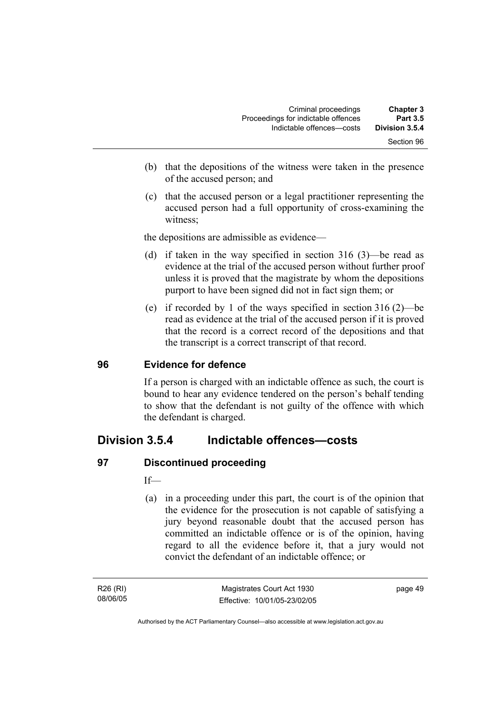| <b>Chapter 3</b><br><b>Part 3.5</b> | Criminal proceedings<br>Proceedings for indictable offences |
|-------------------------------------|-------------------------------------------------------------|
| Division 3.5.4                      | Indictable offences--costs                                  |
| Section 96                          |                                                             |

- (b) that the depositions of the witness were taken in the presence of the accused person; and
- (c) that the accused person or a legal practitioner representing the accused person had a full opportunity of cross-examining the witness;

the depositions are admissible as evidence—

- (d) if taken in the way specified in section 316 (3)—be read as evidence at the trial of the accused person without further proof unless it is proved that the magistrate by whom the depositions purport to have been signed did not in fact sign them; or
- (e) if recorded by 1 of the ways specified in section 316 (2)—be read as evidence at the trial of the accused person if it is proved that the record is a correct record of the depositions and that the transcript is a correct transcript of that record.

### **96 Evidence for defence**

If a person is charged with an indictable offence as such, the court is bound to hear any evidence tendered on the person's behalf tending to show that the defendant is not guilty of the offence with which the defendant is charged.

# **Division 3.5.4 Indictable offences—costs**

### **97 Discontinued proceeding**

If—

 (a) in a proceeding under this part, the court is of the opinion that the evidence for the prosecution is not capable of satisfying a jury beyond reasonable doubt that the accused person has committed an indictable offence or is of the opinion, having regard to all the evidence before it, that a jury would not convict the defendant of an indictable offence; or

page 49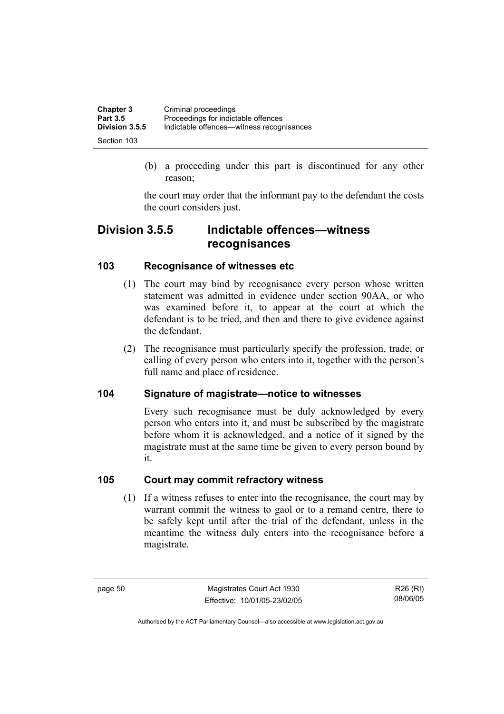| <b>Chapter 3</b> | Criminal proceedings                      |
|------------------|-------------------------------------------|
| <b>Part 3.5</b>  | Proceedings for indictable offences       |
| Division 3.5.5   | Indictable offences—witness recognisances |
| Section 103      |                                           |

 (b) a proceeding under this part is discontinued for any other reason;

the court may order that the informant pay to the defendant the costs the court considers just.

# **Division 3.5.5 Indictable offences—witness recognisances**

# **103 Recognisance of witnesses etc**

- (1) The court may bind by recognisance every person whose written statement was admitted in evidence under section 90AA, or who was examined before it, to appear at the court at which the defendant is to be tried, and then and there to give evidence against the defendant.
- (2) The recognisance must particularly specify the profession, trade, or calling of every person who enters into it, together with the person's full name and place of residence.

# **104 Signature of magistrate—notice to witnesses**

Every such recognisance must be duly acknowledged by every person who enters into it, and must be subscribed by the magistrate before whom it is acknowledged, and a notice of it signed by the magistrate must at the same time be given to every person bound by it.

## **105 Court may commit refractory witness**

 (1) If a witness refuses to enter into the recognisance, the court may by warrant commit the witness to gaol or to a remand centre, there to be safely kept until after the trial of the defendant, unless in the meantime the witness duly enters into the recognisance before a magistrate.

page 50 Magistrates Court Act 1930 Effective: 10/01/05-23/02/05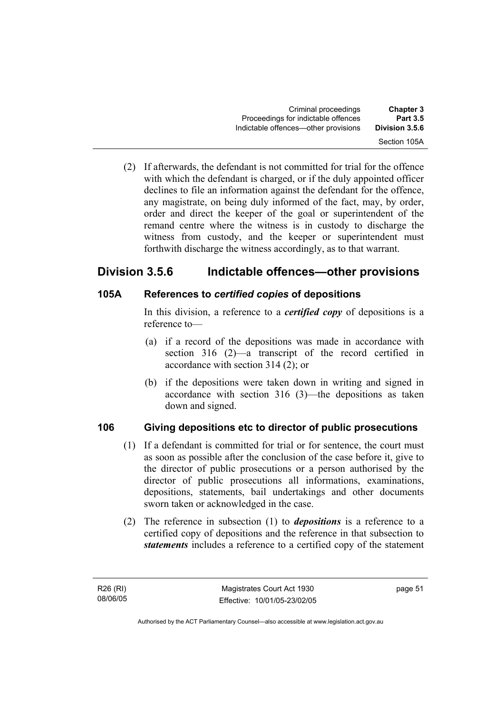(2) If afterwards, the defendant is not committed for trial for the offence with which the defendant is charged, or if the duly appointed officer declines to file an information against the defendant for the offence, any magistrate, on being duly informed of the fact, may, by order, order and direct the keeper of the goal or superintendent of the remand centre where the witness is in custody to discharge the witness from custody, and the keeper or superintendent must forthwith discharge the witness accordingly, as to that warrant.

# **Division 3.5.6 Indictable offences—other provisions**

# **105A References to** *certified copies* **of depositions**

In this division, a reference to a *certified copy* of depositions is a reference to—

- (a) if a record of the depositions was made in accordance with section 316 (2)—a transcript of the record certified in accordance with section 314 (2); or
- (b) if the depositions were taken down in writing and signed in accordance with section 316 (3)—the depositions as taken down and signed.

# **106 Giving depositions etc to director of public prosecutions**

- (1) If a defendant is committed for trial or for sentence, the court must as soon as possible after the conclusion of the case before it, give to the director of public prosecutions or a person authorised by the director of public prosecutions all informations, examinations, depositions, statements, bail undertakings and other documents sworn taken or acknowledged in the case.
- (2) The reference in subsection (1) to *depositions* is a reference to a certified copy of depositions and the reference in that subsection to *statements* includes a reference to a certified copy of the statement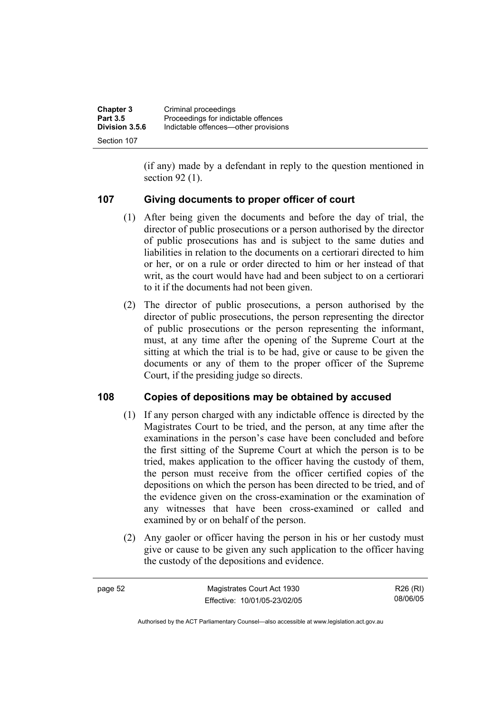| <b>Chapter 3</b> | Criminal proceedings                 |
|------------------|--------------------------------------|
| <b>Part 3.5</b>  | Proceedings for indictable offences  |
| Division 3.5.6   | Indictable offences—other provisions |
| Section 107      |                                      |

(if any) made by a defendant in reply to the question mentioned in section 92 (1).

## **107 Giving documents to proper officer of court**

- (1) After being given the documents and before the day of trial, the director of public prosecutions or a person authorised by the director of public prosecutions has and is subject to the same duties and liabilities in relation to the documents on a certiorari directed to him or her, or on a rule or order directed to him or her instead of that writ, as the court would have had and been subject to on a certiorari to it if the documents had not been given.
- (2) The director of public prosecutions, a person authorised by the director of public prosecutions, the person representing the director of public prosecutions or the person representing the informant, must, at any time after the opening of the Supreme Court at the sitting at which the trial is to be had, give or cause to be given the documents or any of them to the proper officer of the Supreme Court, if the presiding judge so directs.

### **108 Copies of depositions may be obtained by accused**

- (1) If any person charged with any indictable offence is directed by the Magistrates Court to be tried, and the person, at any time after the examinations in the person's case have been concluded and before the first sitting of the Supreme Court at which the person is to be tried, makes application to the officer having the custody of them, the person must receive from the officer certified copies of the depositions on which the person has been directed to be tried, and of the evidence given on the cross-examination or the examination of any witnesses that have been cross-examined or called and examined by or on behalf of the person.
- (2) Any gaoler or officer having the person in his or her custody must give or cause to be given any such application to the officer having the custody of the depositions and evidence.

| page 52 | Magistrates Court Act 1930   | R26 (RI) |
|---------|------------------------------|----------|
|         | Effective: 10/01/05-23/02/05 | 08/06/05 |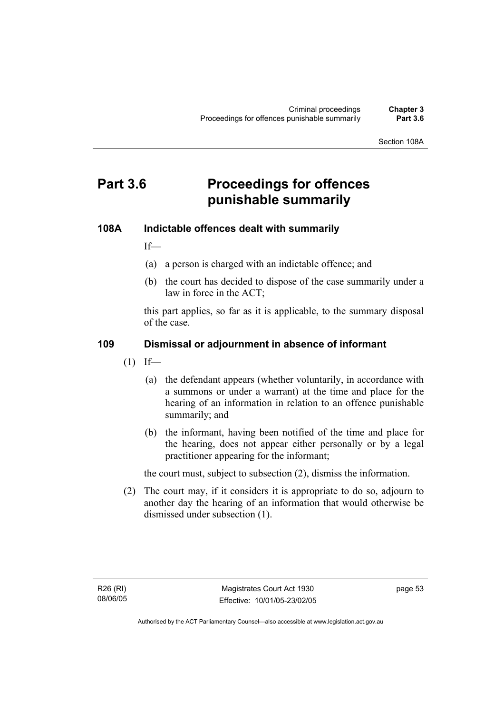Section 108A

# **Part 3.6 Proceedings for offences punishable summarily**

## **108A Indictable offences dealt with summarily**

If—

- (a) a person is charged with an indictable offence; and
- (b) the court has decided to dispose of the case summarily under a law in force in the ACT;

this part applies, so far as it is applicable, to the summary disposal of the case.

### **109 Dismissal or adjournment in absence of informant**

- $(1)$  If—
	- (a) the defendant appears (whether voluntarily, in accordance with a summons or under a warrant) at the time and place for the hearing of an information in relation to an offence punishable summarily; and
	- (b) the informant, having been notified of the time and place for the hearing, does not appear either personally or by a legal practitioner appearing for the informant;

the court must, subject to subsection (2), dismiss the information.

 (2) The court may, if it considers it is appropriate to do so, adjourn to another day the hearing of an information that would otherwise be dismissed under subsection (1).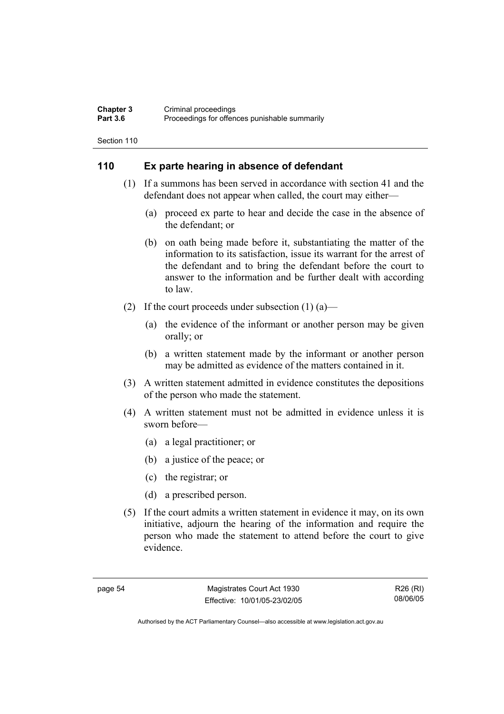#### **Chapter 3** Criminal proceedings<br> **Part 3.6** Proceedings for offen Proceedings for offences punishable summarily

Section 110

# **110 Ex parte hearing in absence of defendant**

- (1) If a summons has been served in accordance with section 41 and the defendant does not appear when called, the court may either—
	- (a) proceed ex parte to hear and decide the case in the absence of the defendant; or
	- (b) on oath being made before it, substantiating the matter of the information to its satisfaction, issue its warrant for the arrest of the defendant and to bring the defendant before the court to answer to the information and be further dealt with according to law.
- (2) If the court proceeds under subsection  $(1)$  (a)—
	- (a) the evidence of the informant or another person may be given orally; or
	- (b) a written statement made by the informant or another person may be admitted as evidence of the matters contained in it.
- (3) A written statement admitted in evidence constitutes the depositions of the person who made the statement.
- (4) A written statement must not be admitted in evidence unless it is sworn before—
	- (a) a legal practitioner; or
	- (b) a justice of the peace; or
	- (c) the registrar; or
	- (d) a prescribed person.
- (5) If the court admits a written statement in evidence it may, on its own initiative, adjourn the hearing of the information and require the person who made the statement to attend before the court to give evidence.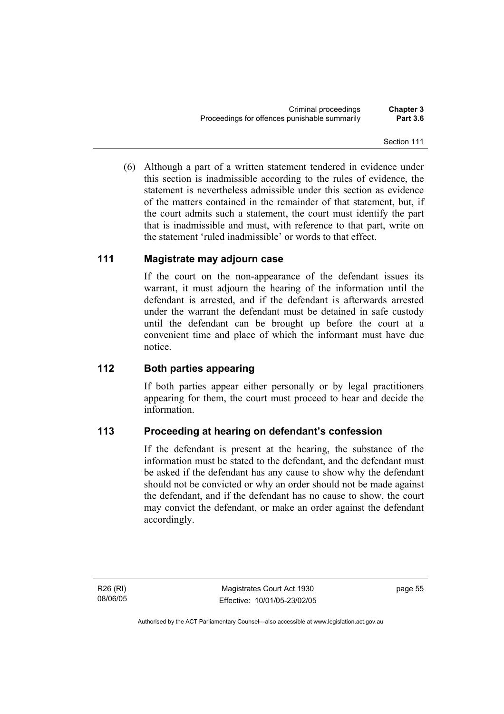(6) Although a part of a written statement tendered in evidence under this section is inadmissible according to the rules of evidence, the statement is nevertheless admissible under this section as evidence of the matters contained in the remainder of that statement, but, if the court admits such a statement, the court must identify the part that is inadmissible and must, with reference to that part, write on the statement 'ruled inadmissible' or words to that effect.

# **111 Magistrate may adjourn case**

If the court on the non-appearance of the defendant issues its warrant, it must adjourn the hearing of the information until the defendant is arrested, and if the defendant is afterwards arrested under the warrant the defendant must be detained in safe custody until the defendant can be brought up before the court at a convenient time and place of which the informant must have due notice.

# **112 Both parties appearing**

If both parties appear either personally or by legal practitioners appearing for them, the court must proceed to hear and decide the information.

# **113 Proceeding at hearing on defendant's confession**

If the defendant is present at the hearing, the substance of the information must be stated to the defendant, and the defendant must be asked if the defendant has any cause to show why the defendant should not be convicted or why an order should not be made against the defendant, and if the defendant has no cause to show, the court may convict the defendant, or make an order against the defendant accordingly.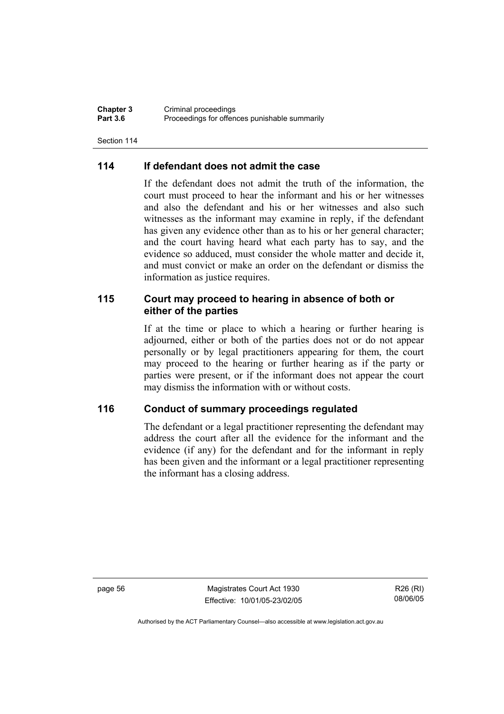**Chapter 3** Criminal proceedings<br> **Part 3.6** Proceedings for offen Proceedings for offences punishable summarily

Section 114

## **114 If defendant does not admit the case**

If the defendant does not admit the truth of the information, the court must proceed to hear the informant and his or her witnesses and also the defendant and his or her witnesses and also such witnesses as the informant may examine in reply, if the defendant has given any evidence other than as to his or her general character; and the court having heard what each party has to say, and the evidence so adduced, must consider the whole matter and decide it, and must convict or make an order on the defendant or dismiss the information as justice requires.

## **115 Court may proceed to hearing in absence of both or either of the parties**

If at the time or place to which a hearing or further hearing is adjourned, either or both of the parties does not or do not appear personally or by legal practitioners appearing for them, the court may proceed to the hearing or further hearing as if the party or parties were present, or if the informant does not appear the court may dismiss the information with or without costs.

### **116 Conduct of summary proceedings regulated**

The defendant or a legal practitioner representing the defendant may address the court after all the evidence for the informant and the evidence (if any) for the defendant and for the informant in reply has been given and the informant or a legal practitioner representing the informant has a closing address.

page 56 Magistrates Court Act 1930 Effective: 10/01/05-23/02/05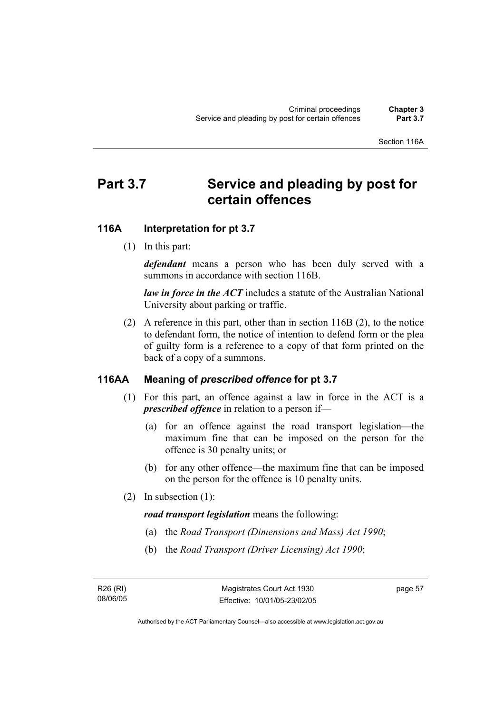#### Section 116A

# Part 3.7 Service and pleading by post for **certain offences**

#### **116A Interpretation for pt 3.7**

(1) In this part:

*defendant* means a person who has been duly served with a summons in accordance with section 116B.

*law in force in the ACT* includes a statute of the Australian National University about parking or traffic.

 (2) A reference in this part, other than in section 116B (2), to the notice to defendant form, the notice of intention to defend form or the plea of guilty form is a reference to a copy of that form printed on the back of a copy of a summons.

#### **116AA Meaning of** *prescribed offence* **for pt 3.7**

- (1) For this part, an offence against a law in force in the ACT is a *prescribed offence* in relation to a person if—
	- (a) for an offence against the road transport legislation—the maximum fine that can be imposed on the person for the offence is 30 penalty units; or
	- (b) for any other offence—the maximum fine that can be imposed on the person for the offence is 10 penalty units.
- (2) In subsection (1):

*road transport legislation* means the following:

- (a) the *Road Transport (Dimensions and Mass) Act 1990*;
- (b) the *Road Transport (Driver Licensing) Act 1990*;

R26 (RI) 08/06/05 page 57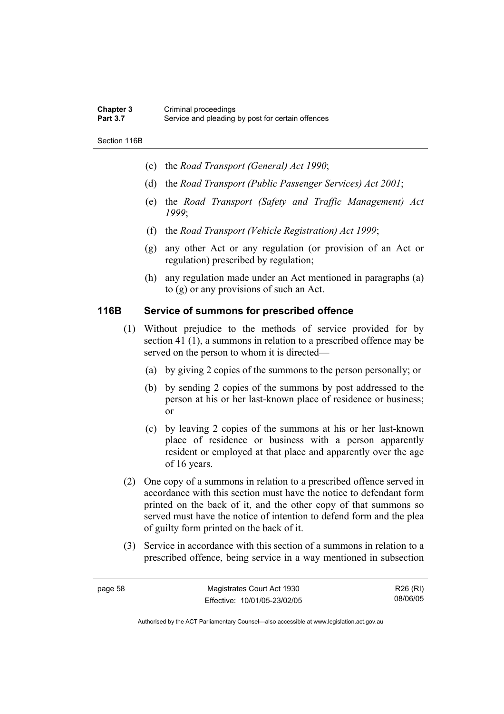#### **Chapter 3** Criminal proceedings<br> **Part 3.7** Service and pleading Service and pleading by post for certain offences

Section 116B

- (c) the *Road Transport (General) Act 1990*;
- (d) the *Road Transport (Public Passenger Services) Act 2001*;
- (e) the *Road Transport (Safety and Traffic Management) Act 1999*;
- (f) the *Road Transport (Vehicle Registration) Act 1999*;
- (g) any other Act or any regulation (or provision of an Act or regulation) prescribed by regulation;
- (h) any regulation made under an Act mentioned in paragraphs (a) to (g) or any provisions of such an Act.

## **116B Service of summons for prescribed offence**

- (1) Without prejudice to the methods of service provided for by section 41 (1), a summons in relation to a prescribed offence may be served on the person to whom it is directed—
	- (a) by giving 2 copies of the summons to the person personally; or
	- (b) by sending 2 copies of the summons by post addressed to the person at his or her last-known place of residence or business; or
	- (c) by leaving 2 copies of the summons at his or her last-known place of residence or business with a person apparently resident or employed at that place and apparently over the age of 16 years.
- (2) One copy of a summons in relation to a prescribed offence served in accordance with this section must have the notice to defendant form printed on the back of it, and the other copy of that summons so served must have the notice of intention to defend form and the plea of guilty form printed on the back of it.
- (3) Service in accordance with this section of a summons in relation to a prescribed offence, being service in a way mentioned in subsection

| ıΑ<br>12 U |  |
|------------|--|
|------------|--|

R26 (RI) 08/06/05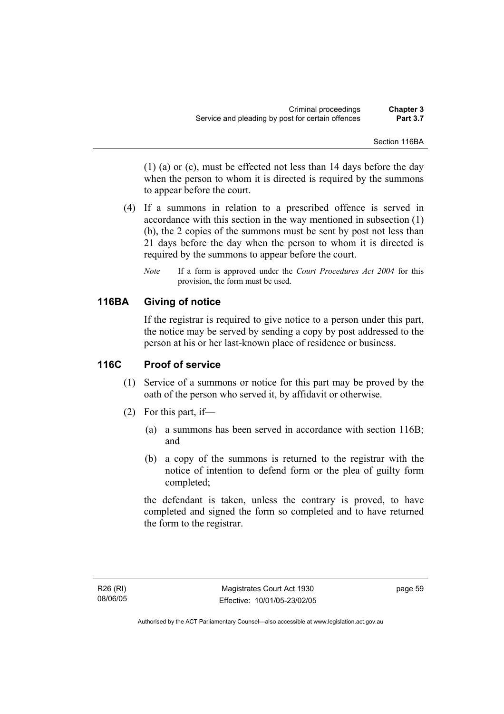Section 116BA

(1) (a) or (c), must be effected not less than 14 days before the day when the person to whom it is directed is required by the summons to appear before the court.

- (4) If a summons in relation to a prescribed offence is served in accordance with this section in the way mentioned in subsection (1) (b), the 2 copies of the summons must be sent by post not less than 21 days before the day when the person to whom it is directed is required by the summons to appear before the court.
	- *Note* If a form is approved under the *Court Procedures Act 2004* for this provision, the form must be used.

## **116BA Giving of notice**

If the registrar is required to give notice to a person under this part, the notice may be served by sending a copy by post addressed to the person at his or her last-known place of residence or business.

## **116C Proof of service**

- (1) Service of a summons or notice for this part may be proved by the oath of the person who served it, by affidavit or otherwise.
- (2) For this part, if—
	- (a) a summons has been served in accordance with section 116B; and
	- (b) a copy of the summons is returned to the registrar with the notice of intention to defend form or the plea of guilty form completed;

the defendant is taken, unless the contrary is proved, to have completed and signed the form so completed and to have returned the form to the registrar.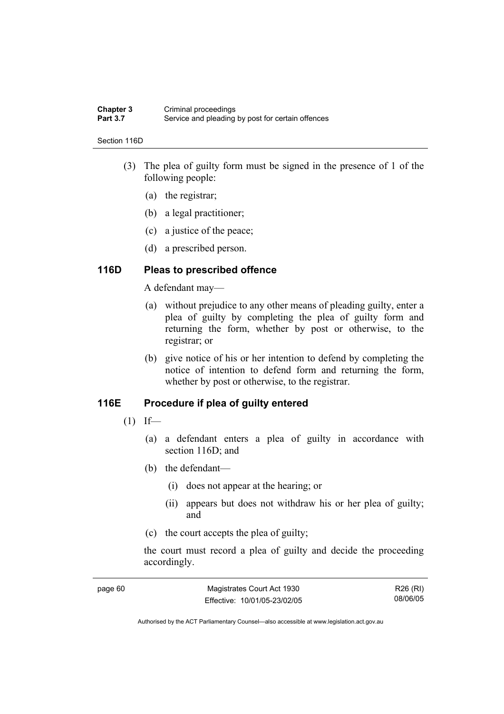#### **Chapter 3** Criminal proceedings<br> **Part 3.7** Service and pleading Service and pleading by post for certain offences

#### Section 116D

- (3) The plea of guilty form must be signed in the presence of 1 of the following people:
	- (a) the registrar;
	- (b) a legal practitioner;
	- (c) a justice of the peace;
	- (d) a prescribed person.

#### **116D Pleas to prescribed offence**

A defendant may—

- (a) without prejudice to any other means of pleading guilty, enter a plea of guilty by completing the plea of guilty form and returning the form, whether by post or otherwise, to the registrar; or
- (b) give notice of his or her intention to defend by completing the notice of intention to defend form and returning the form, whether by post or otherwise, to the registrar.

#### **116E Procedure if plea of guilty entered**

- $(1)$  If—
	- (a) a defendant enters a plea of guilty in accordance with section 116D; and
	- (b) the defendant—
		- (i) does not appear at the hearing; or
		- (ii) appears but does not withdraw his or her plea of guilty; and
	- (c) the court accepts the plea of guilty;

the court must record a plea of guilty and decide the proceeding accordingly.

| page 60 | Magistrates Court Act 1930   | R26 (RI) |
|---------|------------------------------|----------|
|         | Effective: 10/01/05-23/02/05 | 08/06/05 |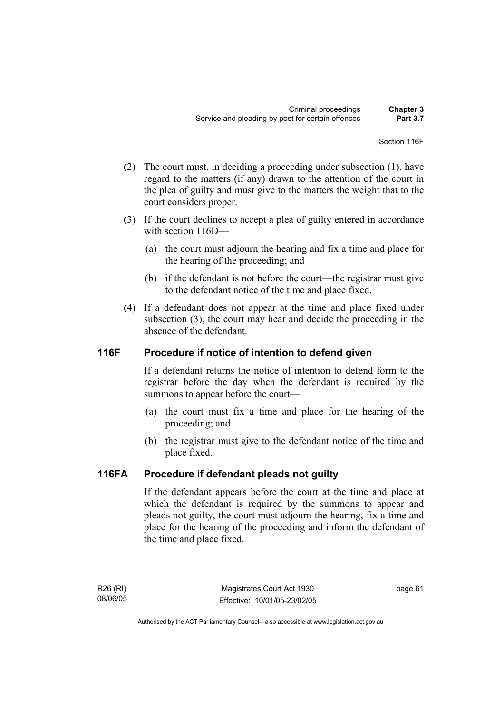Section 116F

- (2) The court must, in deciding a proceeding under subsection (1), have regard to the matters (if any) drawn to the attention of the court in the plea of guilty and must give to the matters the weight that to the court considers proper.
- (3) If the court declines to accept a plea of guilty entered in accordance with section 116D—
	- (a) the court must adjourn the hearing and fix a time and place for the hearing of the proceeding; and
	- (b) if the defendant is not before the court—the registrar must give to the defendant notice of the time and place fixed.
- (4) If a defendant does not appear at the time and place fixed under subsection (3), the court may hear and decide the proceeding in the absence of the defendant.

## **116F Procedure if notice of intention to defend given**

If a defendant returns the notice of intention to defend form to the registrar before the day when the defendant is required by the summons to appear before the court—

- (a) the court must fix a time and place for the hearing of the proceeding; and
- (b) the registrar must give to the defendant notice of the time and place fixed.

## **116FA Procedure if defendant pleads not guilty**

If the defendant appears before the court at the time and place at which the defendant is required by the summons to appear and pleads not guilty, the court must adjourn the hearing, fix a time and place for the hearing of the proceeding and inform the defendant of the time and place fixed.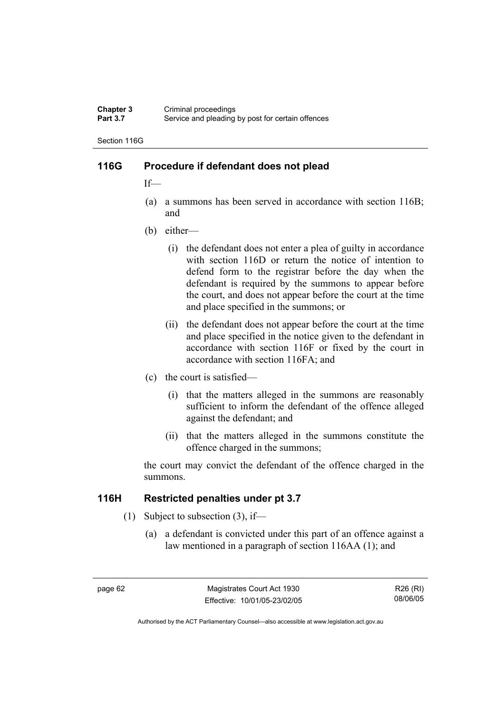#### **Chapter 3** Criminal proceedings<br> **Part 3.7** Service and pleading Service and pleading by post for certain offences

Section 116G

### **116G Procedure if defendant does not plead**

If—

- (a) a summons has been served in accordance with section 116B; and
- (b) either—
	- (i) the defendant does not enter a plea of guilty in accordance with section 116D or return the notice of intention to defend form to the registrar before the day when the defendant is required by the summons to appear before the court, and does not appear before the court at the time and place specified in the summons; or
	- (ii) the defendant does not appear before the court at the time and place specified in the notice given to the defendant in accordance with section 116F or fixed by the court in accordance with section 116FA; and
- (c) the court is satisfied—
	- (i) that the matters alleged in the summons are reasonably sufficient to inform the defendant of the offence alleged against the defendant; and
	- (ii) that the matters alleged in the summons constitute the offence charged in the summons;

the court may convict the defendant of the offence charged in the summons.

### **116H Restricted penalties under pt 3.7**

- (1) Subject to subsection (3), if—
	- (a) a defendant is convicted under this part of an offence against a law mentioned in a paragraph of section 116AA (1); and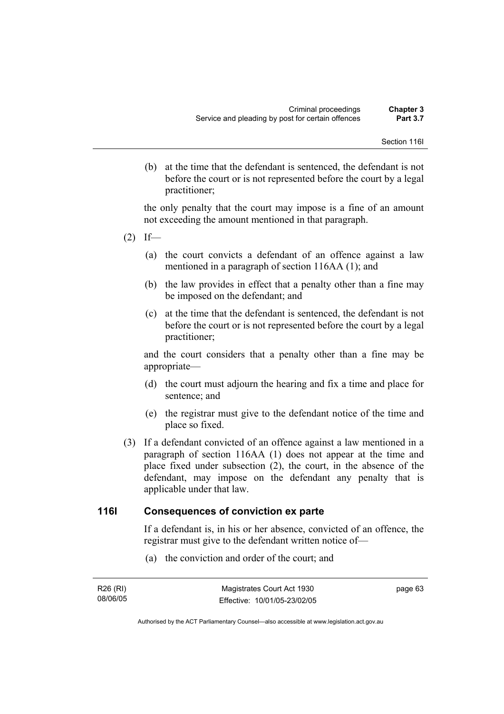(b) at the time that the defendant is sentenced, the defendant is not before the court or is not represented before the court by a legal practitioner;

the only penalty that the court may impose is a fine of an amount not exceeding the amount mentioned in that paragraph.

- $(2)$  If—
	- (a) the court convicts a defendant of an offence against a law mentioned in a paragraph of section 116AA (1); and
	- (b) the law provides in effect that a penalty other than a fine may be imposed on the defendant; and
	- (c) at the time that the defendant is sentenced, the defendant is not before the court or is not represented before the court by a legal practitioner;

and the court considers that a penalty other than a fine may be appropriate—

- (d) the court must adjourn the hearing and fix a time and place for sentence; and
- (e) the registrar must give to the defendant notice of the time and place so fixed.
- (3) If a defendant convicted of an offence against a law mentioned in a paragraph of section 116AA (1) does not appear at the time and place fixed under subsection (2), the court, in the absence of the defendant, may impose on the defendant any penalty that is applicable under that law.

#### **116I Consequences of conviction ex parte**

If a defendant is, in his or her absence, convicted of an offence, the registrar must give to the defendant written notice of—

(a) the conviction and order of the court; and

| R26 (RI) | Magistrates Court Act 1930   | page 63 |
|----------|------------------------------|---------|
| 08/06/05 | Effective: 10/01/05-23/02/05 |         |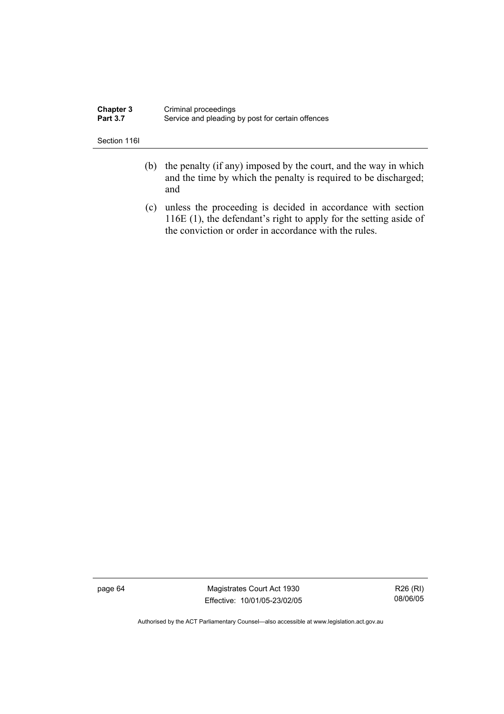| <b>Chapter 3</b> | Criminal proceedings                              |
|------------------|---------------------------------------------------|
| <b>Part 3.7</b>  | Service and pleading by post for certain offences |

Section 116I

- (b) the penalty (if any) imposed by the court, and the way in which and the time by which the penalty is required to be discharged; and
- (c) unless the proceeding is decided in accordance with section 116E (1), the defendant's right to apply for the setting aside of the conviction or order in accordance with the rules.

page 64 Magistrates Court Act 1930 Effective: 10/01/05-23/02/05

R26 (RI) 08/06/05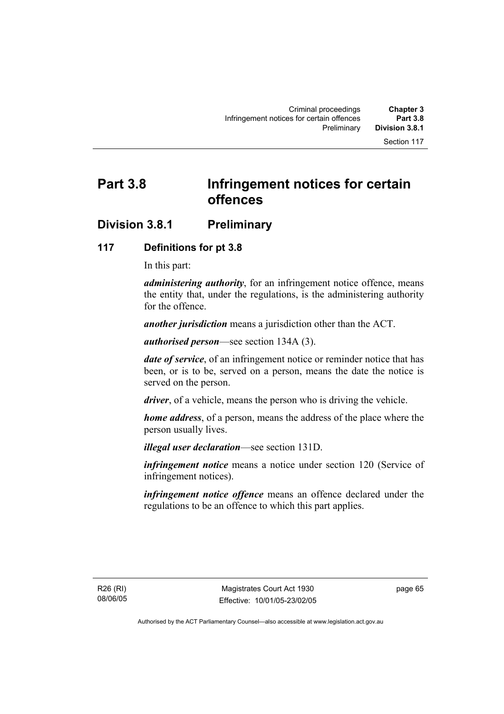# **Part 3.8 Infringement notices for certain offences**

## **Division 3.8.1 Preliminary**

## **117 Definitions for pt 3.8**

In this part:

*administering authority*, for an infringement notice offence, means the entity that, under the regulations, is the administering authority for the offence.

*another jurisdiction* means a jurisdiction other than the ACT.

*authorised person*—see section 134A (3).

*date of service*, of an infringement notice or reminder notice that has been, or is to be, served on a person, means the date the notice is served on the person.

*driver*, of a vehicle, means the person who is driving the vehicle.

*home address*, of a person, means the address of the place where the person usually lives.

*illegal user declaration*—see section 131D.

*infringement notice* means a notice under section 120 (Service of infringement notices).

*infringement notice offence* means an offence declared under the regulations to be an offence to which this part applies.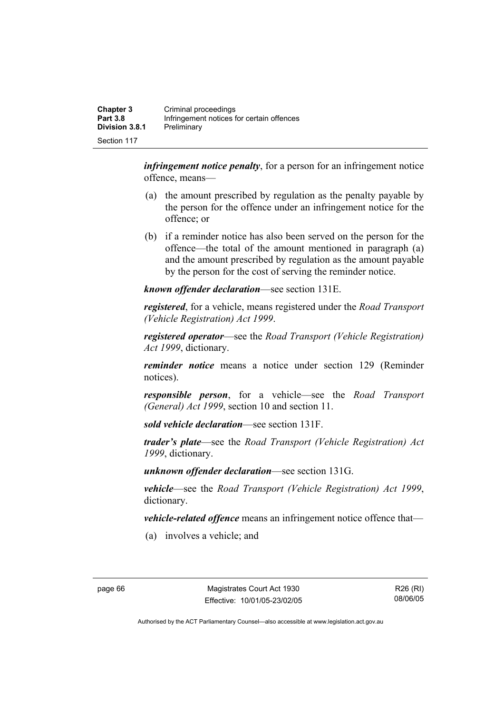| <b>Chapter 3</b><br><b>Part 3.8</b> | Criminal proceedings<br>Infringement notices for certain offences |
|-------------------------------------|-------------------------------------------------------------------|
| Division 3.8.1                      | Preliminary                                                       |
| Section 117                         |                                                                   |

*infringement notice penalty*, for a person for an infringement notice offence, means—

- (a) the amount prescribed by regulation as the penalty payable by the person for the offence under an infringement notice for the offence; or
- (b) if a reminder notice has also been served on the person for the offence—the total of the amount mentioned in paragraph (a) and the amount prescribed by regulation as the amount payable by the person for the cost of serving the reminder notice.

*known offender declaration*—see section 131E.

*registered*, for a vehicle, means registered under the *Road Transport (Vehicle Registration) Act 1999*.

*registered operator*—see the *Road Transport (Vehicle Registration) Act 1999*, dictionary.

*reminder notice* means a notice under section 129 (Reminder notices).

*responsible person*, for a vehicle—see the *Road Transport (General) Act 1999*, section 10 and section 11.

*sold vehicle declaration*—see section 131F.

*trader's plate*—see the *Road Transport (Vehicle Registration) Act 1999*, dictionary.

*unknown offender declaration*—see section 131G.

*vehicle*—see the *Road Transport (Vehicle Registration) Act 1999*, dictionary.

*vehicle-related offence* means an infringement notice offence that—

(a) involves a vehicle; and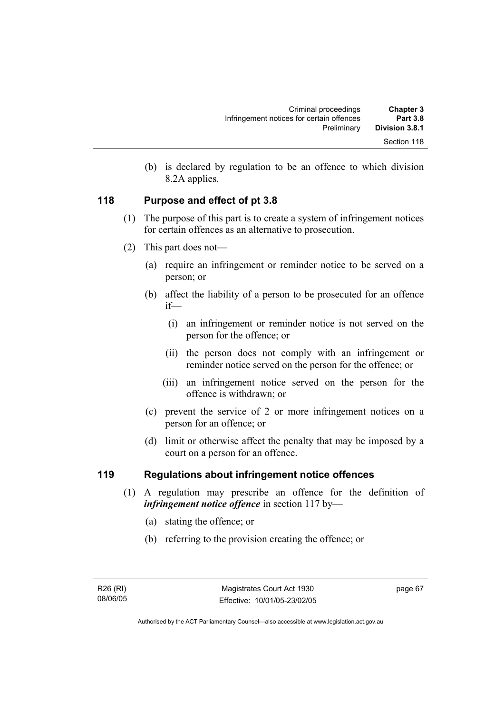| Chapter 3       | Criminal proceedings                      |
|-----------------|-------------------------------------------|
| <b>Part 3.8</b> | Infringement notices for certain offences |
| Division 3.8.1  | Preliminary                               |
| Section 118     |                                           |

 (b) is declared by regulation to be an offence to which division 8.2A applies.

## **118 Purpose and effect of pt 3.8**

- (1) The purpose of this part is to create a system of infringement notices for certain offences as an alternative to prosecution.
- (2) This part does not—
	- (a) require an infringement or reminder notice to be served on a person; or
	- (b) affect the liability of a person to be prosecuted for an offence if—
		- (i) an infringement or reminder notice is not served on the person for the offence; or
		- (ii) the person does not comply with an infringement or reminder notice served on the person for the offence; or
		- (iii) an infringement notice served on the person for the offence is withdrawn; or
	- (c) prevent the service of 2 or more infringement notices on a person for an offence; or
	- (d) limit or otherwise affect the penalty that may be imposed by a court on a person for an offence.

## **119 Regulations about infringement notice offences**

- (1) A regulation may prescribe an offence for the definition of *infringement notice offence* in section 117 by—
	- (a) stating the offence; or
	- (b) referring to the provision creating the offence; or

page 67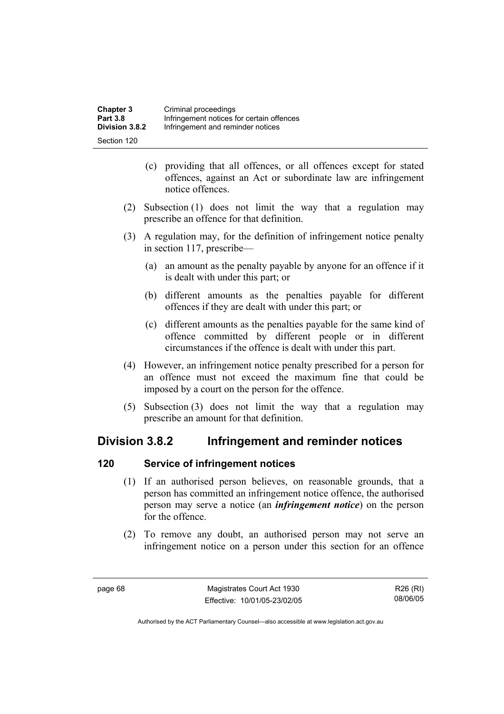| <b>Chapter 3</b> | Criminal proceedings                      |
|------------------|-------------------------------------------|
| <b>Part 3.8</b>  | Infringement notices for certain offences |
| Division 3.8.2   | Infringement and reminder notices         |
| Section 120      |                                           |

- (c) providing that all offences, or all offences except for stated offences, against an Act or subordinate law are infringement notice offences.
- (2) Subsection (1) does not limit the way that a regulation may prescribe an offence for that definition.
- (3) A regulation may, for the definition of infringement notice penalty in section 117, prescribe—
	- (a) an amount as the penalty payable by anyone for an offence if it is dealt with under this part; or
	- (b) different amounts as the penalties payable for different offences if they are dealt with under this part; or
	- (c) different amounts as the penalties payable for the same kind of offence committed by different people or in different circumstances if the offence is dealt with under this part.
- (4) However, an infringement notice penalty prescribed for a person for an offence must not exceed the maximum fine that could be imposed by a court on the person for the offence.
- (5) Subsection (3) does not limit the way that a regulation may prescribe an amount for that definition.

## **Division 3.8.2 Infringement and reminder notices**

## **120 Service of infringement notices**

- (1) If an authorised person believes, on reasonable grounds, that a person has committed an infringement notice offence, the authorised person may serve a notice (an *infringement notice*) on the person for the offence.
- (2) To remove any doubt, an authorised person may not serve an infringement notice on a person under this section for an offence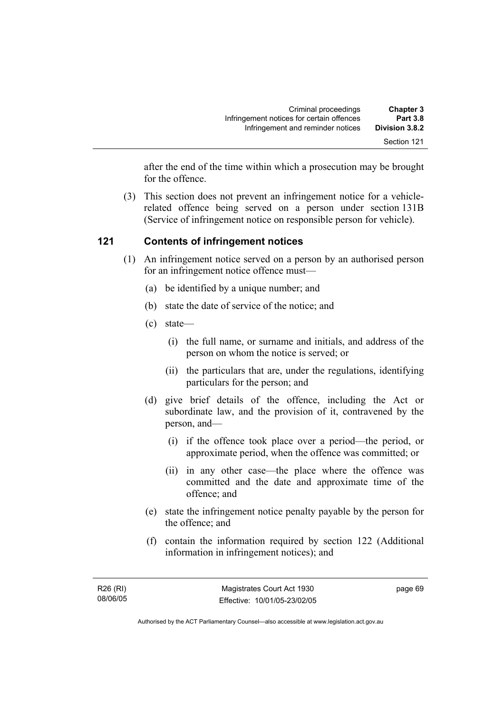after the end of the time within which a prosecution may be brought for the offence.

 (3) This section does not prevent an infringement notice for a vehiclerelated offence being served on a person under section 131B (Service of infringement notice on responsible person for vehicle).

## **121 Contents of infringement notices**

- (1) An infringement notice served on a person by an authorised person for an infringement notice offence must—
	- (a) be identified by a unique number; and
	- (b) state the date of service of the notice; and
	- (c) state—
		- (i) the full name, or surname and initials, and address of the person on whom the notice is served; or
		- (ii) the particulars that are, under the regulations, identifying particulars for the person; and
	- (d) give brief details of the offence, including the Act or subordinate law, and the provision of it, contravened by the person, and—
		- (i) if the offence took place over a period—the period, or approximate period, when the offence was committed; or
		- (ii) in any other case—the place where the offence was committed and the date and approximate time of the offence; and
	- (e) state the infringement notice penalty payable by the person for the offence; and
	- (f) contain the information required by section 122 (Additional information in infringement notices); and

page 69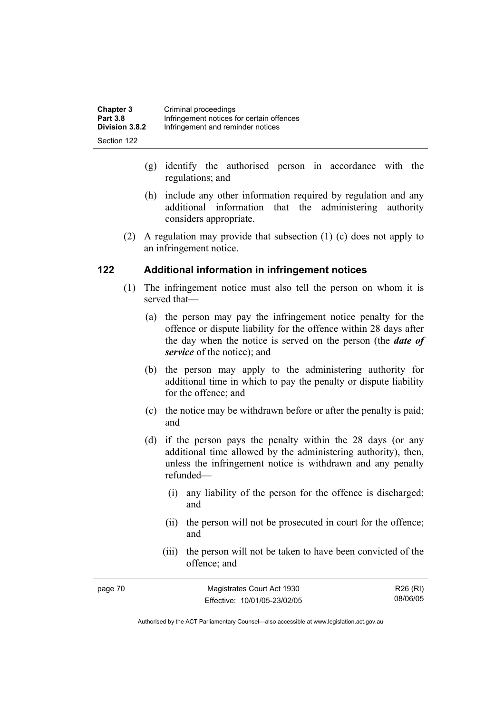| <b>Chapter 3</b> | Criminal proceedings                      |
|------------------|-------------------------------------------|
| <b>Part 3.8</b>  | Infringement notices for certain offences |
| Division 3.8.2   | Infringement and reminder notices         |
| Section 122      |                                           |

- (g) identify the authorised person in accordance with the regulations; and
- (h) include any other information required by regulation and any additional information that the administering authority considers appropriate.
- (2) A regulation may provide that subsection (1) (c) does not apply to an infringement notice.

#### **122 Additional information in infringement notices**

- (1) The infringement notice must also tell the person on whom it is served that—
	- (a) the person may pay the infringement notice penalty for the offence or dispute liability for the offence within 28 days after the day when the notice is served on the person (the *date of service* of the notice); and
	- (b) the person may apply to the administering authority for additional time in which to pay the penalty or dispute liability for the offence; and
	- (c) the notice may be withdrawn before or after the penalty is paid; and
	- (d) if the person pays the penalty within the 28 days (or any additional time allowed by the administering authority), then, unless the infringement notice is withdrawn and any penalty refunded—
		- (i) any liability of the person for the offence is discharged; and
		- (ii) the person will not be prosecuted in court for the offence; and
		- (iii) the person will not be taken to have been convicted of the offence; and

| page 70 | Magistrates Court Act 1930   | R26 (RI) |
|---------|------------------------------|----------|
|         | Effective: 10/01/05-23/02/05 | 08/06/05 |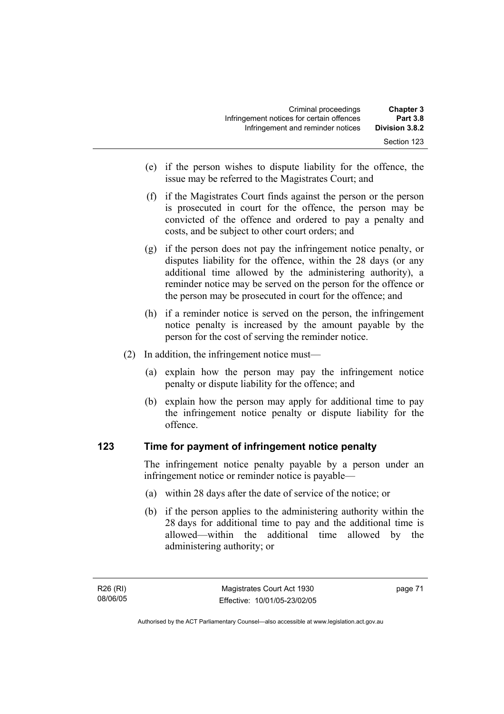| <b>Chapter 3</b> | Criminal proceedings                      |
|------------------|-------------------------------------------|
| <b>Part 3.8</b>  | Infringement notices for certain offences |
| Division 3.8.2   | Infringement and reminder notices         |
| Section 123      |                                           |

- (e) if the person wishes to dispute liability for the offence, the issue may be referred to the Magistrates Court; and
- (f) if the Magistrates Court finds against the person or the person is prosecuted in court for the offence, the person may be convicted of the offence and ordered to pay a penalty and costs, and be subject to other court orders; and
- (g) if the person does not pay the infringement notice penalty, or disputes liability for the offence, within the 28 days (or any additional time allowed by the administering authority), a reminder notice may be served on the person for the offence or the person may be prosecuted in court for the offence; and
- (h) if a reminder notice is served on the person, the infringement notice penalty is increased by the amount payable by the person for the cost of serving the reminder notice.
- (2) In addition, the infringement notice must—
	- (a) explain how the person may pay the infringement notice penalty or dispute liability for the offence; and
	- (b) explain how the person may apply for additional time to pay the infringement notice penalty or dispute liability for the offence.

#### **123 Time for payment of infringement notice penalty**

The infringement notice penalty payable by a person under an infringement notice or reminder notice is payable—

- (a) within 28 days after the date of service of the notice; or
- (b) if the person applies to the administering authority within the 28 days for additional time to pay and the additional time is allowed—within the additional time allowed by the administering authority; or

page 71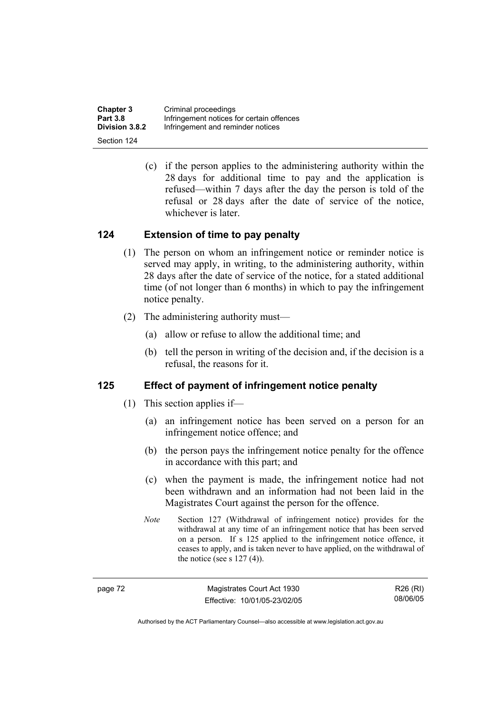| <b>Chapter 3</b>      | Criminal proceedings                      |
|-----------------------|-------------------------------------------|
| <b>Part 3.8</b>       | Infringement notices for certain offences |
| <b>Division 3.8.2</b> | Infringement and reminder notices         |
| Section 124           |                                           |

 (c) if the person applies to the administering authority within the 28 days for additional time to pay and the application is refused—within 7 days after the day the person is told of the refusal or 28 days after the date of service of the notice, whichever is later.

### **124 Extension of time to pay penalty**

- (1) The person on whom an infringement notice or reminder notice is served may apply, in writing, to the administering authority, within 28 days after the date of service of the notice, for a stated additional time (of not longer than 6 months) in which to pay the infringement notice penalty.
- (2) The administering authority must—
	- (a) allow or refuse to allow the additional time; and
	- (b) tell the person in writing of the decision and, if the decision is a refusal, the reasons for it.

### **125 Effect of payment of infringement notice penalty**

- (1) This section applies if—
	- (a) an infringement notice has been served on a person for an infringement notice offence; and
	- (b) the person pays the infringement notice penalty for the offence in accordance with this part; and
	- (c) when the payment is made, the infringement notice had not been withdrawn and an information had not been laid in the Magistrates Court against the person for the offence.
	- *Note* Section 127 (Withdrawal of infringement notice) provides for the withdrawal at any time of an infringement notice that has been served on a person. If s 125 applied to the infringement notice offence, it ceases to apply, and is taken never to have applied, on the withdrawal of the notice (see s  $127(4)$ ).

| ÷ |  |
|---|--|
|---|--|

Magistrates Court Act 1930 Effective: 10/01/05-23/02/05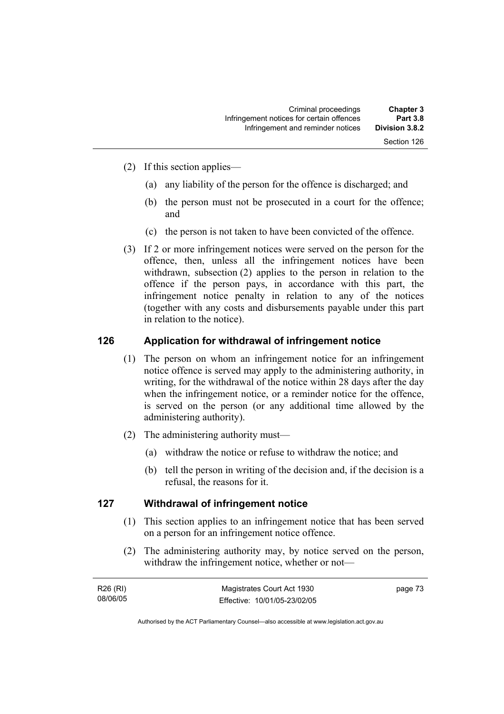Section 126

- (2) If this section applies—
	- (a) any liability of the person for the offence is discharged; and
	- (b) the person must not be prosecuted in a court for the offence; and
	- (c) the person is not taken to have been convicted of the offence.
- (3) If 2 or more infringement notices were served on the person for the offence, then, unless all the infringement notices have been withdrawn, subsection (2) applies to the person in relation to the offence if the person pays, in accordance with this part, the infringement notice penalty in relation to any of the notices (together with any costs and disbursements payable under this part in relation to the notice).

#### **126 Application for withdrawal of infringement notice**

- (1) The person on whom an infringement notice for an infringement notice offence is served may apply to the administering authority, in writing, for the withdrawal of the notice within 28 days after the day when the infringement notice, or a reminder notice for the offence, is served on the person (or any additional time allowed by the administering authority).
- (2) The administering authority must—
	- (a) withdraw the notice or refuse to withdraw the notice; and
	- (b) tell the person in writing of the decision and, if the decision is a refusal, the reasons for it.

#### **127 Withdrawal of infringement notice**

- (1) This section applies to an infringement notice that has been served on a person for an infringement notice offence.
- (2) The administering authority may, by notice served on the person, withdraw the infringement notice, whether or not—

| R26 (RI) | Magistrates Court Act 1930   | page 73 |
|----------|------------------------------|---------|
| 08/06/05 | Effective: 10/01/05-23/02/05 |         |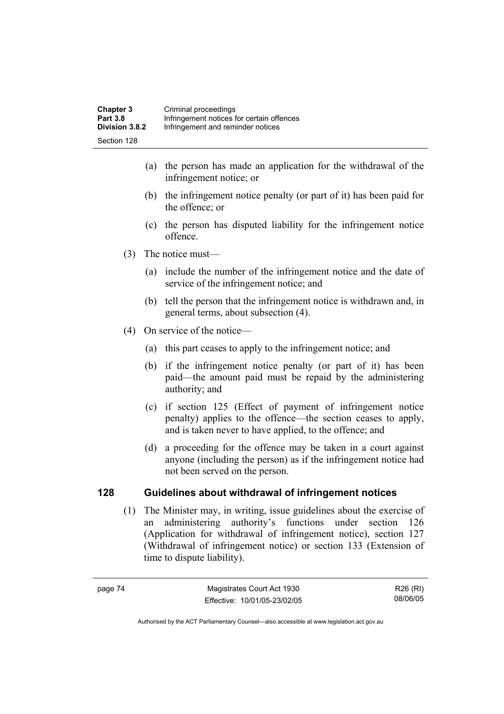- (a) the person has made an application for the withdrawal of the infringement notice; or
- (b) the infringement notice penalty (or part of it) has been paid for the offence; or
- (c) the person has disputed liability for the infringement notice offence.
- (3) The notice must—
	- (a) include the number of the infringement notice and the date of service of the infringement notice; and
	- (b) tell the person that the infringement notice is withdrawn and, in general terms, about subsection (4).
- (4) On service of the notice—
	- (a) this part ceases to apply to the infringement notice; and
	- (b) if the infringement notice penalty (or part of it) has been paid—the amount paid must be repaid by the administering authority; and
	- (c) if section 125 (Effect of payment of infringement notice penalty) applies to the offence—the section ceases to apply, and is taken never to have applied, to the offence; and
	- (d) a proceeding for the offence may be taken in a court against anyone (including the person) as if the infringement notice had not been served on the person.

## **128 Guidelines about withdrawal of infringement notices**

 (1) The Minister may, in writing, issue guidelines about the exercise of an administering authority's functions under section 126 (Application for withdrawal of infringement notice), section 127 (Withdrawal of infringement notice) or section 133 (Extension of time to dispute liability).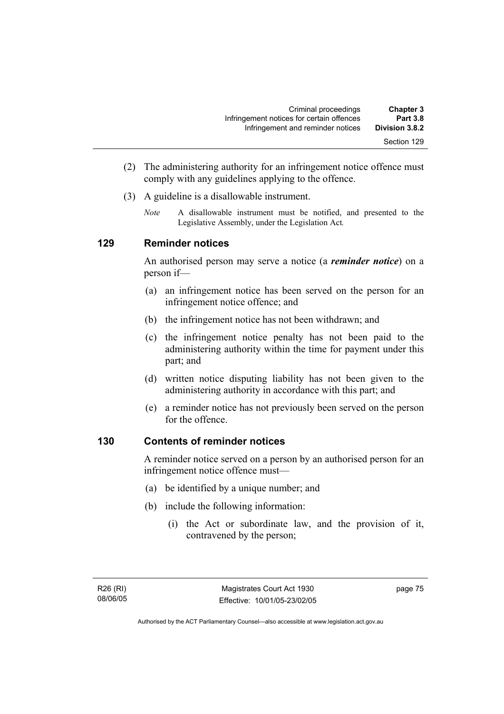- (2) The administering authority for an infringement notice offence must comply with any guidelines applying to the offence.
- (3) A guideline is a disallowable instrument.
	- *Note* A disallowable instrument must be notified, and presented to the Legislative Assembly, under the Legislation Act*.*

### **129 Reminder notices**

An authorised person may serve a notice (a *reminder notice*) on a person if—

- (a) an infringement notice has been served on the person for an infringement notice offence; and
- (b) the infringement notice has not been withdrawn; and
- (c) the infringement notice penalty has not been paid to the administering authority within the time for payment under this part; and
- (d) written notice disputing liability has not been given to the administering authority in accordance with this part; and
- (e) a reminder notice has not previously been served on the person for the offence.

## **130 Contents of reminder notices**

A reminder notice served on a person by an authorised person for an infringement notice offence must—

- (a) be identified by a unique number; and
- (b) include the following information:
	- (i) the Act or subordinate law, and the provision of it, contravened by the person;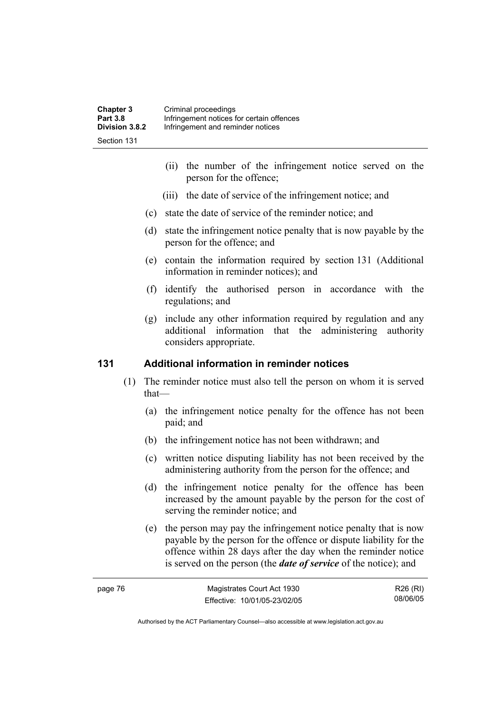| <b>Chapter 3</b>      | Criminal proceedings                      |
|-----------------------|-------------------------------------------|
| <b>Part 3.8</b>       | Infringement notices for certain offences |
| <b>Division 3.8.2</b> | Infringement and reminder notices         |
| Section 131           |                                           |

- (ii) the number of the infringement notice served on the person for the offence;
- (iii) the date of service of the infringement notice; and
- (c) state the date of service of the reminder notice; and
- (d) state the infringement notice penalty that is now payable by the person for the offence; and
- (e) contain the information required by section 131 (Additional information in reminder notices); and
- (f) identify the authorised person in accordance with the regulations; and
- (g) include any other information required by regulation and any additional information that the administering authority considers appropriate.

#### **131 Additional information in reminder notices**

- (1) The reminder notice must also tell the person on whom it is served that—
	- (a) the infringement notice penalty for the offence has not been paid; and
	- (b) the infringement notice has not been withdrawn; and
	- (c) written notice disputing liability has not been received by the administering authority from the person for the offence; and
	- (d) the infringement notice penalty for the offence has been increased by the amount payable by the person for the cost of serving the reminder notice; and
	- (e) the person may pay the infringement notice penalty that is now payable by the person for the offence or dispute liability for the offence within 28 days after the day when the reminder notice is served on the person (the *date of service* of the notice); and

| page 76 | Magistrates Court Act 1930   | R26 (RI) |
|---------|------------------------------|----------|
|         | Effective: 10/01/05-23/02/05 | 08/06/05 |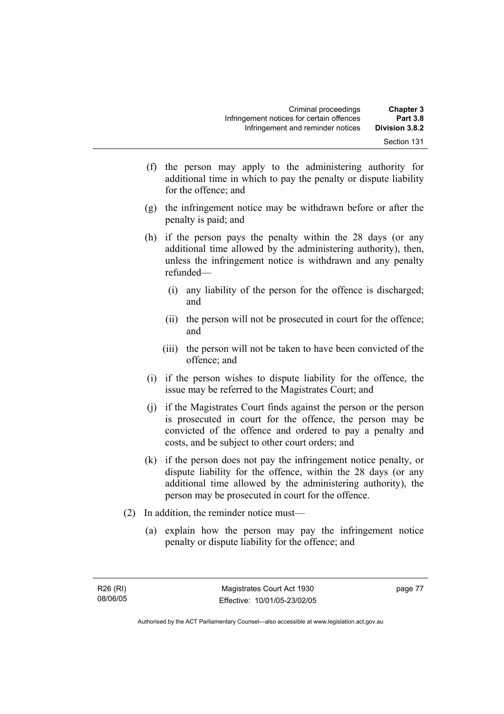- (f) the person may apply to the administering authority for additional time in which to pay the penalty or dispute liability for the offence; and
- (g) the infringement notice may be withdrawn before or after the penalty is paid; and
- (h) if the person pays the penalty within the 28 days (or any additional time allowed by the administering authority), then, unless the infringement notice is withdrawn and any penalty refunded—
	- (i) any liability of the person for the offence is discharged; and
	- (ii) the person will not be prosecuted in court for the offence; and
	- (iii) the person will not be taken to have been convicted of the offence; and
- (i) if the person wishes to dispute liability for the offence, the issue may be referred to the Magistrates Court; and
- (j) if the Magistrates Court finds against the person or the person is prosecuted in court for the offence, the person may be convicted of the offence and ordered to pay a penalty and costs, and be subject to other court orders; and
- (k) if the person does not pay the infringement notice penalty, or dispute liability for the offence, within the 28 days (or any additional time allowed by the administering authority), the person may be prosecuted in court for the offence.
- (2) In addition, the reminder notice must—
	- (a) explain how the person may pay the infringement notice penalty or dispute liability for the offence; and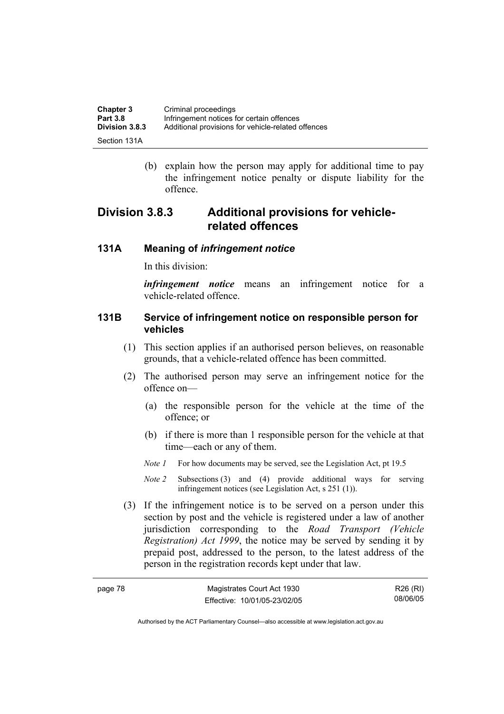| Chapter 3             | Criminal proceedings                               |
|-----------------------|----------------------------------------------------|
| <b>Part 3.8</b>       | Infringement notices for certain offences          |
| <b>Division 3.8.3</b> | Additional provisions for vehicle-related offences |
| Section 131A          |                                                    |

 (b) explain how the person may apply for additional time to pay the infringement notice penalty or dispute liability for the offence.

## **Division 3.8.3 Additional provisions for vehiclerelated offences**

#### **131A Meaning of** *infringement notice*

In this division:

*infringement notice* means an infringement notice for a vehicle-related offence.

#### **131B Service of infringement notice on responsible person for vehicles**

- (1) This section applies if an authorised person believes, on reasonable grounds, that a vehicle-related offence has been committed.
- (2) The authorised person may serve an infringement notice for the offence on—
	- (a) the responsible person for the vehicle at the time of the offence; or
	- (b) if there is more than 1 responsible person for the vehicle at that time—each or any of them.
	- *Note 1* For how documents may be served, see the Legislation Act, pt 19.5
	- *Note 2* Subsections (3) and (4) provide additional ways for serving infringement notices (see Legislation Act, s 251 (1)).
- (3) If the infringement notice is to be served on a person under this section by post and the vehicle is registered under a law of another jurisdiction corresponding to the *Road Transport (Vehicle Registration) Act 1999*, the notice may be served by sending it by prepaid post, addressed to the person, to the latest address of the person in the registration records kept under that law.

| page 78 | Magistrates Court Act 1930   | R26 (RI) |
|---------|------------------------------|----------|
|         | Effective: 10/01/05-23/02/05 | 08/06/05 |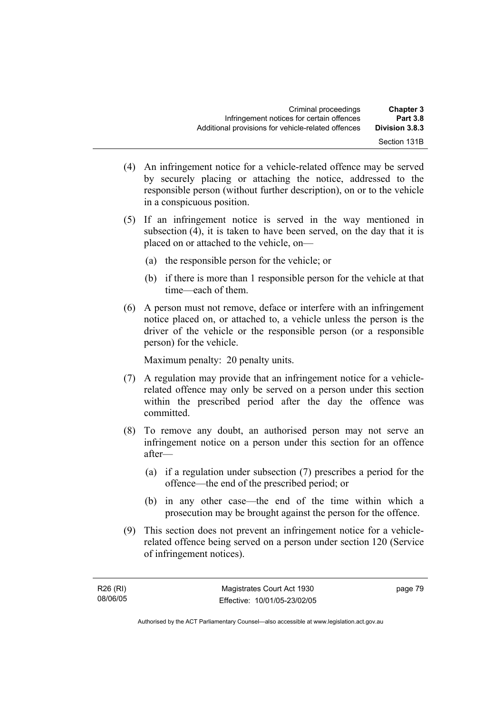- (4) An infringement notice for a vehicle-related offence may be served by securely placing or attaching the notice, addressed to the responsible person (without further description), on or to the vehicle in a conspicuous position.
- (5) If an infringement notice is served in the way mentioned in subsection (4), it is taken to have been served, on the day that it is placed on or attached to the vehicle, on—
	- (a) the responsible person for the vehicle; or
	- (b) if there is more than 1 responsible person for the vehicle at that time—each of them.
- (6) A person must not remove, deface or interfere with an infringement notice placed on, or attached to, a vehicle unless the person is the driver of the vehicle or the responsible person (or a responsible person) for the vehicle.

Maximum penalty: 20 penalty units.

- (7) A regulation may provide that an infringement notice for a vehiclerelated offence may only be served on a person under this section within the prescribed period after the day the offence was committed.
- (8) To remove any doubt, an authorised person may not serve an infringement notice on a person under this section for an offence after—
	- (a) if a regulation under subsection (7) prescribes a period for the offence—the end of the prescribed period; or
	- (b) in any other case—the end of the time within which a prosecution may be brought against the person for the offence.
- (9) This section does not prevent an infringement notice for a vehiclerelated offence being served on a person under section 120 (Service of infringement notices).

page 79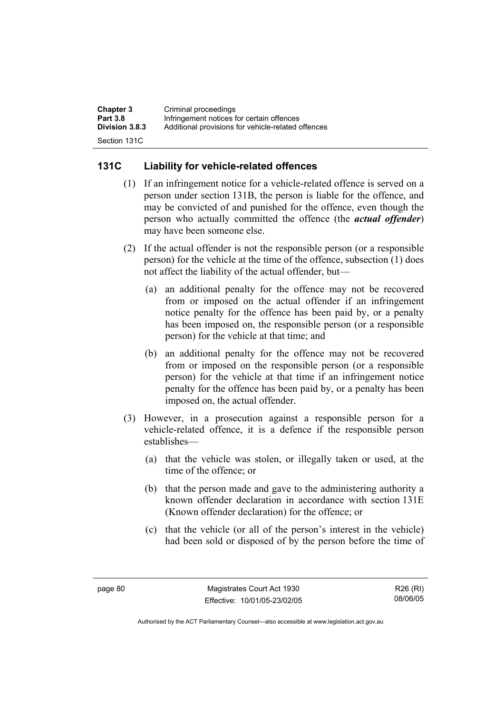| <b>Chapter 3</b>      | Criminal proceedings                               |
|-----------------------|----------------------------------------------------|
| <b>Part 3.8</b>       | Infringement notices for certain offences          |
| <b>Division 3.8.3</b> | Additional provisions for vehicle-related offences |
| Section 131C          |                                                    |

## **131C Liability for vehicle-related offences**

- (1) If an infringement notice for a vehicle-related offence is served on a person under section 131B, the person is liable for the offence, and may be convicted of and punished for the offence, even though the person who actually committed the offence (the *actual offender*) may have been someone else.
- (2) If the actual offender is not the responsible person (or a responsible person) for the vehicle at the time of the offence, subsection (1) does not affect the liability of the actual offender, but—
	- (a) an additional penalty for the offence may not be recovered from or imposed on the actual offender if an infringement notice penalty for the offence has been paid by, or a penalty has been imposed on, the responsible person (or a responsible person) for the vehicle at that time; and
	- (b) an additional penalty for the offence may not be recovered from or imposed on the responsible person (or a responsible person) for the vehicle at that time if an infringement notice penalty for the offence has been paid by, or a penalty has been imposed on, the actual offender.
- (3) However, in a prosecution against a responsible person for a vehicle-related offence, it is a defence if the responsible person establishes—
	- (a) that the vehicle was stolen, or illegally taken or used, at the time of the offence; or
	- (b) that the person made and gave to the administering authority a known offender declaration in accordance with section 131E (Known offender declaration) for the offence; or
	- (c) that the vehicle (or all of the person's interest in the vehicle) had been sold or disposed of by the person before the time of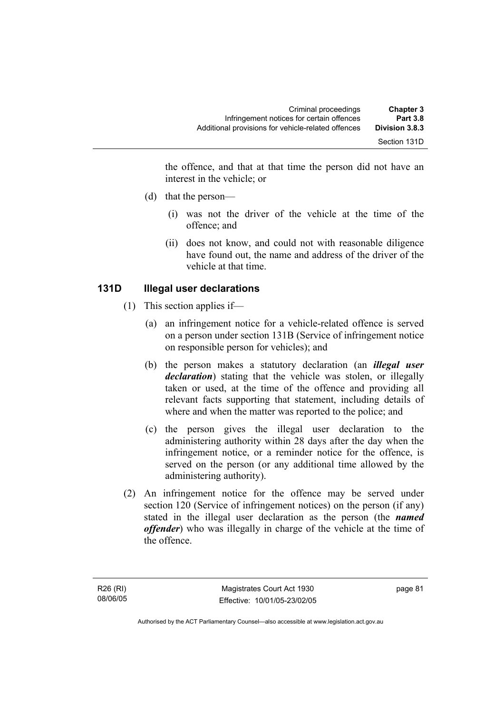the offence, and that at that time the person did not have an interest in the vehicle; or

- (d) that the person—
	- (i) was not the driver of the vehicle at the time of the offence; and
	- (ii) does not know, and could not with reasonable diligence have found out, the name and address of the driver of the vehicle at that time.

## **131D Illegal user declarations**

- (1) This section applies if—
	- (a) an infringement notice for a vehicle-related offence is served on a person under section 131B (Service of infringement notice on responsible person for vehicles); and
	- (b) the person makes a statutory declaration (an *illegal user declaration*) stating that the vehicle was stolen, or illegally taken or used, at the time of the offence and providing all relevant facts supporting that statement, including details of where and when the matter was reported to the police; and
	- (c) the person gives the illegal user declaration to the administering authority within 28 days after the day when the infringement notice, or a reminder notice for the offence, is served on the person (or any additional time allowed by the administering authority).
- (2) An infringement notice for the offence may be served under section 120 (Service of infringement notices) on the person (if any) stated in the illegal user declaration as the person (the *named offender*) who was illegally in charge of the vehicle at the time of the offence.

page 81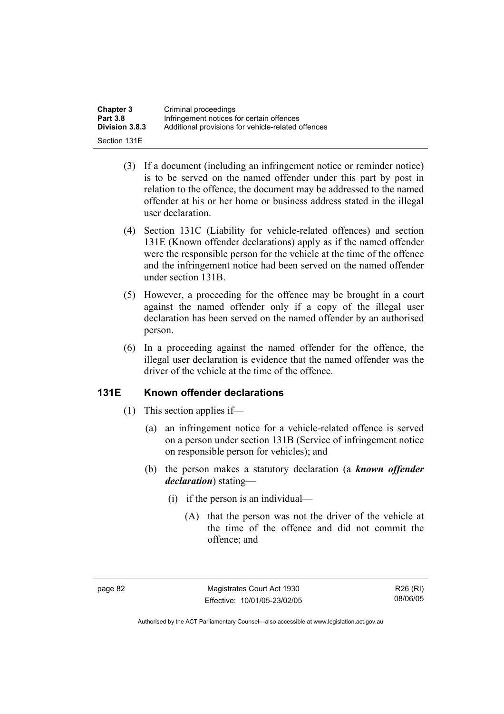| <b>Chapter 3</b> | Criminal proceedings                               |
|------------------|----------------------------------------------------|
| <b>Part 3.8</b>  | Infringement notices for certain offences          |
| Division 3.8.3   | Additional provisions for vehicle-related offences |
| Section 131E     |                                                    |

- (3) If a document (including an infringement notice or reminder notice) is to be served on the named offender under this part by post in relation to the offence, the document may be addressed to the named offender at his or her home or business address stated in the illegal user declaration.
- (4) Section 131C (Liability for vehicle-related offences) and section 131E (Known offender declarations) apply as if the named offender were the responsible person for the vehicle at the time of the offence and the infringement notice had been served on the named offender under section 131B.
- (5) However, a proceeding for the offence may be brought in a court against the named offender only if a copy of the illegal user declaration has been served on the named offender by an authorised person.
- (6) In a proceeding against the named offender for the offence, the illegal user declaration is evidence that the named offender was the driver of the vehicle at the time of the offence.

#### **131E Known offender declarations**

- (1) This section applies if—
	- (a) an infringement notice for a vehicle-related offence is served on a person under section 131B (Service of infringement notice on responsible person for vehicles); and
	- (b) the person makes a statutory declaration (a *known offender declaration*) stating—
		- (i) if the person is an individual—
			- (A) that the person was not the driver of the vehicle at the time of the offence and did not commit the offence; and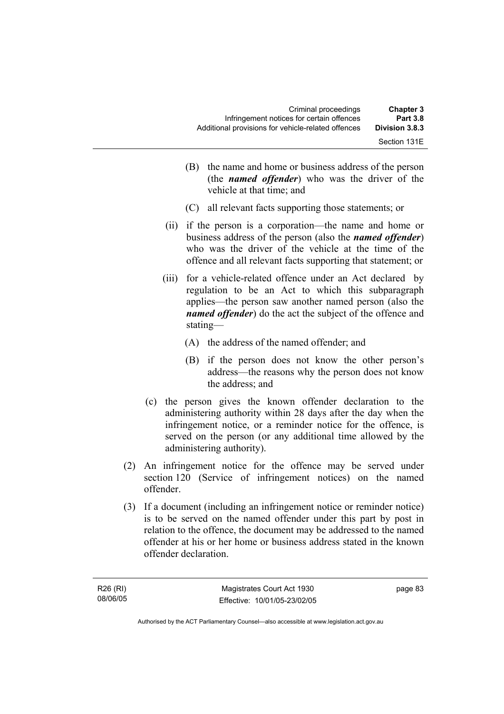| <b>Chapter 3</b><br><b>Part 3.8</b> | Criminal proceedings<br>Infringement notices for certain offences |  |
|-------------------------------------|-------------------------------------------------------------------|--|
| Division 3.8.3                      | Additional provisions for vehicle-related offences                |  |
| Section 131E                        |                                                                   |  |

- (B) the name and home or business address of the person (the *named offender*) who was the driver of the vehicle at that time; and
- (C) all relevant facts supporting those statements; or
- (ii) if the person is a corporation—the name and home or business address of the person (also the *named offender*) who was the driver of the vehicle at the time of the offence and all relevant facts supporting that statement; or
- (iii) for a vehicle-related offence under an Act declared by regulation to be an Act to which this subparagraph applies—the person saw another named person (also the *named offender*) do the act the subject of the offence and stating—
	- (A) the address of the named offender; and
	- (B) if the person does not know the other person's address—the reasons why the person does not know the address; and
- (c) the person gives the known offender declaration to the administering authority within 28 days after the day when the infringement notice, or a reminder notice for the offence, is served on the person (or any additional time allowed by the administering authority).
- (2) An infringement notice for the offence may be served under section 120 (Service of infringement notices) on the named offender.
- (3) If a document (including an infringement notice or reminder notice) is to be served on the named offender under this part by post in relation to the offence, the document may be addressed to the named offender at his or her home or business address stated in the known offender declaration.

page 83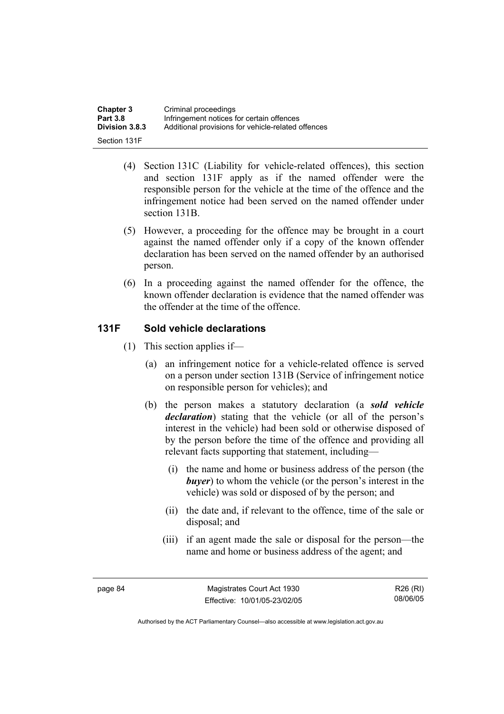| <b>Chapter 3</b> | Criminal proceedings                               |
|------------------|----------------------------------------------------|
| <b>Part 3.8</b>  | Infringement notices for certain offences          |
| Division 3.8.3   | Additional provisions for vehicle-related offences |
| Section 131F     |                                                    |

- (4) Section 131C (Liability for vehicle-related offences), this section and section 131F apply as if the named offender were the responsible person for the vehicle at the time of the offence and the infringement notice had been served on the named offender under section 131B.
- (5) However, a proceeding for the offence may be brought in a court against the named offender only if a copy of the known offender declaration has been served on the named offender by an authorised person.
- (6) In a proceeding against the named offender for the offence, the known offender declaration is evidence that the named offender was the offender at the time of the offence.

## **131F Sold vehicle declarations**

- (1) This section applies if—
	- (a) an infringement notice for a vehicle-related offence is served on a person under section 131B (Service of infringement notice on responsible person for vehicles); and
	- (b) the person makes a statutory declaration (a *sold vehicle declaration*) stating that the vehicle (or all of the person's interest in the vehicle) had been sold or otherwise disposed of by the person before the time of the offence and providing all relevant facts supporting that statement, including—
		- (i) the name and home or business address of the person (the *buyer*) to whom the vehicle (or the person's interest in the vehicle) was sold or disposed of by the person; and
		- (ii) the date and, if relevant to the offence, time of the sale or disposal; and
		- (iii) if an agent made the sale or disposal for the person—the name and home or business address of the agent; and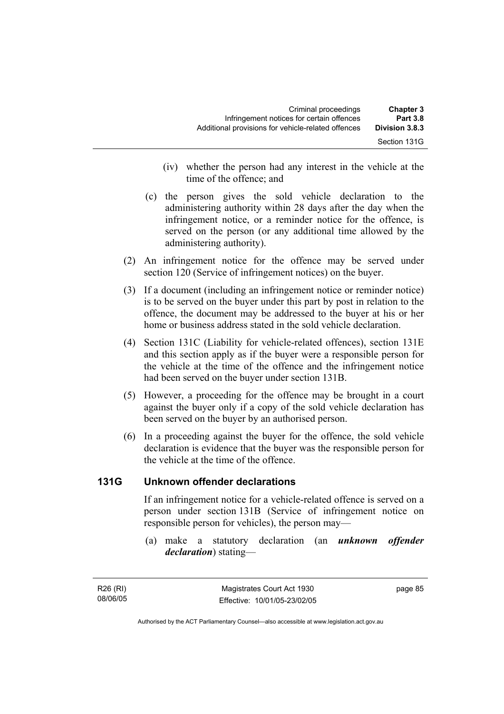| <b>Chapter 3</b><br><b>Part 3.8</b> | Criminal proceedings<br>Infringement notices for certain offences |  |
|-------------------------------------|-------------------------------------------------------------------|--|
| Division 3.8.3                      | Additional provisions for vehicle-related offences                |  |
| Section 131G                        |                                                                   |  |

- (iv) whether the person had any interest in the vehicle at the time of the offence; and
- (c) the person gives the sold vehicle declaration to the administering authority within 28 days after the day when the infringement notice, or a reminder notice for the offence, is served on the person (or any additional time allowed by the administering authority).
- (2) An infringement notice for the offence may be served under section 120 (Service of infringement notices) on the buyer.
- (3) If a document (including an infringement notice or reminder notice) is to be served on the buyer under this part by post in relation to the offence, the document may be addressed to the buyer at his or her home or business address stated in the sold vehicle declaration.
- (4) Section 131C (Liability for vehicle-related offences), section 131E and this section apply as if the buyer were a responsible person for the vehicle at the time of the offence and the infringement notice had been served on the buyer under section 131B.
- (5) However, a proceeding for the offence may be brought in a court against the buyer only if a copy of the sold vehicle declaration has been served on the buyer by an authorised person.
- (6) In a proceeding against the buyer for the offence, the sold vehicle declaration is evidence that the buyer was the responsible person for the vehicle at the time of the offence.

## **131G Unknown offender declarations**

If an infringement notice for a vehicle-related offence is served on a person under section 131B (Service of infringement notice on responsible person for vehicles), the person may—

 (a) make a statutory declaration (an *unknown offender declaration*) stating—

R26 (RI) 08/06/05 page 85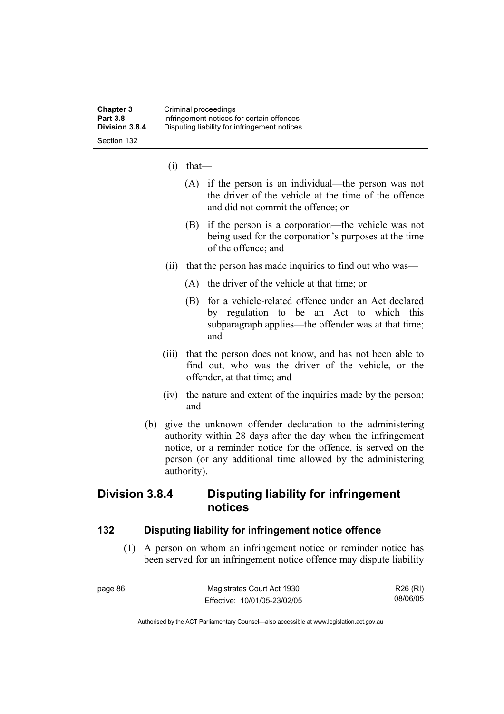- (i) that—
	- (A) if the person is an individual—the person was not the driver of the vehicle at the time of the offence and did not commit the offence; or
	- (B) if the person is a corporation—the vehicle was not being used for the corporation's purposes at the time of the offence; and
- (ii) that the person has made inquiries to find out who was—
	- (A) the driver of the vehicle at that time; or
	- (B) for a vehicle-related offence under an Act declared by regulation to be an Act to which this subparagraph applies—the offender was at that time; and
- (iii) that the person does not know, and has not been able to find out, who was the driver of the vehicle, or the offender, at that time; and
- (iv) the nature and extent of the inquiries made by the person; and
- (b) give the unknown offender declaration to the administering authority within 28 days after the day when the infringement notice, or a reminder notice for the offence, is served on the person (or any additional time allowed by the administering authority).

## **Division 3.8.4 Disputing liability for infringement notices**

#### **132 Disputing liability for infringement notice offence**

 (1) A person on whom an infringement notice or reminder notice has been served for an infringement notice offence may dispute liability

| page 86 | Magistrates Court Act 1930   | R26 (RI) |
|---------|------------------------------|----------|
|         | Effective: 10/01/05-23/02/05 | 08/06/05 |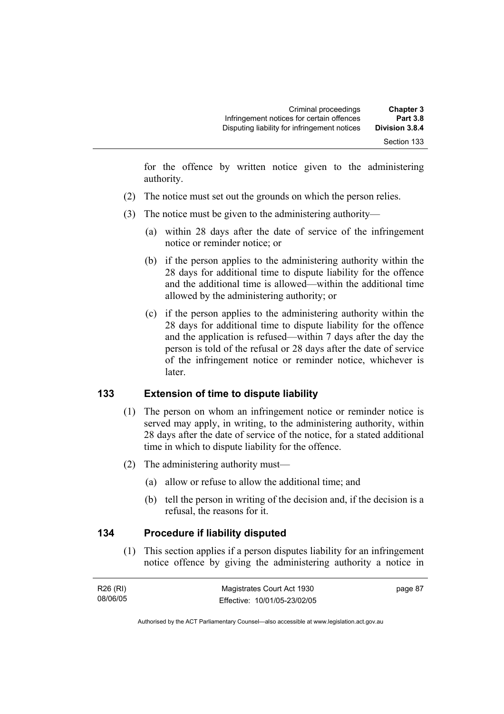for the offence by written notice given to the administering authority.

- (2) The notice must set out the grounds on which the person relies.
- (3) The notice must be given to the administering authority—
	- (a) within 28 days after the date of service of the infringement notice or reminder notice; or
	- (b) if the person applies to the administering authority within the 28 days for additional time to dispute liability for the offence and the additional time is allowed—within the additional time allowed by the administering authority; or
	- (c) if the person applies to the administering authority within the 28 days for additional time to dispute liability for the offence and the application is refused—within 7 days after the day the person is told of the refusal or 28 days after the date of service of the infringement notice or reminder notice, whichever is later.

## **133 Extension of time to dispute liability**

- (1) The person on whom an infringement notice or reminder notice is served may apply, in writing, to the administering authority, within 28 days after the date of service of the notice, for a stated additional time in which to dispute liability for the offence.
- (2) The administering authority must—
	- (a) allow or refuse to allow the additional time; and
	- (b) tell the person in writing of the decision and, if the decision is a refusal, the reasons for it.

#### **134 Procedure if liability disputed**

 (1) This section applies if a person disputes liability for an infringement notice offence by giving the administering authority a notice in

| R26 (RI) | Magistrates Court Act 1930   | page 87 |
|----------|------------------------------|---------|
| 08/06/05 | Effective: 10/01/05-23/02/05 |         |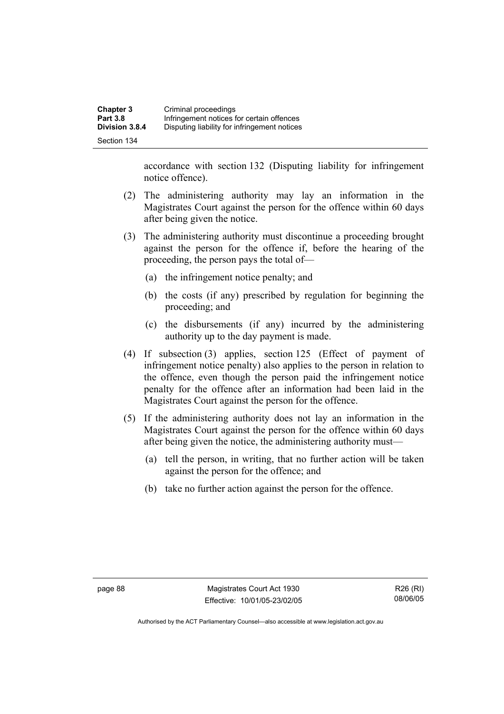accordance with section 132 (Disputing liability for infringement notice offence).

- (2) The administering authority may lay an information in the Magistrates Court against the person for the offence within 60 days after being given the notice.
- (3) The administering authority must discontinue a proceeding brought against the person for the offence if, before the hearing of the proceeding, the person pays the total of—
	- (a) the infringement notice penalty; and
	- (b) the costs (if any) prescribed by regulation for beginning the proceeding; and
	- (c) the disbursements (if any) incurred by the administering authority up to the day payment is made.
- (4) If subsection (3) applies, section 125 (Effect of payment of infringement notice penalty) also applies to the person in relation to the offence, even though the person paid the infringement notice penalty for the offence after an information had been laid in the Magistrates Court against the person for the offence.
- (5) If the administering authority does not lay an information in the Magistrates Court against the person for the offence within 60 days after being given the notice, the administering authority must—
	- (a) tell the person, in writing, that no further action will be taken against the person for the offence; and
	- (b) take no further action against the person for the offence.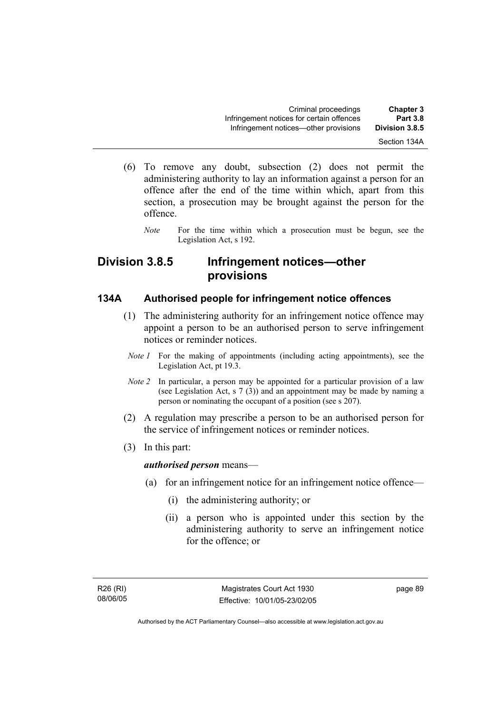- (6) To remove any doubt, subsection (2) does not permit the administering authority to lay an information against a person for an offence after the end of the time within which, apart from this section, a prosecution may be brought against the person for the offence.
	- *Note* For the time within which a prosecution must be begun, see the Legislation Act, s 192.

## **Division 3.8.5 Infringement notices—other provisions**

#### **134A Authorised people for infringement notice offences**

- (1) The administering authority for an infringement notice offence may appoint a person to be an authorised person to serve infringement notices or reminder notices.
	- *Note 1* For the making of appointments (including acting appointments), see the Legislation Act, pt 19.3.
	- *Note 2* In particular, a person may be appointed for a particular provision of a law (see Legislation Act, s 7 (3)) and an appointment may be made by naming a person or nominating the occupant of a position (see s 207).
- (2) A regulation may prescribe a person to be an authorised person for the service of infringement notices or reminder notices.
- (3) In this part:

*authorised person* means—

- (a) for an infringement notice for an infringement notice offence—
	- (i) the administering authority; or
	- (ii) a person who is appointed under this section by the administering authority to serve an infringement notice for the offence; or

R26 (RI) 08/06/05 page 89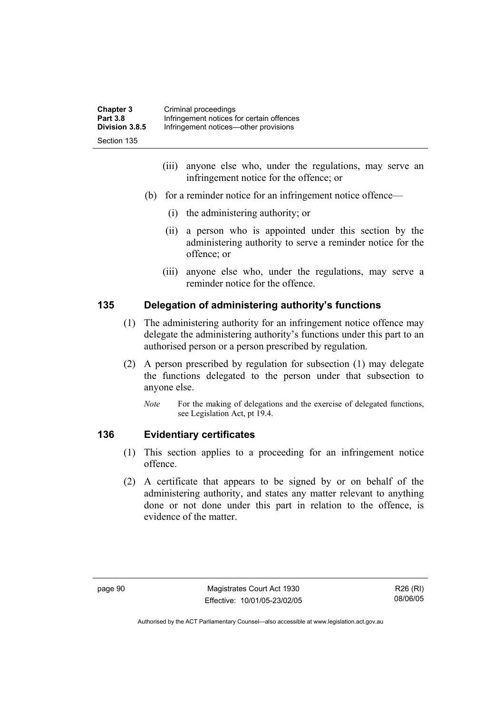| <b>Chapter 3</b> | Criminal proceedings                      |
|------------------|-------------------------------------------|
| <b>Part 3.8</b>  | Infringement notices for certain offences |
| Division 3.8.5   | Infringement notices—other provisions     |
| Section 135      |                                           |

- (iii) anyone else who, under the regulations, may serve an infringement notice for the offence; or
- (b) for a reminder notice for an infringement notice offence—
	- (i) the administering authority; or
	- (ii) a person who is appointed under this section by the administering authority to serve a reminder notice for the offence; or
	- (iii) anyone else who, under the regulations, may serve a reminder notice for the offence.

### **135 Delegation of administering authority's functions**

- (1) The administering authority for an infringement notice offence may delegate the administering authority's functions under this part to an authorised person or a person prescribed by regulation.
- (2) A person prescribed by regulation for subsection (1) may delegate the functions delegated to the person under that subsection to anyone else.
	- *Note* For the making of delegations and the exercise of delegated functions, see Legislation Act, pt 19.4.

## **136 Evidentiary certificates**

- (1) This section applies to a proceeding for an infringement notice offence.
- (2) A certificate that appears to be signed by or on behalf of the administering authority, and states any matter relevant to anything done or not done under this part in relation to the offence, is evidence of the matter.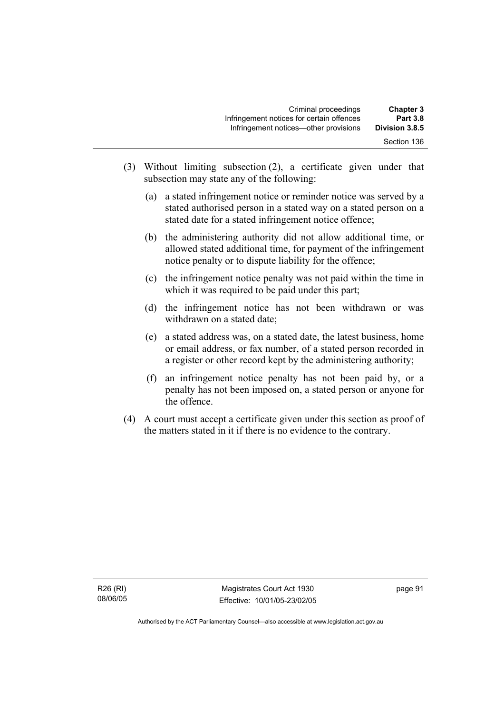| <b>Chapter 3</b> | Criminal proceedings                      |  |
|------------------|-------------------------------------------|--|
| <b>Part 3.8</b>  | Infringement notices for certain offences |  |
| Division 3.8.5   | Infringement notices—other provisions     |  |
| Section 136      |                                           |  |

- (3) Without limiting subsection (2), a certificate given under that subsection may state any of the following:
	- (a) a stated infringement notice or reminder notice was served by a stated authorised person in a stated way on a stated person on a stated date for a stated infringement notice offence;
	- (b) the administering authority did not allow additional time, or allowed stated additional time, for payment of the infringement notice penalty or to dispute liability for the offence;
	- (c) the infringement notice penalty was not paid within the time in which it was required to be paid under this part;
	- (d) the infringement notice has not been withdrawn or was withdrawn on a stated date;
	- (e) a stated address was, on a stated date, the latest business, home or email address, or fax number, of a stated person recorded in a register or other record kept by the administering authority;
	- (f) an infringement notice penalty has not been paid by, or a penalty has not been imposed on, a stated person or anyone for the offence.
- (4) A court must accept a certificate given under this section as proof of the matters stated in it if there is no evidence to the contrary.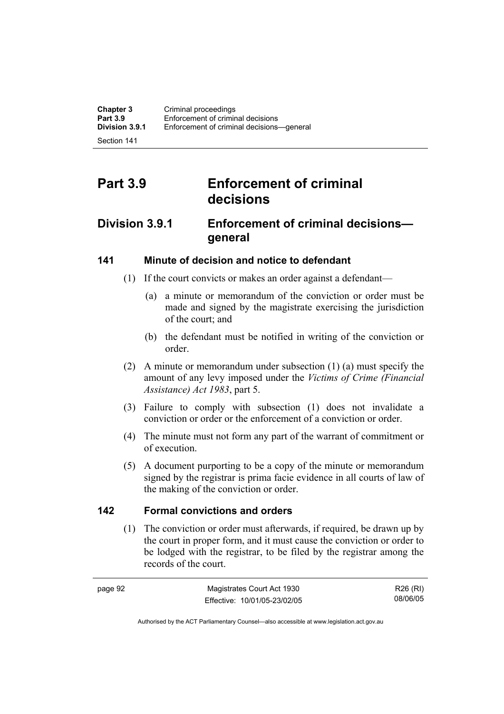Section 141

# **Part 3.9 Enforcement of criminal decisions**

## **Division 3.9.1 Enforcement of criminal decisions general**

## **141 Minute of decision and notice to defendant**

- (1) If the court convicts or makes an order against a defendant—
	- (a) a minute or memorandum of the conviction or order must be made and signed by the magistrate exercising the jurisdiction of the court; and
	- (b) the defendant must be notified in writing of the conviction or order.
- (2) A minute or memorandum under subsection (1) (a) must specify the amount of any levy imposed under the *Victims of Crime (Financial Assistance) Act 1983*, part 5.
- (3) Failure to comply with subsection (1) does not invalidate a conviction or order or the enforcement of a conviction or order.
- (4) The minute must not form any part of the warrant of commitment or of execution.
- (5) A document purporting to be a copy of the minute or memorandum signed by the registrar is prima facie evidence in all courts of law of the making of the conviction or order.

#### **142 Formal convictions and orders**

 (1) The conviction or order must afterwards, if required, be drawn up by the court in proper form, and it must cause the conviction or order to be lodged with the registrar, to be filed by the registrar among the records of the court.

| page 92 | Magistrates Court Act 1930   | R26 (RI) |
|---------|------------------------------|----------|
|         | Effective: 10/01/05-23/02/05 | 08/06/05 |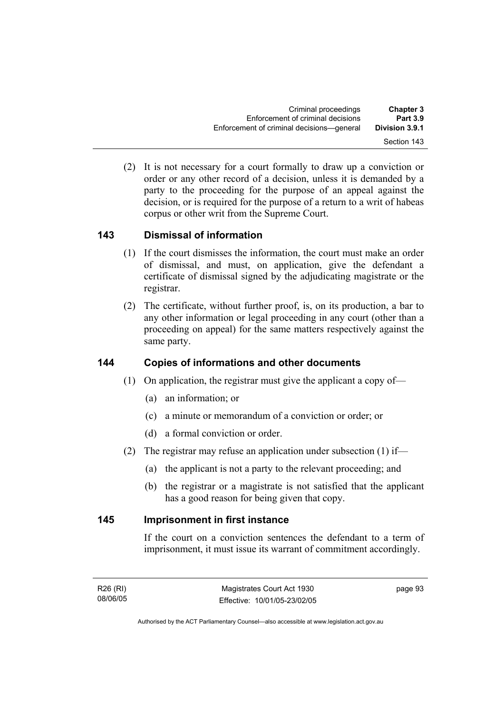(2) It is not necessary for a court formally to draw up a conviction or order or any other record of a decision, unless it is demanded by a party to the proceeding for the purpose of an appeal against the decision, or is required for the purpose of a return to a writ of habeas corpus or other writ from the Supreme Court.

## **143 Dismissal of information**

- (1) If the court dismisses the information, the court must make an order of dismissal, and must, on application, give the defendant a certificate of dismissal signed by the adjudicating magistrate or the registrar.
- (2) The certificate, without further proof, is, on its production, a bar to any other information or legal proceeding in any court (other than a proceeding on appeal) for the same matters respectively against the same party.

## **144 Copies of informations and other documents**

- (1) On application, the registrar must give the applicant a copy of—
	- (a) an information; or
	- (c) a minute or memorandum of a conviction or order; or
	- (d) a formal conviction or order.
- (2) The registrar may refuse an application under subsection (1) if—
	- (a) the applicant is not a party to the relevant proceeding; and
	- (b) the registrar or a magistrate is not satisfied that the applicant has a good reason for being given that copy.

## **145 Imprisonment in first instance**

If the court on a conviction sentences the defendant to a term of imprisonment, it must issue its warrant of commitment accordingly.

page 93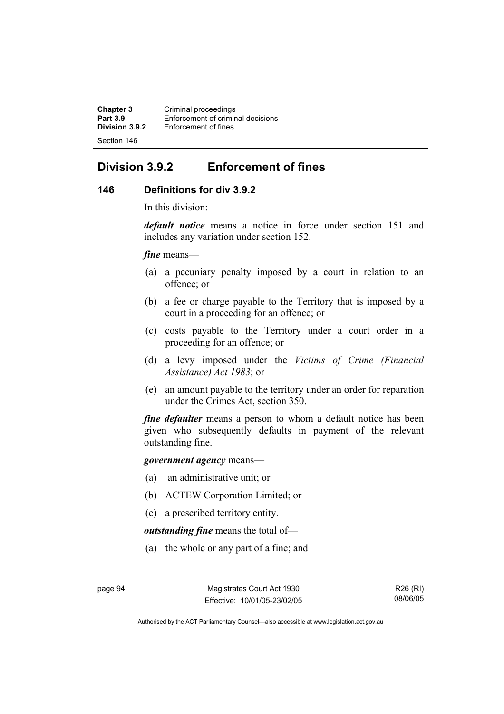**Chapter 3 Criminal proceedings**<br>**Part 3.9 Enforcement of criminal Part 3.9 Enforcement of criminal decisions**<br>**Division 3.9.2 Enforcement of fines Enforcement of fines** Section 146

## **Division 3.9.2 Enforcement of fines**

## **146 Definitions for div 3.9.2**

In this division:

*default notice* means a notice in force under section 151 and includes any variation under section 152.

*fine* means—

- (a) a pecuniary penalty imposed by a court in relation to an offence; or
- (b) a fee or charge payable to the Territory that is imposed by a court in a proceeding for an offence; or
- (c) costs payable to the Territory under a court order in a proceeding for an offence; or
- (d) a levy imposed under the *Victims of Crime (Financial Assistance) Act 1983*; or
- (e) an amount payable to the territory under an order for reparation under the Crimes Act, section 350.

*fine defaulter* means a person to whom a default notice has been given who subsequently defaults in payment of the relevant outstanding fine.

*government agency* means—

- (a) an administrative unit; or
- (b) ACTEW Corporation Limited; or
- (c) a prescribed territory entity.

*outstanding fine* means the total of—

(a) the whole or any part of a fine; and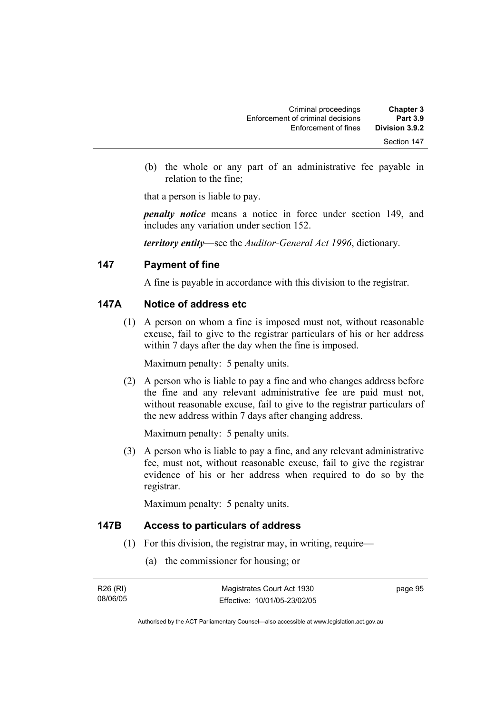| <b>Chapter 3</b><br><b>Part 3.9</b> | Criminal proceedings                                      |
|-------------------------------------|-----------------------------------------------------------|
| Division 3.9.2                      | Enforcement of criminal decisions<br>Enforcement of fines |
| Section 147                         |                                                           |

 (b) the whole or any part of an administrative fee payable in relation to the fine;

that a person is liable to pay.

*penalty notice* means a notice in force under section 149, and includes any variation under section 152.

*territory entity*—see the *Auditor-General Act 1996*, dictionary.

## **147 Payment of fine**

A fine is payable in accordance with this division to the registrar.

## **147A Notice of address etc**

 (1) A person on whom a fine is imposed must not, without reasonable excuse, fail to give to the registrar particulars of his or her address within 7 days after the day when the fine is imposed.

Maximum penalty: 5 penalty units.

 (2) A person who is liable to pay a fine and who changes address before the fine and any relevant administrative fee are paid must not, without reasonable excuse, fail to give to the registrar particulars of the new address within 7 days after changing address.

Maximum penalty: 5 penalty units.

 (3) A person who is liable to pay a fine, and any relevant administrative fee, must not, without reasonable excuse, fail to give the registrar evidence of his or her address when required to do so by the registrar.

Maximum penalty: 5 penalty units.

## **147B Access to particulars of address**

- (1) For this division, the registrar may, in writing, require—
	- (a) the commissioner for housing; or

| R26 (RI) | Magistrates Court Act 1930   | page 95 |
|----------|------------------------------|---------|
| 08/06/05 | Effective: 10/01/05-23/02/05 |         |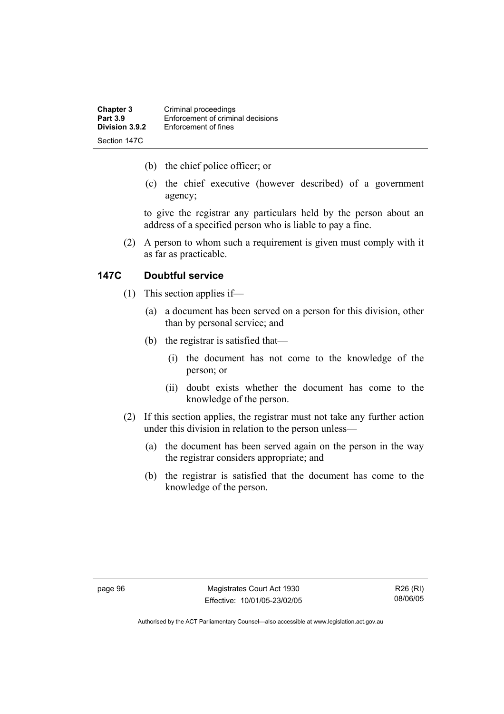| <b>Chapter 3</b><br><b>Part 3.9</b> | Criminal proceedings<br>Enforcement of criminal decisions |
|-------------------------------------|-----------------------------------------------------------|
| Division 3.9.2                      | Enforcement of fines                                      |
| Section 147C                        |                                                           |

- (b) the chief police officer; or
- (c) the chief executive (however described) of a government agency;

to give the registrar any particulars held by the person about an address of a specified person who is liable to pay a fine.

 (2) A person to whom such a requirement is given must comply with it as far as practicable.

## **147C Doubtful service**

- (1) This section applies if—
	- (a) a document has been served on a person for this division, other than by personal service; and
	- (b) the registrar is satisfied that—
		- (i) the document has not come to the knowledge of the person; or
		- (ii) doubt exists whether the document has come to the knowledge of the person.
- (2) If this section applies, the registrar must not take any further action under this division in relation to the person unless—
	- (a) the document has been served again on the person in the way the registrar considers appropriate; and
	- (b) the registrar is satisfied that the document has come to the knowledge of the person.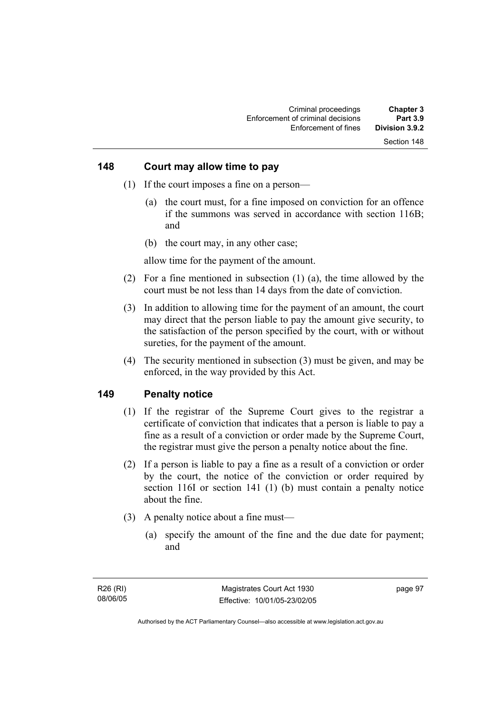## **148 Court may allow time to pay**

- (1) If the court imposes a fine on a person—
	- (a) the court must, for a fine imposed on conviction for an offence if the summons was served in accordance with section 116B; and
	- (b) the court may, in any other case;

allow time for the payment of the amount.

- (2) For a fine mentioned in subsection (1) (a), the time allowed by the court must be not less than 14 days from the date of conviction.
- (3) In addition to allowing time for the payment of an amount, the court may direct that the person liable to pay the amount give security, to the satisfaction of the person specified by the court, with or without sureties, for the payment of the amount.
- (4) The security mentioned in subsection (3) must be given, and may be enforced, in the way provided by this Act.

## **149 Penalty notice**

- (1) If the registrar of the Supreme Court gives to the registrar a certificate of conviction that indicates that a person is liable to pay a fine as a result of a conviction or order made by the Supreme Court, the registrar must give the person a penalty notice about the fine.
- (2) If a person is liable to pay a fine as a result of a conviction or order by the court, the notice of the conviction or order required by section 116I or section 141 (1) (b) must contain a penalty notice about the fine.
- (3) A penalty notice about a fine must—
	- (a) specify the amount of the fine and the due date for payment; and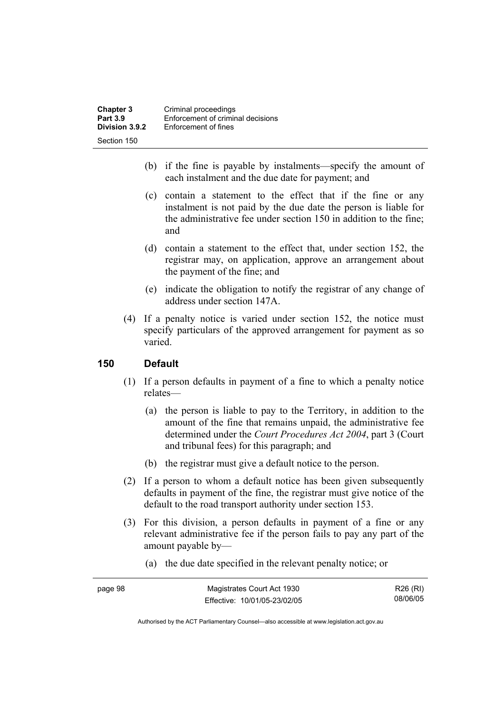| <b>Chapter 3</b><br><b>Part 3.9</b> | Criminal proceedings<br>Enforcement of criminal decisions |
|-------------------------------------|-----------------------------------------------------------|
| Division 3.9.2                      | Enforcement of fines                                      |
| Section 150                         |                                                           |

- (b) if the fine is payable by instalments—specify the amount of each instalment and the due date for payment; and
- (c) contain a statement to the effect that if the fine or any instalment is not paid by the due date the person is liable for the administrative fee under section 150 in addition to the fine; and
- (d) contain a statement to the effect that, under section 152, the registrar may, on application, approve an arrangement about the payment of the fine; and
- (e) indicate the obligation to notify the registrar of any change of address under section 147A.
- (4) If a penalty notice is varied under section 152, the notice must specify particulars of the approved arrangement for payment as so varied.

## **150 Default**

- (1) If a person defaults in payment of a fine to which a penalty notice relates—
	- (a) the person is liable to pay to the Territory, in addition to the amount of the fine that remains unpaid, the administrative fee determined under the *Court Procedures Act 2004*, part 3 (Court and tribunal fees) for this paragraph; and
	- (b) the registrar must give a default notice to the person.
- (2) If a person to whom a default notice has been given subsequently defaults in payment of the fine, the registrar must give notice of the default to the road transport authority under section 153.
- (3) For this division, a person defaults in payment of a fine or any relevant administrative fee if the person fails to pay any part of the amount payable by—
	- (a) the due date specified in the relevant penalty notice; or

| page 98 | Magistrates Court Act 1930   | R26 (RI) |
|---------|------------------------------|----------|
|         | Effective: 10/01/05-23/02/05 | 08/06/05 |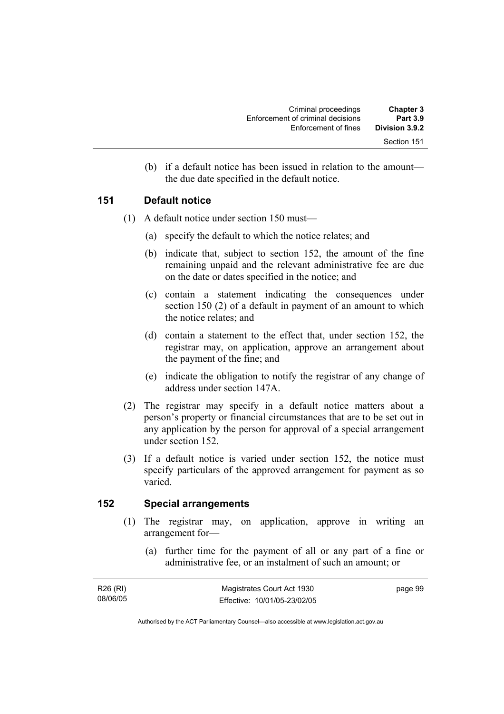| <b>Chapter 3</b><br><b>Part 3.9</b> | Criminal proceedings                                      |
|-------------------------------------|-----------------------------------------------------------|
| Division 3.9.2                      | Enforcement of criminal decisions<br>Enforcement of fines |
| Section 151                         |                                                           |

 (b) if a default notice has been issued in relation to the amount the due date specified in the default notice.

## **151 Default notice**

- (1) A default notice under section 150 must—
	- (a) specify the default to which the notice relates; and
	- (b) indicate that, subject to section 152, the amount of the fine remaining unpaid and the relevant administrative fee are due on the date or dates specified in the notice; and
	- (c) contain a statement indicating the consequences under section 150 (2) of a default in payment of an amount to which the notice relates; and
	- (d) contain a statement to the effect that, under section 152, the registrar may, on application, approve an arrangement about the payment of the fine; and
	- (e) indicate the obligation to notify the registrar of any change of address under section 147A.
- (2) The registrar may specify in a default notice matters about a person's property or financial circumstances that are to be set out in any application by the person for approval of a special arrangement under section 152.
- (3) If a default notice is varied under section 152, the notice must specify particulars of the approved arrangement for payment as so varied.

## **152 Special arrangements**

- (1) The registrar may, on application, approve in writing an arrangement for—
	- (a) further time for the payment of all or any part of a fine or administrative fee, or an instalment of such an amount; or

| R26 (RI) | Magistrates Court Act 1930   | page 99 |
|----------|------------------------------|---------|
| 08/06/05 | Effective: 10/01/05-23/02/05 |         |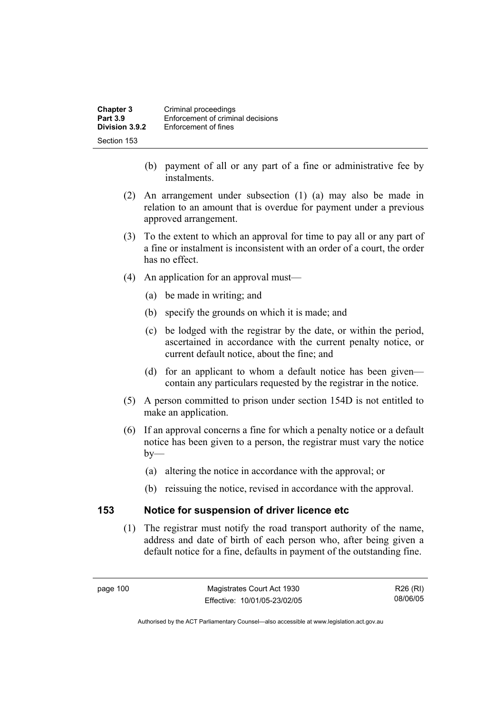| <b>Chapter 3</b> | Criminal proceedings              |
|------------------|-----------------------------------|
| <b>Part 3.9</b>  | Enforcement of criminal decisions |
| Division 3.9.2   | Enforcement of fines              |
| Section 153      |                                   |

- (b) payment of all or any part of a fine or administrative fee by instalments.
- (2) An arrangement under subsection (1) (a) may also be made in relation to an amount that is overdue for payment under a previous approved arrangement.
- (3) To the extent to which an approval for time to pay all or any part of a fine or instalment is inconsistent with an order of a court, the order has no effect.
- (4) An application for an approval must—
	- (a) be made in writing; and
	- (b) specify the grounds on which it is made; and
	- (c) be lodged with the registrar by the date, or within the period, ascertained in accordance with the current penalty notice, or current default notice, about the fine; and
	- (d) for an applicant to whom a default notice has been given contain any particulars requested by the registrar in the notice.
- (5) A person committed to prison under section 154D is not entitled to make an application.
- (6) If an approval concerns a fine for which a penalty notice or a default notice has been given to a person, the registrar must vary the notice  $by-$ 
	- (a) altering the notice in accordance with the approval; or
	- (b) reissuing the notice, revised in accordance with the approval.

## **153 Notice for suspension of driver licence etc**

 (1) The registrar must notify the road transport authority of the name, address and date of birth of each person who, after being given a default notice for a fine, defaults in payment of the outstanding fine.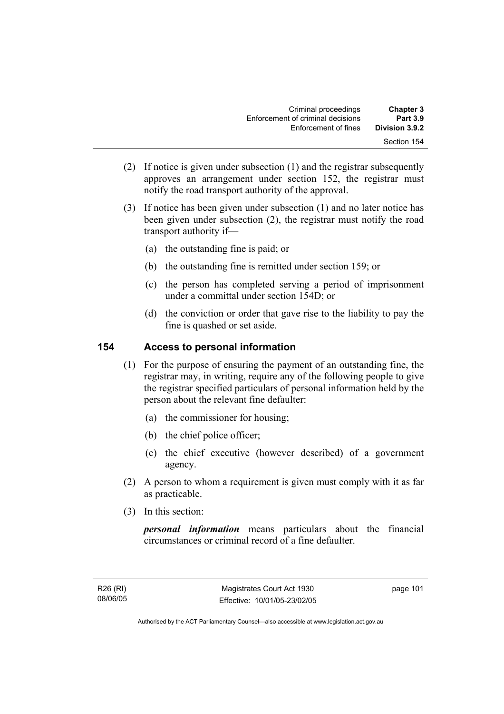| <b>Chapter 3</b><br><b>Part 3.9</b> | Criminal proceedings<br>Enforcement of criminal decisions |
|-------------------------------------|-----------------------------------------------------------|
| Division 3.9.2                      | Enforcement of fines                                      |
| Section 154                         |                                                           |

- (2) If notice is given under subsection (1) and the registrar subsequently approves an arrangement under section 152, the registrar must notify the road transport authority of the approval.
- (3) If notice has been given under subsection (1) and no later notice has been given under subsection (2), the registrar must notify the road transport authority if—
	- (a) the outstanding fine is paid; or
	- (b) the outstanding fine is remitted under section 159; or
	- (c) the person has completed serving a period of imprisonment under a committal under section 154D; or
	- (d) the conviction or order that gave rise to the liability to pay the fine is quashed or set aside.

## **154 Access to personal information**

- (1) For the purpose of ensuring the payment of an outstanding fine, the registrar may, in writing, require any of the following people to give the registrar specified particulars of personal information held by the person about the relevant fine defaulter:
	- (a) the commissioner for housing;
	- (b) the chief police officer;
	- (c) the chief executive (however described) of a government agency.
- (2) A person to whom a requirement is given must comply with it as far as practicable.
- (3) In this section:

*personal information* means particulars about the financial circumstances or criminal record of a fine defaulter.

page 101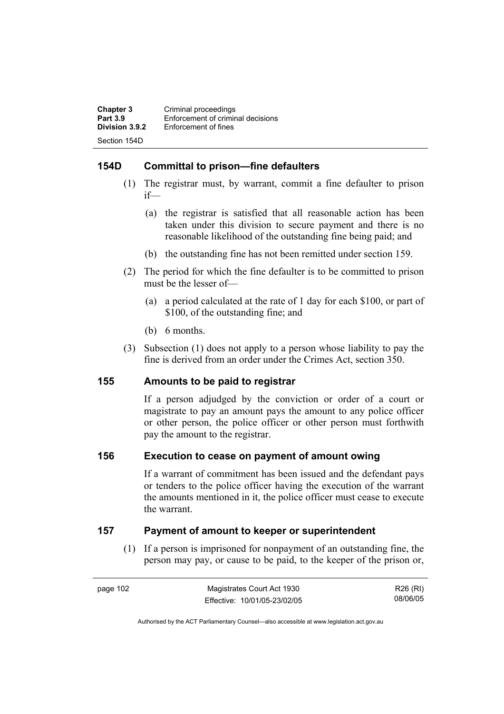| <b>Chapter 3</b> | Criminal proceedings              |
|------------------|-----------------------------------|
| <b>Part 3.9</b>  | Enforcement of criminal decisions |
| Division 3.9.2   | Enforcement of fines              |
| Section 154D     |                                   |

## **154D Committal to prison—fine defaulters**

- (1) The registrar must, by warrant, commit a fine defaulter to prison if—
	- (a) the registrar is satisfied that all reasonable action has been taken under this division to secure payment and there is no reasonable likelihood of the outstanding fine being paid; and
	- (b) the outstanding fine has not been remitted under section 159.
- (2) The period for which the fine defaulter is to be committed to prison must be the lesser of—
	- (a) a period calculated at the rate of 1 day for each \$100, or part of \$100, of the outstanding fine; and
	- (b) 6 months.
- (3) Subsection (1) does not apply to a person whose liability to pay the fine is derived from an order under the Crimes Act, section 350.

## **155 Amounts to be paid to registrar**

If a person adjudged by the conviction or order of a court or magistrate to pay an amount pays the amount to any police officer or other person, the police officer or other person must forthwith pay the amount to the registrar.

## **156 Execution to cease on payment of amount owing**

If a warrant of commitment has been issued and the defendant pays or tenders to the police officer having the execution of the warrant the amounts mentioned in it, the police officer must cease to execute the warrant.

## **157 Payment of amount to keeper or superintendent**

 (1) If a person is imprisoned for nonpayment of an outstanding fine, the person may pay, or cause to be paid, to the keeper of the prison or,

R26 (RI) 08/06/05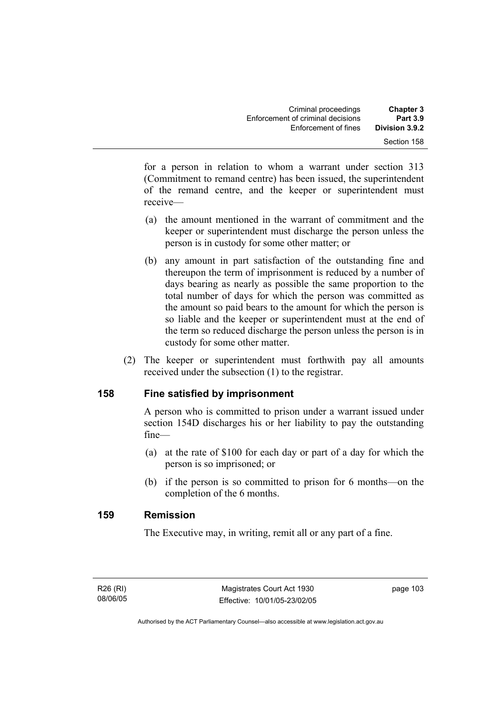for a person in relation to whom a warrant under section 313 (Commitment to remand centre) has been issued, the superintendent of the remand centre, and the keeper or superintendent must receive—

- (a) the amount mentioned in the warrant of commitment and the keeper or superintendent must discharge the person unless the person is in custody for some other matter; or
- (b) any amount in part satisfaction of the outstanding fine and thereupon the term of imprisonment is reduced by a number of days bearing as nearly as possible the same proportion to the total number of days for which the person was committed as the amount so paid bears to the amount for which the person is so liable and the keeper or superintendent must at the end of the term so reduced discharge the person unless the person is in custody for some other matter.
- (2) The keeper or superintendent must forthwith pay all amounts received under the subsection (1) to the registrar.

## **158 Fine satisfied by imprisonment**

A person who is committed to prison under a warrant issued under section 154D discharges his or her liability to pay the outstanding fine—

- (a) at the rate of \$100 for each day or part of a day for which the person is so imprisoned; or
- (b) if the person is so committed to prison for 6 months—on the completion of the 6 months.

## **159 Remission**

The Executive may, in writing, remit all or any part of a fine.

R26 (RI) 08/06/05 page 103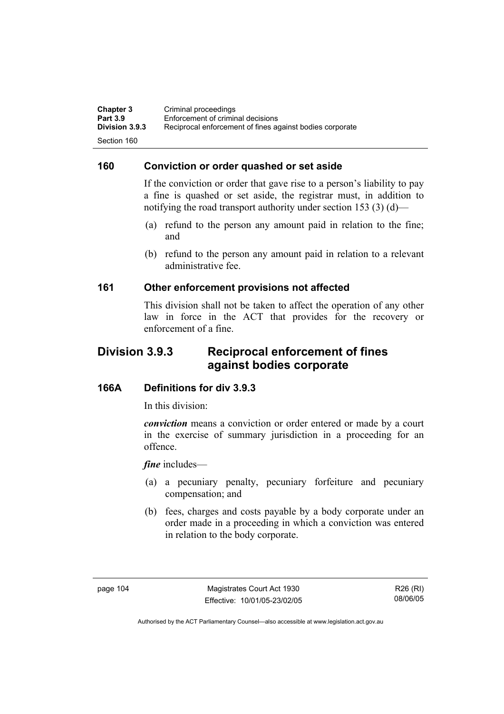**Chapter 3 Criminal proceedings**<br>**Part 3.9 Enforcement of criminal Part 3.9 Enforcement of criminal decisions**<br>**Division 3.9.3** Reciprocal enforcement of fines ad **Division 3.9.3** Reciprocal enforcement of fines against bodies corporate Section 160

## **160 Conviction or order quashed or set aside**

If the conviction or order that gave rise to a person's liability to pay a fine is quashed or set aside, the registrar must, in addition to notifying the road transport authority under section 153 (3) (d)—

- (a) refund to the person any amount paid in relation to the fine; and
- (b) refund to the person any amount paid in relation to a relevant administrative fee.

## **161 Other enforcement provisions not affected**

This division shall not be taken to affect the operation of any other law in force in the ACT that provides for the recovery or enforcement of a fine.

## **Division 3.9.3 Reciprocal enforcement of fines against bodies corporate**

## **166A Definitions for div 3.9.3**

In this division:

*conviction* means a conviction or order entered or made by a court in the exercise of summary jurisdiction in a proceeding for an offence.

*fine* includes—

- (a) a pecuniary penalty, pecuniary forfeiture and pecuniary compensation; and
- (b) fees, charges and costs payable by a body corporate under an order made in a proceeding in which a conviction was entered in relation to the body corporate.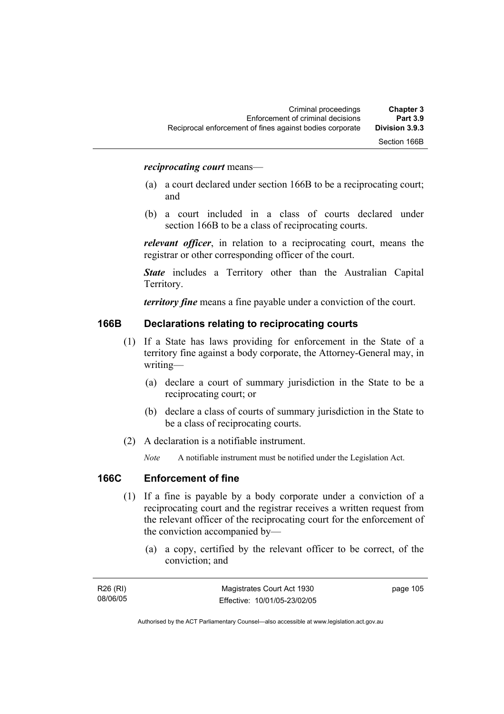#### *reciprocating court* means—

- (a) a court declared under section 166B to be a reciprocating court; and
- (b) a court included in a class of courts declared under section 166B to be a class of reciprocating courts.

*relevant officer*, in relation to a reciprocating court, means the registrar or other corresponding officer of the court.

*State* includes a Territory other than the Australian Capital Territory.

*territory fine* means a fine payable under a conviction of the court.

#### **166B Declarations relating to reciprocating courts**

- (1) If a State has laws providing for enforcement in the State of a territory fine against a body corporate, the Attorney-General may, in writing—
	- (a) declare a court of summary jurisdiction in the State to be a reciprocating court; or
	- (b) declare a class of courts of summary jurisdiction in the State to be a class of reciprocating courts.
- (2) A declaration is a notifiable instrument.

*Note* A notifiable instrument must be notified under the Legislation Act.

#### **166C Enforcement of fine**

- (1) If a fine is payable by a body corporate under a conviction of a reciprocating court and the registrar receives a written request from the relevant officer of the reciprocating court for the enforcement of the conviction accompanied by—
	- (a) a copy, certified by the relevant officer to be correct, of the conviction; and

| R26 (RI) | Magistrates Court Act 1930   | page 105 |
|----------|------------------------------|----------|
| 08/06/05 | Effective: 10/01/05-23/02/05 |          |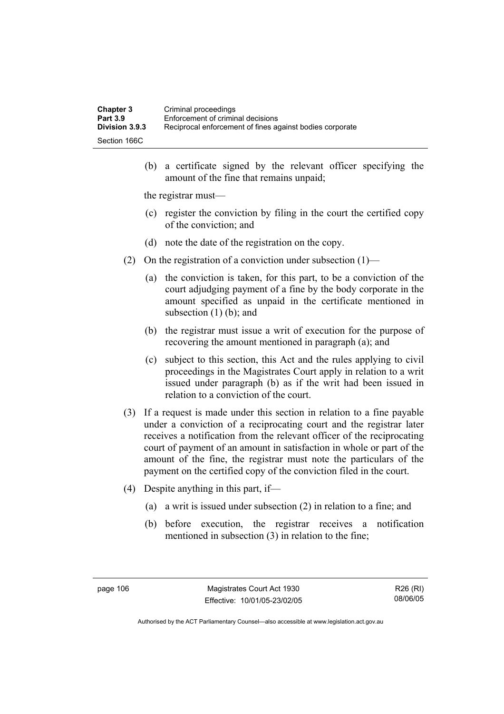| <b>Chapter 3</b> | Criminal proceedings                                     |
|------------------|----------------------------------------------------------|
| <b>Part 3.9</b>  | Enforcement of criminal decisions                        |
| Division 3.9.3   | Reciprocal enforcement of fines against bodies corporate |
| Section 166C     |                                                          |

 (b) a certificate signed by the relevant officer specifying the amount of the fine that remains unpaid;

the registrar must—

- (c) register the conviction by filing in the court the certified copy of the conviction; and
- (d) note the date of the registration on the copy.
- (2) On the registration of a conviction under subsection  $(1)$ 
	- (a) the conviction is taken, for this part, to be a conviction of the court adjudging payment of a fine by the body corporate in the amount specified as unpaid in the certificate mentioned in subsection  $(1)$  (b); and
	- (b) the registrar must issue a writ of execution for the purpose of recovering the amount mentioned in paragraph (a); and
	- (c) subject to this section, this Act and the rules applying to civil proceedings in the Magistrates Court apply in relation to a writ issued under paragraph (b) as if the writ had been issued in relation to a conviction of the court.
- (3) If a request is made under this section in relation to a fine payable under a conviction of a reciprocating court and the registrar later receives a notification from the relevant officer of the reciprocating court of payment of an amount in satisfaction in whole or part of the amount of the fine, the registrar must note the particulars of the payment on the certified copy of the conviction filed in the court.
- (4) Despite anything in this part, if—
	- (a) a writ is issued under subsection (2) in relation to a fine; and
	- (b) before execution, the registrar receives a notification mentioned in subsection (3) in relation to the fine;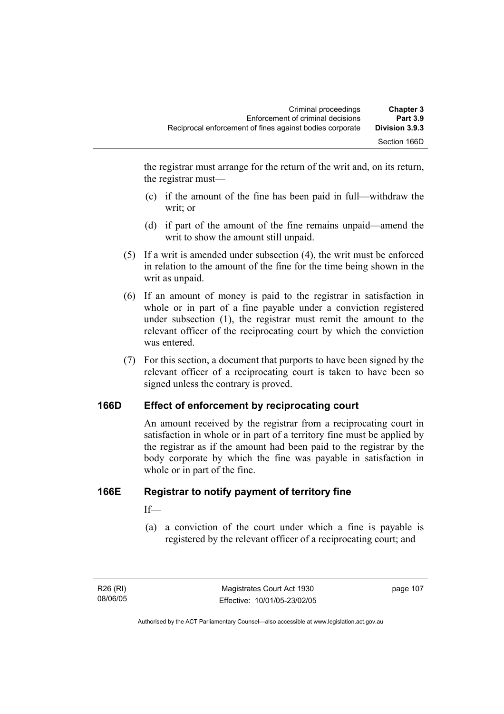the registrar must arrange for the return of the writ and, on its return, the registrar must—

- (c) if the amount of the fine has been paid in full—withdraw the writ; or
- (d) if part of the amount of the fine remains unpaid—amend the writ to show the amount still unpaid.
- (5) If a writ is amended under subsection (4), the writ must be enforced in relation to the amount of the fine for the time being shown in the writ as unpaid.
- (6) If an amount of money is paid to the registrar in satisfaction in whole or in part of a fine payable under a conviction registered under subsection (1), the registrar must remit the amount to the relevant officer of the reciprocating court by which the conviction was entered.
- (7) For this section, a document that purports to have been signed by the relevant officer of a reciprocating court is taken to have been so signed unless the contrary is proved.

## **166D Effect of enforcement by reciprocating court**

An amount received by the registrar from a reciprocating court in satisfaction in whole or in part of a territory fine must be applied by the registrar as if the amount had been paid to the registrar by the body corporate by which the fine was payable in satisfaction in whole or in part of the fine.

## **166E Registrar to notify payment of territory fine**

If—

 (a) a conviction of the court under which a fine is payable is registered by the relevant officer of a reciprocating court; and

page 107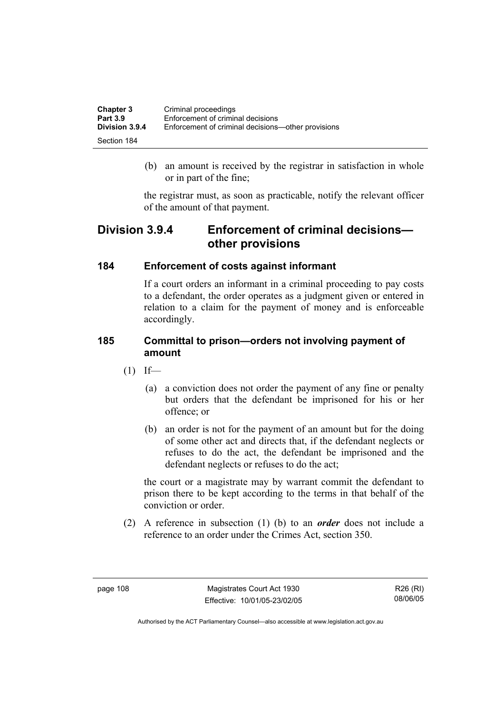| <b>Chapter 3</b> | Criminal proceedings                               |
|------------------|----------------------------------------------------|
| <b>Part 3.9</b>  | Enforcement of criminal decisions                  |
| Division 3.9.4   | Enforcement of criminal decisions—other provisions |
| Section 184      |                                                    |

 (b) an amount is received by the registrar in satisfaction in whole or in part of the fine;

the registrar must, as soon as practicable, notify the relevant officer of the amount of that payment.

## **Division 3.9.4 Enforcement of criminal decisions other provisions**

## **184 Enforcement of costs against informant**

If a court orders an informant in a criminal proceeding to pay costs to a defendant, the order operates as a judgment given or entered in relation to a claim for the payment of money and is enforceable accordingly.

## **185 Committal to prison—orders not involving payment of amount**

- $(1)$  If—
	- (a) a conviction does not order the payment of any fine or penalty but orders that the defendant be imprisoned for his or her offence; or
	- (b) an order is not for the payment of an amount but for the doing of some other act and directs that, if the defendant neglects or refuses to do the act, the defendant be imprisoned and the defendant neglects or refuses to do the act;

the court or a magistrate may by warrant commit the defendant to prison there to be kept according to the terms in that behalf of the conviction or order.

 (2) A reference in subsection (1) (b) to an *order* does not include a reference to an order under the Crimes Act, section 350.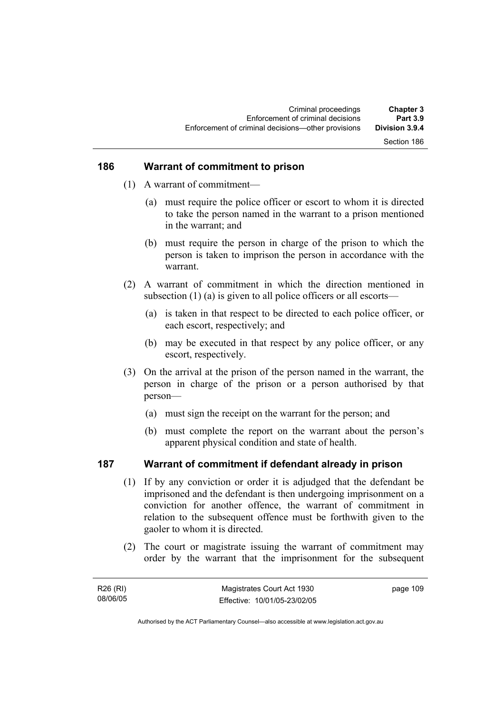## Section 186

#### **186 Warrant of commitment to prison**

- (1) A warrant of commitment—
	- (a) must require the police officer or escort to whom it is directed to take the person named in the warrant to a prison mentioned in the warrant; and
	- (b) must require the person in charge of the prison to which the person is taken to imprison the person in accordance with the warrant.
- (2) A warrant of commitment in which the direction mentioned in subsection (1) (a) is given to all police officers or all escorts—
	- (a) is taken in that respect to be directed to each police officer, or each escort, respectively; and
	- (b) may be executed in that respect by any police officer, or any escort, respectively.
- (3) On the arrival at the prison of the person named in the warrant, the person in charge of the prison or a person authorised by that person—
	- (a) must sign the receipt on the warrant for the person; and
	- (b) must complete the report on the warrant about the person's apparent physical condition and state of health.

## **187 Warrant of commitment if defendant already in prison**

- (1) If by any conviction or order it is adjudged that the defendant be imprisoned and the defendant is then undergoing imprisonment on a conviction for another offence, the warrant of commitment in relation to the subsequent offence must be forthwith given to the gaoler to whom it is directed.
- (2) The court or magistrate issuing the warrant of commitment may order by the warrant that the imprisonment for the subsequent

| R26 (RI) | Magistrates Court Act 1930   | page 109 |
|----------|------------------------------|----------|
| 08/06/05 | Effective: 10/01/05-23/02/05 |          |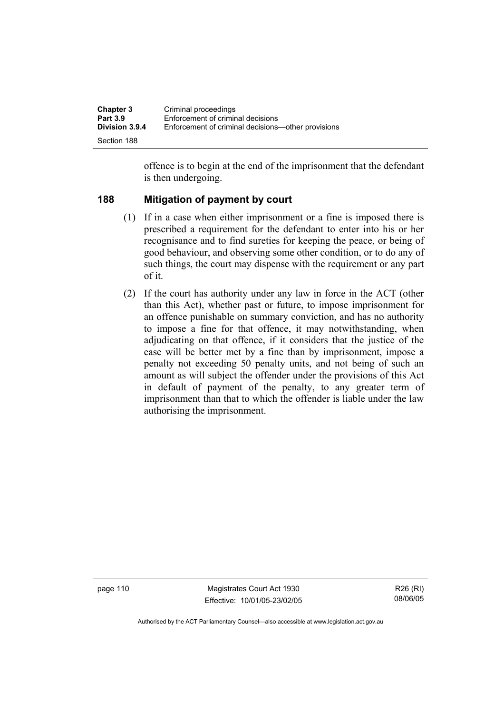| <b>Chapter 3</b><br><b>Part 3.9</b> | Criminal proceedings<br>Enforcement of criminal decisions |
|-------------------------------------|-----------------------------------------------------------|
| <b>Division 3.9.4</b>               | Enforcement of criminal decisions—other provisions        |
| Section 188                         |                                                           |

offence is to begin at the end of the imprisonment that the defendant is then undergoing.

## **188 Mitigation of payment by court**

- (1) If in a case when either imprisonment or a fine is imposed there is prescribed a requirement for the defendant to enter into his or her recognisance and to find sureties for keeping the peace, or being of good behaviour, and observing some other condition, or to do any of such things, the court may dispense with the requirement or any part of it.
- (2) If the court has authority under any law in force in the ACT (other than this Act), whether past or future, to impose imprisonment for an offence punishable on summary conviction, and has no authority to impose a fine for that offence, it may notwithstanding, when adjudicating on that offence, if it considers that the justice of the case will be better met by a fine than by imprisonment, impose a penalty not exceeding 50 penalty units, and not being of such an amount as will subject the offender under the provisions of this Act in default of payment of the penalty, to any greater term of imprisonment than that to which the offender is liable under the law authorising the imprisonment.

page 110 Magistrates Court Act 1930 Effective: 10/01/05-23/02/05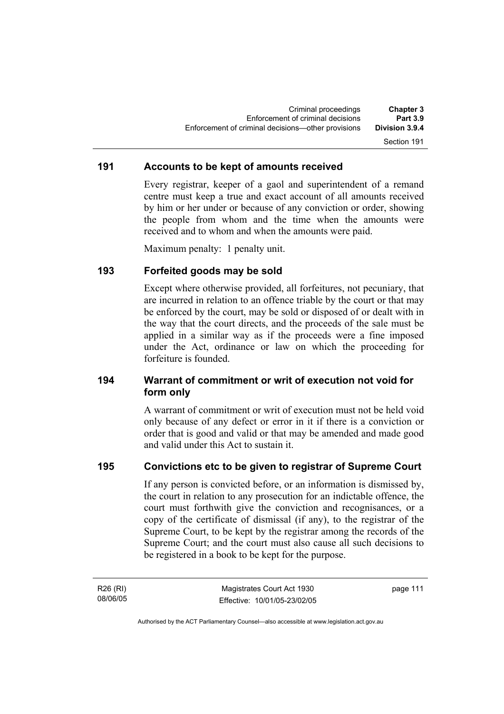### **191 Accounts to be kept of amounts received**

Every registrar, keeper of a gaol and superintendent of a remand centre must keep a true and exact account of all amounts received by him or her under or because of any conviction or order, showing the people from whom and the time when the amounts were received and to whom and when the amounts were paid.

Maximum penalty: 1 penalty unit.

## **193 Forfeited goods may be sold**

Except where otherwise provided, all forfeitures, not pecuniary, that are incurred in relation to an offence triable by the court or that may be enforced by the court, may be sold or disposed of or dealt with in the way that the court directs, and the proceeds of the sale must be applied in a similar way as if the proceeds were a fine imposed under the Act, ordinance or law on which the proceeding for forfeiture is founded.

## **194 Warrant of commitment or writ of execution not void for form only**

A warrant of commitment or writ of execution must not be held void only because of any defect or error in it if there is a conviction or order that is good and valid or that may be amended and made good and valid under this Act to sustain it.

#### **195 Convictions etc to be given to registrar of Supreme Court**

If any person is convicted before, or an information is dismissed by, the court in relation to any prosecution for an indictable offence, the court must forthwith give the conviction and recognisances, or a copy of the certificate of dismissal (if any), to the registrar of the Supreme Court, to be kept by the registrar among the records of the Supreme Court; and the court must also cause all such decisions to be registered in a book to be kept for the purpose.

R26 (RI) 08/06/05 page 111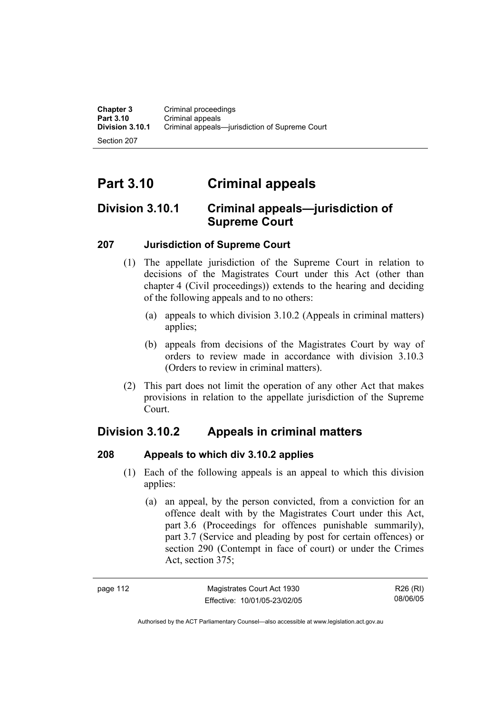Section 207

# **Part 3.10 Criminal appeals**

## **Division 3.10.1 Criminal appeals—jurisdiction of Supreme Court**

## **207 Jurisdiction of Supreme Court**

- (1) The appellate jurisdiction of the Supreme Court in relation to decisions of the Magistrates Court under this Act (other than chapter 4 (Civil proceedings)) extends to the hearing and deciding of the following appeals and to no others:
	- (a) appeals to which division 3.10.2 (Appeals in criminal matters) applies;
	- (b) appeals from decisions of the Magistrates Court by way of orders to review made in accordance with division 3.10.3 (Orders to review in criminal matters).
- (2) This part does not limit the operation of any other Act that makes provisions in relation to the appellate jurisdiction of the Supreme Court.

## **Division 3.10.2 Appeals in criminal matters**

## **208 Appeals to which div 3.10.2 applies**

- (1) Each of the following appeals is an appeal to which this division applies:
	- (a) an appeal, by the person convicted, from a conviction for an offence dealt with by the Magistrates Court under this Act, part 3.6 (Proceedings for offences punishable summarily), part 3.7 (Service and pleading by post for certain offences) or section 290 (Contempt in face of court) or under the Crimes Act, section 375;

| page 112 | Magistrates Court Act 1930   | R26 (RI) |
|----------|------------------------------|----------|
|          | Effective: 10/01/05-23/02/05 | 08/06/05 |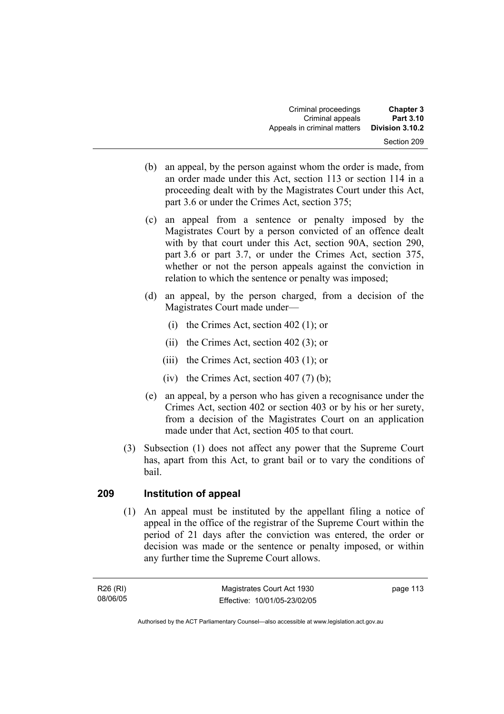| <b>Chapter 3</b><br>Part 3.10 | Criminal proceedings<br>Criminal appeals |
|-------------------------------|------------------------------------------|
| Division 3.10.2               | Appeals in criminal matters              |
| Section 209                   |                                          |

- (b) an appeal, by the person against whom the order is made, from an order made under this Act, section 113 or section 114 in a proceeding dealt with by the Magistrates Court under this Act, part 3.6 or under the Crimes Act, section 375;
- (c) an appeal from a sentence or penalty imposed by the Magistrates Court by a person convicted of an offence dealt with by that court under this Act, section 90A, section 290, part 3.6 or part 3.7, or under the Crimes Act, section 375, whether or not the person appeals against the conviction in relation to which the sentence or penalty was imposed;
- (d) an appeal, by the person charged, from a decision of the Magistrates Court made under—
	- (i) the Crimes Act, section 402 (1); or
	- (ii) the Crimes Act, section 402 (3); or
	- (iii) the Crimes Act, section 403 (1); or
	- (iv) the Crimes Act, section  $407(7)$  (b);
- (e) an appeal, by a person who has given a recognisance under the Crimes Act, section 402 or section 403 or by his or her surety, from a decision of the Magistrates Court on an application made under that Act, section 405 to that court.
- (3) Subsection (1) does not affect any power that the Supreme Court has, apart from this Act, to grant bail or to vary the conditions of bail.

## **209 Institution of appeal**

 (1) An appeal must be instituted by the appellant filing a notice of appeal in the office of the registrar of the Supreme Court within the period of 21 days after the conviction was entered, the order or decision was made or the sentence or penalty imposed, or within any further time the Supreme Court allows.

R26 (RI) 08/06/05 page 113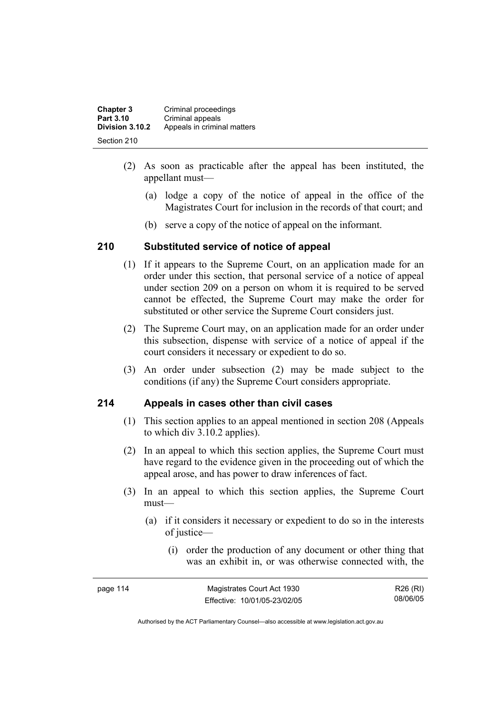| <b>Chapter 3</b> | Criminal proceedings        |
|------------------|-----------------------------|
| Part 3.10        | Criminal appeals            |
| Division 3.10.2  | Appeals in criminal matters |
| Section 210      |                             |

- (2) As soon as practicable after the appeal has been instituted, the appellant must—
	- (a) lodge a copy of the notice of appeal in the office of the Magistrates Court for inclusion in the records of that court; and
	- (b) serve a copy of the notice of appeal on the informant.

## **210 Substituted service of notice of appeal**

- (1) If it appears to the Supreme Court, on an application made for an order under this section, that personal service of a notice of appeal under section 209 on a person on whom it is required to be served cannot be effected, the Supreme Court may make the order for substituted or other service the Supreme Court considers just.
- (2) The Supreme Court may, on an application made for an order under this subsection, dispense with service of a notice of appeal if the court considers it necessary or expedient to do so.
- (3) An order under subsection (2) may be made subject to the conditions (if any) the Supreme Court considers appropriate.

## **214 Appeals in cases other than civil cases**

- (1) This section applies to an appeal mentioned in section 208 (Appeals to which div 3.10.2 applies).
- (2) In an appeal to which this section applies, the Supreme Court must have regard to the evidence given in the proceeding out of which the appeal arose, and has power to draw inferences of fact.
- (3) In an appeal to which this section applies, the Supreme Court must—
	- (a) if it considers it necessary or expedient to do so in the interests of justice—
		- (i) order the production of any document or other thing that was an exhibit in, or was otherwise connected with, the

| page 114 | Magistrates Court Act 1930   | R26 (RI) |
|----------|------------------------------|----------|
|          | Effective: 10/01/05-23/02/05 | 08/06/05 |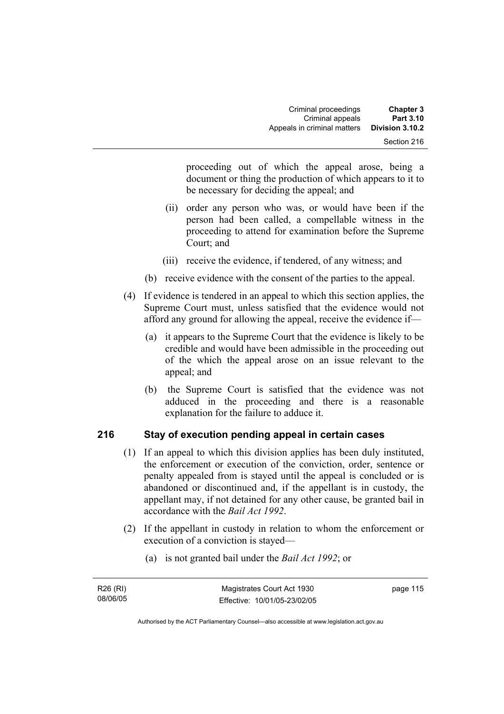| <b>Chapter 3</b>               | Criminal proceedings        |
|--------------------------------|-----------------------------|
| Part 3.10                      | Criminal appeals            |
| Division 3.10.2<br>Section 216 | Appeals in criminal matters |

proceeding out of which the appeal arose, being a document or thing the production of which appears to it to be necessary for deciding the appeal; and

- (ii) order any person who was, or would have been if the person had been called, a compellable witness in the proceeding to attend for examination before the Supreme Court; and
- (iii) receive the evidence, if tendered, of any witness; and
- (b) receive evidence with the consent of the parties to the appeal.
- (4) If evidence is tendered in an appeal to which this section applies, the Supreme Court must, unless satisfied that the evidence would not afford any ground for allowing the appeal, receive the evidence if—
	- (a) it appears to the Supreme Court that the evidence is likely to be credible and would have been admissible in the proceeding out of the which the appeal arose on an issue relevant to the appeal; and
	- (b) the Supreme Court is satisfied that the evidence was not adduced in the proceeding and there is a reasonable explanation for the failure to adduce it.

## **216 Stay of execution pending appeal in certain cases**

- (1) If an appeal to which this division applies has been duly instituted, the enforcement or execution of the conviction, order, sentence or penalty appealed from is stayed until the appeal is concluded or is abandoned or discontinued and, if the appellant is in custody, the appellant may, if not detained for any other cause, be granted bail in accordance with the *Bail Act 1992*.
- (2) If the appellant in custody in relation to whom the enforcement or execution of a conviction is stayed—
	- (a) is not granted bail under the *Bail Act 1992*; or

| R26 (RI) | Magistrates Court Act 1930   | page 115 |
|----------|------------------------------|----------|
| 08/06/05 | Effective: 10/01/05-23/02/05 |          |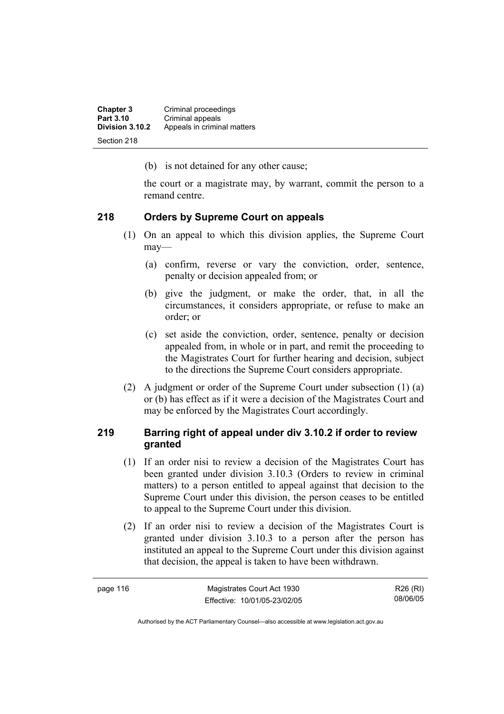**Chapter 3 Criminal proceedings**<br>**Part 3.10 Criminal appeals Part 3.10 Criminal appeals**<br>**Division 3.10.2** Appeals in crimin **Division 3.10.2** Appeals in criminal matters Section 218

(b) is not detained for any other cause;

the court or a magistrate may, by warrant, commit the person to a remand centre.

## **218 Orders by Supreme Court on appeals**

- (1) On an appeal to which this division applies, the Supreme Court may—
	- (a) confirm, reverse or vary the conviction, order, sentence, penalty or decision appealed from; or
	- (b) give the judgment, or make the order, that, in all the circumstances, it considers appropriate, or refuse to make an order; or
	- (c) set aside the conviction, order, sentence, penalty or decision appealed from, in whole or in part, and remit the proceeding to the Magistrates Court for further hearing and decision, subject to the directions the Supreme Court considers appropriate.
- (2) A judgment or order of the Supreme Court under subsection (1) (a) or (b) has effect as if it were a decision of the Magistrates Court and may be enforced by the Magistrates Court accordingly.

## **219 Barring right of appeal under div 3.10.2 if order to review granted**

- (1) If an order nisi to review a decision of the Magistrates Court has been granted under division 3.10.3 (Orders to review in criminal matters) to a person entitled to appeal against that decision to the Supreme Court under this division, the person ceases to be entitled to appeal to the Supreme Court under this division.
- (2) If an order nisi to review a decision of the Magistrates Court is granted under division 3.10.3 to a person after the person has instituted an appeal to the Supreme Court under this division against that decision, the appeal is taken to have been withdrawn.

| page 116 | Magistrates Court Act 1930   | R26 (RI) |
|----------|------------------------------|----------|
|          | Effective: 10/01/05-23/02/05 | 08/06/05 |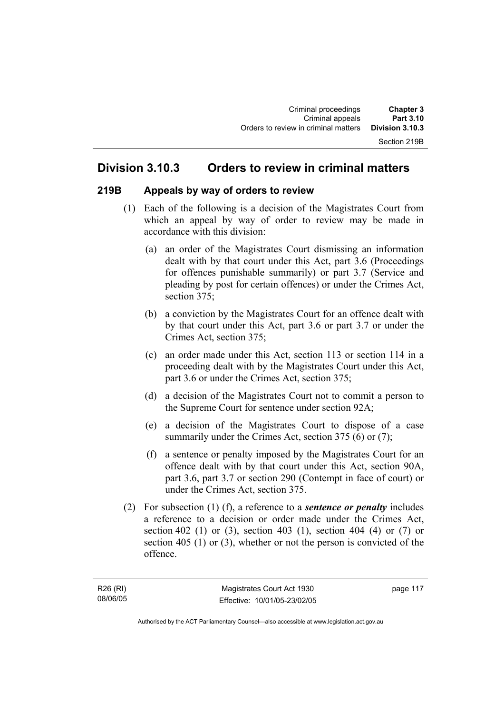## **Division 3.10.3 Orders to review in criminal matters**

## **219B Appeals by way of orders to review**

- (1) Each of the following is a decision of the Magistrates Court from which an appeal by way of order to review may be made in accordance with this division:
	- (a) an order of the Magistrates Court dismissing an information dealt with by that court under this Act, part 3.6 (Proceedings for offences punishable summarily) or part 3.7 (Service and pleading by post for certain offences) or under the Crimes Act, section 375;
	- (b) a conviction by the Magistrates Court for an offence dealt with by that court under this Act, part 3.6 or part 3.7 or under the Crimes Act, section 375;
	- (c) an order made under this Act, section 113 or section 114 in a proceeding dealt with by the Magistrates Court under this Act, part 3.6 or under the Crimes Act, section 375;
	- (d) a decision of the Magistrates Court not to commit a person to the Supreme Court for sentence under section 92A;
	- (e) a decision of the Magistrates Court to dispose of a case summarily under the Crimes Act, section 375 (6) or (7);
	- (f) a sentence or penalty imposed by the Magistrates Court for an offence dealt with by that court under this Act, section 90A, part 3.6, part 3.7 or section 290 (Contempt in face of court) or under the Crimes Act, section 375.
- (2) For subsection (1) (f), a reference to a *sentence or penalty* includes a reference to a decision or order made under the Crimes Act, section 402 (1) or (3), section 403 (1), section 404 (4) or (7) or section 405 (1) or (3), whether or not the person is convicted of the offence.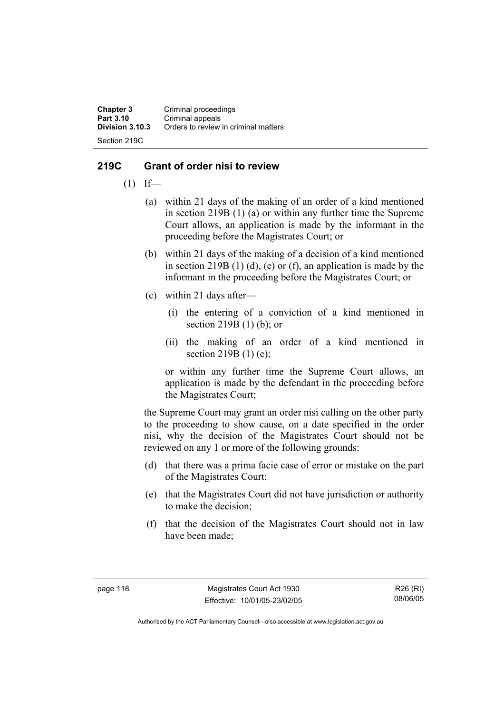**Chapter 3 Criminal proceedings**<br>**Part 3.10 Criminal anneals Part 3.10 Criminal appeals**<br>**Division 3.10.3** Orders to review **Division 3.10.3** Orders to review in criminal matters Section 219C

## **219C Grant of order nisi to review**

- $(1)$  If—
	- (a) within 21 days of the making of an order of a kind mentioned in section 219B (1) (a) or within any further time the Supreme Court allows, an application is made by the informant in the proceeding before the Magistrates Court; or
	- (b) within 21 days of the making of a decision of a kind mentioned in section 219B  $(1)$   $(d)$ ,  $(e)$  or  $(f)$ , an application is made by the informant in the proceeding before the Magistrates Court; or
	- (c) within 21 days after—
		- (i) the entering of a conviction of a kind mentioned in section 219B (1) (b); or
		- (ii) the making of an order of a kind mentioned in section 219B (1) (c);

or within any further time the Supreme Court allows, an application is made by the defendant in the proceeding before the Magistrates Court;

the Supreme Court may grant an order nisi calling on the other party to the proceeding to show cause, on a date specified in the order nisi, why the decision of the Magistrates Court should not be reviewed on any 1 or more of the following grounds:

- (d) that there was a prima facie case of error or mistake on the part of the Magistrates Court;
- (e) that the Magistrates Court did not have jurisdiction or authority to make the decision;
- (f) that the decision of the Magistrates Court should not in law have been made;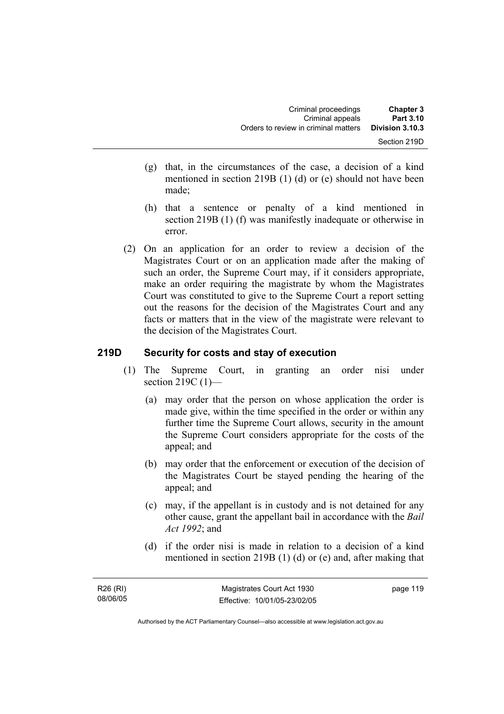| <b>Chapter 3</b><br>Part 3.10   | Criminal proceedings<br>Criminal appeals |
|---------------------------------|------------------------------------------|
| Division 3.10.3<br>Section 219D | Orders to review in criminal matters     |
|                                 |                                          |

- (g) that, in the circumstances of the case, a decision of a kind mentioned in section 219B (1) (d) or (e) should not have been made;
- (h) that a sentence or penalty of a kind mentioned in section 219B (1) (f) was manifestly inadequate or otherwise in error.
- (2) On an application for an order to review a decision of the Magistrates Court or on an application made after the making of such an order, the Supreme Court may, if it considers appropriate, make an order requiring the magistrate by whom the Magistrates Court was constituted to give to the Supreme Court a report setting out the reasons for the decision of the Magistrates Court and any facts or matters that in the view of the magistrate were relevant to the decision of the Magistrates Court.

## **219D Security for costs and stay of execution**

- (1) The Supreme Court, in granting an order nisi under section 219C (1)-
	- (a) may order that the person on whose application the order is made give, within the time specified in the order or within any further time the Supreme Court allows, security in the amount the Supreme Court considers appropriate for the costs of the appeal; and
	- (b) may order that the enforcement or execution of the decision of the Magistrates Court be stayed pending the hearing of the appeal; and
	- (c) may, if the appellant is in custody and is not detained for any other cause, grant the appellant bail in accordance with the *Bail Act 1992*; and
	- (d) if the order nisi is made in relation to a decision of a kind mentioned in section 219B (1) (d) or (e) and, after making that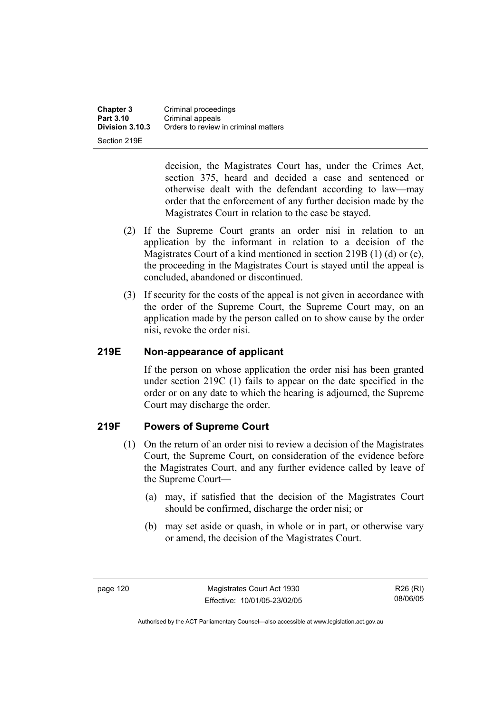**Chapter 3 Criminal proceedings**<br>**Part 3.10 Criminal appeals Part 3.10 Criminal appeals**<br>**Division 3.10.3** Orders to review **Division 3.10.3** Orders to review in criminal matters Section 219E

> decision, the Magistrates Court has, under the Crimes Act, section 375, heard and decided a case and sentenced or otherwise dealt with the defendant according to law—may order that the enforcement of any further decision made by the Magistrates Court in relation to the case be stayed.

- (2) If the Supreme Court grants an order nisi in relation to an application by the informant in relation to a decision of the Magistrates Court of a kind mentioned in section 219B (1) (d) or (e), the proceeding in the Magistrates Court is stayed until the appeal is concluded, abandoned or discontinued.
- (3) If security for the costs of the appeal is not given in accordance with the order of the Supreme Court, the Supreme Court may, on an application made by the person called on to show cause by the order nisi, revoke the order nisi.

## **219E Non-appearance of applicant**

If the person on whose application the order nisi has been granted under section 219C (1) fails to appear on the date specified in the order or on any date to which the hearing is adjourned, the Supreme Court may discharge the order.

## **219F Powers of Supreme Court**

- (1) On the return of an order nisi to review a decision of the Magistrates Court, the Supreme Court, on consideration of the evidence before the Magistrates Court, and any further evidence called by leave of the Supreme Court—
	- (a) may, if satisfied that the decision of the Magistrates Court should be confirmed, discharge the order nisi; or
	- (b) may set aside or quash, in whole or in part, or otherwise vary or amend, the decision of the Magistrates Court.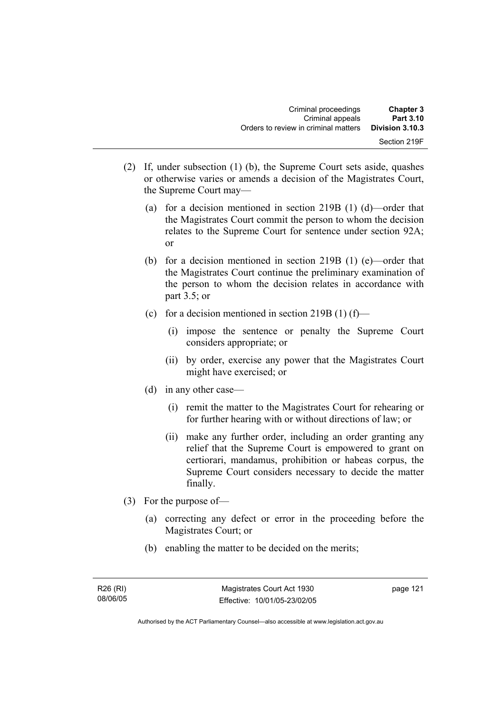- (2) If, under subsection (1) (b), the Supreme Court sets aside, quashes or otherwise varies or amends a decision of the Magistrates Court, the Supreme Court may—
	- (a) for a decision mentioned in section 219B (1) (d)—order that the Magistrates Court commit the person to whom the decision relates to the Supreme Court for sentence under section 92A; or
	- (b) for a decision mentioned in section 219B (1) (e)—order that the Magistrates Court continue the preliminary examination of the person to whom the decision relates in accordance with part 3.5; or
	- (c) for a decision mentioned in section  $219B(1)$  (f)—
		- (i) impose the sentence or penalty the Supreme Court considers appropriate; or
		- (ii) by order, exercise any power that the Magistrates Court might have exercised; or
	- (d) in any other case—
		- (i) remit the matter to the Magistrates Court for rehearing or for further hearing with or without directions of law; or
		- (ii) make any further order, including an order granting any relief that the Supreme Court is empowered to grant on certiorari, mandamus, prohibition or habeas corpus, the Supreme Court considers necessary to decide the matter finally.
- (3) For the purpose of—
	- (a) correcting any defect or error in the proceeding before the Magistrates Court; or
	- (b) enabling the matter to be decided on the merits;

page 121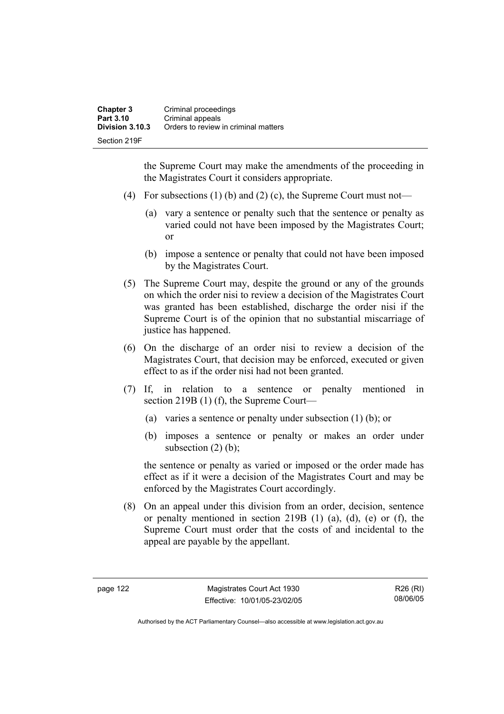the Supreme Court may make the amendments of the proceeding in the Magistrates Court it considers appropriate.

- (4) For subsections (1) (b) and (2) (c), the Supreme Court must not—
	- (a) vary a sentence or penalty such that the sentence or penalty as varied could not have been imposed by the Magistrates Court; or
	- (b) impose a sentence or penalty that could not have been imposed by the Magistrates Court.
- (5) The Supreme Court may, despite the ground or any of the grounds on which the order nisi to review a decision of the Magistrates Court was granted has been established, discharge the order nisi if the Supreme Court is of the opinion that no substantial miscarriage of justice has happened.
- (6) On the discharge of an order nisi to review a decision of the Magistrates Court, that decision may be enforced, executed or given effect to as if the order nisi had not been granted.
- (7) If, in relation to a sentence or penalty mentioned in section 219B (1) (f), the Supreme Court—
	- (a) varies a sentence or penalty under subsection (1) (b); or
	- (b) imposes a sentence or penalty or makes an order under subsection  $(2)$  (b);

the sentence or penalty as varied or imposed or the order made has effect as if it were a decision of the Magistrates Court and may be enforced by the Magistrates Court accordingly.

 (8) On an appeal under this division from an order, decision, sentence or penalty mentioned in section 219B (1) (a), (d), (e) or (f), the Supreme Court must order that the costs of and incidental to the appeal are payable by the appellant.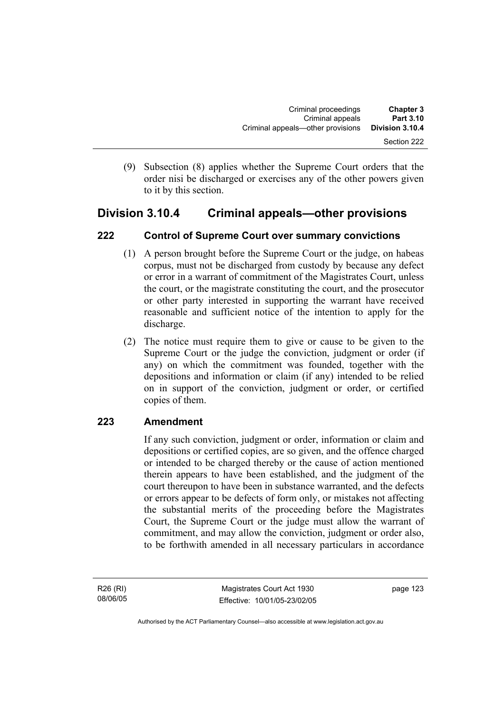(9) Subsection (8) applies whether the Supreme Court orders that the order nisi be discharged or exercises any of the other powers given to it by this section.

## **Division 3.10.4 Criminal appeals—other provisions**

## **222 Control of Supreme Court over summary convictions**

- (1) A person brought before the Supreme Court or the judge, on habeas corpus, must not be discharged from custody by because any defect or error in a warrant of commitment of the Magistrates Court, unless the court, or the magistrate constituting the court, and the prosecutor or other party interested in supporting the warrant have received reasonable and sufficient notice of the intention to apply for the discharge.
- (2) The notice must require them to give or cause to be given to the Supreme Court or the judge the conviction, judgment or order (if any) on which the commitment was founded, together with the depositions and information or claim (if any) intended to be relied on in support of the conviction, judgment or order, or certified copies of them.

## **223 Amendment**

If any such conviction, judgment or order, information or claim and depositions or certified copies, are so given, and the offence charged or intended to be charged thereby or the cause of action mentioned therein appears to have been established, and the judgment of the court thereupon to have been in substance warranted, and the defects or errors appear to be defects of form only, or mistakes not affecting the substantial merits of the proceeding before the Magistrates Court, the Supreme Court or the judge must allow the warrant of commitment, and may allow the conviction, judgment or order also, to be forthwith amended in all necessary particulars in accordance

R26 (RI) 08/06/05 page 123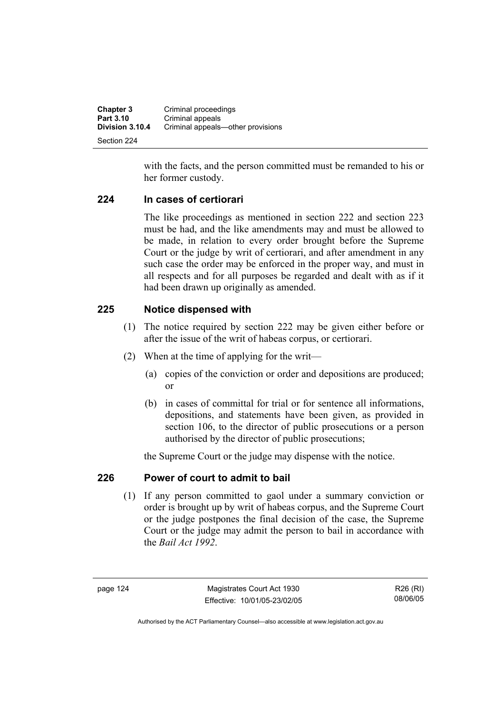| <b>Chapter 3</b> | Criminal proceedings              |
|------------------|-----------------------------------|
| Part 3.10        | Criminal appeals                  |
| Division 3.10.4  | Criminal appeals—other provisions |
| Section 224      |                                   |

with the facts, and the person committed must be remanded to his or her former custody.

#### **224 In cases of certiorari**

The like proceedings as mentioned in section 222 and section 223 must be had, and the like amendments may and must be allowed to be made, in relation to every order brought before the Supreme Court or the judge by writ of certiorari, and after amendment in any such case the order may be enforced in the proper way, and must in all respects and for all purposes be regarded and dealt with as if it had been drawn up originally as amended.

## **225 Notice dispensed with**

- (1) The notice required by section 222 may be given either before or after the issue of the writ of habeas corpus, or certiorari.
- (2) When at the time of applying for the writ—
	- (a) copies of the conviction or order and depositions are produced; or
	- (b) in cases of committal for trial or for sentence all informations, depositions, and statements have been given, as provided in section 106, to the director of public prosecutions or a person authorised by the director of public prosecutions;

the Supreme Court or the judge may dispense with the notice.

## **226 Power of court to admit to bail**

 (1) If any person committed to gaol under a summary conviction or order is brought up by writ of habeas corpus, and the Supreme Court or the judge postpones the final decision of the case, the Supreme Court or the judge may admit the person to bail in accordance with the *Bail Act 1992*.

page 124 Magistrates Court Act 1930 Effective: 10/01/05-23/02/05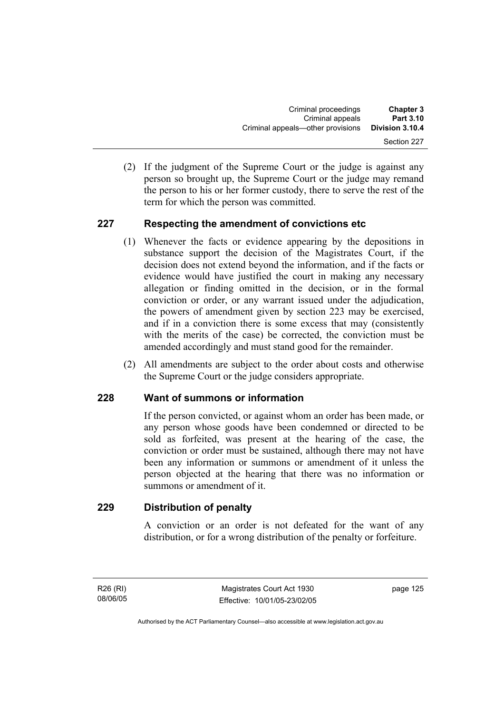(2) If the judgment of the Supreme Court or the judge is against any person so brought up, the Supreme Court or the judge may remand the person to his or her former custody, there to serve the rest of the term for which the person was committed.

## **227 Respecting the amendment of convictions etc**

- (1) Whenever the facts or evidence appearing by the depositions in substance support the decision of the Magistrates Court, if the decision does not extend beyond the information, and if the facts or evidence would have justified the court in making any necessary allegation or finding omitted in the decision, or in the formal conviction or order, or any warrant issued under the adjudication, the powers of amendment given by section 223 may be exercised, and if in a conviction there is some excess that may (consistently with the merits of the case) be corrected, the conviction must be amended accordingly and must stand good for the remainder.
- (2) All amendments are subject to the order about costs and otherwise the Supreme Court or the judge considers appropriate.

## **228 Want of summons or information**

If the person convicted, or against whom an order has been made, or any person whose goods have been condemned or directed to be sold as forfeited, was present at the hearing of the case, the conviction or order must be sustained, although there may not have been any information or summons or amendment of it unless the person objected at the hearing that there was no information or summons or amendment of it.

## **229 Distribution of penalty**

A conviction or an order is not defeated for the want of any distribution, or for a wrong distribution of the penalty or forfeiture.

R26 (RI) 08/06/05 page 125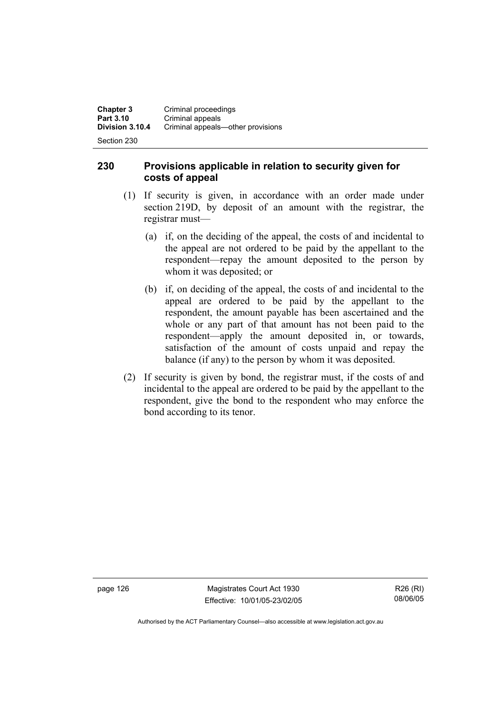Section 230

## **230 Provisions applicable in relation to security given for costs of appeal**

- (1) If security is given, in accordance with an order made under section 219D, by deposit of an amount with the registrar, the registrar must—
	- (a) if, on the deciding of the appeal, the costs of and incidental to the appeal are not ordered to be paid by the appellant to the respondent—repay the amount deposited to the person by whom it was deposited; or
	- (b) if, on deciding of the appeal, the costs of and incidental to the appeal are ordered to be paid by the appellant to the respondent, the amount payable has been ascertained and the whole or any part of that amount has not been paid to the respondent—apply the amount deposited in, or towards, satisfaction of the amount of costs unpaid and repay the balance (if any) to the person by whom it was deposited.
- (2) If security is given by bond, the registrar must, if the costs of and incidental to the appeal are ordered to be paid by the appellant to the respondent, give the bond to the respondent who may enforce the bond according to its tenor.

page 126 Magistrates Court Act 1930 Effective: 10/01/05-23/02/05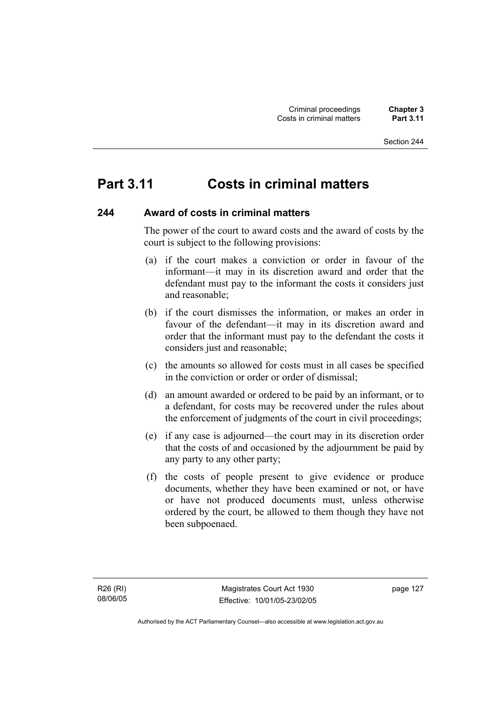#### Section 244

# **Part 3.11 Costs in criminal matters**

#### **244 Award of costs in criminal matters**

The power of the court to award costs and the award of costs by the court is subject to the following provisions:

- (a) if the court makes a conviction or order in favour of the informant—it may in its discretion award and order that the defendant must pay to the informant the costs it considers just and reasonable;
- (b) if the court dismisses the information, or makes an order in favour of the defendant—it may in its discretion award and order that the informant must pay to the defendant the costs it considers just and reasonable;
- (c) the amounts so allowed for costs must in all cases be specified in the conviction or order or order of dismissal;
- (d) an amount awarded or ordered to be paid by an informant, or to a defendant, for costs may be recovered under the rules about the enforcement of judgments of the court in civil proceedings;
- (e) if any case is adjourned—the court may in its discretion order that the costs of and occasioned by the adjournment be paid by any party to any other party;
- (f) the costs of people present to give evidence or produce documents, whether they have been examined or not, or have or have not produced documents must, unless otherwise ordered by the court, be allowed to them though they have not been subpoenaed.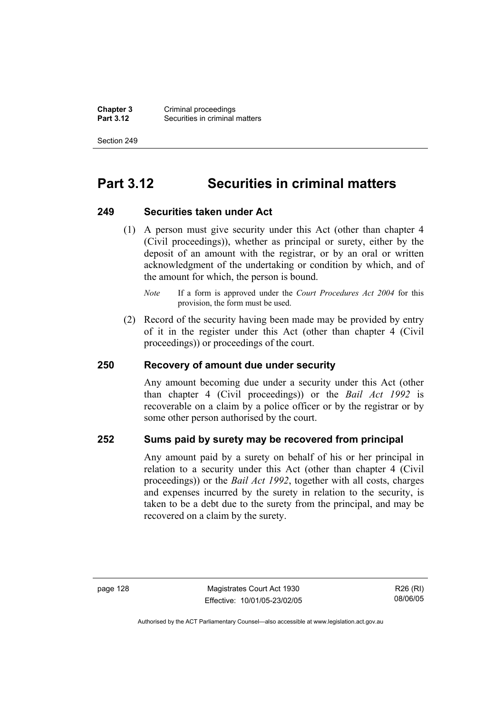**Chapter 3** Criminal proceedings<br>**Part 3.12** Securities in criminal **Securities in criminal matters** 

Section 249

# **Part 3.12 Securities in criminal matters**

#### **249 Securities taken under Act**

 (1) A person must give security under this Act (other than chapter 4 (Civil proceedings)), whether as principal or surety, either by the deposit of an amount with the registrar, or by an oral or written acknowledgment of the undertaking or condition by which, and of the amount for which, the person is bound.

 (2) Record of the security having been made may be provided by entry of it in the register under this Act (other than chapter 4 (Civil proceedings)) or proceedings of the court.

## **250 Recovery of amount due under security**

Any amount becoming due under a security under this Act (other than chapter 4 (Civil proceedings)) or the *Bail Act 1992* is recoverable on a claim by a police officer or by the registrar or by some other person authorised by the court.

## **252 Sums paid by surety may be recovered from principal**

Any amount paid by a surety on behalf of his or her principal in relation to a security under this Act (other than chapter 4 (Civil proceedings)) or the *Bail Act 1992*, together with all costs, charges and expenses incurred by the surety in relation to the security, is taken to be a debt due to the surety from the principal, and may be recovered on a claim by the surety.

*Note* If a form is approved under the *Court Procedures Act 2004* for this provision, the form must be used.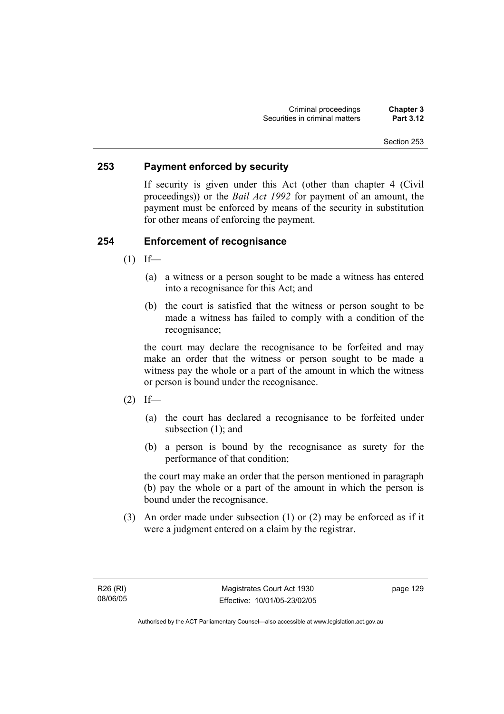#### **253 Payment enforced by security**

If security is given under this Act (other than chapter 4 (Civil proceedings)) or the *Bail Act 1992* for payment of an amount, the payment must be enforced by means of the security in substitution for other means of enforcing the payment.

### **254 Enforcement of recognisance**

- $(1)$  If—
	- (a) a witness or a person sought to be made a witness has entered into a recognisance for this Act; and
	- (b) the court is satisfied that the witness or person sought to be made a witness has failed to comply with a condition of the recognisance;

the court may declare the recognisance to be forfeited and may make an order that the witness or person sought to be made a witness pay the whole or a part of the amount in which the witness or person is bound under the recognisance.

- $(2)$  If—
	- (a) the court has declared a recognisance to be forfeited under subsection (1); and
	- (b) a person is bound by the recognisance as surety for the performance of that condition;

the court may make an order that the person mentioned in paragraph (b) pay the whole or a part of the amount in which the person is bound under the recognisance.

 (3) An order made under subsection (1) or (2) may be enforced as if it were a judgment entered on a claim by the registrar.

R26 (RI) 08/06/05 page 129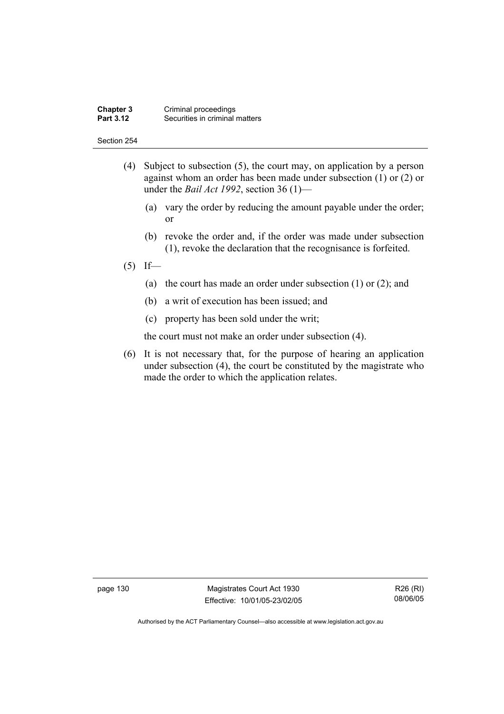#### **Chapter 3** Criminal proceedings<br>**Part 3.12** Securities in criminal **Securities in criminal matters**

#### Section 254

- (4) Subject to subsection (5), the court may, on application by a person against whom an order has been made under subsection (1) or (2) or under the *Bail Act 1992*, section 36 (1)—
	- (a) vary the order by reducing the amount payable under the order; or
	- (b) revoke the order and, if the order was made under subsection (1), revoke the declaration that the recognisance is forfeited.
- $(5)$  If—
	- (a) the court has made an order under subsection (1) or (2); and
	- (b) a writ of execution has been issued; and
	- (c) property has been sold under the writ;

the court must not make an order under subsection (4).

 (6) It is not necessary that, for the purpose of hearing an application under subsection (4), the court be constituted by the magistrate who made the order to which the application relates.

page 130 Magistrates Court Act 1930 Effective: 10/01/05-23/02/05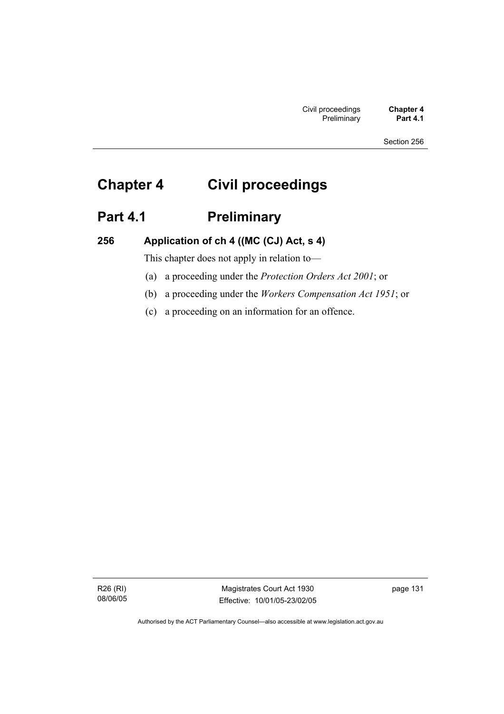# **Chapter 4 Civil proceedings**

# Part 4.1 **Preliminary**

**256 Application of ch 4 ((MC (CJ) Act, s 4)** 

This chapter does not apply in relation to—

- (a) a proceeding under the *Protection Orders Act 2001*; or
- (b) a proceeding under the *Workers Compensation Act 1951*; or
- (c) a proceeding on an information for an offence.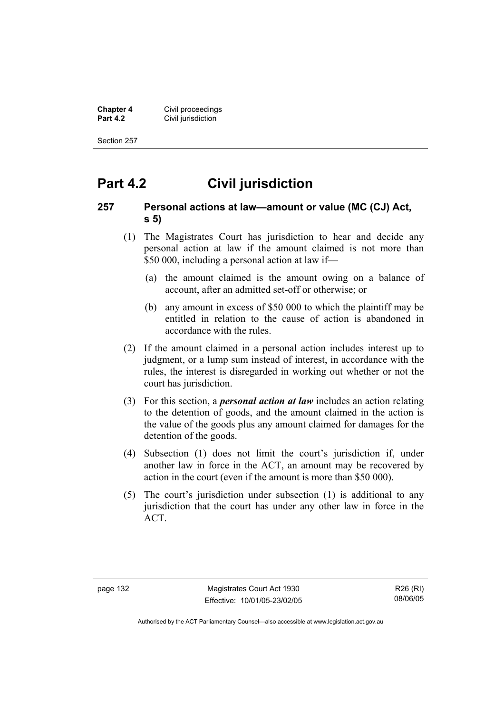**Chapter 4 Civil proceedings**<br>**Part 4.2 Civil jurisdiction Civil jurisdiction** 

Section 257

# **Part 4.2 Civil jurisdiction**

#### **257 Personal actions at law—amount or value (MC (CJ) Act, s 5)**

- (1) The Magistrates Court has jurisdiction to hear and decide any personal action at law if the amount claimed is not more than \$50 000, including a personal action at law if—
	- (a) the amount claimed is the amount owing on a balance of account, after an admitted set-off or otherwise; or
	- (b) any amount in excess of \$50 000 to which the plaintiff may be entitled in relation to the cause of action is abandoned in accordance with the rules.
- (2) If the amount claimed in a personal action includes interest up to judgment, or a lump sum instead of interest, in accordance with the rules, the interest is disregarded in working out whether or not the court has jurisdiction.
- (3) For this section, a *personal action at law* includes an action relating to the detention of goods, and the amount claimed in the action is the value of the goods plus any amount claimed for damages for the detention of the goods.
- (4) Subsection (1) does not limit the court's jurisdiction if, under another law in force in the ACT, an amount may be recovered by action in the court (even if the amount is more than \$50 000).
- (5) The court's jurisdiction under subsection (1) is additional to any jurisdiction that the court has under any other law in force in the ACT.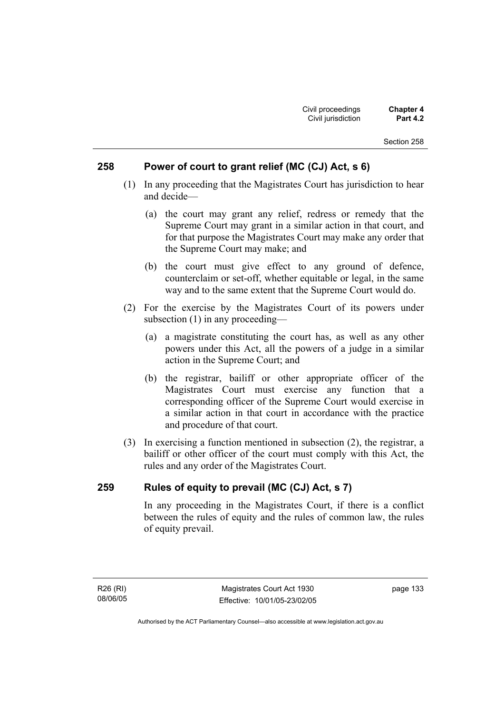#### **258 Power of court to grant relief (MC (CJ) Act, s 6)**

- (1) In any proceeding that the Magistrates Court has jurisdiction to hear and decide—
	- (a) the court may grant any relief, redress or remedy that the Supreme Court may grant in a similar action in that court, and for that purpose the Magistrates Court may make any order that the Supreme Court may make; and
	- (b) the court must give effect to any ground of defence, counterclaim or set-off, whether equitable or legal, in the same way and to the same extent that the Supreme Court would do.
- (2) For the exercise by the Magistrates Court of its powers under subsection (1) in any proceeding—
	- (a) a magistrate constituting the court has, as well as any other powers under this Act, all the powers of a judge in a similar action in the Supreme Court; and
	- (b) the registrar, bailiff or other appropriate officer of the Magistrates Court must exercise any function that a corresponding officer of the Supreme Court would exercise in a similar action in that court in accordance with the practice and procedure of that court.
- (3) In exercising a function mentioned in subsection (2), the registrar, a bailiff or other officer of the court must comply with this Act, the rules and any order of the Magistrates Court.

### **259 Rules of equity to prevail (MC (CJ) Act, s 7)**

In any proceeding in the Magistrates Court, if there is a conflict between the rules of equity and the rules of common law, the rules of equity prevail.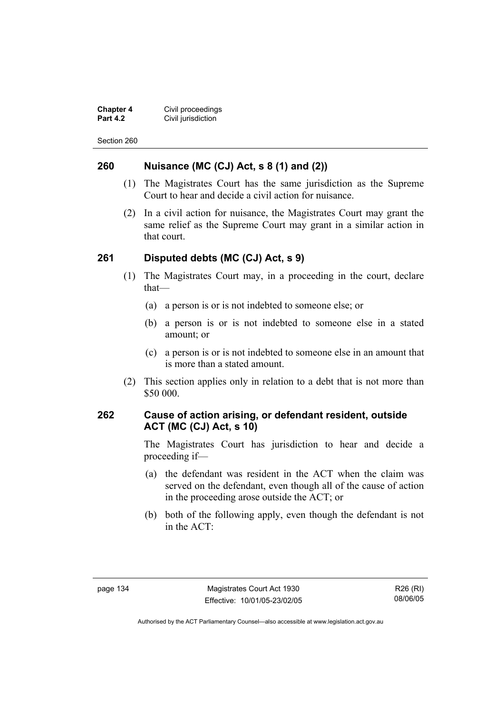**Chapter 4 Civil proceedings**<br>**Part 4.2 Civil jurisdiction Civil jurisdiction** 

Section 260

#### **260 Nuisance (MC (CJ) Act, s 8 (1) and (2))**

- (1) The Magistrates Court has the same jurisdiction as the Supreme Court to hear and decide a civil action for nuisance.
- (2) In a civil action for nuisance, the Magistrates Court may grant the same relief as the Supreme Court may grant in a similar action in that court.

#### **261 Disputed debts (MC (CJ) Act, s 9)**

- (1) The Magistrates Court may, in a proceeding in the court, declare that—
	- (a) a person is or is not indebted to someone else; or
	- (b) a person is or is not indebted to someone else in a stated amount; or
	- (c) a person is or is not indebted to someone else in an amount that is more than a stated amount.
- (2) This section applies only in relation to a debt that is not more than \$50 000.

#### **262 Cause of action arising, or defendant resident, outside ACT (MC (CJ) Act, s 10)**

The Magistrates Court has jurisdiction to hear and decide a proceeding if—

- (a) the defendant was resident in the ACT when the claim was served on the defendant, even though all of the cause of action in the proceeding arose outside the ACT; or
- (b) both of the following apply, even though the defendant is not in the ACT: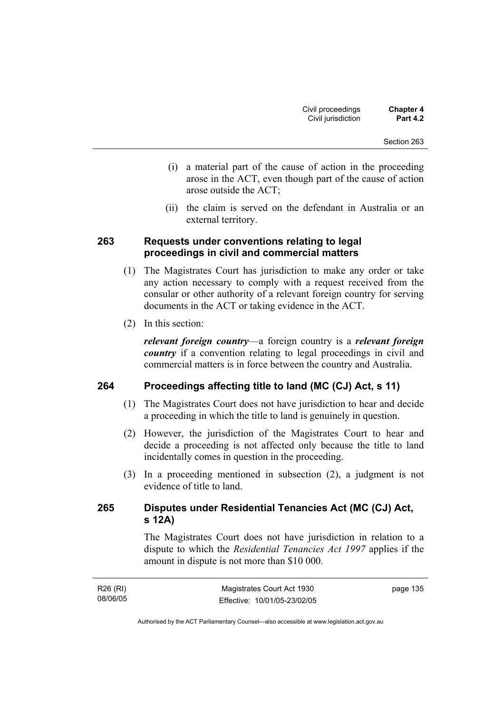- (i) a material part of the cause of action in the proceeding arose in the ACT, even though part of the cause of action arose outside the ACT;
- (ii) the claim is served on the defendant in Australia or an external territory.

#### **263 Requests under conventions relating to legal proceedings in civil and commercial matters**

- (1) The Magistrates Court has jurisdiction to make any order or take any action necessary to comply with a request received from the consular or other authority of a relevant foreign country for serving documents in the ACT or taking evidence in the ACT.
- (2) In this section:

*relevant foreign country*—a foreign country is a *relevant foreign country* if a convention relating to legal proceedings in civil and commercial matters is in force between the country and Australia.

### **264 Proceedings affecting title to land (MC (CJ) Act, s 11)**

- (1) The Magistrates Court does not have jurisdiction to hear and decide a proceeding in which the title to land is genuinely in question.
- (2) However, the jurisdiction of the Magistrates Court to hear and decide a proceeding is not affected only because the title to land incidentally comes in question in the proceeding.
- (3) In a proceeding mentioned in subsection (2), a judgment is not evidence of title to land.

### **265 Disputes under Residential Tenancies Act (MC (CJ) Act, s 12A)**

The Magistrates Court does not have jurisdiction in relation to a dispute to which the *Residential Tenancies Act 1997* applies if the amount in dispute is not more than \$10 000.

| R26 (RI) | Magistrates Court Act 1930   | page 135 |
|----------|------------------------------|----------|
| 08/06/05 | Effective: 10/01/05-23/02/05 |          |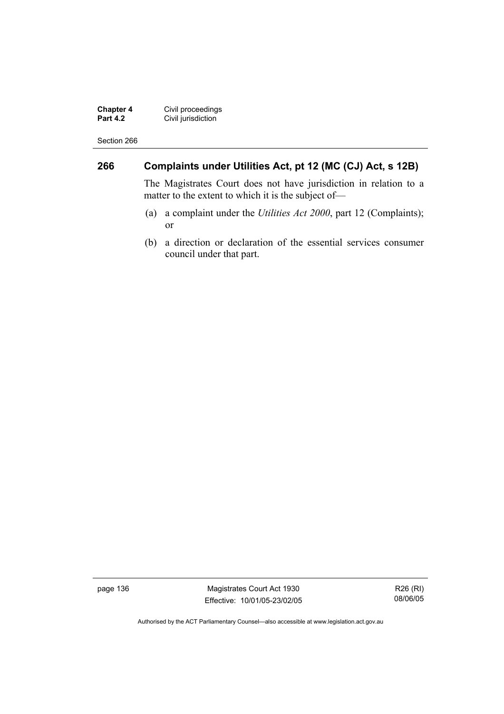**Chapter 4** Civil proceedings **Part 4.2 Civil jurisdiction** 

Section 266

### **266 Complaints under Utilities Act, pt 12 (MC (CJ) Act, s 12B)**

The Magistrates Court does not have jurisdiction in relation to a matter to the extent to which it is the subject of—

- (a) a complaint under the *Utilities Act 2000*, part 12 (Complaints); or
- (b) a direction or declaration of the essential services consumer council under that part.

page 136 Magistrates Court Act 1930 Effective: 10/01/05-23/02/05

R26 (RI) 08/06/05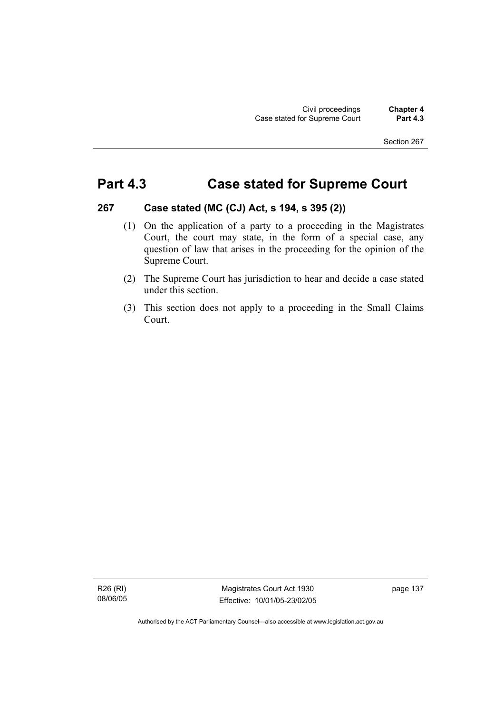# **Part 4.3 Case stated for Supreme Court**

#### **267 Case stated (MC (CJ) Act, s 194, s 395 (2))**

- (1) On the application of a party to a proceeding in the Magistrates Court, the court may state, in the form of a special case, any question of law that arises in the proceeding for the opinion of the Supreme Court.
- (2) The Supreme Court has jurisdiction to hear and decide a case stated under this section.
- (3) This section does not apply to a proceeding in the Small Claims Court.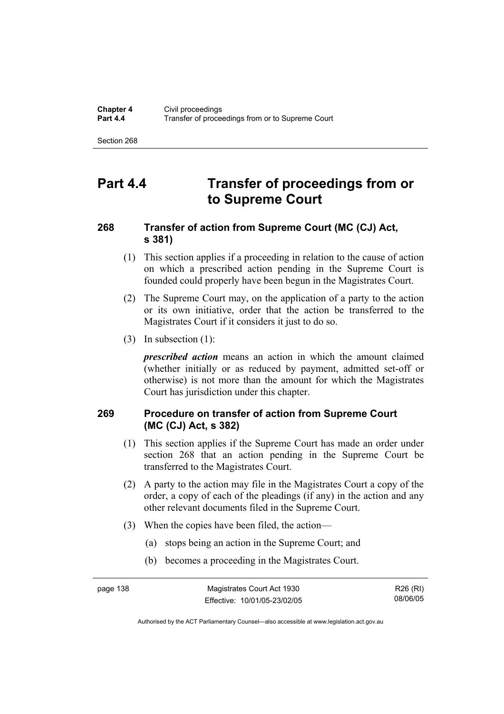# **Part 4.4 Transfer of proceedings from or to Supreme Court**

### **268 Transfer of action from Supreme Court (MC (CJ) Act, s 381)**

- (1) This section applies if a proceeding in relation to the cause of action on which a prescribed action pending in the Supreme Court is founded could properly have been begun in the Magistrates Court.
- (2) The Supreme Court may, on the application of a party to the action or its own initiative, order that the action be transferred to the Magistrates Court if it considers it just to do so.
- (3) In subsection (1):

*prescribed action* means an action in which the amount claimed (whether initially or as reduced by payment, admitted set-off or otherwise) is not more than the amount for which the Magistrates Court has jurisdiction under this chapter.

### **269 Procedure on transfer of action from Supreme Court (MC (CJ) Act, s 382)**

- (1) This section applies if the Supreme Court has made an order under section 268 that an action pending in the Supreme Court be transferred to the Magistrates Court.
- (2) A party to the action may file in the Magistrates Court a copy of the order, a copy of each of the pleadings (if any) in the action and any other relevant documents filed in the Supreme Court.
- (3) When the copies have been filed, the action—
	- (a) stops being an action in the Supreme Court; and
	- (b) becomes a proceeding in the Magistrates Court.

R26 (RI) 08/06/05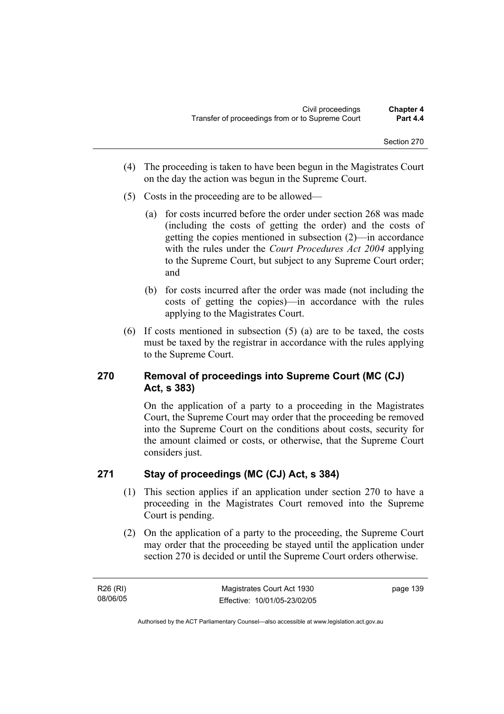- (4) The proceeding is taken to have been begun in the Magistrates Court on the day the action was begun in the Supreme Court.
- (5) Costs in the proceeding are to be allowed—
	- (a) for costs incurred before the order under section 268 was made (including the costs of getting the order) and the costs of getting the copies mentioned in subsection (2)—in accordance with the rules under the *Court Procedures Act 2004* applying to the Supreme Court, but subject to any Supreme Court order; and
	- (b) for costs incurred after the order was made (not including the costs of getting the copies)—in accordance with the rules applying to the Magistrates Court.
- (6) If costs mentioned in subsection (5) (a) are to be taxed, the costs must be taxed by the registrar in accordance with the rules applying to the Supreme Court.

### **270 Removal of proceedings into Supreme Court (MC (CJ) Act, s 383)**

On the application of a party to a proceeding in the Magistrates Court, the Supreme Court may order that the proceeding be removed into the Supreme Court on the conditions about costs, security for the amount claimed or costs, or otherwise, that the Supreme Court considers just.

## **271 Stay of proceedings (MC (CJ) Act, s 384)**

- (1) This section applies if an application under section 270 to have a proceeding in the Magistrates Court removed into the Supreme Court is pending.
- (2) On the application of a party to the proceeding, the Supreme Court may order that the proceeding be stayed until the application under section 270 is decided or until the Supreme Court orders otherwise.

R26 (RI) 08/06/05 page 139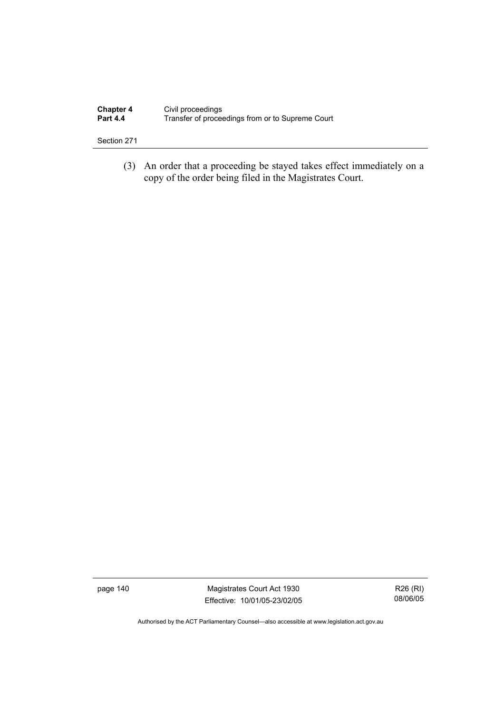| <b>Chapter 4</b> | Civil proceedings                                |
|------------------|--------------------------------------------------|
| <b>Part 4.4</b>  | Transfer of proceedings from or to Supreme Court |

 (3) An order that a proceeding be stayed takes effect immediately on a copy of the order being filed in the Magistrates Court.

page 140 Magistrates Court Act 1930 Effective: 10/01/05-23/02/05

R26 (RI) 08/06/05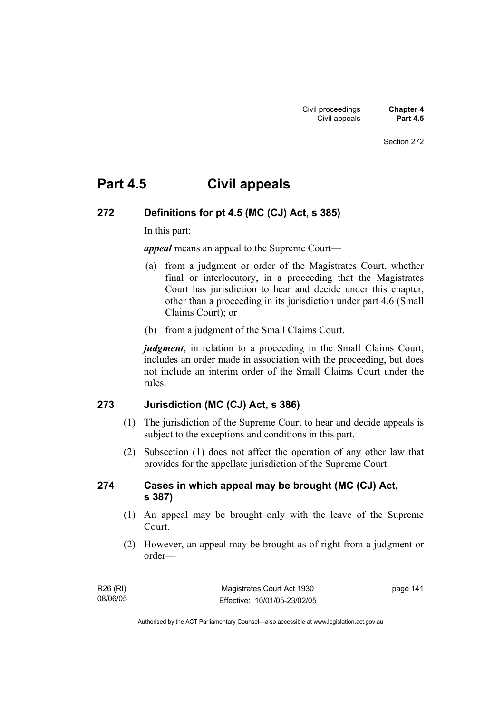# **Part 4.5 Civil appeals**

### **272 Definitions for pt 4.5 (MC (CJ) Act, s 385)**

In this part:

*appeal* means an appeal to the Supreme Court—

- (a) from a judgment or order of the Magistrates Court, whether final or interlocutory, in a proceeding that the Magistrates Court has jurisdiction to hear and decide under this chapter, other than a proceeding in its jurisdiction under part 4.6 (Small Claims Court); or
- (b) from a judgment of the Small Claims Court.

*judgment*, in relation to a proceeding in the Small Claims Court, includes an order made in association with the proceeding, but does not include an interim order of the Small Claims Court under the rules.

#### **273 Jurisdiction (MC (CJ) Act, s 386)**

- (1) The jurisdiction of the Supreme Court to hear and decide appeals is subject to the exceptions and conditions in this part.
- (2) Subsection (1) does not affect the operation of any other law that provides for the appellate jurisdiction of the Supreme Court.

#### **274 Cases in which appeal may be brought (MC (CJ) Act, s 387)**

- (1) An appeal may be brought only with the leave of the Supreme **Court**.
- (2) However, an appeal may be brought as of right from a judgment or order—

| R26 (RI) | Magistrates Court Act 1930   | page 141 |
|----------|------------------------------|----------|
| 08/06/05 | Effective: 10/01/05-23/02/05 |          |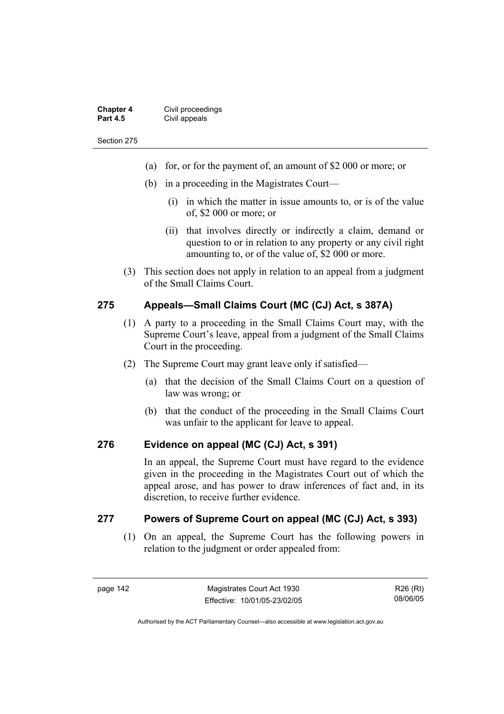| <b>Chapter 4</b> | Civil proceedings |
|------------------|-------------------|
| <b>Part 4.5</b>  | Civil appeals     |

- (a) for, or for the payment of, an amount of \$2 000 or more; or
- (b) in a proceeding in the Magistrates Court—
	- (i) in which the matter in issue amounts to, or is of the value of, \$2 000 or more; or
	- (ii) that involves directly or indirectly a claim, demand or question to or in relation to any property or any civil right amounting to, or of the value of, \$2 000 or more.
- (3) This section does not apply in relation to an appeal from a judgment of the Small Claims Court.

#### **275 Appeals—Small Claims Court (MC (CJ) Act, s 387A)**

- (1) A party to a proceeding in the Small Claims Court may, with the Supreme Court's leave, appeal from a judgment of the Small Claims Court in the proceeding.
- (2) The Supreme Court may grant leave only if satisfied—
	- (a) that the decision of the Small Claims Court on a question of law was wrong; or
	- (b) that the conduct of the proceeding in the Small Claims Court was unfair to the applicant for leave to appeal.

#### **276 Evidence on appeal (MC (CJ) Act, s 391)**

In an appeal, the Supreme Court must have regard to the evidence given in the proceeding in the Magistrates Court out of which the appeal arose, and has power to draw inferences of fact and, in its discretion, to receive further evidence.

#### **277 Powers of Supreme Court on appeal (MC (CJ) Act, s 393)**

 (1) On an appeal, the Supreme Court has the following powers in relation to the judgment or order appealed from: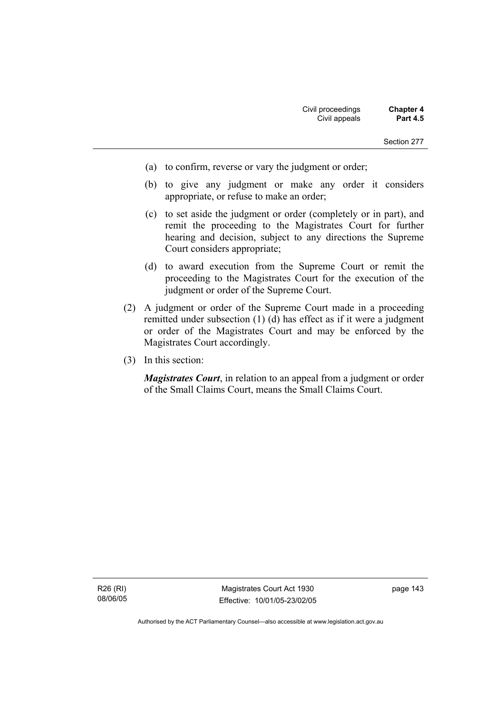- (a) to confirm, reverse or vary the judgment or order;
- (b) to give any judgment or make any order it considers appropriate, or refuse to make an order;
- (c) to set aside the judgment or order (completely or in part), and remit the proceeding to the Magistrates Court for further hearing and decision, subject to any directions the Supreme Court considers appropriate;
- (d) to award execution from the Supreme Court or remit the proceeding to the Magistrates Court for the execution of the judgment or order of the Supreme Court.
- (2) A judgment or order of the Supreme Court made in a proceeding remitted under subsection (1) (d) has effect as if it were a judgment or order of the Magistrates Court and may be enforced by the Magistrates Court accordingly.
- (3) In this section:

*Magistrates Court*, in relation to an appeal from a judgment or order of the Small Claims Court, means the Small Claims Court.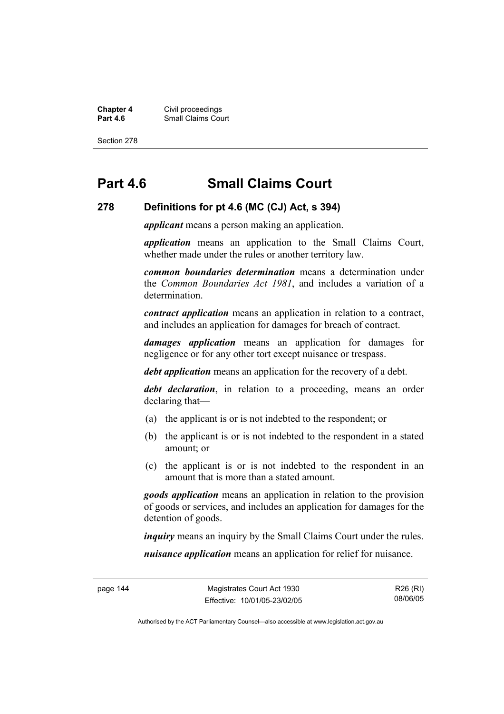**Chapter 4** Civil proceedings **Part 4.6 Part 4.6 Part 4.6 Part 4.6 Part 4.6 Part 4.6 Part 4.6 Part 4.6 Part 4.6 Part 4.6 Part 4.6 Part 4.6 Part 4.6 Part 4.6 Part 4.6 Part 4.6 Part 4.6 Part 4.6 Part 4.6 Part 4.6 Part 4.6 Part 4.6 Part 4.6 Part 4.6 Part** 

Section 278

# **Part 4.6 Small Claims Court**

#### **278 Definitions for pt 4.6 (MC (CJ) Act, s 394)**

*applicant* means a person making an application.

*application* means an application to the Small Claims Court, whether made under the rules or another territory law.

*common boundaries determination* means a determination under the *Common Boundaries Act 1981*, and includes a variation of a determination.

*contract application* means an application in relation to a contract, and includes an application for damages for breach of contract.

*damages application* means an application for damages for negligence or for any other tort except nuisance or trespass.

*debt application* means an application for the recovery of a debt.

*debt declaration*, in relation to a proceeding, means an order declaring that—

- (a) the applicant is or is not indebted to the respondent; or
- (b) the applicant is or is not indebted to the respondent in a stated amount; or
- (c) the applicant is or is not indebted to the respondent in an amount that is more than a stated amount.

*goods application* means an application in relation to the provision of goods or services, and includes an application for damages for the detention of goods.

*inquiry* means an inquiry by the Small Claims Court under the rules.

*nuisance application* means an application for relief for nuisance.

R26 (RI) 08/06/05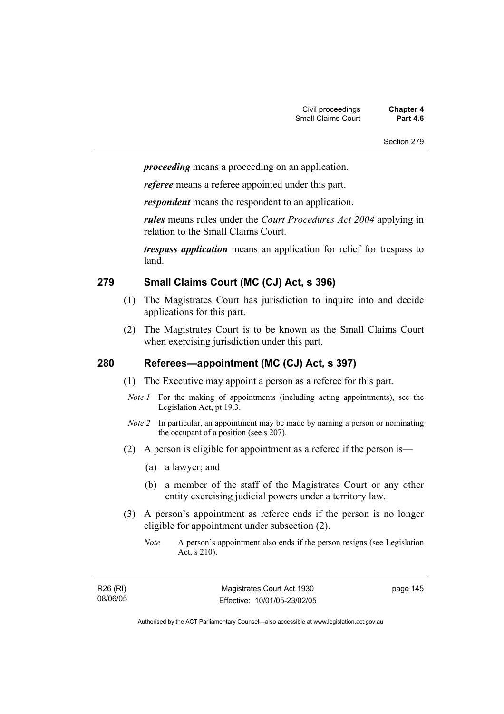*proceeding* means a proceeding on an application.

*referee* means a referee appointed under this part.

*respondent* means the respondent to an application.

*rules* means rules under the *Court Procedures Act 2004* applying in relation to the Small Claims Court.

*trespass application* means an application for relief for trespass to land.

#### **279 Small Claims Court (MC (CJ) Act, s 396)**

- (1) The Magistrates Court has jurisdiction to inquire into and decide applications for this part.
- (2) The Magistrates Court is to be known as the Small Claims Court when exercising jurisdiction under this part.

### **280 Referees—appointment (MC (CJ) Act, s 397)**

- (1) The Executive may appoint a person as a referee for this part.
- *Note 1* For the making of appointments (including acting appointments), see the Legislation Act, pt 19.3.
- *Note 2* In particular, an appointment may be made by naming a person or nominating the occupant of a position (see s 207).
- (2) A person is eligible for appointment as a referee if the person is—
	- (a) a lawyer; and
	- (b) a member of the staff of the Magistrates Court or any other entity exercising judicial powers under a territory law.
- (3) A person's appointment as referee ends if the person is no longer eligible for appointment under subsection (2).
	- *Note* A person's appointment also ends if the person resigns (see Legislation Act, s 210).

R26 (RI) 08/06/05 page 145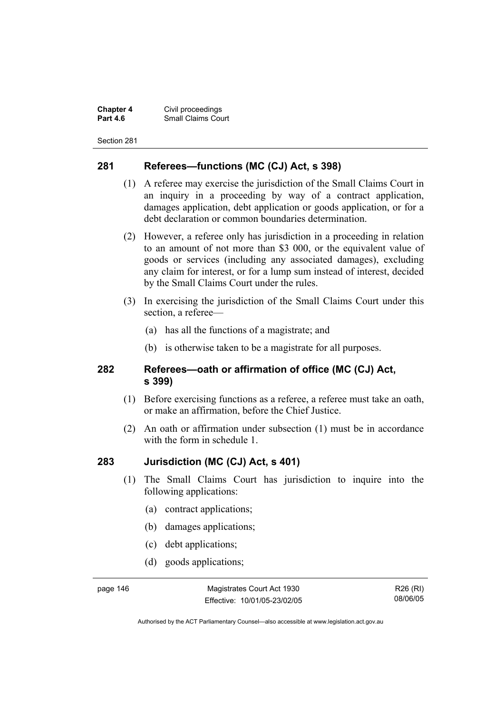**Chapter 4** Civil proceedings **Small Claims Court** 

Section 281

#### **281 Referees—functions (MC (CJ) Act, s 398)**

- (1) A referee may exercise the jurisdiction of the Small Claims Court in an inquiry in a proceeding by way of a contract application, damages application, debt application or goods application, or for a debt declaration or common boundaries determination.
- (2) However, a referee only has jurisdiction in a proceeding in relation to an amount of not more than \$3 000, or the equivalent value of goods or services (including any associated damages), excluding any claim for interest, or for a lump sum instead of interest, decided by the Small Claims Court under the rules.
- (3) In exercising the jurisdiction of the Small Claims Court under this section, a referee—
	- (a) has all the functions of a magistrate; and
	- (b) is otherwise taken to be a magistrate for all purposes.

#### **282 Referees—oath or affirmation of office (MC (CJ) Act, s 399)**

- (1) Before exercising functions as a referee, a referee must take an oath, or make an affirmation, before the Chief Justice.
- (2) An oath or affirmation under subsection (1) must be in accordance with the form in schedule 1.

#### **283 Jurisdiction (MC (CJ) Act, s 401)**

- (1) The Small Claims Court has jurisdiction to inquire into the following applications:
	- (a) contract applications;
	- (b) damages applications;
	- (c) debt applications;
	- (d) goods applications;

page 146 Magistrates Court Act 1930 Effective: 10/01/05-23/02/05

R26 (RI) 08/06/05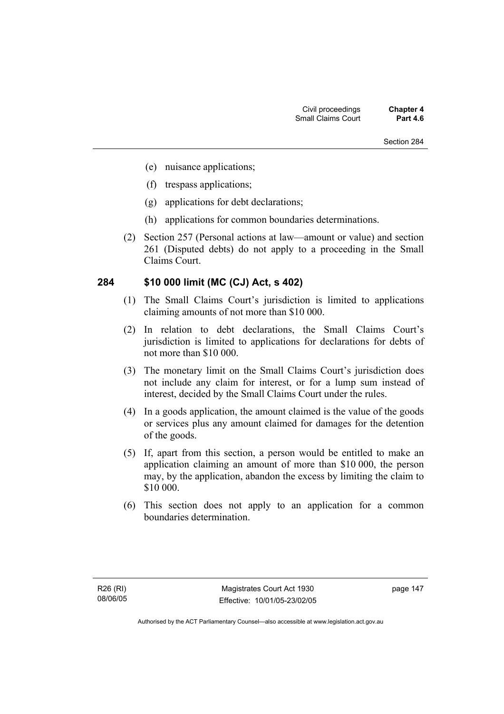- (e) nuisance applications;
- (f) trespass applications;
- (g) applications for debt declarations;
- (h) applications for common boundaries determinations.
- (2) Section 257 (Personal actions at law—amount or value) and section 261 (Disputed debts) do not apply to a proceeding in the Small Claims Court.

#### **284 \$10 000 limit (MC (CJ) Act, s 402)**

- (1) The Small Claims Court's jurisdiction is limited to applications claiming amounts of not more than \$10 000.
- (2) In relation to debt declarations, the Small Claims Court's jurisdiction is limited to applications for declarations for debts of not more than \$10 000.
- (3) The monetary limit on the Small Claims Court's jurisdiction does not include any claim for interest, or for a lump sum instead of interest, decided by the Small Claims Court under the rules.
- (4) In a goods application, the amount claimed is the value of the goods or services plus any amount claimed for damages for the detention of the goods.
- (5) If, apart from this section, a person would be entitled to make an application claiming an amount of more than \$10 000, the person may, by the application, abandon the excess by limiting the claim to \$10 000.
- (6) This section does not apply to an application for a common boundaries determination.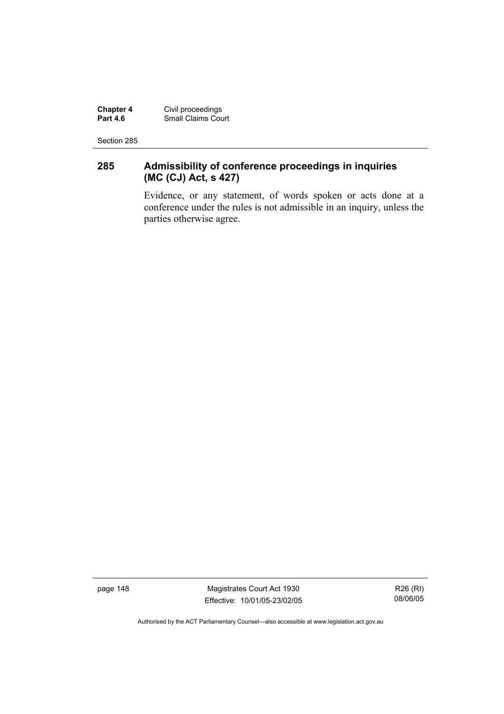**Chapter 4** Civil proceedings **Part 4.6** Small Claims Court

Section 285

### **285 Admissibility of conference proceedings in inquiries (MC (CJ) Act, s 427)**

Evidence, or any statement, of words spoken or acts done at a conference under the rules is not admissible in an inquiry, unless the parties otherwise agree.

page 148 Magistrates Court Act 1930 Effective: 10/01/05-23/02/05

R26 (RI) 08/06/05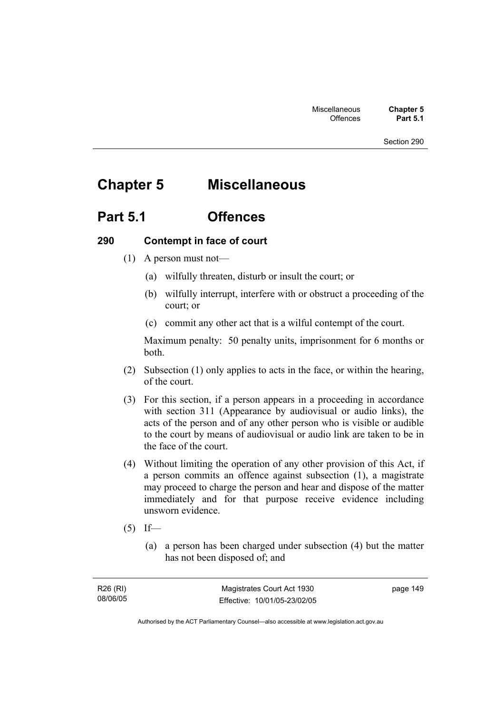# **Chapter 5 Miscellaneous**

## **Part 5.1 Offences**

#### **290 Contempt in face of court**

- (1) A person must not—
	- (a) wilfully threaten, disturb or insult the court; or
	- (b) wilfully interrupt, interfere with or obstruct a proceeding of the court; or
	- (c) commit any other act that is a wilful contempt of the court.

Maximum penalty: 50 penalty units, imprisonment for 6 months or both.

- (2) Subsection (1) only applies to acts in the face, or within the hearing, of the court.
- (3) For this section, if a person appears in a proceeding in accordance with section 311 (Appearance by audiovisual or audio links), the acts of the person and of any other person who is visible or audible to the court by means of audiovisual or audio link are taken to be in the face of the court.
- (4) Without limiting the operation of any other provision of this Act, if a person commits an offence against subsection (1), a magistrate may proceed to charge the person and hear and dispose of the matter immediately and for that purpose receive evidence including unsworn evidence.
- $(5)$  If—
	- (a) a person has been charged under subsection (4) but the matter has not been disposed of; and

page 149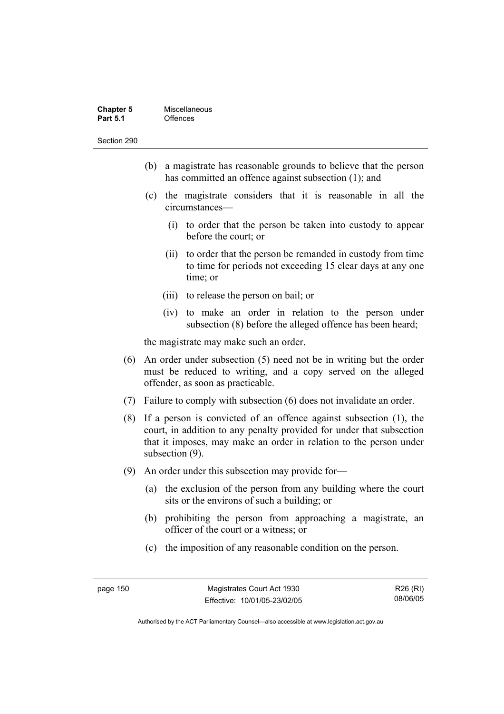| <b>Chapter 5</b> | Miscellaneous |
|------------------|---------------|
| <b>Part 5.1</b>  | Offences      |

- (b) a magistrate has reasonable grounds to believe that the person has committed an offence against subsection (1); and
- (c) the magistrate considers that it is reasonable in all the circumstances—
	- (i) to order that the person be taken into custody to appear before the court; or
	- (ii) to order that the person be remanded in custody from time to time for periods not exceeding 15 clear days at any one time; or
	- (iii) to release the person on bail; or
	- (iv) to make an order in relation to the person under subsection (8) before the alleged offence has been heard;

the magistrate may make such an order.

- (6) An order under subsection (5) need not be in writing but the order must be reduced to writing, and a copy served on the alleged offender, as soon as practicable.
- (7) Failure to comply with subsection (6) does not invalidate an order.
- (8) If a person is convicted of an offence against subsection (1), the court, in addition to any penalty provided for under that subsection that it imposes, may make an order in relation to the person under subsection (9).
- (9) An order under this subsection may provide for—
	- (a) the exclusion of the person from any building where the court sits or the environs of such a building; or
	- (b) prohibiting the person from approaching a magistrate, an officer of the court or a witness; or
	- (c) the imposition of any reasonable condition on the person.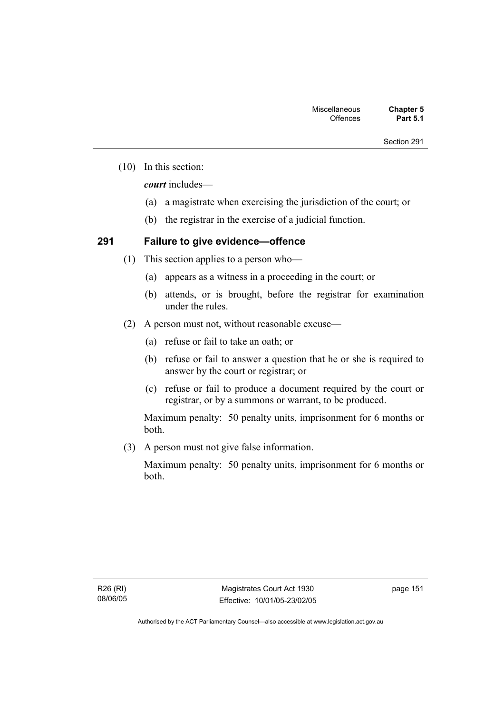(10) In this section:

*court* includes—

- (a) a magistrate when exercising the jurisdiction of the court; or
- (b) the registrar in the exercise of a judicial function.

### **291 Failure to give evidence—offence**

- (1) This section applies to a person who—
	- (a) appears as a witness in a proceeding in the court; or
	- (b) attends, or is brought, before the registrar for examination under the rules.
- (2) A person must not, without reasonable excuse—
	- (a) refuse or fail to take an oath; or
	- (b) refuse or fail to answer a question that he or she is required to answer by the court or registrar; or
	- (c) refuse or fail to produce a document required by the court or registrar, or by a summons or warrant, to be produced.

Maximum penalty: 50 penalty units, imprisonment for 6 months or both.

(3) A person must not give false information.

Maximum penalty: 50 penalty units, imprisonment for 6 months or both.

page 151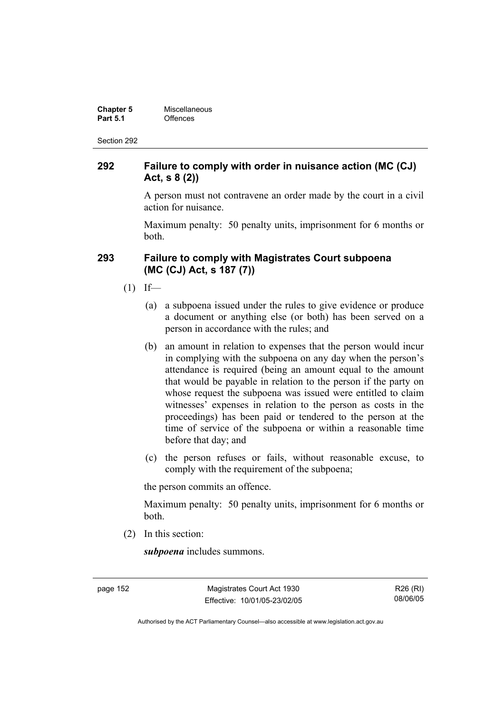| <b>Chapter 5</b> | Miscellaneous |
|------------------|---------------|
| <b>Part 5.1</b>  | Offences      |

#### **292 Failure to comply with order in nuisance action (MC (CJ) Act, s 8 (2))**

A person must not contravene an order made by the court in a civil action for nuisance.

Maximum penalty: 50 penalty units, imprisonment for 6 months or both.

#### **293 Failure to comply with Magistrates Court subpoena (MC (CJ) Act, s 187 (7))**

- $(1)$  If—
	- (a) a subpoena issued under the rules to give evidence or produce a document or anything else (or both) has been served on a person in accordance with the rules; and
	- (b) an amount in relation to expenses that the person would incur in complying with the subpoena on any day when the person's attendance is required (being an amount equal to the amount that would be payable in relation to the person if the party on whose request the subpoena was issued were entitled to claim witnesses' expenses in relation to the person as costs in the proceedings) has been paid or tendered to the person at the time of service of the subpoena or within a reasonable time before that day; and
	- (c) the person refuses or fails, without reasonable excuse, to comply with the requirement of the subpoena;

the person commits an offence.

Maximum penalty: 50 penalty units, imprisonment for 6 months or both.

(2) In this section:

*subpoena* includes summons.

page 152 Magistrates Court Act 1930 Effective: 10/01/05-23/02/05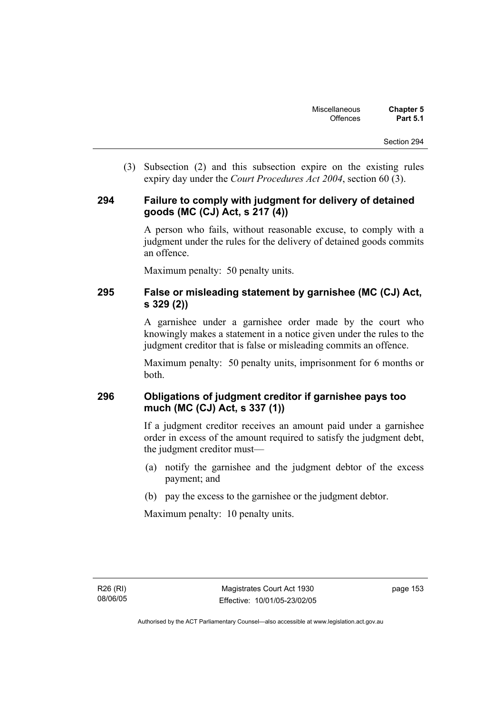(3) Subsection (2) and this subsection expire on the existing rules expiry day under the *Court Procedures Act 2004*, section 60 (3).

#### **294 Failure to comply with judgment for delivery of detained goods (MC (CJ) Act, s 217 (4))**

A person who fails, without reasonable excuse, to comply with a judgment under the rules for the delivery of detained goods commits an offence.

Maximum penalty: 50 penalty units.

#### **295 False or misleading statement by garnishee (MC (CJ) Act, s 329 (2))**

A garnishee under a garnishee order made by the court who knowingly makes a statement in a notice given under the rules to the judgment creditor that is false or misleading commits an offence.

Maximum penalty: 50 penalty units, imprisonment for 6 months or both.

### **296 Obligations of judgment creditor if garnishee pays too much (MC (CJ) Act, s 337 (1))**

If a judgment creditor receives an amount paid under a garnishee order in excess of the amount required to satisfy the judgment debt, the judgment creditor must—

- (a) notify the garnishee and the judgment debtor of the excess payment; and
- (b) pay the excess to the garnishee or the judgment debtor.

Maximum penalty: 10 penalty units.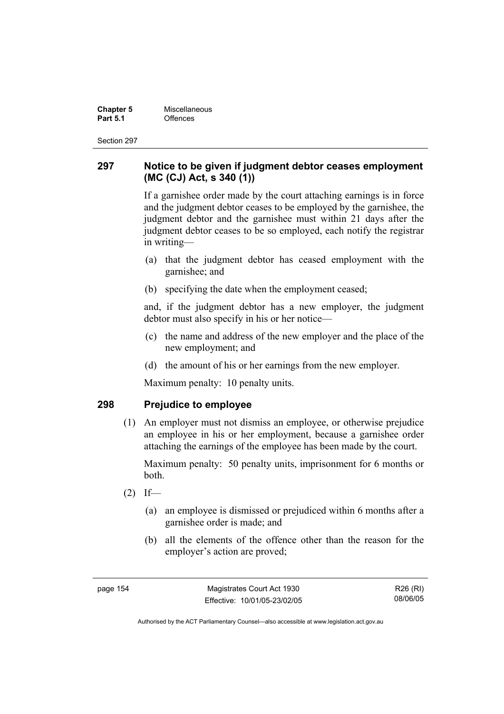**Chapter 5 Miscellaneous**<br>**Part 5.1** Offences **Part 5.1** Offences

Section 297

#### **297 Notice to be given if judgment debtor ceases employment (MC (CJ) Act, s 340 (1))**

If a garnishee order made by the court attaching earnings is in force and the judgment debtor ceases to be employed by the garnishee, the judgment debtor and the garnishee must within 21 days after the judgment debtor ceases to be so employed, each notify the registrar in writing—

- (a) that the judgment debtor has ceased employment with the garnishee; and
- (b) specifying the date when the employment ceased;

and, if the judgment debtor has a new employer, the judgment debtor must also specify in his or her notice—

- (c) the name and address of the new employer and the place of the new employment; and
- (d) the amount of his or her earnings from the new employer.

Maximum penalty: 10 penalty units.

#### **298 Prejudice to employee**

 (1) An employer must not dismiss an employee, or otherwise prejudice an employee in his or her employment, because a garnishee order attaching the earnings of the employee has been made by the court.

Maximum penalty: 50 penalty units, imprisonment for 6 months or both.

- $(2)$  If—
	- (a) an employee is dismissed or prejudiced within 6 months after a garnishee order is made; and
	- (b) all the elements of the offence other than the reason for the employer's action are proved;

page 154 Magistrates Court Act 1930 Effective: 10/01/05-23/02/05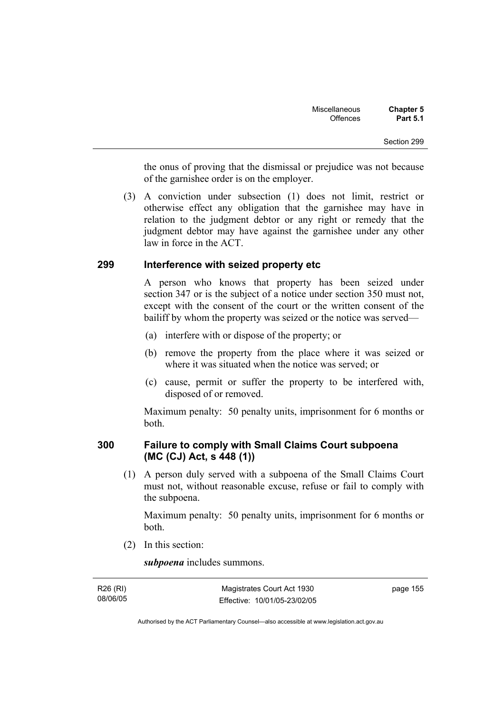the onus of proving that the dismissal or prejudice was not because of the garnishee order is on the employer.

 (3) A conviction under subsection (1) does not limit, restrict or otherwise effect any obligation that the garnishee may have in relation to the judgment debtor or any right or remedy that the judgment debtor may have against the garnishee under any other law in force in the ACT.

#### **299 Interference with seized property etc**

A person who knows that property has been seized under section 347 or is the subject of a notice under section 350 must not, except with the consent of the court or the written consent of the bailiff by whom the property was seized or the notice was served—

- (a) interfere with or dispose of the property; or
- (b) remove the property from the place where it was seized or where it was situated when the notice was served; or
- (c) cause, permit or suffer the property to be interfered with, disposed of or removed.

Maximum penalty: 50 penalty units, imprisonment for 6 months or both.

### **300 Failure to comply with Small Claims Court subpoena (MC (CJ) Act, s 448 (1))**

 (1) A person duly served with a subpoena of the Small Claims Court must not, without reasonable excuse, refuse or fail to comply with the subpoena.

Maximum penalty: 50 penalty units, imprisonment for 6 months or both.

(2) In this section:

*subpoena* includes summons.

| R26 (RI) | Magistrates Court Act 1930   | page 155 |
|----------|------------------------------|----------|
| 08/06/05 | Effective: 10/01/05-23/02/05 |          |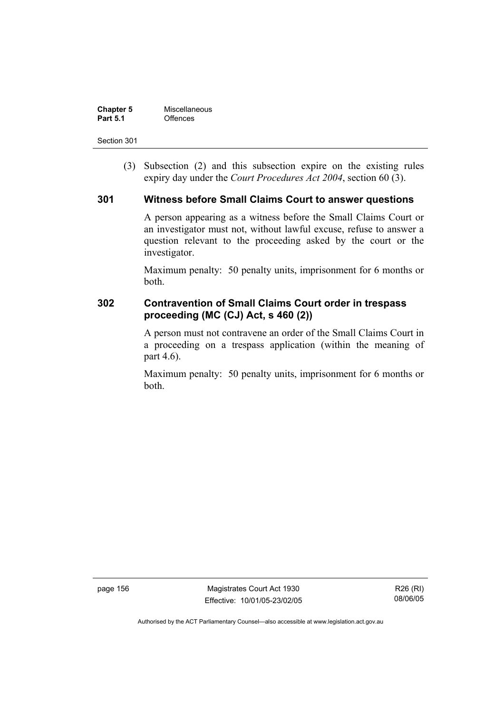| <b>Chapter 5</b> | Miscellaneous |
|------------------|---------------|
| <b>Part 5.1</b>  | Offences      |

 (3) Subsection (2) and this subsection expire on the existing rules expiry day under the *Court Procedures Act 2004*, section 60 (3).

#### **301 Witness before Small Claims Court to answer questions**

A person appearing as a witness before the Small Claims Court or an investigator must not, without lawful excuse, refuse to answer a question relevant to the proceeding asked by the court or the investigator.

Maximum penalty: 50 penalty units, imprisonment for 6 months or both.

### **302 Contravention of Small Claims Court order in trespass proceeding (MC (CJ) Act, s 460 (2))**

A person must not contravene an order of the Small Claims Court in a proceeding on a trespass application (within the meaning of part 4.6).

Maximum penalty: 50 penalty units, imprisonment for 6 months or both.

page 156 Magistrates Court Act 1930 Effective: 10/01/05-23/02/05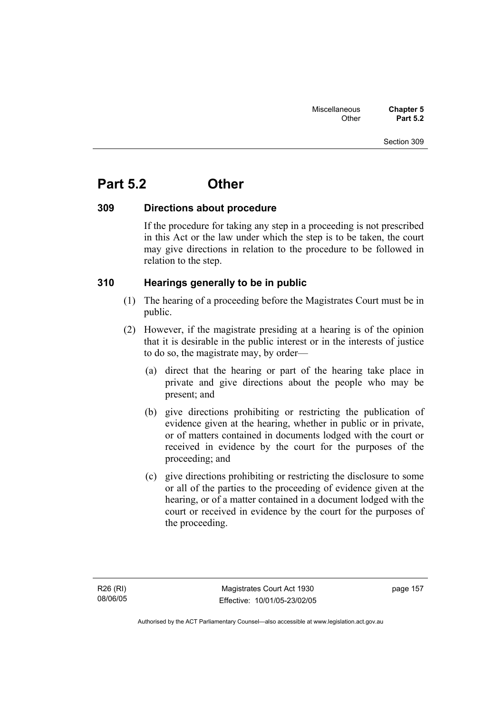# **Part 5.2 Other**

#### **309 Directions about procedure**

If the procedure for taking any step in a proceeding is not prescribed in this Act or the law under which the step is to be taken, the court may give directions in relation to the procedure to be followed in relation to the step.

#### **310 Hearings generally to be in public**

- (1) The hearing of a proceeding before the Magistrates Court must be in public.
- (2) However, if the magistrate presiding at a hearing is of the opinion that it is desirable in the public interest or in the interests of justice to do so, the magistrate may, by order—
	- (a) direct that the hearing or part of the hearing take place in private and give directions about the people who may be present; and
	- (b) give directions prohibiting or restricting the publication of evidence given at the hearing, whether in public or in private, or of matters contained in documents lodged with the court or received in evidence by the court for the purposes of the proceeding; and
	- (c) give directions prohibiting or restricting the disclosure to some or all of the parties to the proceeding of evidence given at the hearing, or of a matter contained in a document lodged with the court or received in evidence by the court for the purposes of the proceeding.

page 157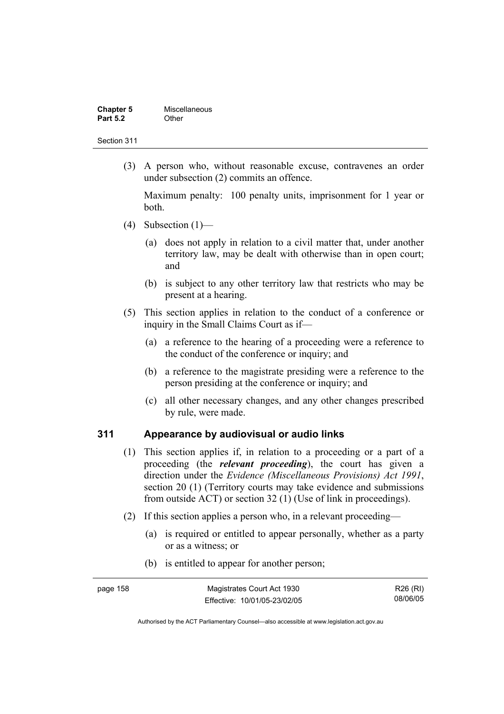| <b>Chapter 5</b> | Miscellaneous |
|------------------|---------------|
| <b>Part 5.2</b>  | Other         |

 (3) A person who, without reasonable excuse, contravenes an order under subsection (2) commits an offence.

Maximum penalty: 100 penalty units, imprisonment for 1 year or both.

- (4) Subsection  $(1)$ 
	- (a) does not apply in relation to a civil matter that, under another territory law, may be dealt with otherwise than in open court; and
	- (b) is subject to any other territory law that restricts who may be present at a hearing.
- (5) This section applies in relation to the conduct of a conference or inquiry in the Small Claims Court as if—
	- (a) a reference to the hearing of a proceeding were a reference to the conduct of the conference or inquiry; and
	- (b) a reference to the magistrate presiding were a reference to the person presiding at the conference or inquiry; and
	- (c) all other necessary changes, and any other changes prescribed by rule, were made.

#### **311 Appearance by audiovisual or audio links**

- (1) This section applies if, in relation to a proceeding or a part of a proceeding (the *relevant proceeding*), the court has given a direction under the *Evidence (Miscellaneous Provisions) Act 1991*, section 20 (1) (Territory courts may take evidence and submissions from outside ACT) or section 32 (1) (Use of link in proceedings).
- (2) If this section applies a person who, in a relevant proceeding—
	- (a) is required or entitled to appear personally, whether as a party or as a witness; or
	- (b) is entitled to appear for another person;

| page 158 | Magistrates Court Act 1930   | R26 (RI) |
|----------|------------------------------|----------|
|          | Effective: 10/01/05-23/02/05 | 08/06/05 |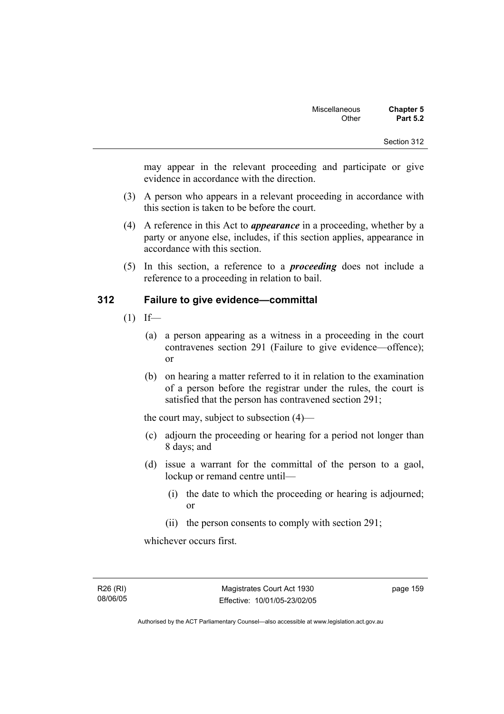may appear in the relevant proceeding and participate or give evidence in accordance with the direction.

- (3) A person who appears in a relevant proceeding in accordance with this section is taken to be before the court.
- (4) A reference in this Act to *appearance* in a proceeding, whether by a party or anyone else, includes, if this section applies, appearance in accordance with this section.
- (5) In this section, a reference to a *proceeding* does not include a reference to a proceeding in relation to bail.

#### **312 Failure to give evidence—committal**

- $(1)$  If—
	- (a) a person appearing as a witness in a proceeding in the court contravenes section 291 (Failure to give evidence—offence); or
	- (b) on hearing a matter referred to it in relation to the examination of a person before the registrar under the rules, the court is satisfied that the person has contravened section 291;

the court may, subject to subsection (4)—

- (c) adjourn the proceeding or hearing for a period not longer than 8 days; and
- (d) issue a warrant for the committal of the person to a gaol, lockup or remand centre until—
	- (i) the date to which the proceeding or hearing is adjourned; or
	- (ii) the person consents to comply with section 291;

whichever occurs first.

R26 (RI) 08/06/05 page 159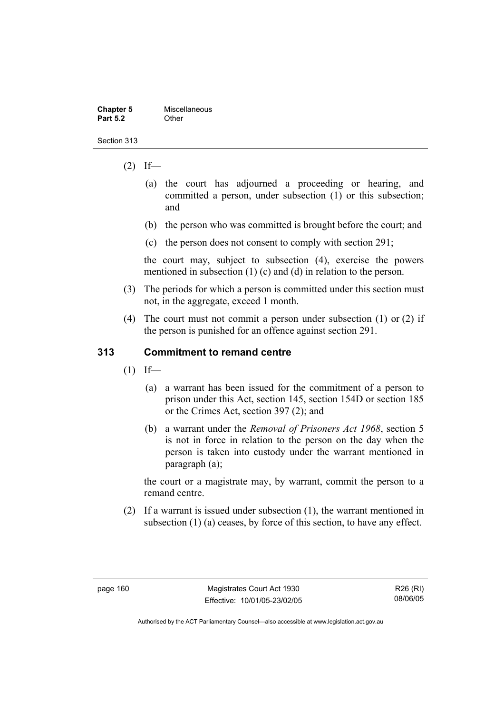| <b>Chapter 5</b> | Miscellaneous |
|------------------|---------------|
| <b>Part 5.2</b>  | Other         |

- $(2)$  If—
	- (a) the court has adjourned a proceeding or hearing, and committed a person, under subsection (1) or this subsection; and
	- (b) the person who was committed is brought before the court; and
	- (c) the person does not consent to comply with section 291;

the court may, subject to subsection (4), exercise the powers mentioned in subsection (1) (c) and (d) in relation to the person.

- (3) The periods for which a person is committed under this section must not, in the aggregate, exceed 1 month.
- (4) The court must not commit a person under subsection (1) or (2) if the person is punished for an offence against section 291.

#### **313 Commitment to remand centre**

- $(1)$  If—
	- (a) a warrant has been issued for the commitment of a person to prison under this Act, section 145, section 154D or section 185 or the Crimes Act, section 397 (2); and
	- (b) a warrant under the *Removal of Prisoners Act 1968*, section 5 is not in force in relation to the person on the day when the person is taken into custody under the warrant mentioned in paragraph (a);

the court or a magistrate may, by warrant, commit the person to a remand centre.

 (2) If a warrant is issued under subsection (1), the warrant mentioned in subsection (1) (a) ceases, by force of this section, to have any effect.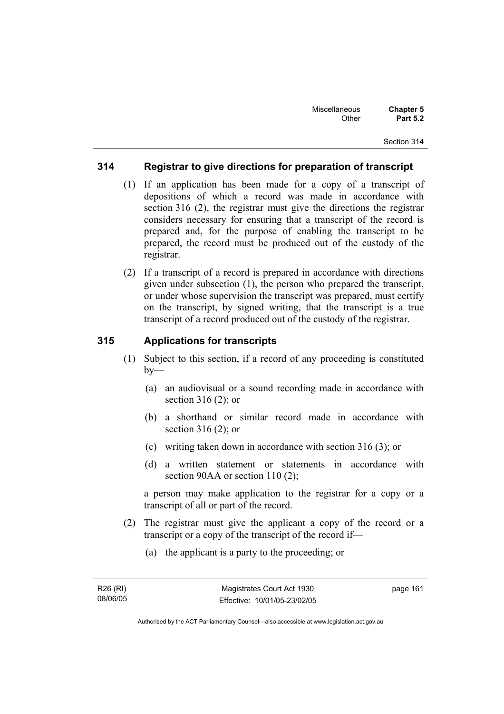#### **314 Registrar to give directions for preparation of transcript**

- (1) If an application has been made for a copy of a transcript of depositions of which a record was made in accordance with section 316 (2), the registrar must give the directions the registrar considers necessary for ensuring that a transcript of the record is prepared and, for the purpose of enabling the transcript to be prepared, the record must be produced out of the custody of the registrar.
- (2) If a transcript of a record is prepared in accordance with directions given under subsection (1), the person who prepared the transcript, or under whose supervision the transcript was prepared, must certify on the transcript, by signed writing, that the transcript is a true transcript of a record produced out of the custody of the registrar.

### **315 Applications for transcripts**

- (1) Subject to this section, if a record of any proceeding is constituted  $by-$ 
	- (a) an audiovisual or a sound recording made in accordance with section 316 (2); or
	- (b) a shorthand or similar record made in accordance with section 316 (2); or
	- (c) writing taken down in accordance with section 316 (3); or
	- (d) a written statement or statements in accordance with section 90AA or section 110 (2);

a person may make application to the registrar for a copy or a transcript of all or part of the record.

- (2) The registrar must give the applicant a copy of the record or a transcript or a copy of the transcript of the record if—
	- (a) the applicant is a party to the proceeding; or

page 161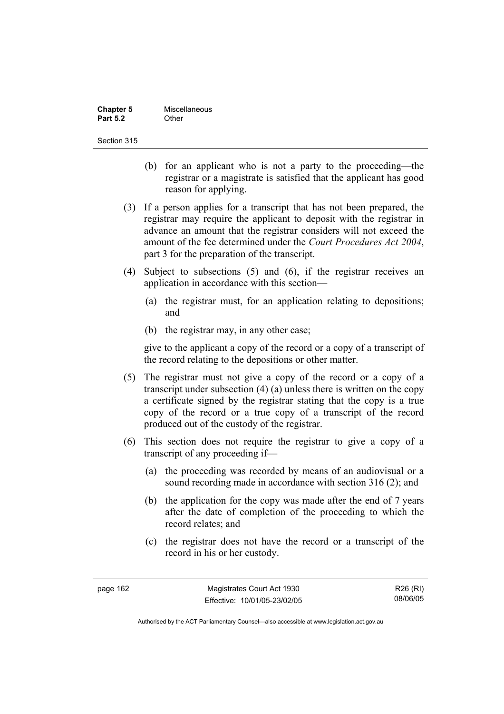| <b>Chapter 5</b> | Miscellaneous |
|------------------|---------------|
| <b>Part 5.2</b>  | Other         |

- (b) for an applicant who is not a party to the proceeding—the registrar or a magistrate is satisfied that the applicant has good reason for applying.
- (3) If a person applies for a transcript that has not been prepared, the registrar may require the applicant to deposit with the registrar in advance an amount that the registrar considers will not exceed the amount of the fee determined under the *Court Procedures Act 2004*, part 3 for the preparation of the transcript.
- (4) Subject to subsections (5) and (6), if the registrar receives an application in accordance with this section—
	- (a) the registrar must, for an application relating to depositions; and
	- (b) the registrar may, in any other case;

give to the applicant a copy of the record or a copy of a transcript of the record relating to the depositions or other matter.

- (5) The registrar must not give a copy of the record or a copy of a transcript under subsection (4) (a) unless there is written on the copy a certificate signed by the registrar stating that the copy is a true copy of the record or a true copy of a transcript of the record produced out of the custody of the registrar.
- (6) This section does not require the registrar to give a copy of a transcript of any proceeding if—
	- (a) the proceeding was recorded by means of an audiovisual or a sound recording made in accordance with section 316 (2); and
	- (b) the application for the copy was made after the end of 7 years after the date of completion of the proceeding to which the record relates; and
	- (c) the registrar does not have the record or a transcript of the record in his or her custody.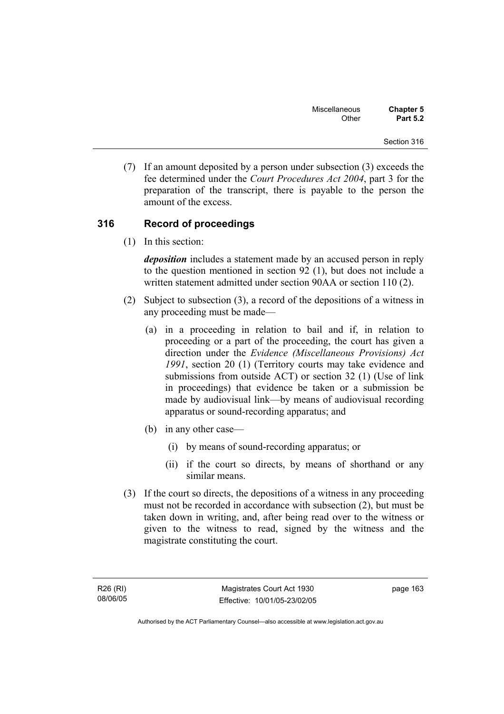(7) If an amount deposited by a person under subsection (3) exceeds the fee determined under the *Court Procedures Act 2004*, part 3 for the preparation of the transcript, there is payable to the person the amount of the excess.

#### **316 Record of proceedings**

(1) In this section:

*deposition* includes a statement made by an accused person in reply to the question mentioned in section 92 (1), but does not include a written statement admitted under section 90AA or section 110 (2).

- (2) Subject to subsection (3), a record of the depositions of a witness in any proceeding must be made—
	- (a) in a proceeding in relation to bail and if, in relation to proceeding or a part of the proceeding, the court has given a direction under the *Evidence (Miscellaneous Provisions) Act 1991*, section 20 (1) (Territory courts may take evidence and submissions from outside ACT) or section 32 (1) (Use of link in proceedings) that evidence be taken or a submission be made by audiovisual link—by means of audiovisual recording apparatus or sound-recording apparatus; and
	- (b) in any other case—
		- (i) by means of sound-recording apparatus; or
		- (ii) if the court so directs, by means of shorthand or any similar means.
- (3) If the court so directs, the depositions of a witness in any proceeding must not be recorded in accordance with subsection (2), but must be taken down in writing, and, after being read over to the witness or given to the witness to read, signed by the witness and the magistrate constituting the court.

page 163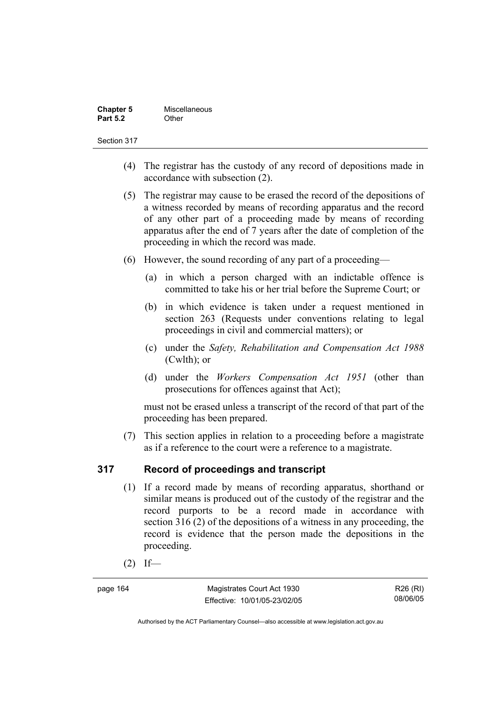| <b>Chapter 5</b> | Miscellaneous |
|------------------|---------------|
| <b>Part 5.2</b>  | Other         |

- (4) The registrar has the custody of any record of depositions made in accordance with subsection (2).
- (5) The registrar may cause to be erased the record of the depositions of a witness recorded by means of recording apparatus and the record of any other part of a proceeding made by means of recording apparatus after the end of 7 years after the date of completion of the proceeding in which the record was made.
- (6) However, the sound recording of any part of a proceeding—
	- (a) in which a person charged with an indictable offence is committed to take his or her trial before the Supreme Court; or
	- (b) in which evidence is taken under a request mentioned in section 263 (Requests under conventions relating to legal proceedings in civil and commercial matters); or
	- (c) under the *Safety, Rehabilitation and Compensation Act 1988* (Cwlth); or
	- (d) under the *Workers Compensation Act 1951* (other than prosecutions for offences against that Act);

must not be erased unless a transcript of the record of that part of the proceeding has been prepared.

 (7) This section applies in relation to a proceeding before a magistrate as if a reference to the court were a reference to a magistrate.

#### **317 Record of proceedings and transcript**

- (1) If a record made by means of recording apparatus, shorthand or similar means is produced out of the custody of the registrar and the record purports to be a record made in accordance with section 316 (2) of the depositions of a witness in any proceeding, the record is evidence that the person made the depositions in the proceeding.
- $(2)$  If—

page 164 Magistrates Court Act 1930 Effective: 10/01/05-23/02/05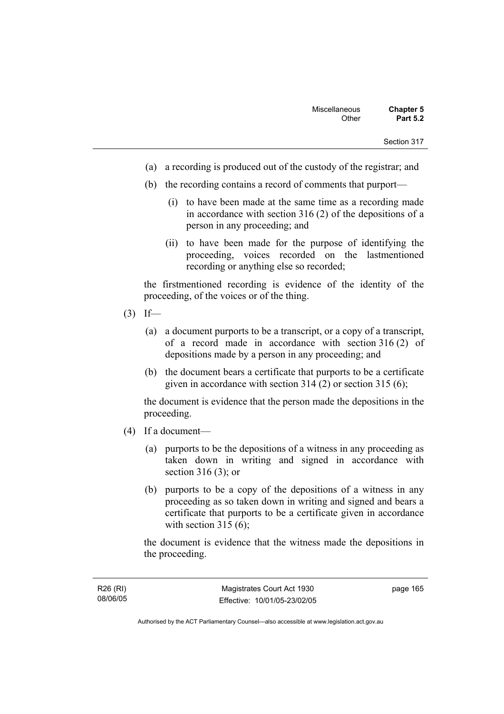- (a) a recording is produced out of the custody of the registrar; and
- (b) the recording contains a record of comments that purport—
	- (i) to have been made at the same time as a recording made in accordance with section 316 (2) of the depositions of a person in any proceeding; and
	- (ii) to have been made for the purpose of identifying the proceeding, voices recorded on the lastmentioned recording or anything else so recorded;

the firstmentioned recording is evidence of the identity of the proceeding, of the voices or of the thing.

- $(3)$  If—
	- (a) a document purports to be a transcript, or a copy of a transcript, of a record made in accordance with section 316 (2) of depositions made by a person in any proceeding; and
	- (b) the document bears a certificate that purports to be a certificate given in accordance with section 314 (2) or section 315 (6);

the document is evidence that the person made the depositions in the proceeding.

- (4) If a document—
	- (a) purports to be the depositions of a witness in any proceeding as taken down in writing and signed in accordance with section 316 (3); or
	- (b) purports to be a copy of the depositions of a witness in any proceeding as so taken down in writing and signed and bears a certificate that purports to be a certificate given in accordance with section  $315(6)$ :

the document is evidence that the witness made the depositions in the proceeding.

page 165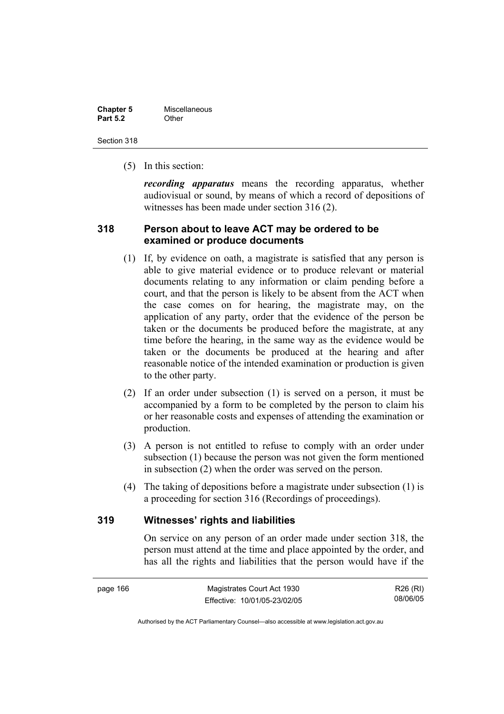| <b>Chapter 5</b> | Miscellaneous |
|------------------|---------------|
| <b>Part 5.2</b>  | Other         |

Section 318

(5) In this section:

*recording apparatus* means the recording apparatus, whether audiovisual or sound, by means of which a record of depositions of witnesses has been made under section 316 (2).

# **318 Person about to leave ACT may be ordered to be examined or produce documents**

- (1) If, by evidence on oath, a magistrate is satisfied that any person is able to give material evidence or to produce relevant or material documents relating to any information or claim pending before a court, and that the person is likely to be absent from the ACT when the case comes on for hearing, the magistrate may, on the application of any party, order that the evidence of the person be taken or the documents be produced before the magistrate, at any time before the hearing, in the same way as the evidence would be taken or the documents be produced at the hearing and after reasonable notice of the intended examination or production is given to the other party.
- (2) If an order under subsection (1) is served on a person, it must be accompanied by a form to be completed by the person to claim his or her reasonable costs and expenses of attending the examination or production.
- (3) A person is not entitled to refuse to comply with an order under subsection (1) because the person was not given the form mentioned in subsection (2) when the order was served on the person.
- (4) The taking of depositions before a magistrate under subsection (1) is a proceeding for section 316 (Recordings of proceedings).

# **319 Witnesses' rights and liabilities**

On service on any person of an order made under section 318, the person must attend at the time and place appointed by the order, and has all the rights and liabilities that the person would have if the

R26 (RI) 08/06/05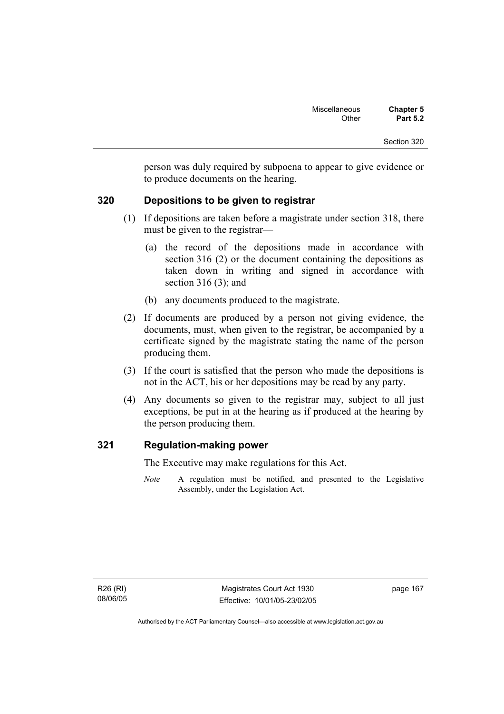person was duly required by subpoena to appear to give evidence or to produce documents on the hearing.

# **320 Depositions to be given to registrar**

- (1) If depositions are taken before a magistrate under section 318, there must be given to the registrar—
	- (a) the record of the depositions made in accordance with section 316 (2) or the document containing the depositions as taken down in writing and signed in accordance with section 316 (3); and
	- (b) any documents produced to the magistrate.
- (2) If documents are produced by a person not giving evidence, the documents, must, when given to the registrar, be accompanied by a certificate signed by the magistrate stating the name of the person producing them.
- (3) If the court is satisfied that the person who made the depositions is not in the ACT, his or her depositions may be read by any party.
- (4) Any documents so given to the registrar may, subject to all just exceptions, be put in at the hearing as if produced at the hearing by the person producing them.

# **321 Regulation-making power**

The Executive may make regulations for this Act.

*Note* A regulation must be notified, and presented to the Legislative Assembly, under the Legislation Act.

page 167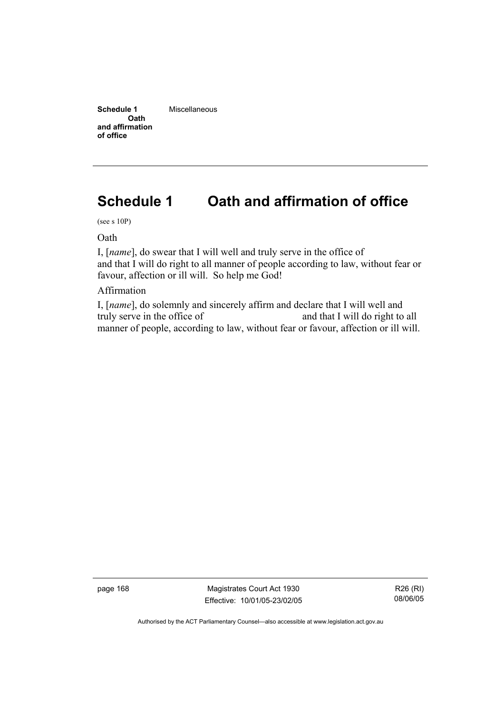**Schedule 1 Oath and affirmation of office**  Miscellaneous

# **Schedule 1 Oath and affirmation of office**

(see s 10P)

Oath

I, [*name*], do swear that I will well and truly serve in the office of and that I will do right to all manner of people according to law, without fear or favour, affection or ill will. So help me God!

Affirmation

I, [*name*], do solemnly and sincerely affirm and declare that I will well and truly serve in the office of and that I will do right to all manner of people, according to law, without fear or favour, affection or ill will.

page 168 Magistrates Court Act 1930 Effective: 10/01/05-23/02/05

R26 (RI) 08/06/05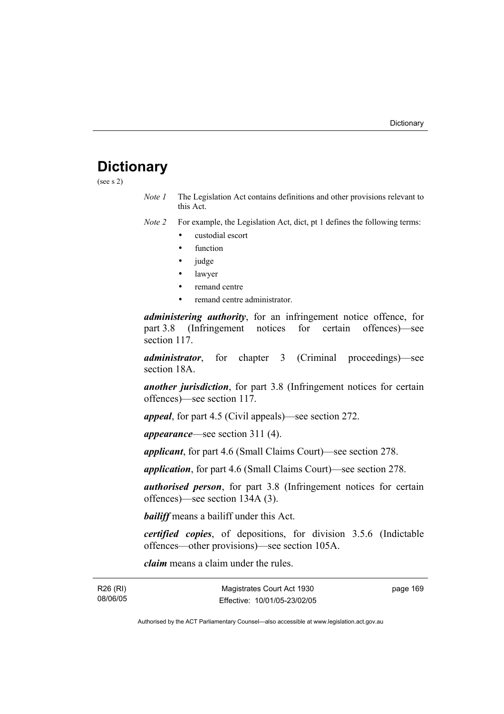# **Dictionary**

(see s 2)

*Note 1* The Legislation Act contains definitions and other provisions relevant to this Act.

*Note 2* For example, the Legislation Act, dict, pt 1 defines the following terms:

- custodial escort
- function
- judge
- lawyer
- remand centre
- remand centre administrator.

*administering authority*, for an infringement notice offence, for part 3.8 (Infringement notices for certain offences)—see section 117.

*administrator*, for chapter 3 (Criminal proceedings)—see section 18A.

*another jurisdiction*, for part 3.8 (Infringement notices for certain offences)—see section 117.

*appeal*, for part 4.5 (Civil appeals)—see section 272.

*appearance*—see section 311 (4).

*applicant*, for part 4.6 (Small Claims Court)—see section 278.

*application*, for part 4.6 (Small Claims Court)—see section 278.

*authorised person*, for part 3.8 (Infringement notices for certain offences)—see section 134A (3).

*bailiff* means a bailiff under this Act.

*certified copies*, of depositions, for division 3.5.6 (Indictable offences—other provisions)—see section 105A.

*claim* means a claim under the rules.

| R26 (RI) |  |
|----------|--|
| 08/06/05 |  |

page 169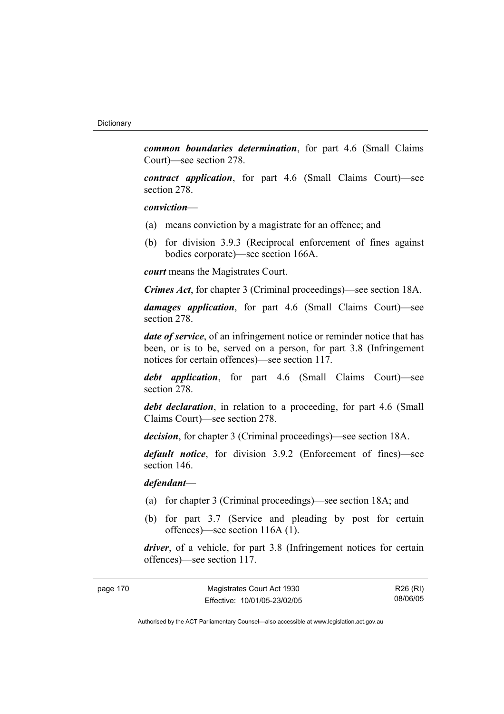*common boundaries determination*, for part 4.6 (Small Claims Court)—see section 278.

*contract application*, for part 4.6 (Small Claims Court)—see section 278.

### *conviction*—

- (a) means conviction by a magistrate for an offence; and
- (b) for division 3.9.3 (Reciprocal enforcement of fines against bodies corporate)—see section 166A.

*court* means the Magistrates Court.

*Crimes Act*, for chapter 3 (Criminal proceedings)—see section 18A.

*damages application*, for part 4.6 (Small Claims Court)—see section 278.

*date of service*, of an infringement notice or reminder notice that has been, or is to be, served on a person, for part 3.8 (Infringement notices for certain offences)—see section 117.

*debt application*, for part 4.6 (Small Claims Court)—see section 278.

*debt declaration*, in relation to a proceeding, for part 4.6 (Small Claims Court)—see section 278.

*decision*, for chapter 3 (Criminal proceedings)—see section 18A.

*default notice*, for division 3.9.2 (Enforcement of fines)—see section 146.

*defendant*—

- (a) for chapter 3 (Criminal proceedings)—see section 18A; and
- (b) for part 3.7 (Service and pleading by post for certain offences)—see section 116A (1).

*driver*, of a vehicle, for part 3.8 (Infringement notices for certain offences)—see section 117.

| page 170 | Magistrates Court Act 1930   | R26 (RI) |
|----------|------------------------------|----------|
|          | Effective: 10/01/05-23/02/05 | 08/06/05 |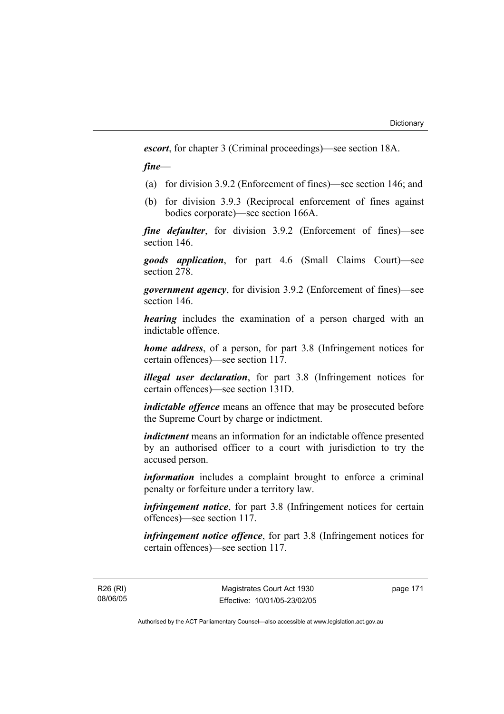*escort*, for chapter 3 (Criminal proceedings)—see section 18A.

*fine*—

- (a) for division 3.9.2 (Enforcement of fines)—see section 146; and
- (b) for division 3.9.3 (Reciprocal enforcement of fines against bodies corporate)—see section 166A.

*fine defaulter*, for division 3.9.2 (Enforcement of fines)—see section 146.

*goods application*, for part 4.6 (Small Claims Court)—see section 278.

*government agency*, for division 3.9.2 (Enforcement of fines)—see section 146.

*hearing* includes the examination of a person charged with an indictable offence.

*home address*, of a person, for part 3.8 (Infringement notices for certain offences)—see section 117.

*illegal user declaration*, for part 3.8 (Infringement notices for certain offences)—see section 131D.

*indictable offence* means an offence that may be prosecuted before the Supreme Court by charge or indictment.

*indictment* means an information for an indictable offence presented by an authorised officer to a court with jurisdiction to try the accused person.

*information* includes a complaint brought to enforce a criminal penalty or forfeiture under a territory law.

*infringement notice*, for part 3.8 (Infringement notices for certain offences)—see section 117.

*infringement notice offence*, for part 3.8 (Infringement notices for certain offences)—see section 117.

R26 (RI) 08/06/05 page 171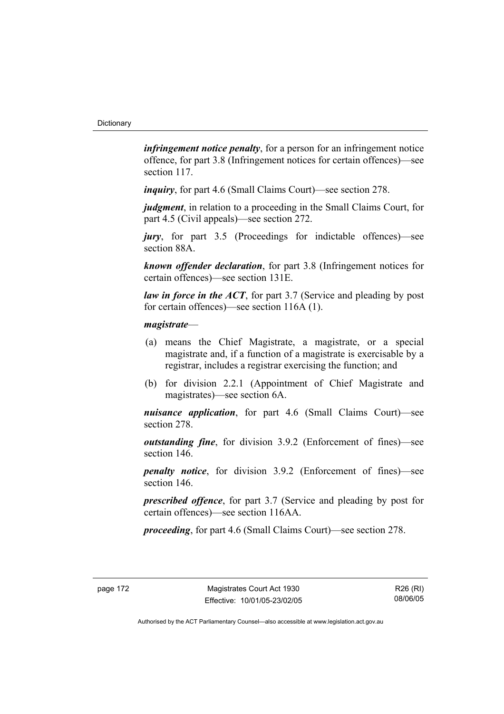*infringement notice penalty*, for a person for an infringement notice offence, for part 3.8 (Infringement notices for certain offences)—see section 117.

*inquiry*, for part 4.6 (Small Claims Court)—see section 278.

*judgment*, in relation to a proceeding in the Small Claims Court, for part 4.5 (Civil appeals)—see section 272.

*jury*, for part 3.5 (Proceedings for indictable offences)—see section 88A.

*known offender declaration*, for part 3.8 (Infringement notices for certain offences)—see section 131E.

*law in force in the ACT*, for part 3.7 (Service and pleading by post for certain offences)—see section 116A (1).

### *magistrate*—

- (a) means the Chief Magistrate, a magistrate, or a special magistrate and, if a function of a magistrate is exercisable by a registrar, includes a registrar exercising the function; and
- (b) for division 2.2.1 (Appointment of Chief Magistrate and magistrates)—see section 6A.

*nuisance application*, for part 4.6 (Small Claims Court)—see section 278.

*outstanding fine*, for division 3.9.2 (Enforcement of fines)—see section 146.

*penalty notice*, for division 3.9.2 (Enforcement of fines)—see section 146.

*prescribed offence*, for part 3.7 (Service and pleading by post for certain offences)—see section 116AA.

*proceeding*, for part 4.6 (Small Claims Court)—see section 278.

R26 (RI) 08/06/05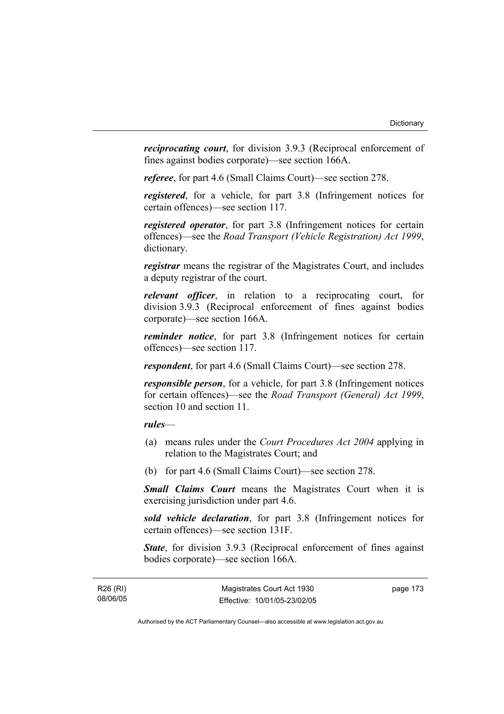*reciprocating court*, for division 3.9.3 (Reciprocal enforcement of fines against bodies corporate)—see section 166A.

*referee*, for part 4.6 (Small Claims Court)—see section 278.

*registered*, for a vehicle, for part 3.8 (Infringement notices for certain offences)—see section 117.

*registered operator*, for part 3.8 (Infringement notices for certain offences)—see the *Road Transport (Vehicle Registration) Act 1999*, dictionary.

*registrar* means the registrar of the Magistrates Court, and includes a deputy registrar of the court.

*relevant officer*, in relation to a reciprocating court, for division 3.9.3 (Reciprocal enforcement of fines against bodies corporate)—see section 166A.

*reminder notice*, for part 3.8 (Infringement notices for certain offences)—see section 117.

*respondent*, for part 4.6 (Small Claims Court)—see section 278.

*responsible person*, for a vehicle, for part 3.8 (Infringement notices for certain offences)—see the *Road Transport (General) Act 1999*, section 10 and section 11.

### *rules*—

- (a) means rules under the *Court Procedures Act 2004* applying in relation to the Magistrates Court; and
- (b) for part 4.6 (Small Claims Court)—see section 278.

*Small Claims Court* means the Magistrates Court when it is exercising jurisdiction under part 4.6.

*sold vehicle declaration*, for part 3.8 (Infringement notices for certain offences)—see section 131F.

*State*, for division 3.9.3 (Reciprocal enforcement of fines against bodies corporate)—see section 166A.

R26 (RI) 08/06/05 page 173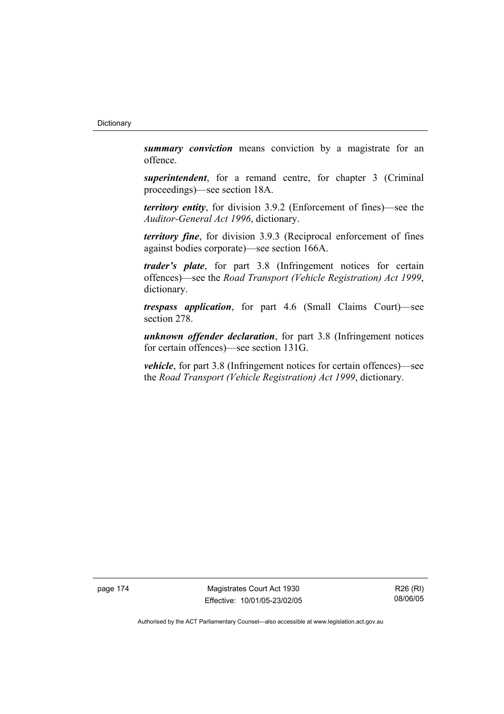*summary conviction* means conviction by a magistrate for an offence.

*superintendent*, for a remand centre, for chapter 3 (Criminal proceedings)—see section 18A.

*territory entity*, for division 3.9.2 (Enforcement of fines)—see the *Auditor-General Act 1996*, dictionary.

*territory fine*, for division 3.9.3 (Reciprocal enforcement of fines against bodies corporate)—see section 166A.

*trader's plate*, for part 3.8 (Infringement notices for certain offences)—see the *Road Transport (Vehicle Registration) Act 1999*, dictionary.

*trespass application*, for part 4.6 (Small Claims Court)—see section 278.

*unknown offender declaration*, for part 3.8 (Infringement notices for certain offences)—see section 131G.

*vehicle*, for part 3.8 (Infringement notices for certain offences)—see the *Road Transport (Vehicle Registration) Act 1999*, dictionary.

page 174 Magistrates Court Act 1930 Effective: 10/01/05-23/02/05

R26 (RI) 08/06/05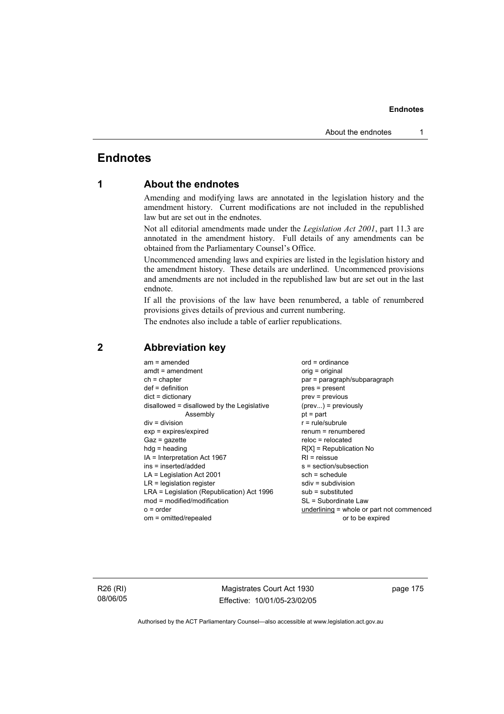# **Endnotes**

# **1 About the endnotes**

Amending and modifying laws are annotated in the legislation history and the amendment history. Current modifications are not included in the republished law but are set out in the endnotes.

Not all editorial amendments made under the *Legislation Act 2001*, part 11.3 are annotated in the amendment history. Full details of any amendments can be obtained from the Parliamentary Counsel's Office.

Uncommenced amending laws and expiries are listed in the legislation history and the amendment history. These details are underlined. Uncommenced provisions and amendments are not included in the republished law but are set out in the last endnote.

If all the provisions of the law have been renumbered, a table of renumbered provisions gives details of previous and current numbering.

The endnotes also include a table of earlier republications.

| $am = amended$                             | $ord = ordinance$                         |
|--------------------------------------------|-------------------------------------------|
| $amdt = amendment$                         | orig = original                           |
| $ch = chapter$                             | par = paragraph/subparagraph              |
| $def = definition$                         | $pres = present$                          |
| $dict = dictionary$                        | $prev = previous$                         |
| disallowed = disallowed by the Legislative | $(\text{prev}) = \text{previously}$       |
| Assembly                                   | $pt = part$                               |
| $div = division$                           | $r = rule/subrule$                        |
| $exp = expires/expired$                    | $renum = renumbered$                      |
| $Gaz = gazette$                            | $reloc = relocated$                       |
| $hdg =$ heading                            | $R[X]$ = Republication No                 |
| $IA = Interpretation Act 1967$             | $RI =$ reissue                            |
| $ins = inserted/added$                     | s = section/subsection                    |
| $LA =$ Legislation Act 2001                | $sch = schedule$                          |
| $LR =$ legislation register                | $sdiv = subdivision$                      |
| LRA = Legislation (Republication) Act 1996 | $sub =$ substituted                       |
| $mod = modified/modification$              | SL = Subordinate Law                      |
| $o = order$                                | underlining = whole or part not commenced |
| om = omitted/repealed                      | or to be expired                          |
|                                            |                                           |

# **2 Abbreviation key**

R26 (RI) 08/06/05

Magistrates Court Act 1930 Effective: 10/01/05-23/02/05 page 175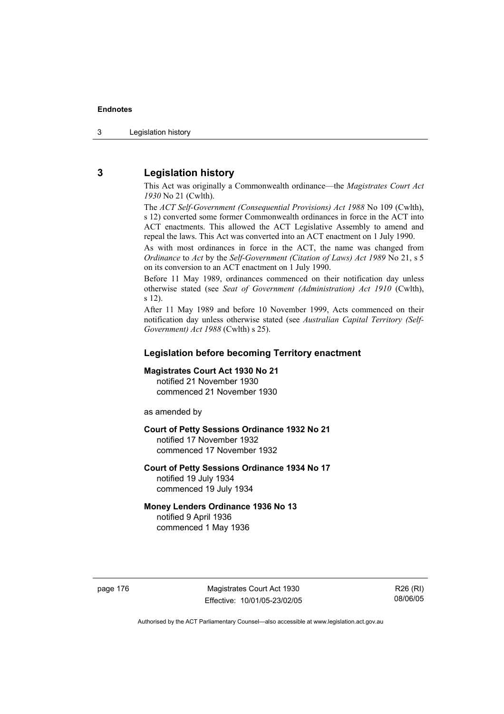3 Legislation history

# **3 Legislation history**

This Act was originally a Commonwealth ordinance—the *Magistrates Court Act 1930* No 21 (Cwlth).

The *ACT Self-Government (Consequential Provisions) Act 1988* No 109 (Cwlth), s 12) converted some former Commonwealth ordinances in force in the ACT into ACT enactments. This allowed the ACT Legislative Assembly to amend and repeal the laws. This Act was converted into an ACT enactment on 1 July 1990.

As with most ordinances in force in the ACT, the name was changed from *Ordinance* to *Act* by the *Self-Government (Citation of Laws) Act 1989* No 21, s 5 on its conversion to an ACT enactment on 1 July 1990.

Before 11 May 1989, ordinances commenced on their notification day unless otherwise stated (see *Seat of Government (Administration) Act 1910* (Cwlth), s 12).

After 11 May 1989 and before 10 November 1999, Acts commenced on their notification day unless otherwise stated (see *Australian Capital Territory (Self-Government) Act 1988* (Cwlth) s 25).

### **Legislation before becoming Territory enactment**

#### **Magistrates Court Act 1930 No 21**

notified 21 November 1930 commenced 21 November 1930

as amended by

### **Court of Petty Sessions Ordinance 1932 No 21**

notified 17 November 1932 commenced 17 November 1932

#### **Court of Petty Sessions Ordinance 1934 No 17**  notified 19 July 1934

commenced 19 July 1934

## **Money Lenders Ordinance 1936 No 13**

notified 9 April 1936 commenced 1 May 1936

page 176 Magistrates Court Act 1930 Effective: 10/01/05-23/02/05

R26 (RI) 08/06/05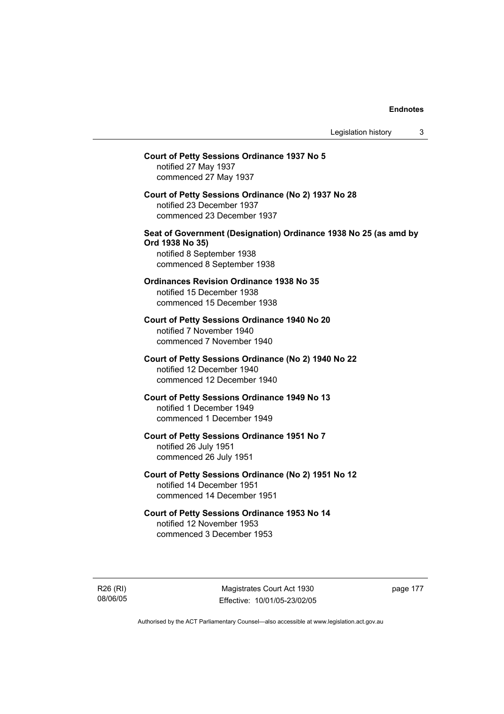# **Court of Petty Sessions Ordinance 1937 No 5**  notified 27 May 1937 commenced 27 May 1937 **Court of Petty Sessions Ordinance (No 2) 1937 No 28**  notified 23 December 1937 commenced 23 December 1937 **Seat of Government (Designation) Ordinance 1938 No 25 (as amd by Ord 1938 No 35)**  notified 8 September 1938 commenced 8 September 1938 **Ordinances Revision Ordinance 1938 No 35**  notified 15 December 1938 commenced 15 December 1938 **Court of Petty Sessions Ordinance 1940 No 20**  notified 7 November 1940 commenced 7 November 1940 **Court of Petty Sessions Ordinance (No 2) 1940 No 22**  notified 12 December 1940 commenced 12 December 1940 **Court of Petty Sessions Ordinance 1949 No 13**  notified 1 December 1949 commenced 1 December 1949 **Court of Petty Sessions Ordinance 1951 No 7**  notified 26 July 1951 commenced 26 July 1951 **Court of Petty Sessions Ordinance (No 2) 1951 No 12**  notified 14 December 1951 commenced 14 December 1951 **Court of Petty Sessions Ordinance 1953 No 14**  notified 12 November 1953 commenced 3 December 1953

R26 (RI) 08/06/05

Magistrates Court Act 1930 Effective: 10/01/05-23/02/05 page 177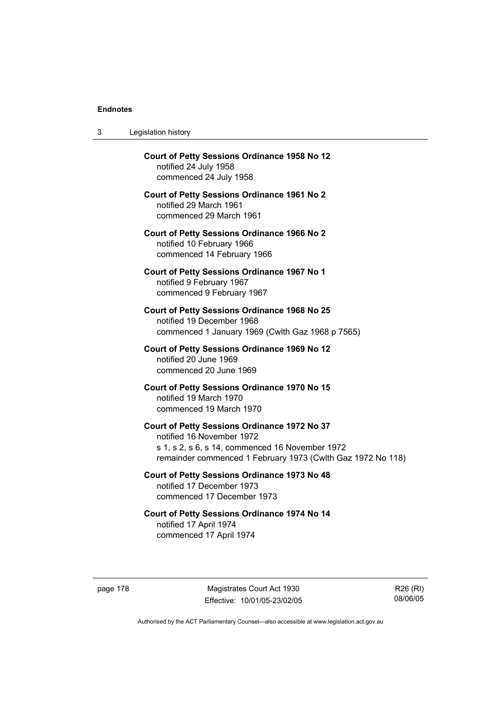$3<sub>l</sub>$ 

| 3        | Legislation history                                                                                                                                                                         |
|----------|---------------------------------------------------------------------------------------------------------------------------------------------------------------------------------------------|
|          | <b>Court of Petty Sessions Ordinance 1958 No 12</b><br>notified 24 July 1958<br>commenced 24 July 1958                                                                                      |
|          | <b>Court of Petty Sessions Ordinance 1961 No 2</b><br>notified 29 March 1961<br>commenced 29 March 1961                                                                                     |
|          | <b>Court of Petty Sessions Ordinance 1966 No 2</b><br>notified 10 February 1966<br>commenced 14 February 1966                                                                               |
|          | <b>Court of Petty Sessions Ordinance 1967 No 1</b><br>notified 9 February 1967<br>commenced 9 February 1967                                                                                 |
|          | <b>Court of Petty Sessions Ordinance 1968 No 25</b><br>notified 19 December 1968<br>commenced 1 January 1969 (Cwlth Gaz 1968 p 7565)                                                        |
|          | <b>Court of Petty Sessions Ordinance 1969 No 12</b><br>notified 20 June 1969<br>commenced 20 June 1969                                                                                      |
|          | Court of Petty Sessions Ordinance 1970 No 15<br>notified 19 March 1970<br>commenced 19 March 1970                                                                                           |
|          | Court of Petty Sessions Ordinance 1972 No 37<br>notified 16 November 1972<br>s 1, s 2, s 6, s 14, commenced 16 November 1972<br>remainder commenced 1 February 1973 (Cwlth Gaz 1972 No 118) |
|          | <b>Court of Petty Sessions Ordinance 1973 No 48</b><br>notified 17 December 1973<br>commenced 17 December 1973                                                                              |
|          | Court of Petty Sessions Ordinance 1974 No 14<br>notified 17 April 1974<br>commenced 17 April 1974                                                                                           |
| page 178 | Magistrates Court Act 1930<br>R26<br>08/<br>Effective: 10/01/05-23/02/05                                                                                                                    |

R26 (RI) 08/06/05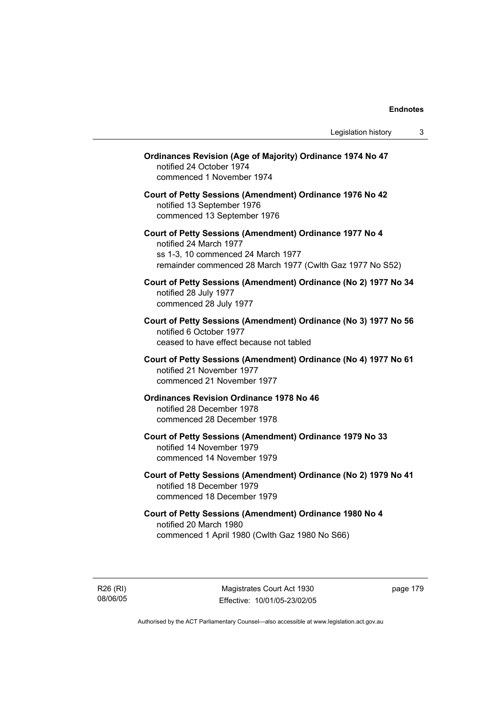| Ordinances Revision (Age of Majority) Ordinance 1974 No 47<br>notified 24 October 1974<br>commenced 1 November 1974                                                                  |  |
|--------------------------------------------------------------------------------------------------------------------------------------------------------------------------------------|--|
| Court of Petty Sessions (Amendment) Ordinance 1976 No 42<br>notified 13 September 1976<br>commenced 13 September 1976                                                                |  |
| Court of Petty Sessions (Amendment) Ordinance 1977 No 4<br>notified 24 March 1977<br>ss 1-3, 10 commenced 24 March 1977<br>remainder commenced 28 March 1977 (Cwlth Gaz 1977 No S52) |  |
| Court of Petty Sessions (Amendment) Ordinance (No 2) 1977 No 34<br>notified 28 July 1977<br>commenced 28 July 1977                                                                   |  |
| Court of Petty Sessions (Amendment) Ordinance (No 3) 1977 No 56<br>notified 6 October 1977<br>ceased to have effect because not tabled                                               |  |
| Court of Petty Sessions (Amendment) Ordinance (No 4) 1977 No 61<br>notified 21 November 1977<br>commenced 21 November 1977                                                           |  |
| <b>Ordinances Revision Ordinance 1978 No 46</b><br>notified 28 December 1978<br>commenced 28 December 1978                                                                           |  |
| Court of Petty Sessions (Amendment) Ordinance 1979 No 33<br>notified 14 November 1979<br>commenced 14 November 1979                                                                  |  |
| Court of Petty Sessions (Amendment) Ordinance (No 2) 1979 No 41<br>notified 18 December 1979<br>commenced 18 December 1979                                                           |  |
| Court of Petty Sessions (Amendment) Ordinance 1980 No 4<br>notified 20 March 1980<br>commenced 1 April 1980 (Cwlth Gaz 1980 No S66)                                                  |  |
|                                                                                                                                                                                      |  |

R26 (RI) 08/06/05

Magistrates Court Act 1930 Effective: 10/01/05-23/02/05 page 179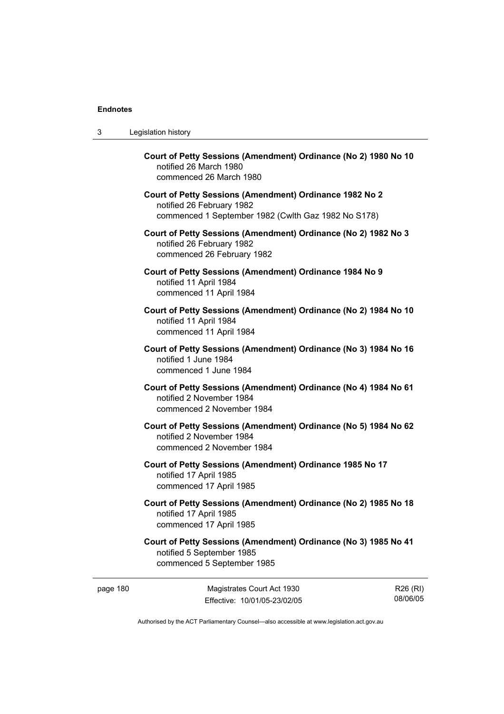| 3 | Legislation history                                                                                                                         |
|---|---------------------------------------------------------------------------------------------------------------------------------------------|
|   | Court of Petty Sessions (Amendment) Ordinance (No 2) 1980 No 10<br>notified 26 March 1980<br>commenced 26 March 1980                        |
|   | Court of Petty Sessions (Amendment) Ordinance 1982 No 2<br>notified 26 February 1982<br>commenced 1 September 1982 (Cwlth Gaz 1982 No S178) |
|   | Court of Petty Sessions (Amendment) Ordinance (No 2) 1982 No 3<br>notified 26 February 1982<br>commenced 26 February 1982                   |
|   | Court of Petty Sessions (Amendment) Ordinance 1984 No 9<br>notified 11 April 1984<br>commenced 11 April 1984                                |
|   | Court of Petty Sessions (Amendment) Ordinance (No 2) 1984 No 10<br>notified 11 April 1984<br>commenced 11 April 1984                        |
|   | Court of Petty Sessions (Amendment) Ordinance (No 3) 1984 No 16<br>notified 1 June 1984<br>commenced 1 June 1984                            |
|   | Court of Petty Sessions (Amendment) Ordinance (No 4) 1984 No 61<br>notified 2 November 1984<br>commenced 2 November 1984                    |
|   | Court of Petty Sessions (Amendment) Ordinance (No 5) 1984 No 62<br>notified 2 November 1984<br>commenced 2 November 1984                    |
|   | Court of Petty Sessions (Amendment) Ordinance 1985 No 17<br>notified 17 April 1985<br>commenced 17 April 1985                               |
|   | Court of Petty Sessions (Amendment) Ordinance (No 2) 1985 No 18<br>notified 17 April 1985<br>commenced 17 April 1985                        |
|   | Court of Petty Sessions (Amendment) Ordinance (No 3) 1985 No 41<br>notified 5 September 1985<br>commenced 5 September 1985                  |

page 180 Magistrates Court Act 1930 Effective: 10/01/05-23/02/05

R26 (RI) 08/06/05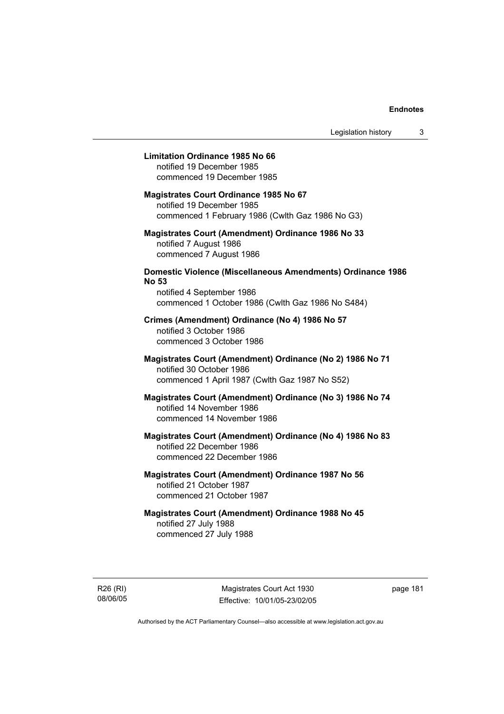### **Limitation Ordinance 1985 No 66**

notified 19 December 1985 commenced 19 December 1985

### **Magistrates Court Ordinance 1985 No 67**

notified 19 December 1985 commenced 1 February 1986 (Cwlth Gaz 1986 No G3)

### **Magistrates Court (Amendment) Ordinance 1986 No 33**  notified 7 August 1986 commenced 7 August 1986

## **Domestic Violence (Miscellaneous Amendments) Ordinance 1986 No 53**

notified 4 September 1986 commenced 1 October 1986 (Cwlth Gaz 1986 No S484)

# **Crimes (Amendment) Ordinance (No 4) 1986 No 57**  notified 3 October 1986

commenced 3 October 1986

### **Magistrates Court (Amendment) Ordinance (No 2) 1986 No 71**  notified 30 October 1986 commenced 1 April 1987 (Cwlth Gaz 1987 No S52)

### **Magistrates Court (Amendment) Ordinance (No 3) 1986 No 74**  notified 14 November 1986 commenced 14 November 1986

# **Magistrates Court (Amendment) Ordinance (No 4) 1986 No 83**  notified 22 December 1986 commenced 22 December 1986

# **Magistrates Court (Amendment) Ordinance 1987 No 56**  notified 21 October 1987 commenced 21 October 1987

## **Magistrates Court (Amendment) Ordinance 1988 No 45**  notified 27 July 1988 commenced 27 July 1988

R26 (RI) 08/06/05

Magistrates Court Act 1930 Effective: 10/01/05-23/02/05 page 181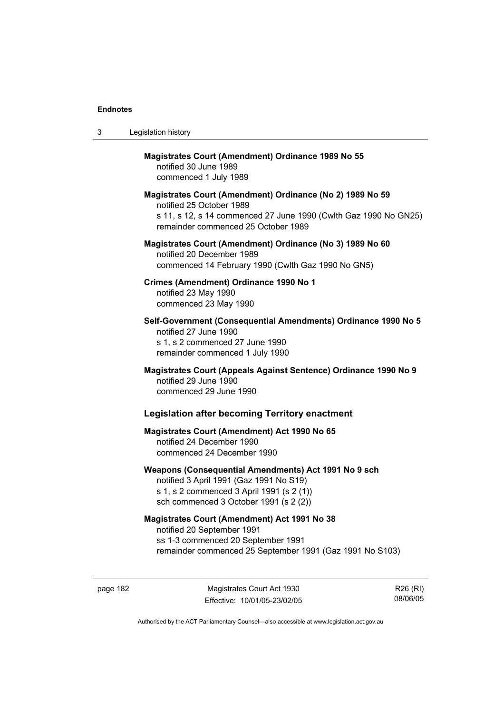| 3 | Legislation history                                                                                                                                                                              |
|---|--------------------------------------------------------------------------------------------------------------------------------------------------------------------------------------------------|
|   | <b>Magistrates Court (Amendment) Ordinance 1989 No 55</b><br>notified 30 June 1989<br>commenced 1 July 1989                                                                                      |
|   | Magistrates Court (Amendment) Ordinance (No 2) 1989 No 59<br>notified 25 October 1989<br>s 11, s 12, s 14 commenced 27 June 1990 (Cwlth Gaz 1990 No GN25)<br>remainder commenced 25 October 1989 |
|   | Magistrates Court (Amendment) Ordinance (No 3) 1989 No 60<br>notified 20 December 1989<br>commenced 14 February 1990 (Cwlth Gaz 1990 No GN5)                                                     |
|   | Crimes (Amendment) Ordinance 1990 No 1<br>notified 23 May 1990<br>commenced 23 May 1990                                                                                                          |
|   | Self-Government (Consequential Amendments) Ordinance 1990 No 5<br>notified 27 June 1990<br>s 1, s 2 commenced 27 June 1990<br>remainder commenced 1 July 1990                                    |
|   | Magistrates Court (Appeals Against Sentence) Ordinance 1990 No 9<br>notified 29 June 1990<br>commenced 29 June 1990                                                                              |
|   | <b>Legislation after becoming Territory enactment</b>                                                                                                                                            |
|   | <b>Magistrates Court (Amendment) Act 1990 No 65</b><br>notified 24 December 1990<br>commenced 24 December 1990                                                                                   |
|   | Weapons (Consequential Amendments) Act 1991 No 9 sch<br>notified 3 April 1991 (Gaz 1991 No S19)<br>s 1, s 2 commenced 3 April 1991 (s 2 (1))<br>sch commenced 3 October 1991 (s 2 (2))           |
|   | <b>Magistrates Court (Amendment) Act 1991 No 38</b><br>notified 20 September 1991<br>ss 1-3 commenced 20 September 1991<br>remainder commenced 25 September 1991 (Gaz 1991 No S103)              |

page 182 Magistrates Court Act 1930 Effective: 10/01/05-23/02/05

R26 (RI) 08/06/05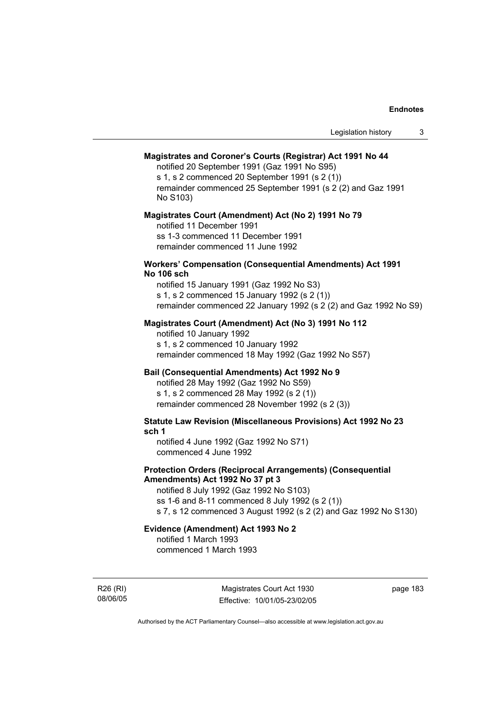### **Magistrates and Coroner's Courts (Registrar) Act 1991 No 44**

notified 20 September 1991 (Gaz 1991 No S95) s 1, s 2 commenced 20 September 1991 (s 2 (1)) remainder commenced 25 September 1991 (s 2 (2) and Gaz 1991

No S103)

### **Magistrates Court (Amendment) Act (No 2) 1991 No 79**

notified 11 December 1991 ss 1-3 commenced 11 December 1991 remainder commenced 11 June 1992

### **Workers' Compensation (Consequential Amendments) Act 1991 No 106 sch**

notified 15 January 1991 (Gaz 1992 No S3) s 1, s 2 commenced 15 January 1992 (s 2 (1)) remainder commenced 22 January 1992 (s 2 (2) and Gaz 1992 No S9)

### **Magistrates Court (Amendment) Act (No 3) 1991 No 112**

notified 10 January 1992 s 1, s 2 commenced 10 January 1992 remainder commenced 18 May 1992 (Gaz 1992 No S57)

### **Bail (Consequential Amendments) Act 1992 No 9**

notified 28 May 1992 (Gaz 1992 No S59) s 1, s 2 commenced 28 May 1992 (s 2 (1)) remainder commenced 28 November 1992 (s 2 (3))

**Statute Law Revision (Miscellaneous Provisions) Act 1992 No 23 sch 1** 

notified 4 June 1992 (Gaz 1992 No S71) commenced 4 June 1992

### **Protection Orders (Reciprocal Arrangements) (Consequential Amendments) Act 1992 No 37 pt 3**

notified 8 July 1992 (Gaz 1992 No S103) ss 1-6 and 8-11 commenced 8 July 1992 (s 2 (1)) s 7, s 12 commenced 3 August 1992 (s 2 (2) and Gaz 1992 No S130)

### **Evidence (Amendment) Act 1993 No 2**

notified 1 March 1993 commenced 1 March 1993

R26 (RI) 08/06/05

Magistrates Court Act 1930 Effective: 10/01/05-23/02/05 page 183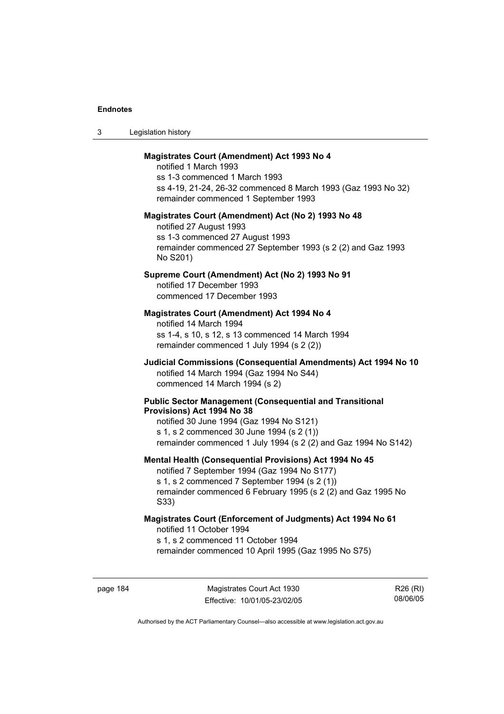| Legislation history<br>-3 |  |
|---------------------------|--|
|---------------------------|--|

### **Magistrates Court (Amendment) Act 1993 No 4**

notified 1 March 1993 ss 1-3 commenced 1 March 1993 ss 4-19, 21-24, 26-32 commenced 8 March 1993 (Gaz 1993 No 32) remainder commenced 1 September 1993

#### **Magistrates Court (Amendment) Act (No 2) 1993 No 48**

notified 27 August 1993 ss 1-3 commenced 27 August 1993 remainder commenced 27 September 1993 (s 2 (2) and Gaz 1993 No S201)

### **Supreme Court (Amendment) Act (No 2) 1993 No 91**

notified 17 December 1993 commenced 17 December 1993

### **Magistrates Court (Amendment) Act 1994 No 4**

notified 14 March 1994 ss 1-4, s 10, s 12, s 13 commenced 14 March 1994 remainder commenced 1 July 1994 (s 2 (2))

### **Judicial Commissions (Consequential Amendments) Act 1994 No 10**  notified 14 March 1994 (Gaz 1994 No S44) commenced 14 March 1994 (s 2)

#### **Public Sector Management (Consequential and Transitional Provisions) Act 1994 No 38**

notified 30 June 1994 (Gaz 1994 No S121) s 1, s 2 commenced 30 June 1994 (s 2 (1)) remainder commenced 1 July 1994 (s 2 (2) and Gaz 1994 No S142)

#### **Mental Health (Consequential Provisions) Act 1994 No 45**

notified 7 September 1994 (Gaz 1994 No S177) s 1, s 2 commenced 7 September 1994 (s 2 (1)) remainder commenced 6 February 1995 (s 2 (2) and Gaz 1995 No S33)

### **Magistrates Court (Enforcement of Judgments) Act 1994 No 61**  notified 11 October 1994

s 1, s 2 commenced 11 October 1994

remainder commenced 10 April 1995 (Gaz 1995 No S75)

page 184 Magistrates Court Act 1930 Effective: 10/01/05-23/02/05

R26 (RI) 08/06/05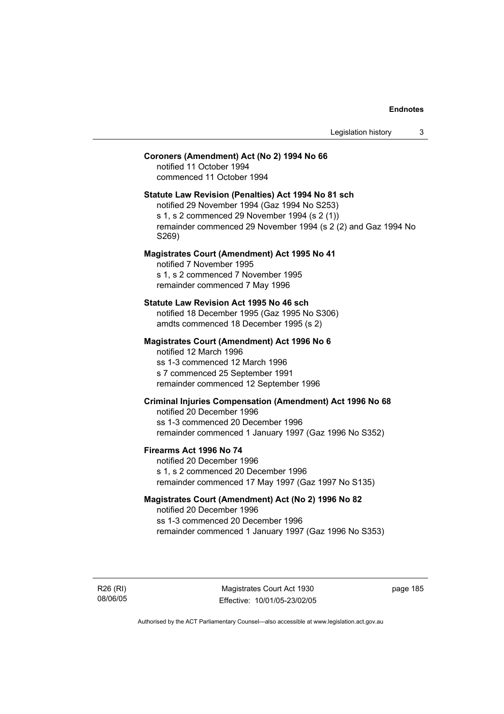# **Coroners (Amendment) Act (No 2) 1994 No 66**

notified 11 October 1994 commenced 11 October 1994

### **Statute Law Revision (Penalties) Act 1994 No 81 sch**

notified 29 November 1994 (Gaz 1994 No S253) s 1, s 2 commenced 29 November 1994 (s 2 (1)) remainder commenced 29 November 1994 (s 2 (2) and Gaz 1994 No S269)

### **Magistrates Court (Amendment) Act 1995 No 41**

notified 7 November 1995 s 1, s 2 commenced 7 November 1995 remainder commenced 7 May 1996

#### **Statute Law Revision Act 1995 No 46 sch**

notified 18 December 1995 (Gaz 1995 No S306) amdts commenced 18 December 1995 (s 2)

### **Magistrates Court (Amendment) Act 1996 No 6**

notified 12 March 1996 ss 1-3 commenced 12 March 1996 s 7 commenced 25 September 1991 remainder commenced 12 September 1996

## **Criminal Injuries Compensation (Amendment) Act 1996 No 68**

notified 20 December 1996 ss 1-3 commenced 20 December 1996 remainder commenced 1 January 1997 (Gaz 1996 No S352)

### **Firearms Act 1996 No 74**

notified 20 December 1996 s 1, s 2 commenced 20 December 1996 remainder commenced 17 May 1997 (Gaz 1997 No S135)

### **Magistrates Court (Amendment) Act (No 2) 1996 No 82**

notified 20 December 1996 ss 1-3 commenced 20 December 1996 remainder commenced 1 January 1997 (Gaz 1996 No S353)

R26 (RI) 08/06/05

Magistrates Court Act 1930 Effective: 10/01/05-23/02/05 page 185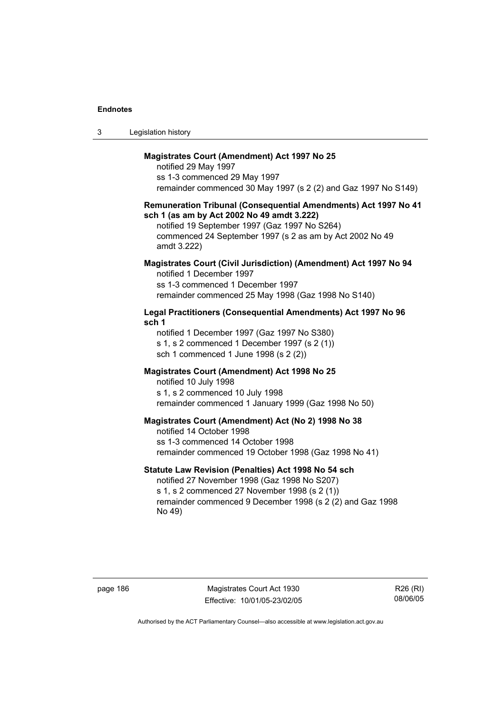| Legislation history<br>3 |  |
|--------------------------|--|
|--------------------------|--|

### **Magistrates Court (Amendment) Act 1997 No 25**

notified 29 May 1997 ss 1-3 commenced 29 May 1997 remainder commenced 30 May 1997 (s 2 (2) and Gaz 1997 No S149)

### **Remuneration Tribunal (Consequential Amendments) Act 1997 No 41 sch 1 (as am by Act 2002 No 49 amdt 3.222)**

notified 19 September 1997 (Gaz 1997 No S264) commenced 24 September 1997 (s 2 as am by Act 2002 No 49 amdt 3.222)

### **Magistrates Court (Civil Jurisdiction) (Amendment) Act 1997 No 94**  notified 1 December 1997

ss 1-3 commenced 1 December 1997 remainder commenced 25 May 1998 (Gaz 1998 No S140)

### **Legal Practitioners (Consequential Amendments) Act 1997 No 96 sch 1**

notified 1 December 1997 (Gaz 1997 No S380) s 1, s 2 commenced 1 December 1997 (s 2 (1)) sch 1 commenced 1 June 1998 (s 2 (2))

### **Magistrates Court (Amendment) Act 1998 No 25**

notified 10 July 1998 s 1, s 2 commenced 10 July 1998 remainder commenced 1 January 1999 (Gaz 1998 No 50)

#### **Magistrates Court (Amendment) Act (No 2) 1998 No 38**

notified 14 October 1998 ss 1-3 commenced 14 October 1998 remainder commenced 19 October 1998 (Gaz 1998 No 41)

### **Statute Law Revision (Penalties) Act 1998 No 54 sch**

notified 27 November 1998 (Gaz 1998 No S207) s 1, s 2 commenced 27 November 1998 (s 2 (1)) remainder commenced 9 December 1998 (s 2 (2) and Gaz 1998 No 49)

page 186 Magistrates Court Act 1930 Effective: 10/01/05-23/02/05

R26 (RI) 08/06/05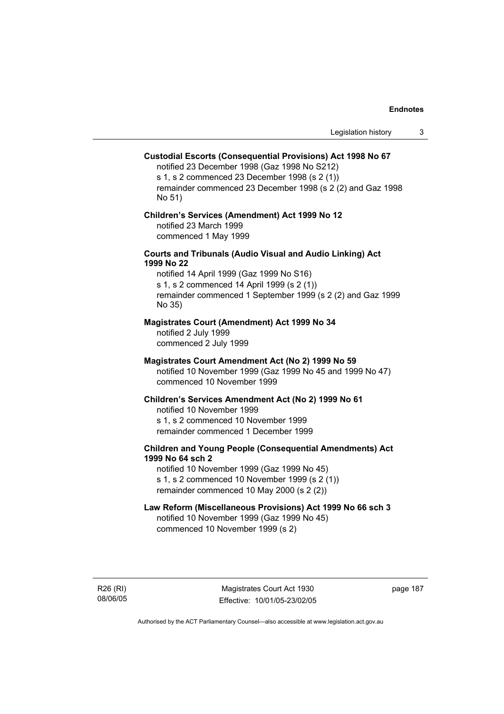### **Custodial Escorts (Consequential Provisions) Act 1998 No 67**

notified 23 December 1998 (Gaz 1998 No S212) s 1, s 2 commenced 23 December 1998 (s 2 (1)) remainder commenced 23 December 1998 (s 2 (2) and Gaz 1998 No 51)

### **Children's Services (Amendment) Act 1999 No 12**  notified 23 March 1999 commenced 1 May 1999

### **Courts and Tribunals (Audio Visual and Audio Linking) Act 1999 No 22**

notified 14 April 1999 (Gaz 1999 No S16) s 1, s 2 commenced 14 April 1999 (s 2 (1)) remainder commenced 1 September 1999 (s 2 (2) and Gaz 1999 No 35)

### **Magistrates Court (Amendment) Act 1999 No 34**

notified 2 July 1999 commenced 2 July 1999

### **Magistrates Court Amendment Act (No 2) 1999 No 59**

notified 10 November 1999 (Gaz 1999 No 45 and 1999 No 47) commenced 10 November 1999

#### **Children's Services Amendment Act (No 2) 1999 No 61**

notified 10 November 1999 s 1, s 2 commenced 10 November 1999 remainder commenced 1 December 1999

### **Children and Young People (Consequential Amendments) Act 1999 No 64 sch 2**

notified 10 November 1999 (Gaz 1999 No 45) s 1, s 2 commenced 10 November 1999 (s 2 (1)) remainder commenced 10 May 2000 (s 2 (2))

### **Law Reform (Miscellaneous Provisions) Act 1999 No 66 sch 3**

notified 10 November 1999 (Gaz 1999 No 45) commenced 10 November 1999 (s 2)

R26 (RI) 08/06/05 page 187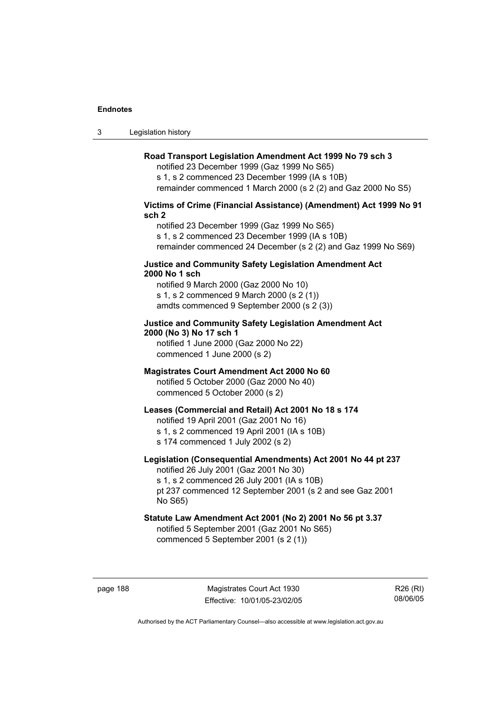3 Legislation history

### **Road Transport Legislation Amendment Act 1999 No 79 sch 3**

notified 23 December 1999 (Gaz 1999 No S65) s 1, s 2 commenced 23 December 1999 (IA s 10B) remainder commenced 1 March 2000 (s 2 (2) and Gaz 2000 No S5)

### **Victims of Crime (Financial Assistance) (Amendment) Act 1999 No 91 sch 2**

notified 23 December 1999 (Gaz 1999 No S65) s 1, s 2 commenced 23 December 1999 (IA s 10B) remainder commenced 24 December (s 2 (2) and Gaz 1999 No S69)

### **Justice and Community Safety Legislation Amendment Act 2000 No 1 sch**

notified 9 March 2000 (Gaz 2000 No 10) s 1, s 2 commenced 9 March 2000 (s 2 (1)) amdts commenced 9 September 2000 (s 2 (3))

## **Justice and Community Safety Legislation Amendment Act 2000 (No 3) No 17 sch 1**

notified 1 June 2000 (Gaz 2000 No 22) commenced 1 June 2000 (s 2)

### **Magistrates Court Amendment Act 2000 No 60**

notified 5 October 2000 (Gaz 2000 No 40) commenced 5 October 2000 (s 2)

### **Leases (Commercial and Retail) Act 2001 No 18 s 174**

notified 19 April 2001 (Gaz 2001 No 16)

s 1, s 2 commenced 19 April 2001 (IA s 10B)

s 174 commenced 1 July 2002 (s 2)

## **Legislation (Consequential Amendments) Act 2001 No 44 pt 237**

notified 26 July 2001 (Gaz 2001 No 30) s 1, s 2 commenced 26 July 2001 (IA s 10B)

pt 237 commenced 12 September 2001 (s 2 and see Gaz 2001 No S65)

# **Statute Law Amendment Act 2001 (No 2) 2001 No 56 pt 3.37**

notified 5 September 2001 (Gaz 2001 No S65) commenced 5 September 2001 (s 2 (1))

page 188 Magistrates Court Act 1930 Effective: 10/01/05-23/02/05

R26 (RI) 08/06/05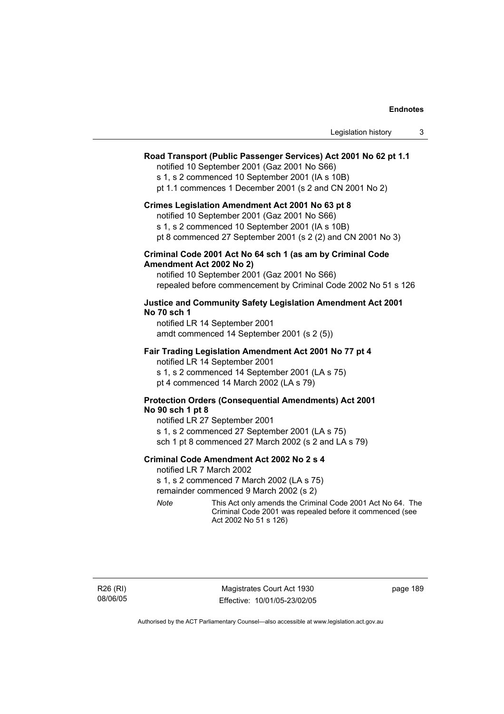### **Road Transport (Public Passenger Services) Act 2001 No 62 pt 1.1**

notified 10 September 2001 (Gaz 2001 No S66)

s 1, s 2 commenced 10 September 2001 (IA s 10B)

pt 1.1 commences 1 December 2001 (s 2 and CN 2001 No 2)

#### **Crimes Legislation Amendment Act 2001 No 63 pt 8**

notified 10 September 2001 (Gaz 2001 No S66)

s 1, s 2 commenced 10 September 2001 (IA s 10B)

pt 8 commenced 27 September 2001 (s 2 (2) and CN 2001 No 3)

### **Criminal Code 2001 Act No 64 sch 1 (as am by Criminal Code Amendment Act 2002 No 2)**

notified 10 September 2001 (Gaz 2001 No S66) repealed before commencement by Criminal Code 2002 No 51 s 126

### **Justice and Community Safety Legislation Amendment Act 2001 No 70 sch 1**

notified LR 14 September 2001 amdt commenced 14 September 2001 (s 2 (5))

### **Fair Trading Legislation Amendment Act 2001 No 77 pt 4**

notified LR 14 September 2001 s 1, s 2 commenced 14 September 2001 (LA s 75) pt 4 commenced 14 March 2002 (LA s 79)

### **Protection Orders (Consequential Amendments) Act 2001 No 90 sch 1 pt 8**

notified LR 27 September 2001 s 1, s 2 commenced 27 September 2001 (LA s 75) sch 1 pt 8 commenced 27 March 2002 (s 2 and LA s 79)

#### **Criminal Code Amendment Act 2002 No 2 s 4**

notified LR 7 March 2002

s 1, s 2 commenced 7 March 2002 (LA s 75)

remainder commenced 9 March 2002 (s 2)

*Note* This Act only amends the Criminal Code 2001 Act No 64. The Criminal Code 2001 was repealed before it commenced (see Act 2002 No 51 s 126)

page 189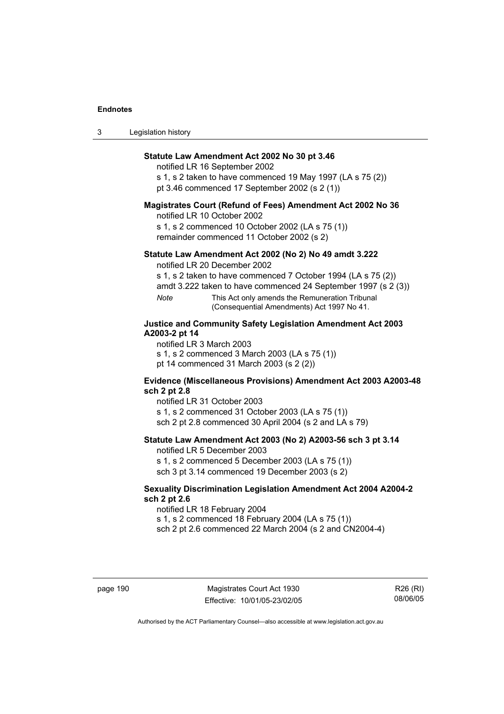| 3 | Legislation history |  |
|---|---------------------|--|
|---|---------------------|--|

### **Statute Law Amendment Act 2002 No 30 pt 3.46**

notified LR 16 September 2002

s 1, s 2 taken to have commenced 19 May 1997 (LA s 75 (2)) pt 3.46 commenced 17 September 2002 (s 2 (1))

### **Magistrates Court (Refund of Fees) Amendment Act 2002 No 36**

notified LR 10 October 2002

s 1, s 2 commenced 10 October 2002 (LA s 75 (1)) remainder commenced 11 October 2002 (s 2)

### **Statute Law Amendment Act 2002 (No 2) No 49 amdt 3.222**

notified LR 20 December 2002

s 1, s 2 taken to have commenced 7 October 1994 (LA s 75 (2))

amdt 3.222 taken to have commenced 24 September 1997 (s 2 (3))

*Note* This Act only amends the Remuneration Tribunal (Consequential Amendments) Act 1997 No 41.

### **Justice and Community Safety Legislation Amendment Act 2003 A2003-2 pt 14**

notified LR 3 March 2003

s 1, s 2 commenced 3 March 2003 (LA s 75 (1)) pt 14 commenced 31 March 2003 (s 2 (2))

### **Evidence (Miscellaneous Provisions) Amendment Act 2003 A2003-48 sch 2 pt 2.8**

notified LR 31 October 2003

s 1, s 2 commenced 31 October 2003 (LA s 75 (1)) sch 2 pt 2.8 commenced 30 April 2004 (s 2 and LA s 79)

### **Statute Law Amendment Act 2003 (No 2) A2003-56 sch 3 pt 3.14**

notified LR 5 December 2003 s 1, s 2 commenced 5 December 2003 (LA s 75 (1))

sch 3 pt 3.14 commenced 19 December 2003 (s 2)

### **Sexuality Discrimination Legislation Amendment Act 2004 A2004-2 sch 2 pt 2.6**

notified LR 18 February 2004

s 1, s 2 commenced 18 February 2004 (LA s 75 (1))

sch 2 pt 2.6 commenced 22 March 2004 (s 2 and CN2004-4)

page 190 Magistrates Court Act 1930 Effective: 10/01/05-23/02/05

R26 (RI) 08/06/05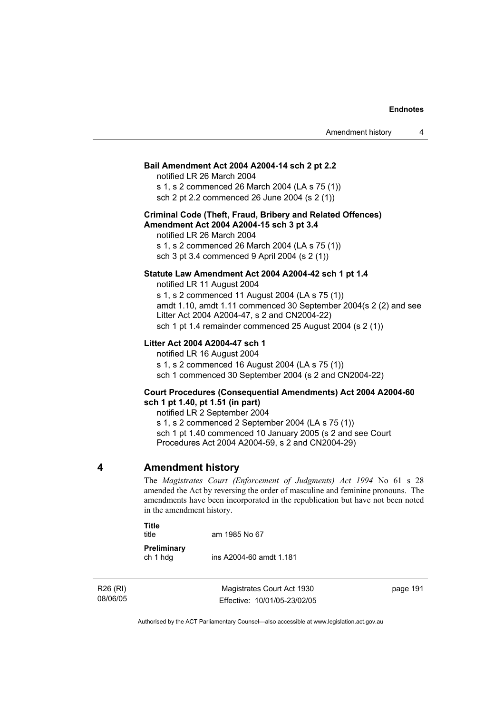### **Bail Amendment Act 2004 A2004-14 sch 2 pt 2.2**

notified LR 26 March 2004

s 1, s 2 commenced 26 March 2004 (LA s 75 (1)) sch 2 pt 2.2 commenced 26 June 2004 (s 2 (1))

### **Criminal Code (Theft, Fraud, Bribery and Related Offences) Amendment Act 2004 A2004-15 sch 3 pt 3.4**

notified LR 26 March 2004 s 1, s 2 commenced 26 March 2004 (LA s 75 (1)) sch 3 pt 3.4 commenced 9 April 2004 (s 2 (1))

### **Statute Law Amendment Act 2004 A2004-42 sch 1 pt 1.4**

notified LR 11 August 2004 s 1, s 2 commenced 11 August 2004 (LA s 75 (1)) amdt 1.10, amdt 1.11 commenced 30 September 2004(s 2 (2) and see Litter Act 2004 A2004-47, s 2 and CN2004-22) sch 1 pt 1.4 remainder commenced 25 August 2004 (s 2 (1))

### **Litter Act 2004 A2004-47 sch 1**

notified LR 16 August 2004

s 1, s 2 commenced 16 August 2004 (LA s 75 (1))

sch 1 commenced 30 September 2004 (s 2 and CN2004-22)

### **Court Procedures (Consequential Amendments) Act 2004 A2004-60 sch 1 pt 1.40, pt 1.51 (in part)**

notified LR 2 September 2004

s 1, s 2 commenced 2 September 2004 (LA s 75 (1)) sch 1 pt 1.40 commenced 10 January 2005 (s 2 and see Court Procedures Act 2004 A2004-59, s 2 and CN2004-29)

### **4 Amendment history**

The *Magistrates Court (Enforcement of Judgments) Act 1994* No 61 s 28 amended the Act by reversing the order of masculine and feminine pronouns. The amendments have been incorporated in the republication but have not been noted in the amendment history.

### **Title**

title am 1985 No 67

**Preliminary**  ch 1 hdg ins A2004-60 amdt 1.181

R26 (RI) 08/06/05

Magistrates Court Act 1930 Effective: 10/01/05-23/02/05 page 191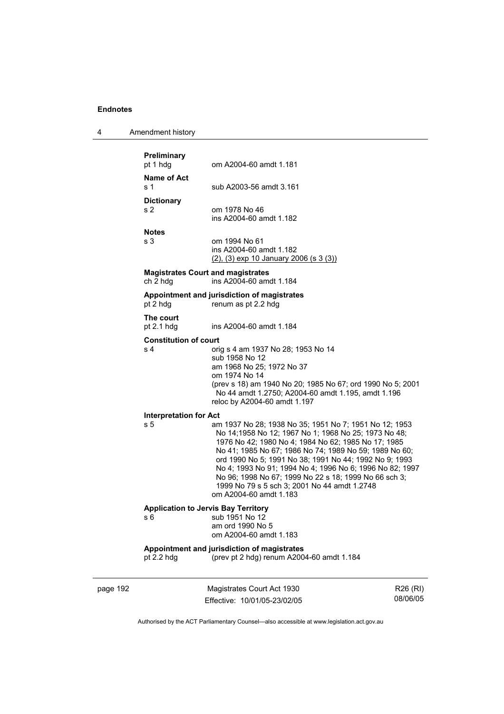| 4 | Amendment history |
|---|-------------------|
|---|-------------------|

| Preliminary<br>pt 1 hdg                              | om A2004-60 amdt 1.181                                                                                                                                                                                                                                                                                                                                                                                                                                                                   |
|------------------------------------------------------|------------------------------------------------------------------------------------------------------------------------------------------------------------------------------------------------------------------------------------------------------------------------------------------------------------------------------------------------------------------------------------------------------------------------------------------------------------------------------------------|
| Name of Act<br>s <sub>1</sub>                        | sub A2003-56 amdt 3.161                                                                                                                                                                                                                                                                                                                                                                                                                                                                  |
| <b>Dictionary</b><br>s <sub>2</sub>                  | om 1978 No 46<br>ins A2004-60 amdt 1.182                                                                                                                                                                                                                                                                                                                                                                                                                                                 |
| <b>Notes</b><br>s 3                                  | om 1994 No 61<br>ins A2004-60 amdt 1.182<br>$(2)$ , $(3)$ exp 10 January 2006 (s 3 $(3)$ )                                                                                                                                                                                                                                                                                                                                                                                               |
| <b>Magistrates Court and magistrates</b><br>ch 2 hdg | ins A2004-60 amdt 1.184                                                                                                                                                                                                                                                                                                                                                                                                                                                                  |
| pt 2 hdg                                             | Appointment and jurisdiction of magistrates<br>renum as pt 2.2 hdg                                                                                                                                                                                                                                                                                                                                                                                                                       |
| The court<br>pt $2.1$ hdg                            | ins A2004-60 amdt 1.184                                                                                                                                                                                                                                                                                                                                                                                                                                                                  |
| <b>Constitution of court</b>                         |                                                                                                                                                                                                                                                                                                                                                                                                                                                                                          |
| s 4                                                  | orig s 4 am 1937 No 28; 1953 No 14<br>sub 1958 No 12<br>am 1968 No 25; 1972 No 37<br>om 1974 No 14<br>(prev s 18) am 1940 No 20; 1985 No 67; ord 1990 No 5; 2001<br>No 44 amdt 1.2750; A2004-60 amdt 1.195, amdt 1.196<br>reloc by A2004-60 amdt 1.197                                                                                                                                                                                                                                   |
| <b>Interpretation for Act</b>                        |                                                                                                                                                                                                                                                                                                                                                                                                                                                                                          |
| s <sub>5</sub>                                       | am 1937 No 28; 1938 No 35; 1951 No 7; 1951 No 12; 1953<br>No 14;1958 No 12; 1967 No 1; 1968 No 25; 1973 No 48;<br>1976 No 42; 1980 No 4; 1984 No 62; 1985 No 17; 1985<br>No 41; 1985 No 67; 1986 No 74; 1989 No 59; 1989 No 60;<br>ord 1990 No 5; 1991 No 38; 1991 No 44; 1992 No 9; 1993<br>No 4; 1993 No 91; 1994 No 4; 1996 No 6; 1996 No 82; 1997<br>No 96; 1998 No 67; 1999 No 22 s 18; 1999 No 66 sch 3;<br>1999 No 79 s 5 sch 3; 2001 No 44 amdt 1.2748<br>om A2004-60 amdt 1.183 |
| <b>Application to Jervis Bay Territory</b><br>s 6    | sub 1951 No 12<br>am ord 1990 No 5<br>om A2004-60 amdt 1.183                                                                                                                                                                                                                                                                                                                                                                                                                             |
| pt 2.2 hdg                                           | Appointment and jurisdiction of magistrates<br>(prev pt 2 hdg) renum A2004-60 amdt 1.184                                                                                                                                                                                                                                                                                                                                                                                                 |

page 192 Magistrates Court Act 1930 Effective: 10/01/05-23/02/05

R26 (RI) 08/06/05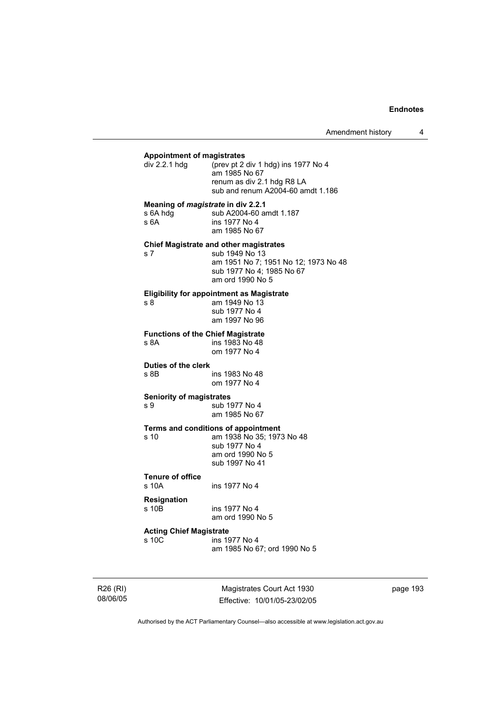#### **Appointment of magistrates**

| div 2.2.1 hdq | (prev pt 2 div 1 hdg) ins 1977 No 4<br>am 1985 No 67            |
|---------------|-----------------------------------------------------------------|
|               | renum as div 2.1 hdg R8 LA<br>sub and renum A2004-60 amdt 1.186 |

**Meaning of** *magistrate* **in div 2.2.1** 

| s 6A hdg | sub A2004-60 amdt 1.187 |
|----------|-------------------------|
| s 6A     | ins 1977 No 4           |
|          | am 1985 No 67           |

#### **Chief Magistrate and other magistrates**

s 7 sub 1949 No 13 am 1951 No 7; 1951 No 12; 1973 No 48 sub 1977 No 4; 1985 No 67 am ord 1990 No 5

# **Eligibility for appointment as Magistrate**

am 1949 No 13 sub 1977 No 4 am 1997 No 96

**Functions of the Chief Magistrate** 

s 8A ins 1983 No 48 om 1977 No 4

### **Duties of the clerk**

s 8B ins 1983 No 48 om 1977 No 4

#### **Seniority of magistrates**

s 9 sub 1977 No 4 am 1985 No 67

#### **Terms and conditions of appointment**

s 10 am 1938 No 35; 1973 No 48 sub 1977 No 4 am ord 1990 No 5 sub 1997 No 41

# **Tenure of office**

s 10A ins 1977 No 4

### **Resignation**

s 10B ins 1977 No 4 am ord 1990 No 5

#### **Acting Chief Magistrate**

s 10C ins 1977 No 4 am 1985 No 67; ord 1990 No 5

R26 (RI) 08/06/05

Magistrates Court Act 1930 Effective: 10/01/05-23/02/05 page 193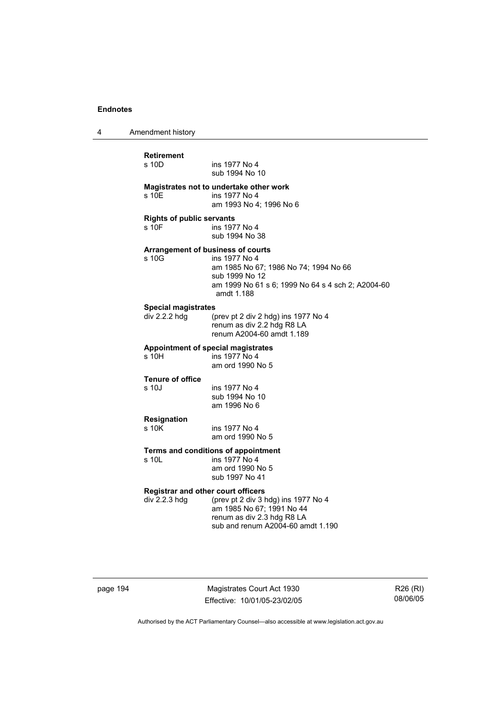4 Amendment history

| <b>Retirement</b>                         |                                                         |
|-------------------------------------------|---------------------------------------------------------|
| s 10D.                                    | ins 1977 No 4                                           |
|                                           | sub 1994 No 10                                          |
|                                           | Magistrates not to undertake other work                 |
| s 10E                                     | ins 1977 No 4                                           |
|                                           | am 1993 No 4; 1996 No 6                                 |
| <b>Rights of public servants</b>          |                                                         |
| s 10F                                     | ins 1977 No 4                                           |
|                                           | sub 1994 No 38                                          |
|                                           | Arrangement of business of courts                       |
| s 10G                                     | ins 1977 No 4                                           |
|                                           | am 1985 No 67; 1986 No 74; 1994 No 66<br>sub 1999 No 12 |
|                                           | am 1999 No 61 s 6; 1999 No 64 s 4 sch 2; A2004-60       |
|                                           | amdt 1.188                                              |
| <b>Special magistrates</b>                |                                                         |
| div 2.2.2 hdg                             | (prev pt 2 div 2 hdg) ins 1977 No 4                     |
|                                           | renum as div 2.2 hdg R8 LA                              |
|                                           | renum A2004-60 amdt 1.189                               |
|                                           | <b>Appointment of special magistrates</b>               |
| s 10H                                     | ins 1977 No 4                                           |
|                                           | am ord 1990 No 5                                        |
| <b>Tenure of office</b>                   |                                                         |
| s 10J                                     | ins 1977 No 4                                           |
|                                           | sub 1994 No 10<br>am 1996 No 6                          |
|                                           |                                                         |
| <b>Resignation</b><br>s 10K               | ins 1977 No 4                                           |
|                                           | am ord 1990 No 5                                        |
|                                           |                                                         |
| s 10I                                     | Terms and conditions of appointment<br>ins 1977 No 4    |
|                                           | am ord 1990 No 5                                        |
|                                           | sub 1997 No 41                                          |
| <b>Registrar and other court officers</b> |                                                         |
| div 2.2.3 hdg                             | (prev pt 2 div 3 hdg) ins 1977 No 4                     |
|                                           | am 1985 No 67; 1991 No 44                               |
|                                           | renum as div 2.3 hdg R8 LA                              |
|                                           | sub and renum A2004-60 amdt 1.190                       |

page 194 Magistrates Court Act 1930 Effective: 10/01/05-23/02/05

R26 (RI) 08/06/05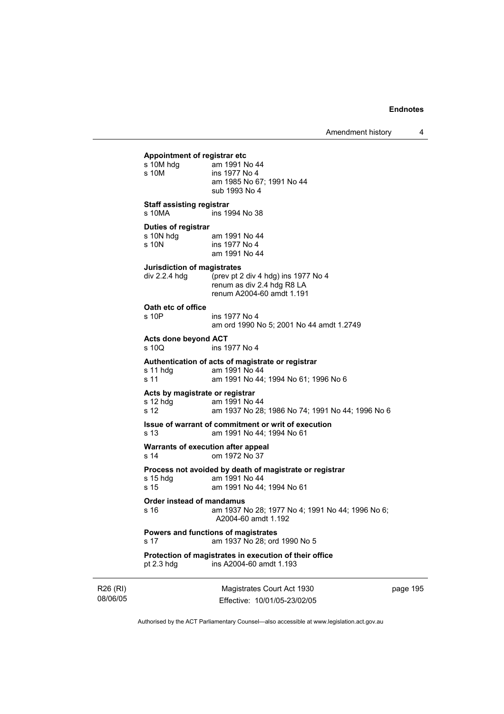Amendment history 4

| Appointment of registrar etc<br>s 10M hdg<br>s 10M                | am 1991 No 44<br>ins 1977 No 4<br>am 1985 No 67; 1991 No 44<br>sub 1993 No 4                                 |          |
|-------------------------------------------------------------------|--------------------------------------------------------------------------------------------------------------|----------|
| <b>Staff assisting registrar</b><br>s 10MA                        | ins 1994 No 38                                                                                               |          |
| <b>Duties of registrar</b><br>s 10N hdg am 1991 No 44<br>s 10N    | ins 1977 No 4<br>am 1991 No 44                                                                               |          |
| Jurisdiction of magistrates                                       | div 2.2.4 hdg (prev pt 2 div 4 hdg) ins 1977 No 4<br>renum as div 2.4 hdg R8 LA<br>renum A2004-60 amdt 1.191 |          |
| Oath etc of office<br>s 10P                                       | ins 1977 No 4<br>am ord 1990 No 5; 2001 No 44 amdt 1.2749                                                    |          |
| Acts done beyond ACT<br>s 10Q                                     | ins 1977 No 4                                                                                                |          |
| s 11 hdg am 1991 No 44<br>s 11                                    | Authentication of acts of magistrate or registrar<br>am 1991 No 44; 1994 No 61; 1996 No 6                    |          |
| Acts by magistrate or registrar<br>s 12 hdg am 1991 No 44<br>s 12 | am 1937 No 28; 1986 No 74; 1991 No 44; 1996 No 6                                                             |          |
| s 13                                                              | Issue of warrant of commitment or writ of execution<br>am 1991 No 44; 1994 No 61                             |          |
| Warrants of execution after appeal<br>s 14                        | om 1972 No 37                                                                                                |          |
| s 15 hdg<br>s 15                                                  | Process not avoided by death of magistrate or registrar<br>am 1991 No 44<br>am 1991 No 44; 1994 No 61        |          |
| Order instead of mandamus<br>s 16                                 | am 1937 No 28; 1977 No 4; 1991 No 44; 1996 No 6;<br>A2004-60 amdt 1.192                                      |          |
| s 17                                                              | Powers and functions of magistrates<br>am 1937 No 28; ord 1990 No 5                                          |          |
| pt $2.3$ hdg                                                      | Protection of magistrates in execution of their office<br>ins A2004-60 amdt 1.193                            |          |
|                                                                   | Magistrates Court Act 1930                                                                                   | page 195 |

Authorised by the ACT Parliamentary Counsel—also accessible at www.legislation.act.gov.au

Effective: 10/01/05-23/02/05

R26 (RI) 08/06/05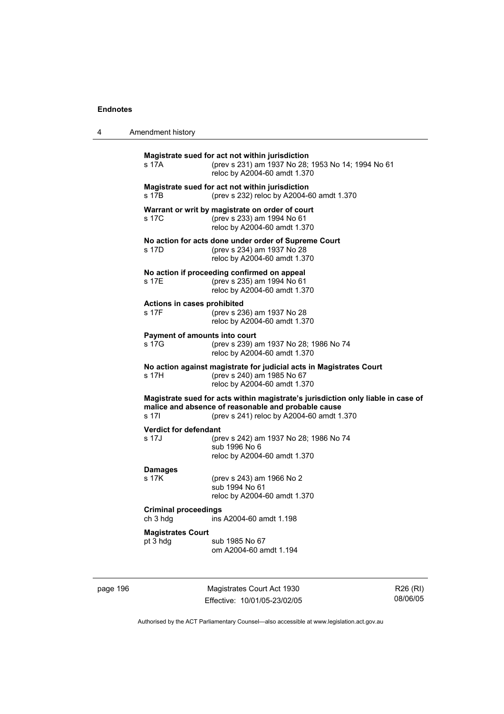page 196

|  | Amendment history |
|--|-------------------|
|--|-------------------|

| s 17A                                   | Magistrate sued for act not within jurisdiction<br>(prev s 231) am 1937 No 28; 1953 No 14; 1994 No 61<br>reloc by A2004-60 amdt 1.370                                                |                      |
|-----------------------------------------|--------------------------------------------------------------------------------------------------------------------------------------------------------------------------------------|----------------------|
| s 17B                                   | Magistrate sued for act not within jurisdiction<br>(prev s 232) reloc by A2004-60 amdt 1.370                                                                                         |                      |
| s 17C                                   | Warrant or writ by magistrate on order of court<br>(prev s 233) am 1994 No 61<br>reloc by A2004-60 amdt 1.370                                                                        |                      |
| s 17D                                   | No action for acts done under order of Supreme Court<br>(prev s 234) am 1937 No 28<br>reloc by A2004-60 amdt 1.370                                                                   |                      |
| s 17E                                   | No action if proceeding confirmed on appeal<br>(prev s 235) am 1994 No 61<br>reloc by A2004-60 amdt 1.370                                                                            |                      |
| Actions in cases prohibited<br>s 17F    | (prev s 236) am 1937 No 28<br>reloc by A2004-60 amdt 1.370                                                                                                                           |                      |
| Payment of amounts into court<br>s 17G  | (prev s 239) am 1937 No 28; 1986 No 74<br>reloc by A2004-60 amdt 1.370                                                                                                               |                      |
| s 17H                                   | No action against magistrate for judicial acts in Magistrates Court<br>(prev s 240) am 1985 No 67<br>reloc by A2004-60 amdt 1.370                                                    |                      |
| s 17I                                   | Magistrate sued for acts within magistrate's jurisdiction only liable in case of<br>malice and absence of reasonable and probable cause<br>(prev s 241) reloc by A2004-60 amdt 1.370 |                      |
| <b>Verdict for defendant</b><br>s 17J   | (prev s 242) am 1937 No 28; 1986 No 74<br>sub 1996 No 6<br>reloc by A2004-60 amdt 1.370                                                                                              |                      |
| <b>Damages</b><br>s 17K                 | (prev s 243) am 1966 No 2<br>sub 1994 No 61<br>reloc by A2004-60 amdt 1.370                                                                                                          |                      |
| <b>Criminal proceedings</b><br>ch 3 hdg | ins A2004-60 amdt 1.198                                                                                                                                                              |                      |
| <b>Magistrates Court</b><br>pt 3 hdg    | sub 1985 No 67<br>om A2004-60 amdt 1.194                                                                                                                                             |                      |
|                                         | Magistrates Court Act 1930<br>Fffective: 10/01/05-23/02/05                                                                                                                           | R26 (RI)<br>08/06/05 |

Authorised by the ACT Parliamentary Counsel—also accessible at www.legislation.act.gov.au

Effective: 10/01/05-23/02/05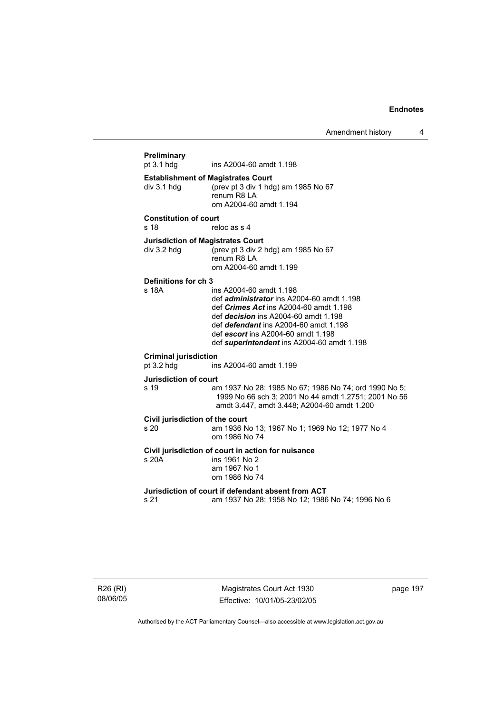| Preliminary<br>pt 3.1 hdg                       | ins A2004-60 amdt 1.198                                                                                                                                                                                                                                                                                  |
|-------------------------------------------------|----------------------------------------------------------------------------------------------------------------------------------------------------------------------------------------------------------------------------------------------------------------------------------------------------------|
| div 3.1 hdg                                     | <b>Establishment of Magistrates Court</b><br>(prev pt 3 div 1 hdg) am 1985 No 67<br>renum R8 LA<br>om A2004-60 amdt 1.194                                                                                                                                                                                |
| <b>Constitution of court</b><br>s <sub>18</sub> | reloc as s 4                                                                                                                                                                                                                                                                                             |
| div 3.2 hdg                                     | <b>Jurisdiction of Magistrates Court</b><br>(prev pt 3 div 2 hdg) am 1985 No 67<br>renum R8 LA<br>om A2004-60 amdt 1.199                                                                                                                                                                                 |
| Definitions for ch 3<br>s 18A                   | ins A2004-60 amdt 1.198<br>def <i>administrator</i> ins A2004-60 amdt 1.198<br>def Crimes Act ins A2004-60 amdt 1.198<br>def <i>decision</i> ins A2004-60 amdt 1.198<br>def <i>defendant</i> ins A2004-60 amdt 1.198<br>def escort ins A2004-60 amdt 1.198<br>def superintendent ins A2004-60 amdt 1.198 |
| <b>Criminal jurisdiction</b><br>pt 3.2 hdg      | ins A2004-60 amdt 1.199                                                                                                                                                                                                                                                                                  |
| <b>Jurisdiction of court</b><br>s 19            | am 1937 No 28; 1985 No 67; 1986 No 74; ord 1990 No 5;<br>1999 No 66 sch 3; 2001 No 44 amdt 1.2751; 2001 No 56<br>amdt 3.447, amdt 3.448; A2004-60 amdt 1.200                                                                                                                                             |
| Civil jurisdiction of the court<br>s 20         | am 1936 No 13; 1967 No 1; 1969 No 12; 1977 No 4<br>om 1986 No 74                                                                                                                                                                                                                                         |
| s 20A                                           | Civil jurisdiction of court in action for nuisance<br>ins 1961 No 2<br>am 1967 No 1<br>om 1986 No 74                                                                                                                                                                                                     |
|                                                 | Jurisdiction of court if defendant absent from ACT                                                                                                                                                                                                                                                       |

R26 (RI) 08/06/05

Magistrates Court Act 1930 Effective: 10/01/05-23/02/05 page 197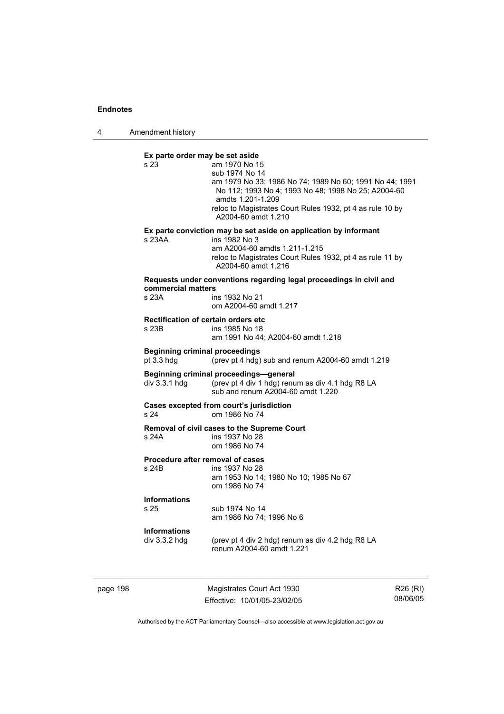4 Amendment history

**Ex parte order may be set aside**  am 1970 No 15 sub 1974 No 14 am 1979 No 33; 1986 No 74; 1989 No 60; 1991 No 44; 1991 No 112; 1993 No 4; 1993 No 48; 1998 No 25; A2004-60 amdts 1.201-1.209 reloc to Magistrates Court Rules 1932, pt 4 as rule 10 by A2004-60 amdt 1.210 **Ex parte conviction may be set aside on application by informant**  s 23AA ins 1982 No 3 am A2004-60 amdts 1.211-1.215 reloc to Magistrates Court Rules 1932, pt 4 as rule 11 by A2004-60 amdt 1.216 **Requests under conventions regarding legal proceedings in civil and commercial matters**  s 23A ins 1932 No 21 om A2004-60 amdt 1.217 **Rectification of certain orders etc**  ins 1985 No 18 am 1991 No 44; A2004-60 amdt 1.218 **Beginning criminal proceedings**  pt 3.3 hdg (prev pt 4 hdg) sub and renum A2004-60 amdt 1.219 **Beginning criminal proceedings—general**  div 3.3.1 hdg (prev pt 4 div 1 hdg) renum as div 4.1 hdg R8 LA sub and renum A2004-60 amdt 1.220 **Cases excepted from court's jurisdiction**  s 24 om 1986 No 74 **Removal of civil cases to the Supreme Court**  s 24A ins 1937 No 28 om 1986 No 74 **Procedure after removal of cases**  s 24B ins 1937 No 28 am 1953 No 14; 1980 No 10; 1985 No 67 om 1986 No 74 **Informations**  s 25 sub 1974 No 14 am 1986 No 74; 1996 No 6 **Informations**  div 3.3.2 hdg (prev pt 4 div 2 hdg) renum as div 4.2 hdg R8 LA renum A2004-60 amdt 1.221

page 198 Magistrates Court Act 1930 Effective: 10/01/05-23/02/05

R26 (RI) 08/06/05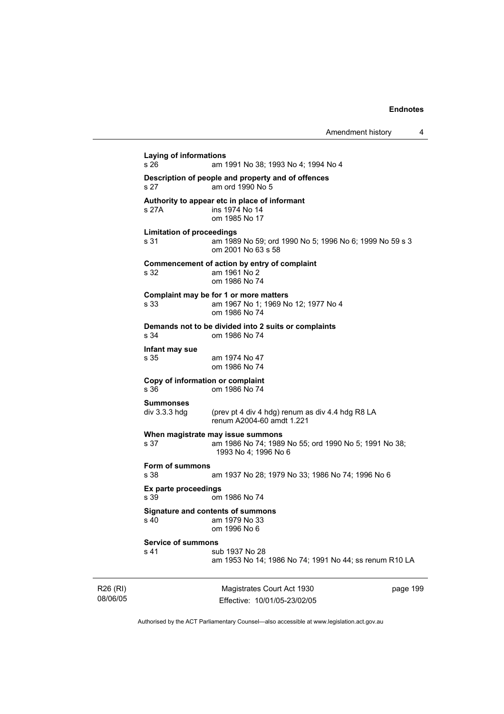R26 (RI) Magistrates Court Act 1930 **Laying of informations**  s 26 am 1991 No 38; 1993 No 4; 1994 No 4 **Description of people and property and of offences**  s 27 am ord 1990 No 5 **Authority to appear etc in place of informant**  ins 1974 No 14 om 1985 No 17 **Limitation of proceedings**  s 31 am 1989 No 59; ord 1990 No 5; 1996 No 6; 1999 No 59 s 3 om 2001 No 63 s 58 **Commencement of action by entry of complaint**  s 32 am 1961 No 2 om 1986 No 74 **Complaint may be for 1 or more matters**  s 33 am 1967 No 1; 1969 No 12; 1977 No 4 om 1986 No 74 **Demands not to be divided into 2 suits or complaints**  s 34 om 1986 No 74 **Infant may sue**  am 1974 No 47 om 1986 No 74 **Copy of information or complaint**  s 36 om 1986 No 74 **Summonses**  (prev pt 4 div 4 hdg) renum as div 4.4 hdg R8 LA renum A2004-60 amdt 1.221 **When magistrate may issue summons**<br>s 37 am 1986 No 74: 1989 am 1986 No 74; 1989 No 55; ord 1990 No 5; 1991 No 38; 1993 No 4; 1996 No 6 **Form of summons**  s 38 am 1937 No 28; 1979 No 33; 1986 No 74; 1996 No 6 **Ex parte proceedings**  om 1986 No 74 **Signature and contents of summons**  s 40 am 1979 No 33 om 1996 No 6 **Service of summons**  s 41 sub 1937 No 28 am 1953 No 14; 1986 No 74; 1991 No 44; ss renum R10 LA

08/06/05

Effective: 10/01/05-23/02/05

page 199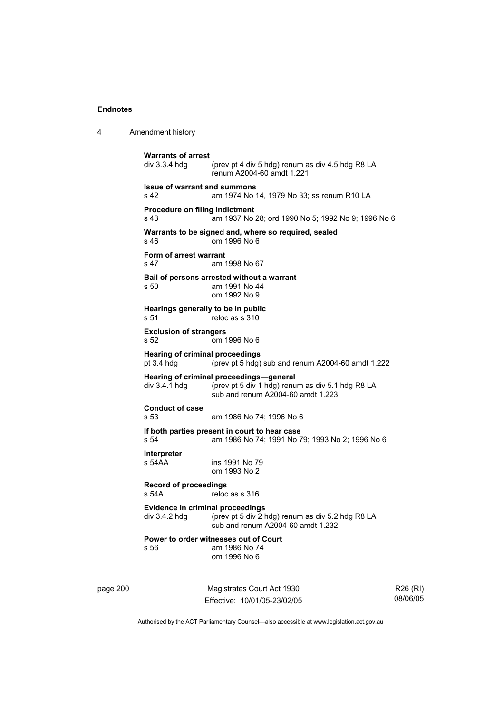4 Amendment history

```
Warrants of arrest 
                 (prev pt 4 div 5 hdg) renum as div 4.5 hdg R8 LA
                  renum A2004-60 amdt 1.221 
Issue of warrant and summons 
s 42 am 1974 No 14, 1979 No 33; ss renum R10 LA 
Procedure on filing indictment 
s 43 am 1937 No 28; ord 1990 No 5; 1992 No 9; 1996 No 6 
Warrants to be signed and, where so required, sealed 
s 46 om 1996 No 6 
Form of arrest warrant 
s 47 am 1998 No 67 
Bail of persons arrested without a warrant 
s 50 am 1991 No 44 
                  om 1992 No 9 
Hearings generally to be in public 
s 51 reloc as s 310
Exclusion of strangers 
s 52 om 1996 No 6 
Hearing of criminal proceedings 
pt 3.4 hdg (prev pt 5 hdg) sub and renum A2004-60 amdt 1.222 
Hearing of criminal proceedings—general<br>div 3.4.1 hdg (prev pt 5 div 1 hdg) renu
                 (prev pt 5 div 1 hdg) renum as div 5.1 hdg R8 LA
                  sub and renum A2004-60 amdt 1.223 
Conduct of case 
s 53 am 1986 No 74; 1996 No 6 
If both parties present in court to hear case 
s 54 am 1986 No 74; 1991 No 79; 1993 No 2; 1996 No 6 
Interpreter 
                 ins 1991 No 79
                  om 1993 No 2 
Record of proceedings 
s 54A reloc as s 316 
Evidence in criminal proceedings 
div 3.4.2 hdg \overline{a} (prev pt 5 div 2 hdg) renum as div 5.2 hdg R8 LA
                  sub and renum A2004-60 amdt 1.232 
Power to order witnesses out of Court 
s 56 am 1986 No 74 
                  om 1996 No 6
```
page 200 Magistrates Court Act 1930 Effective: 10/01/05-23/02/05

R26 (RI) 08/06/05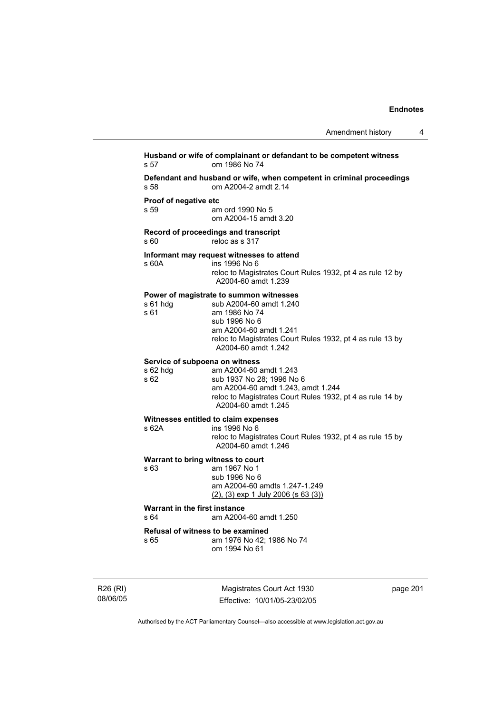## **Husband or wife of complainant or defandant to be competent witness**  s 57 om 1986 No 74 **Defendant and husband or wife, when competent in criminal proceedings**  s 58 om A2004-2 amdt 2.14 **Proof of negative etc**<br>s 59 am am ord 1990 No 5 om A2004-15 amdt 3.20 **Record of proceedings and transcript**  s 60 reloc as s 317 **Informant may request witnesses to attend**  s 60A ins 1996 No 6 reloc to Magistrates Court Rules 1932, pt 4 as rule 12 by A2004-60 amdt 1.239 **Power of magistrate to summon witnesses**  s 61 hdg sub A2004-60 amdt 1.240<br>s 61 am 1986 No 74 am 1986 No 74 sub 1996 No 6 am A2004-60 amdt 1.241 reloc to Magistrates Court Rules 1932, pt 4 as rule 13 by A2004-60 amdt 1.242 **Service of subpoena on witness**  s 62 hdg am A2004-60 amdt 1.243 sub 1937 No 28; 1996 No 6 am A2004-60 amdt 1.243, amdt 1.244 reloc to Magistrates Court Rules 1932, pt 4 as rule 14 by A2004-60 amdt 1.245 **Witnesses entitled to claim expenses**  s 62A ins 1996 No 6 reloc to Magistrates Court Rules 1932, pt 4 as rule 15 by A2004-60 amdt 1.246 **Warrant to bring witness to court**  s 63 am 1967 No 1 sub 1996 No 6 am A2004-60 amdts 1.247-1.249 (2), (3) exp 1 July 2006 (s 63 (3)) **Warrant in the first instance**<br>s 64 am A2004 am A2004-60 amdt 1.250 **Refusal of witness to be examined**  s 65 am 1976 No 42; 1986 No 74 om 1994 No 61

R26 (RI) 08/06/05

Magistrates Court Act 1930 Effective: 10/01/05-23/02/05 page 201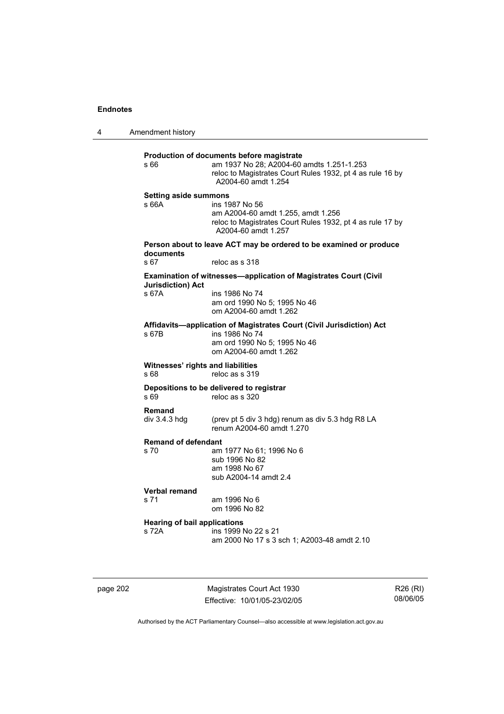4 Amendment history **Production of documents before magistrate**  s 66 am 1937 No 28; A2004-60 amdts 1.251-1.253 reloc to Magistrates Court Rules 1932, pt 4 as rule 16 by A2004-60 amdt 1.254 **Setting aside summons**  s 66A ins 1987 No 56 am A2004-60 amdt 1.255, amdt 1.256 reloc to Magistrates Court Rules 1932, pt 4 as rule 17 by A2004-60 amdt 1.257 **Person about to leave ACT may be ordered to be examined or produce documents**  s 67 reloc as s 318 **Examination of witnesses—application of Magistrates Court (Civil Jurisdiction) Act**  ins 1986 No 74 am ord 1990 No 5; 1995 No 46 om A2004-60 amdt 1.262 **Affidavits—application of Magistrates Court (Civil Jurisdiction) Act**  s 67B ins 1986 No 74 am ord 1990 No 5; 1995 No 46 om A2004-60 amdt 1.262 **Witnesses' rights and liabilities**  s 68 reloc as s 319 **Depositions to be delivered to registrar**<br>s 69 **reloc** as s 320 reloc as s 320 **Remand**<br>div 3.4.3 hdg (prev pt 5 div 3 hdg) renum as div  $5.3$  hdg R8 LA renum A2004-60 amdt 1.270 **Remand of defendant**<br>s 70 am am 1977 No 61: 1996 No 6 sub 1996 No 82 am 1998 No 67 sub A2004-14 amdt 2.4 **Verbal remand**  s 71 am 1996 No 6 om 1996 No 82 **Hearing of bail applications**  s 72A ins 1999 No 22 s 21 am 2000 No 17 s 3 sch 1; A2003-48 amdt 2.10

page 202 Magistrates Court Act 1930 Effective: 10/01/05-23/02/05

R26 (RI) 08/06/05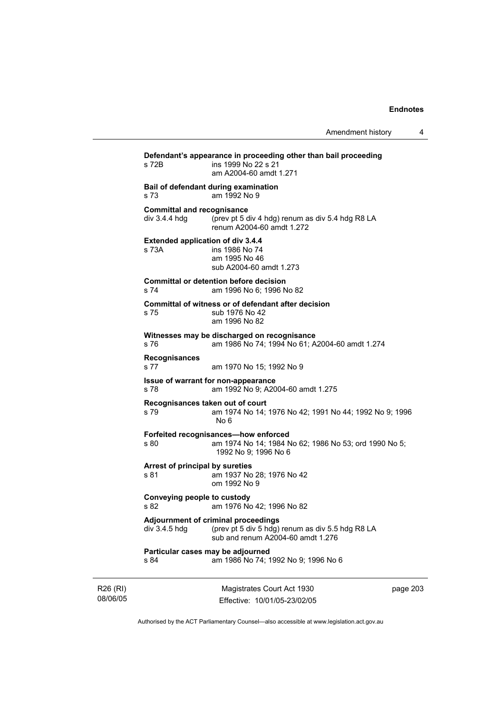**Defendant's appearance in proceeding other than bail proceeding**  s 72B ins 1999 No 22 s 21 am A2004-60 amdt 1.271 **Bail of defendant during examination**  s 73 am 1992 No 9 **Committal and recognisance**  div 3.4.4 hdg (prev pt 5 div 4 hdg) renum as div 5.4 hdg R8 LA renum A2004-60 amdt 1.272 **Extended application of div 3.4.4**  s 73A ins 1986 No 74 am 1995 No 46 sub A2004-60 amdt 1.273 **Committal or detention before decision**  s 74 am 1996 No 6; 1996 No 82 **Committal of witness or of defendant after decision**  s 75 sub 1976 No 42 am 1996 No 82 **Witnesses may be discharged on recognisance**  s 76 am 1986 No 74; 1994 No 61; A2004-60 amdt 1.274 **Recognisances**  am 1970 No 15; 1992 No 9 **Issue of warrant for non-appearance**  s 78 am 1992 No 9; A2004-60 amdt 1.275 **Recognisances taken out of court**  am 1974 No 14: 1976 No 42: 1991 No 44: 1992 No 9: 1996 No 6 **Forfeited recognisances—how enforced**  s 80 am 1974 No 14; 1984 No 62; 1986 No 53; ord 1990 No 5; 1992 No 9; 1996 No 6 **Arrest of principal by sureties**  s 81 am 1937 No 28; 1976 No 42 om 1992 No 9 **Conveying people to custody**  s 82 am 1976 No 42; 1996 No 82 **Adjournment of criminal proceedings**<br>  $div 3.4.5$  hdg (prev pt 5 div 5 hdg) (prev pt 5 div 5 hdg) renum as div 5.5 hdg R8 LA sub and renum A2004-60 amdt 1.276 **Particular cases may be adjourned**  s 84 am 1986 No 74; 1992 No 9; 1996 No 6

R26 (RI) 08/06/05

Magistrates Court Act 1930 Effective: 10/01/05-23/02/05 page 203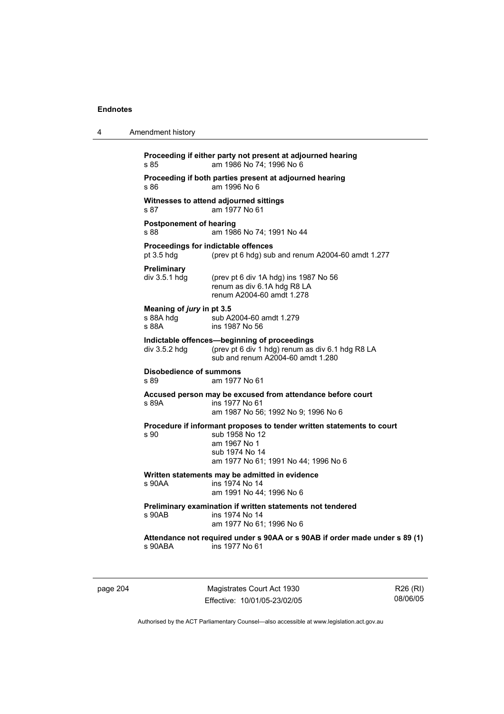| 4 | Amendment history                                                                                                                                                         |
|---|---------------------------------------------------------------------------------------------------------------------------------------------------------------------------|
|   | Proceeding if either party not present at adjourned hearing<br>am 1986 No 74; 1996 No 6<br>s 85                                                                           |
|   | Proceeding if both parties present at adjourned hearing<br>s 86<br>am 1996 No 6                                                                                           |
|   | Witnesses to attend adjourned sittings<br>am 1977 No 61<br>s 87                                                                                                           |
|   | <b>Postponement of hearing</b><br>s 88<br>am 1986 No 74; 1991 No 44                                                                                                       |
|   | Proceedings for indictable offences<br>pt $3.5$ hdg<br>(prev pt 6 hdg) sub and renum A2004-60 amdt 1.277                                                                  |
|   | <b>Preliminary</b><br>div $3.5.1$ hdg<br>(prev pt 6 div 1A hdg) ins 1987 No 56<br>renum as div 6.1A hdg R8 LA<br>renum A2004-60 amdt 1.278                                |
|   | Meaning of jury in pt 3.5<br>s 88A hdg<br>sub A2004-60 amdt 1.279<br>s 88A<br>ins 1987 No 56                                                                              |
|   | Indictable offences-beginning of proceedings<br>(prev pt 6 div 1 hdg) renum as div 6.1 hdg R8 LA<br>div $3.5.2$ hdg<br>sub and renum A2004-60 amdt 1.280                  |
|   | <b>Disobedience of summons</b><br>s 89<br>am 1977 No 61                                                                                                                   |
|   | Accused person may be excused from attendance before court<br>s 89A<br>ins 1977 No 61<br>am 1987 No 56; 1992 No 9; 1996 No 6                                              |
|   | Procedure if informant proposes to tender written statements to court<br>s 90<br>sub 1958 No 12<br>am 1967 No 1<br>sub 1974 No 14<br>am 1977 No 61; 1991 No 44; 1996 No 6 |
|   | Written statements may be admitted in evidence<br>s 90AA<br>ins 1974 No 14<br>am 1991 No 44; 1996 No 6                                                                    |
|   | Preliminary examination if written statements not tendered<br>s 90AB<br>ins 1974 No 14<br>am 1977 No 61; 1996 No 6                                                        |
|   | Attendance not required under s 90AA or s 90AB if order made under s 89 (1)<br>ins 1977 No 61<br>s 90ABA                                                                  |
|   |                                                                                                                                                                           |

page 204 Magistrates Court Act 1930 Effective: 10/01/05-23/02/05

R26 (RI) 08/06/05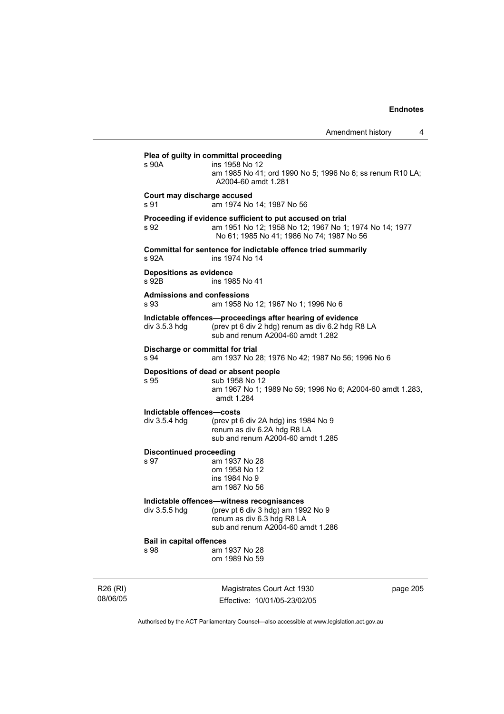**Plea of guilty in committal proceeding**<br>  $\frac{1}{2}$  S 90A **ins** 1958 No 12 ins 1958 No 12 am 1985 No 41; ord 1990 No 5; 1996 No 6; ss renum R10 LA; A2004-60 amdt 1.281 **Court may discharge accused**  s 91 am 1974 No 14; 1987 No 56 **Proceeding if evidence sufficient to put accused on trial**  s 92 am 1951 No 12; 1958 No 12; 1967 No 1; 1974 No 14; 1977 No 61; 1985 No 41; 1986 No 74; 1987 No 56 **Committal for sentence for indictable offence tried summarily**  ins 1974 No 14 **Depositions as evidence**  s 92B ins 1985 No 41 **Admissions and confessions**  s 93 am 1958 No 12; 1967 No 1; 1996 No 6 **Indictable offences—proceedings after hearing of evidence**  div 3.5.3 hdg (prev pt 6 div 2 hdg) renum as div 6.2 hdg R8 LA sub and renum A2004-60 amdt 1.282 **Discharge or committal for trial**<br> **am 1937 No 2** am 1937 No 28; 1976 No 42; 1987 No 56; 1996 No 6 **Depositions of dead or absent people**  s 95 sub 1958 No 12 am 1967 No 1; 1989 No 59; 1996 No 6; A2004-60 amdt 1.283, amdt 1.284 **Indictable offences—costs**  div 3.5.4 hdg (prev pt 6 div 2A hdg) ins 1984 No 9 renum as div 6.2A hdg R8 LA sub and renum A2004-60 amdt 1.285 **Discontinued proceeding**  s 97 am 1937 No 28 om 1958 No 12 ins 1984 No 9 am 1987 No 56 **Indictable offences—witness recognisances**   $div$  3.5.5 hdg (prev pt 6 div 3 hdg) am 1992 No 9 renum as div 6.3 hdg R8 LA sub and renum A2004-60 amdt 1.286 **Bail in capital offences**  s 98 am 1937 No 28 om 1989 No 59

R26 (RI) 08/06/05

Magistrates Court Act 1930 Effective: 10/01/05-23/02/05 page 205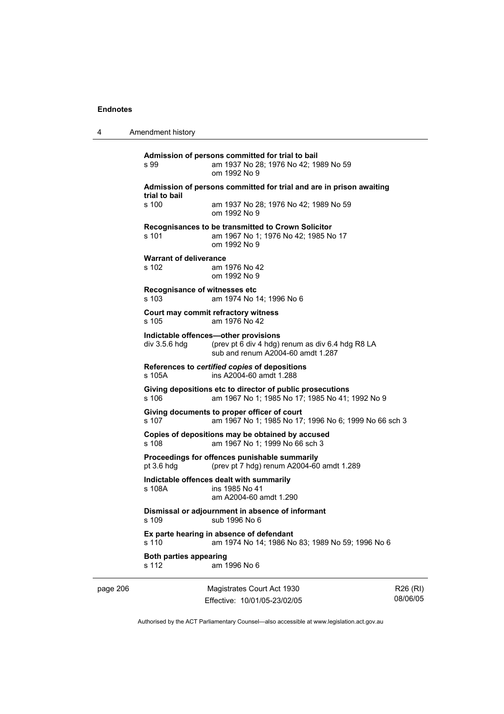4 Amendment history page 206 Magistrates Court Act 1930 Effective: 10/01/05-23/02/05 **Admission of persons committed for trial to bail**  s 99 am 1937 No 28; 1976 No 42; 1989 No 59 om 1992 No 9 **Admission of persons committed for trial and are in prison awaiting trial to bail**  s 100 am 1937 No 28; 1976 No 42; 1989 No 59 om 1992 No 9 **Recognisances to be transmitted to Crown Solicitor**  s 101 am 1967 No 1; 1976 No 42; 1985 No 17 om 1992 No 9 **Warrant of deliverance**  s 102 am 1976 No 42 om 1992 No 9 **Recognisance of witnesses etc**  s 103 am 1974 No 14; 1996 No 6 **Court may commit refractory witness**  s 105 am 1976 No 42 **Indictable offences—other provisions**  div 3.5.6 hdg (prev pt 6 div 4 hdg) renum as div 6.4 hdg R8 LA sub and renum A2004-60 amdt 1.287 **References to** *certified copies* **of depositions**  s 105A ins A2004-60 amdt 1.288 **Giving depositions etc to director of public prosecutions**  s 106 am 1967 No 1; 1985 No 17; 1985 No 41; 1992 No 9 **Giving documents to proper officer of court**  s 107 am 1967 No 1; 1985 No 17; 1996 No 6; 1999 No 66 sch 3 **Copies of depositions may be obtained by accused**  s 108 am 1967 No 1; 1999 No 66 sch 3 **Proceedings for offences punishable summarily**  pt 3.6 hdg (prev pt 7 hdg) renum A2004-60 amdt 1.289 **Indictable offences dealt with summarily**  ins 1985 No 41 am A2004-60 amdt 1.290 **Dismissal or adjournment in absence of informant**  s 109 sub 1996 No 6 **Ex parte hearing in absence of defendant**  s 110 am 1974 No 14; 1986 No 83; 1989 No 59; 1996 No 6 **Both parties appearing**  s 112 am 1996 No 6

R26 (RI) 08/06/05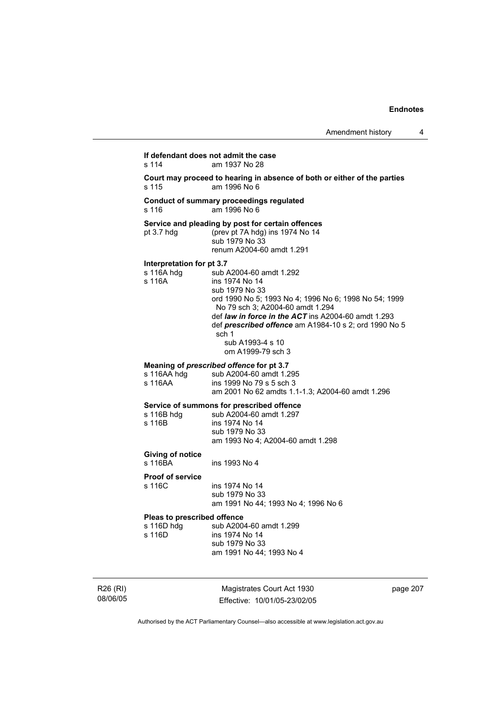### **If defendant does not admit the case**  s 114 am 1937 No 28

**Court may proceed to hearing in absence of both or either of the parties**  s 115 am 1996 No 6

#### **Conduct of summary proceedings regulated**  s 116 am 1996 No 6

#### **Service and pleading by post for certain offences**

pt 3.7 hdg (prev pt 7A hdg) ins 1974 No 14 sub 1979 No 33

renum A2004-60 amdt 1.291

# **Interpretation for pt 3.7**<br>s 116A hdg sub /

s 116A hdg sub A2004-60 amdt 1.292<br>s 116A substitution in the 1974 No 14 ins 1974 No 14 sub 1979 No 33 ord 1990 No 5; 1993 No 4; 1996 No 6; 1998 No 54; 1999 No 79 sch 3; A2004-60 amdt 1.294 def *law in force in the ACT* ins A2004-60 amdt 1.293 def *prescribed offence* am A1984-10 s 2; ord 1990 No 5 sch 1 sub A1993-4 s 10 om A1999-79 sch 3

### **Meaning of** *prescribed offence* **for pt 3.7**

| s 116AA hdq | sub A2004-60 amdt 1.295                          |
|-------------|--------------------------------------------------|
| s 116AA     | ins 1999 No 79 s 5 sch 3                         |
|             | am 2001 No 62 amdts 1.1-1.3; A2004-60 amdt 1.296 |

#### **Service of summons for prescribed offence**

| s 116B hdg | sub A2004-60 amdt 1.297           |
|------------|-----------------------------------|
| s 116B l   | ins 1974 No 14                    |
|            | sub 1979 No 33                    |
|            | am 1993 No 4; A2004-60 amdt 1.298 |

## **Giving of notice**

ins 1993 No 4

## **Proof of service**

s 116C ins 1974 No 14 sub 1979 No 33 am 1991 No 44; 1993 No 4; 1996 No 6

#### **Pleas to prescribed offence**

| s 116D hdq | sub A2004-60 amdt 1.299  |
|------------|--------------------------|
| s 116D.    | ins 1974 No 14           |
|            | sub 1979 No 33           |
|            | am 1991 No 44; 1993 No 4 |

R26 (RI) 08/06/05

Magistrates Court Act 1930 Effective: 10/01/05-23/02/05 page 207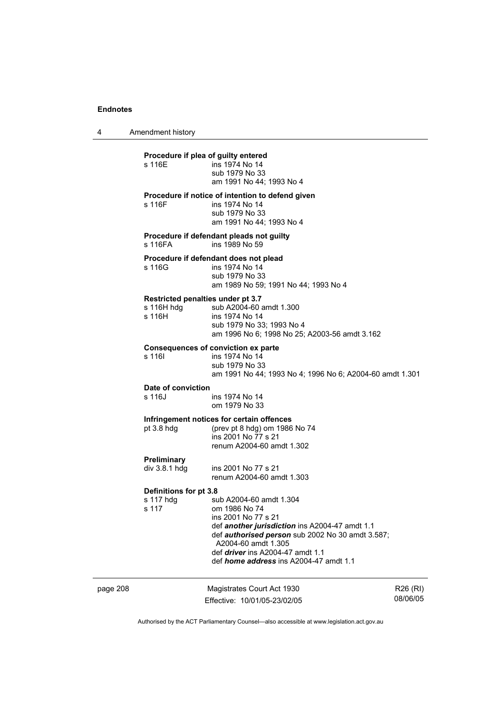4 Amendment history

## **Procedure if plea of guilty entered<br>s 116E** ins 1974 No 14 ins 1974 No 14 sub 1979 No 33 am 1991 No 44; 1993 No 4 **Procedure if notice of intention to defend given**  s 116F ins 1974 No 14 sub 1979 No 33 am 1991 No 44; 1993 No 4 **Procedure if defendant pleads not guilty**  s 116FA ins 1989 No 59 **Procedure if defendant does not plead**<br>s 116G<br>ins 1974 No 14 ins 1974 No 14 sub 1979 No 33 am 1989 No 59; 1991 No 44; 1993 No 4 **Restricted penalties under pt 3.7**  s 116H hdg sub A2004-60 amdt 1.300 s 116H ins 1974 No 14 sub 1979 No 33; 1993 No 4 am 1996 No 6; 1998 No 25; A2003-56 amdt 3.162 **Consequences of conviction ex parte**  s 116| ins 1974 No 14 sub 1979 No 33 am 1991 No 44; 1993 No 4; 1996 No 6; A2004-60 amdt 1.301 **Date of conviction**  s 116J ins 1974 No 14 om 1979 No 33 **Infringement notices for certain offences**  pt 3.8 hdg (prev pt 8 hdg) om 1986 No 74 ins 2001 No 77 s 21 renum A2004-60 amdt 1.302 **Preliminary**  div 3.8.1 hdg ins 2001 No 77 s 21 renum A2004-60 amdt 1.303 **Definitions for pt 3.8**  s 117 hdg sub A2004-60 amdt 1.304<br>s 117 om 1986 No 74 om 1986 No 74 ins 2001 No 77 s 21 def *another jurisdiction* ins A2004-47 amdt 1.1 def *authorised person* sub 2002 No 30 amdt 3.587; A2004-60 amdt 1.305 def *driver* ins A2004-47 amdt 1.1 def *home address* ins A2004-47 amdt 1.1

page 208 Magistrates Court Act 1930 Effective: 10/01/05-23/02/05 R26 (RI) 08/06/05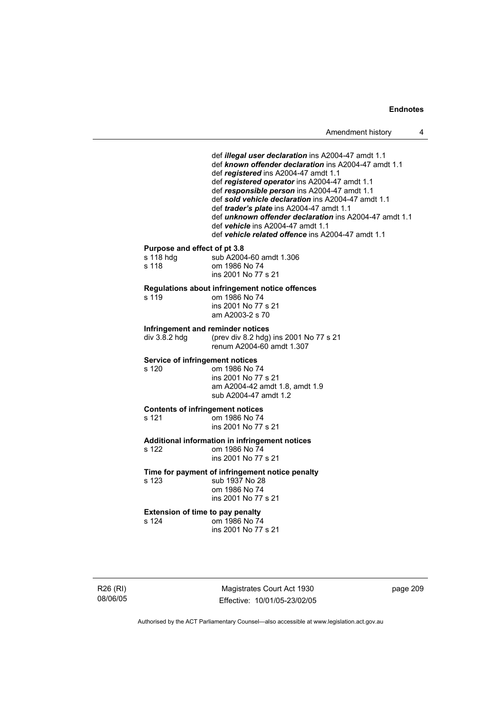def *illegal user declaration* ins A2004-47 amdt 1.1 def *known offender declaration* ins A2004-47 amdt 1.1 def *registered* ins A2004-47 amdt 1.1 def *registered operator* ins A2004-47 amdt 1.1 def *responsible person* ins A2004-47 amdt 1.1 def *sold vehicle declaration* ins A2004-47 amdt 1.1 def *trader's plate* ins A2004-47 amdt 1.1 def *unknown offender declaration* ins A2004-47 amdt 1.1 def *vehicle* ins A2004-47 amdt 1.1 def *vehicle related offence* ins A2004-47 amdt 1.1 **Purpose and effect of pt 3.8**  sub A2004-60 amdt 1.306 s 118 om 1986 No 74 ins 2001 No 77 s 21 **Regulations about infringement notice offences**  s 119 om 1986 No 74 ins 2001 No 77 s 21 am A2003-2 s 70 **Infringement and reminder notices**  div 3.8.2 hdg (prev div 8.2 hdg) ins 2001 No 77 s 21 renum A2004-60 amdt 1.307 **Service of infringement notices**  s 120 om 1986 No 74 ins 2001 No 77 s 21 am A2004-42 amdt 1.8, amdt 1.9 sub A2004-47 amdt 1.2 **Contents of infringement notices**  s 121 om 1986 No 74 ins 2001 No 77 s 21 **Additional information in infringement notices**  s 122 om 1986 No 74 ins 2001 No 77 s 21 **Time for payment of infringement notice penalty** 

s 123 sub 1937 No 28 om 1986 No 74 ins 2001 No 77 s 21

**Extension of time to pay penalty**  s 124 om 1986 No 74

ins 2001 No 77 s 21

R26 (RI) 08/06/05

Magistrates Court Act 1930 Effective: 10/01/05-23/02/05 page 209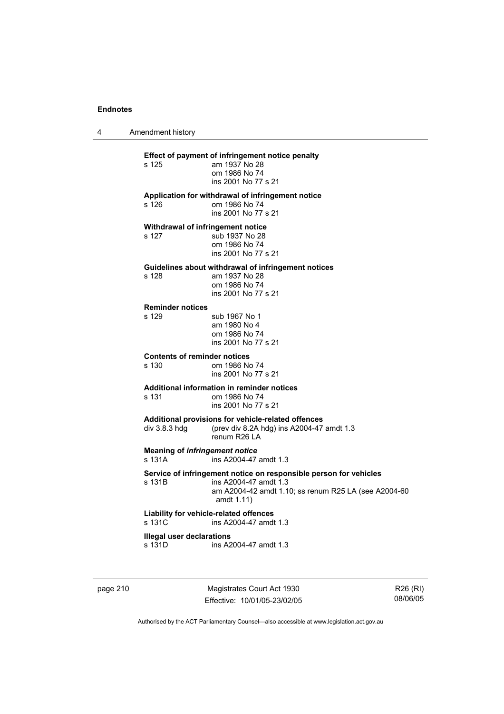4 Amendment history

## **Effect of payment of infringement notice penalty**  am 1937 No 28 om 1986 No 74 ins 2001 No 77 s 21 **Application for withdrawal of infringement notice**  s 126 om 1986 No 74 ins 2001 No 77 s 21 **Withdrawal of infringement notice**  s 127 sub 1937 No 28 om 1986 No 74 ins 2001 No 77 s 21 **Guidelines about withdrawal of infringement notices**  am 1937 No 28 om 1986 No 74 ins 2001 No 77 s 21 **Reminder notices**  s 129 sub 1967 No 1 am 1980 No 4 om 1986 No 74 ins 2001 No 77 s 21 **Contents of reminder notices**  om 1986 No 74 ins 2001 No 77 s 21 **Additional information in reminder notices**  s 131 om 1986 No 74 ins 2001 No 77 s 21 **Additional provisions for vehicle-related offences**  div 3.8.3 hdg (prev div 8.2A hdg) ins A2004-47 amdt 1.3 renum R26 LA **Meaning of** *infringement notice*<br>s 131A ins A2004-47 ins A2004-47 amdt 1.3 **Service of infringement notice on responsible person for vehicles**  s 131B ins A2004-47 amdt 1.3 am A2004-42 amdt 1.10; ss renum R25 LA (see A2004-60 amdt 1.11) **Liability for vehicle-related offences**  s 131C ins A2004-47 amdt 1.3 **Illegal user declarations**  s 131D ins A2004-47 amdt 1.3

page 210 Magistrates Court Act 1930 Effective: 10/01/05-23/02/05

R26 (RI) 08/06/05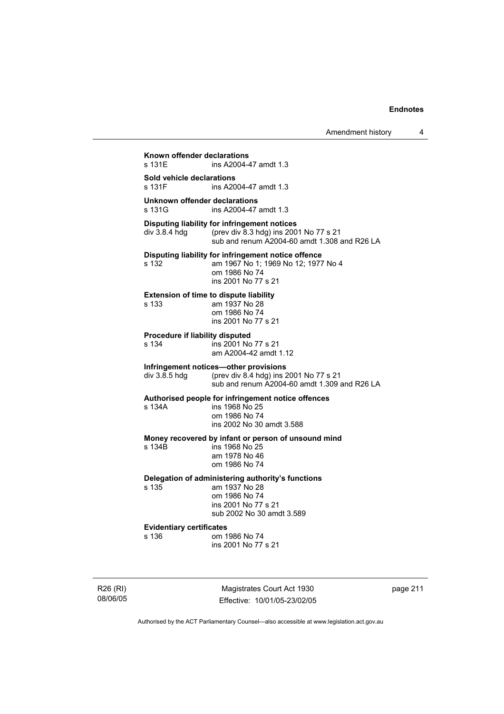**Known offender declarations**  ins A2004-47 amdt 1.3 **Sold vehicle declarations**  ins A2004-47 amdt 1.3 **Unknown offender declarations**  ins A2004-47 amdt 1.3 **Disputing liability for infringement notices**  div 3.8.4 hdg (prev div 8.3 hdg) ins 2001 No 77 s 21 sub and renum A2004-60 amdt 1.308 and R26 LA **Disputing liability for infringement notice offence**  s 132 am 1967 No 1; 1969 No 12; 1977 No 4 om 1986 No 74 ins 2001 No 77 s 21 **Extension of time to dispute liability**  s 133 am 1937 No 28 om 1986 No 74 ins 2001 No 77 s 21 **Procedure if liability disputed**  s 134 ins 2001 No 77 s 21 am A2004-42 amdt 1.12 **Infringement notices—other provisions**  div 3.8.5 hdg (prev div 8.4 hdg) ins 2001 No 77 s 21 sub and renum A2004-60 amdt 1.309 and R26 LA **Authorised people for infringement notice offences**  s 134A ins 1968 No 25 om 1986 No 74 ins 2002 No 30 amdt 3.588 **Money recovered by infant or person of unsound mind**  s 134B ins 1968 No 25 am 1978 No 46 om 1986 No 74 **Delegation of administering authority's functions**  am 1937 No 28 om 1986 No 74 ins 2001 No 77 s 21 sub 2002 No 30 amdt 3.589 **Evidentiary certificates**  om 1986 No 74 ins 2001 No 77 s 21

R26 (RI) 08/06/05

Magistrates Court Act 1930 Effective: 10/01/05-23/02/05 page 211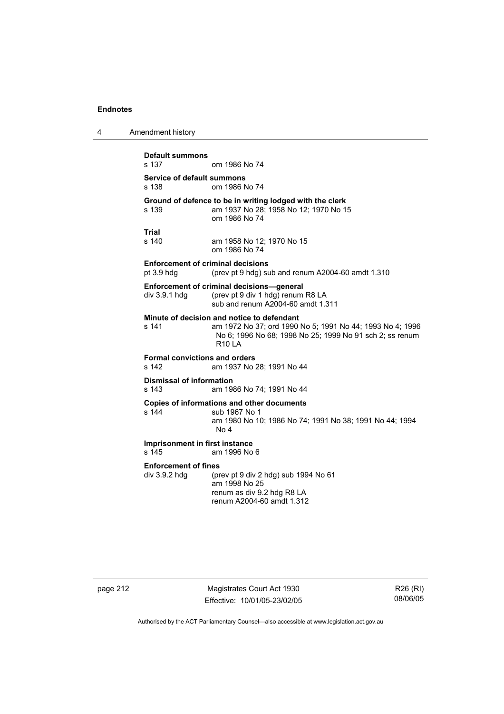4 Amendment history **Default summons**  om 1986 No 74 **Service of default summons**  s 138 om 1986 No 74 **Ground of defence to be in writing lodged with the clerk s 139 am 1937 No 28; 1958 No 12; 1970 No 1** am 1937 No 28; 1958 No 12; 1970 No 15 om 1986 No 74 **Trial**  s 140 am 1958 No 12; 1970 No 15 om 1986 No 74 **Enforcement of criminal decisions**  pt 3.9 hdg (prev pt 9 hdg) sub and renum A2004-60 amdt 1.310 **Enforcement of criminal decisions—general**  div 3.9.1 hdg (prev pt 9 div 1 hdg) renum R8 LA sub and renum A2004-60 amdt 1.311 **Minute of decision and notice to defendant**  s 141 am 1972 No 37; ord 1990 No 5; 1991 No 44; 1993 No 4; 1996 No 6; 1996 No 68; 1998 No 25; 1999 No 91 sch 2; ss renum R10 LA **Formal convictions and orders**  am 1937 No 28; 1991 No 44 **Dismissal of information**  s 143 am 1986 No 74; 1991 No 44 **Copies of informations and other documents**  sub 1967 No 1 am 1980 No 10; 1986 No 74; 1991 No 38; 1991 No 44; 1994 No 4 **Imprisonment in first instance**  s 145 am 1996 No 6 **Enforcement of fines**  div 3.9.2 hdg (prev pt 9 div 2 hdg) sub 1994 No 61 am 1998 No 25 renum as div 9.2 hdg R8 LA renum A2004-60 amdt 1.312

page 212 Magistrates Court Act 1930 Effective: 10/01/05-23/02/05

R26 (RI) 08/06/05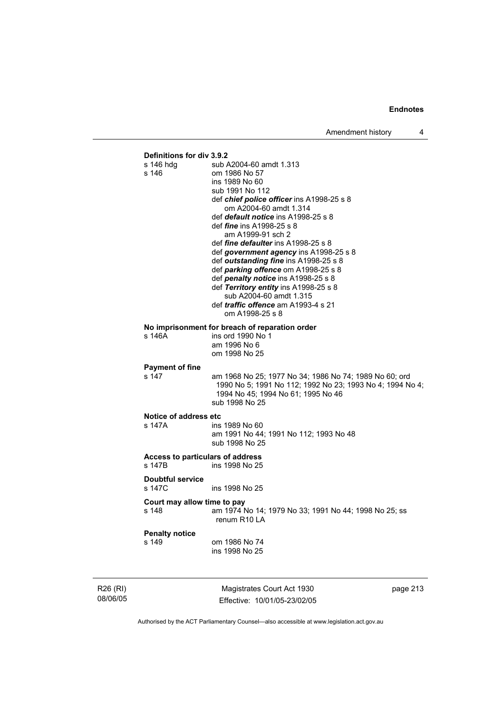

R26 (RI) 08/06/05

Magistrates Court Act 1930 Effective: 10/01/05-23/02/05 page 213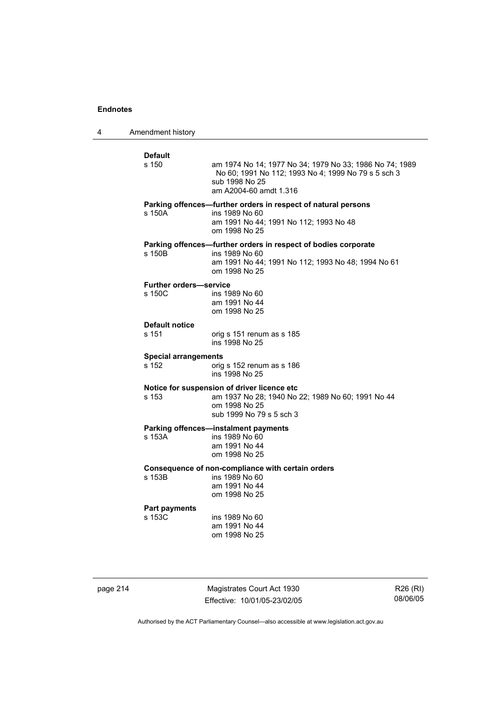4 Amendment history

| <b>Default</b><br>s 150                 | am 1974 No 14; 1977 No 34; 1979 No 33; 1986 No 74; 1989<br>No 60; 1991 No 112; 1993 No 4; 1999 No 79 s 5 sch 3<br>sub 1998 No 25<br>am A2004-60 amdt 1.316 |
|-----------------------------------------|------------------------------------------------------------------------------------------------------------------------------------------------------------|
| s 150A                                  | Parking offences-further orders in respect of natural persons<br>ins 1989 No 60<br>am 1991 No 44; 1991 No 112; 1993 No 48<br>om 1998 No 25                 |
| s 150B                                  | Parking offences-further orders in respect of bodies corporate<br>ins 1989 No 60<br>am 1991 No 44; 1991 No 112; 1993 No 48; 1994 No 61<br>om 1998 No 25    |
| <b>Further orders-service</b><br>s 150C | ins 1989 No 60<br>am 1991 No 44<br>om 1998 No 25                                                                                                           |
| <b>Default notice</b><br>s 151          | orig s 151 renum as s 185<br>ins 1998 No 25                                                                                                                |
| <b>Special arrangements</b><br>s 152    | orig s 152 renum as s 186<br>ins 1998 No 25                                                                                                                |
| s 153                                   | Notice for suspension of driver licence etc<br>am 1937 No 28; 1940 No 22; 1989 No 60; 1991 No 44<br>om 1998 No 25<br>sub 1999 No 79 s 5 sch 3              |
| s 153A                                  | <b>Parking offences-instalment payments</b><br>ins 1989 No 60<br>am 1991 No 44<br>om 1998 No 25                                                            |
| s 153B                                  | Consequence of non-compliance with certain orders<br>ins 1989 No 60<br>am 1991 No 44<br>om 1998 No 25                                                      |
| <b>Part payments</b><br>s 153C          | ins 1989 No 60<br>am 1991 No 44<br>om 1998 No 25                                                                                                           |

page 214 Magistrates Court Act 1930 Effective: 10/01/05-23/02/05

R26 (RI) 08/06/05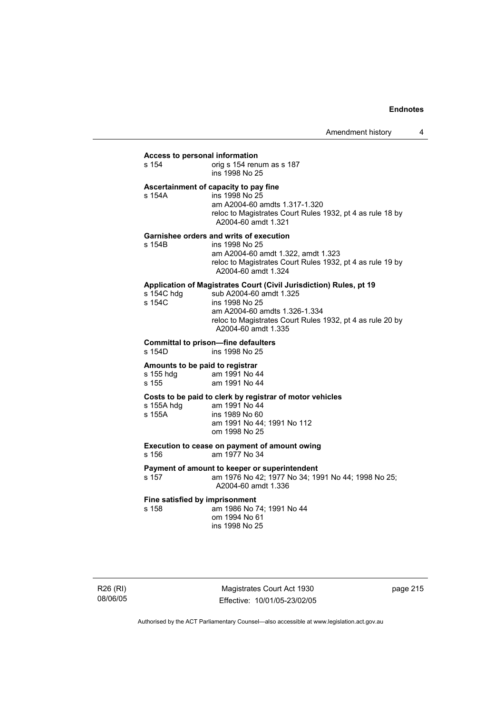#### **Access to personal information**

| s 154 | orig s 154 renum as s 187 |
|-------|---------------------------|
|       | ins 1998 No 25            |

### **Ascertainment of capacity to pay fine**

| s 154A | ins 1998 No 25                                                                   |
|--------|----------------------------------------------------------------------------------|
|        | am A2004-60 amdts 1.317-1.320                                                    |
|        | reloc to Magistrates Court Rules 1932, pt 4 as rule 18 by<br>A2004-60 amdt 1.321 |
|        |                                                                                  |

#### **Garnishee orders and writs of execution**

| am A2004-60 amdt 1.322. amdt 1.323                                               |  |
|----------------------------------------------------------------------------------|--|
|                                                                                  |  |
| reloc to Magistrates Court Rules 1932, pt 4 as rule 19 by<br>A2004-60 amdt 1.324 |  |
|                                                                                  |  |

### **Application of Magistrates Court (Civil Jurisdiction) Rules, pt 19**

| s 154C hdq | sub A2004-60 amdt 1.325                                                                                           |
|------------|-------------------------------------------------------------------------------------------------------------------|
| s 154C     | ins 1998 No 25                                                                                                    |
|            | am A2004-60 amdts 1.326-1.334<br>reloc to Magistrates Court Rules 1932, pt 4 as rule 20 by<br>A2004-60 amdt 1.335 |

# **Committal to prison—fine defaulters**

ins 1998 No 25

### **Amounts to be paid to registrar**

| s 155 hdg | am 1991 No 44 |
|-----------|---------------|
| s 155     | am 1991 No 44 |

## **Costs to be paid to clerk by registrar of motor vehicles**

| s 155A hdg | am 1991 No 44              |
|------------|----------------------------|
| s 155A     | ins 1989 No 60             |
|            | am 1991 No 44: 1991 No 112 |
|            | om 1998 No 25              |

## **Execution to cease on payment of amount owing**

s 156 am 1977 No 34

**Payment of amount to keeper or superintendent**  s 157 am 1976 No 42; 1977 No 34; 1991 No 44; 1998 No 25; A2004-60 amdt 1.336

# **Fine satisfied by imprisonment**<br>
s 158 am 1986 No 7

am 1986 No 74; 1991 No 44 om 1994 No 61 ins 1998 No 25

Magistrates Court Act 1930 Effective: 10/01/05-23/02/05 page 215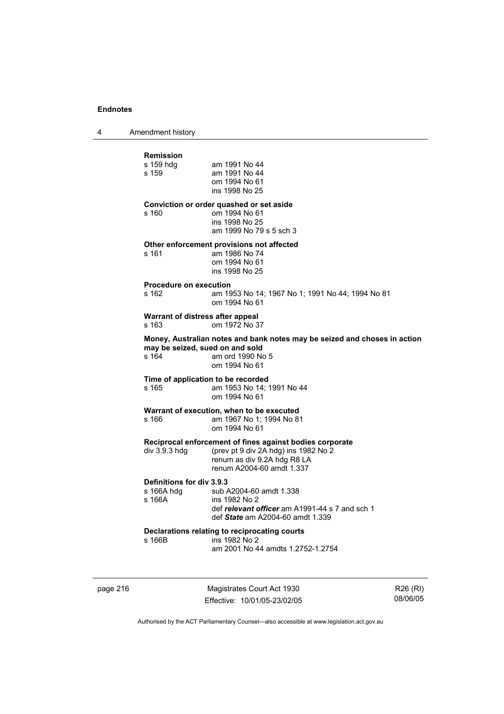4 Amendment history

| <b>Remission</b>                                                                                        |                                                                                                  |
|---------------------------------------------------------------------------------------------------------|--------------------------------------------------------------------------------------------------|
| s 159 hdg<br>s 159                                                                                      | am 1991 No 44<br>am 1991 No 44<br>om 1994 No 61                                                  |
|                                                                                                         | ins 1998 No 25                                                                                   |
| s 160                                                                                                   | Conviction or order quashed or set aside<br>om 1994 No 61                                        |
|                                                                                                         | ins 1998 No 25<br>am 1999 No 79 s 5 sch 3                                                        |
| s 161                                                                                                   | Other enforcement provisions not affected<br>am 1986 No 74                                       |
|                                                                                                         | om 1994 No 61<br>ins 1998 No 25                                                                  |
| <b>Procedure on execution</b>                                                                           |                                                                                                  |
| s 162                                                                                                   | am 1953 No 14; 1967 No 1; 1991 No 44; 1994 No 81<br>om 1994 No 61                                |
| s 163                                                                                                   | Warrant of distress after appeal<br>om 1972 No 37                                                |
|                                                                                                         |                                                                                                  |
|                                                                                                         | Money, Australian notes and bank notes may be seized and choses in action                        |
|                                                                                                         | may be seized, sued on and sold<br>am ord 1990 No 5<br>om 1994 No 61                             |
|                                                                                                         | Time of application to be recorded                                                               |
|                                                                                                         | am 1953 No 14: 1991 No 44<br>om 1994 No 61                                                       |
|                                                                                                         | Warrant of execution, when to be executed                                                        |
|                                                                                                         | am 1967 No 1: 1994 No 81<br>om 1994 No 61                                                        |
|                                                                                                         | Reciprocal enforcement of fines against bodies corporate                                         |
|                                                                                                         | (prev pt 9 div 2A hdg) ins 1982 No 2<br>renum as div 9.2A hdg R8 LA<br>renum A2004-60 amdt 1.337 |
|                                                                                                         |                                                                                                  |
|                                                                                                         | sub A2004-60 amdt 1.338<br>ins 1982 No 2                                                         |
|                                                                                                         | def relevant officer am A1991-44 s 7 and sch 1<br>def State am A2004-60 amdt 1.339               |
| s 164<br>s 165<br>s 166<br>div 3.9.3 hdg<br>Definitions for div 3.9.3<br>s 166A hdq<br>s 166A<br>s 166B | Declarations relating to reciprocating courts<br>ins 1982 No 2                                   |

page 216 Magistrates Court Act 1930 Effective: 10/01/05-23/02/05

R26 (RI) 08/06/05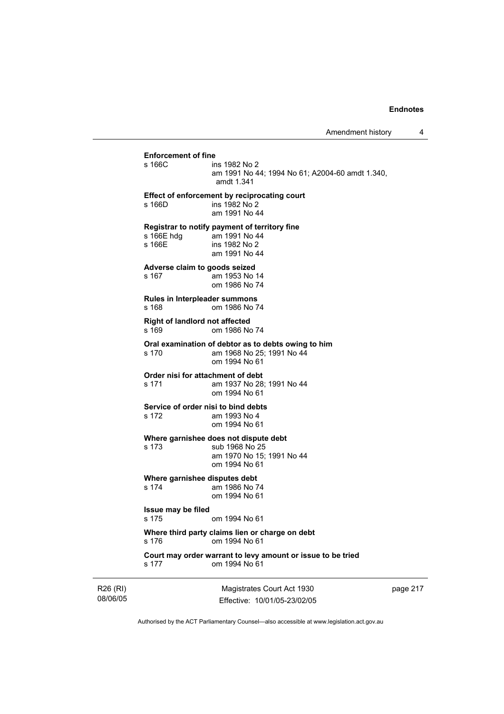**Enforcement of fine**  ins 1982 No 2 am 1991 No 44; 1994 No 61; A2004-60 amdt 1.340, amdt 1.341 **Effect of enforcement by reciprocating court**  s 166D ins 1982 No 2 am 1991 No 44 **Registrar to notify payment of territory fine**  am 1991 No 44 s 166E ins 1982 No 2 am 1991 No 44 **Adverse claim to goods seized**  s 167 am 1953 No 14 om 1986 No 74 **Rules in Interpleader summons**  s 168 om 1986 No 74 **Right of landlord not affected**  s 169 om 1986 No 74 **Oral examination of debtor as to debts owing to him**  s 170 am 1968 No 25; 1991 No 44 om 1994 No 61 **Order nisi for attachment of debt**<br>s 171 am 1937 No 28 am 1937 No 28; 1991 No 44 om 1994 No 61 **Service of order nisi to bind debts**  s 172 am 1993 No 4 om 1994 No 61 **Where garnishee does not dispute debt**  s 173 sub 1968 No 25 am 1970 No 15; 1991 No 44 om 1994 No 61 **Where garnishee disputes debt**  s 174 am 1986 No 74 om 1994 No 61 **Issue may be filed**  s 175 om 1994 No 61 **Where third party claims lien or charge on debt**  s 176 om 1994 No 61 **Court may order warrant to levy amount or issue to be tried**  s 177 om 1994 No 61

R26 (RI) 08/06/05

Magistrates Court Act 1930 Effective: 10/01/05-23/02/05 page 217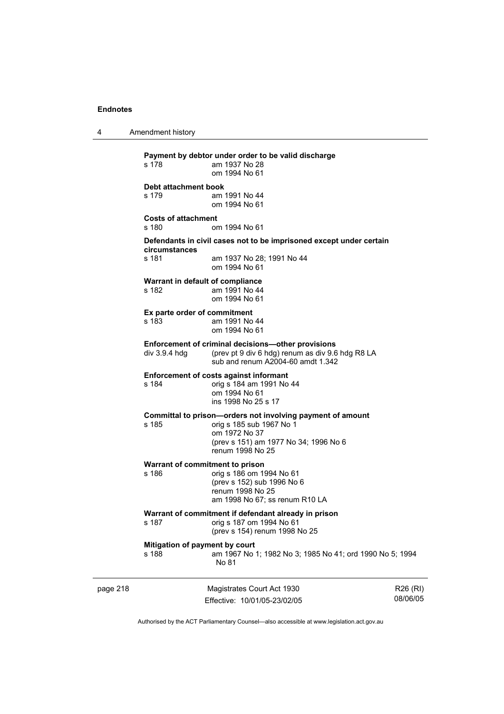4 Amendment history

| page 218 |                                                                                                                                                              | Magistrates Court Act 1930<br>Fffective: 10/01/05-23/02/05                                                                                                           | R <sub>26</sub> (RI)<br>08/06/05 |  |
|----------|--------------------------------------------------------------------------------------------------------------------------------------------------------------|----------------------------------------------------------------------------------------------------------------------------------------------------------------------|----------------------------------|--|
|          | Mitigation of payment by court<br>s 188                                                                                                                      | am 1967 No 1; 1982 No 3; 1985 No 41; ord 1990 No 5; 1994<br>No 81                                                                                                    |                                  |  |
|          | s 187                                                                                                                                                        | Warrant of commitment if defendant already in prison<br>orig s 187 om 1994 No 61<br>(prev s 154) renum 1998 No 25                                                    |                                  |  |
|          | Warrant of commitment to prison<br>s 186                                                                                                                     | orig s 186 om 1994 No 61<br>(prev s 152) sub 1996 No 6<br>renum 1998 No 25<br>am 1998 No 67; ss renum R10 LA                                                         |                                  |  |
|          | s 185                                                                                                                                                        | Committal to prison-orders not involving payment of amount<br>orig s 185 sub 1967 No 1<br>om 1972 No 37<br>(prev s 151) am 1977 No 34; 1996 No 6<br>renum 1998 No 25 |                                  |  |
|          | <b>Enforcement of costs against informant</b><br>s 184<br>orig s 184 am 1991 No 44<br>om 1994 No 61<br>ins 1998 No 25 s 17                                   |                                                                                                                                                                      |                                  |  |
|          | Enforcement of criminal decisions-other provisions<br>(prev pt 9 div 6 hdg) renum as div 9.6 hdg R8 LA<br>div 3.9.4 hdg<br>sub and renum A2004-60 amdt 1.342 |                                                                                                                                                                      |                                  |  |
|          | Ex parte order of commitment<br>s 183                                                                                                                        | am 1991 No 44<br>om 1994 No 61                                                                                                                                       |                                  |  |
|          | Warrant in default of compliance<br>s 182                                                                                                                    | am 1991 No 44<br>om 1994 No 61                                                                                                                                       |                                  |  |
|          | circumstances<br>s 181                                                                                                                                       | Defendants in civil cases not to be imprisoned except under certain<br>am 1937 No 28; 1991 No 44<br>om 1994 No 61                                                    |                                  |  |
|          | <b>Costs of attachment</b><br>s 180                                                                                                                          | om 1994 No 61                                                                                                                                                        |                                  |  |
|          | Debt attachment book<br>s 179                                                                                                                                | am 1991 No 44<br>om 1994 No 61                                                                                                                                       |                                  |  |
|          | s 178                                                                                                                                                        | am 1937 No 28<br>om 1994 No 61                                                                                                                                       |                                  |  |
|          |                                                                                                                                                              | Payment by debtor under order to be valid discharge                                                                                                                  |                                  |  |

Authorised by the ACT Parliamentary Counsel—also accessible at www.legislation.act.gov.au

Effective: 10/01/05-23/02/05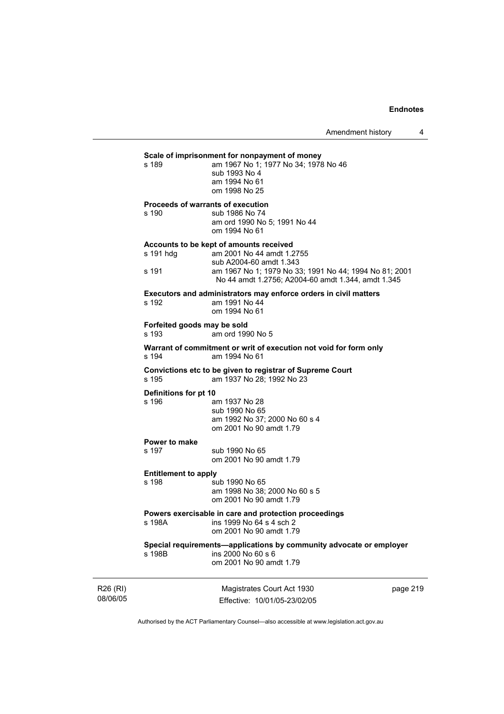## **Scale of imprisonment for nonpayment of money**<br>am 1967 No 1: 1977 No 34: 1978

| s 189 | am 1967 No 1: 1977 No 34: 1978 No 46 |
|-------|--------------------------------------|
|       | sub 1993 No 4                        |
|       | am 1994 No 61                        |
|       | om 1998 No 25                        |

#### **Proceeds of warrants of execution**

s 190 sub 1986 No 74 am ord 1990 No 5; 1991 No 44 om 1994 No 61

#### **Accounts to be kept of amounts received**

| s 191 hdg | am 2001 No 44 amdt 1.2755                              |
|-----------|--------------------------------------------------------|
|           | sub A2004-60 amdt 1.343                                |
| s 191     | am 1967 No 1; 1979 No 33; 1991 No 44; 1994 No 81; 2001 |
|           | No 44 amdt 1.2756: A2004-60 amdt 1.344, amdt 1.345     |
|           |                                                        |

# **Executors and administrators may enforce orders in civil matters**

am 1991 No 44 om 1994 No 61

**Forfeited goods may be sold**  s 193 am ord 1990 No 5

**Warrant of commitment or writ of execution not void for form only**  s 194 am 1994 No 61

**Convictions etc to be given to registrar of Supreme Court**  s 195 am 1937 No 28; 1992 No 23

#### **Definitions for pt 10**

s 196 am 1937 No 28 sub 1990 No 65 am 1992 No 37; 2000 No 60 s 4 om 2001 No 90 amdt 1.79

## **Power to make**

sub 1990 No 65 om 2001 No 90 amdt 1.79

#### **Entitlement to apply**

s 198 sub 1990 No 65 am 1998 No 38; 2000 No 60 s 5 om 2001 No 90 amdt 1.79

#### **Powers exercisable in care and protection proceedings**

s 198A **ins 1999** No 64 s 4 sch 2 om 2001 No 90 amdt 1.79

#### **Special requirements—applications by community advocate or employer**   $ins 2000$  No 60 s 6

om 2001 No 90 amdt 1.79

R26 (RI) 08/06/05

Magistrates Court Act 1930 Effective: 10/01/05-23/02/05 page 219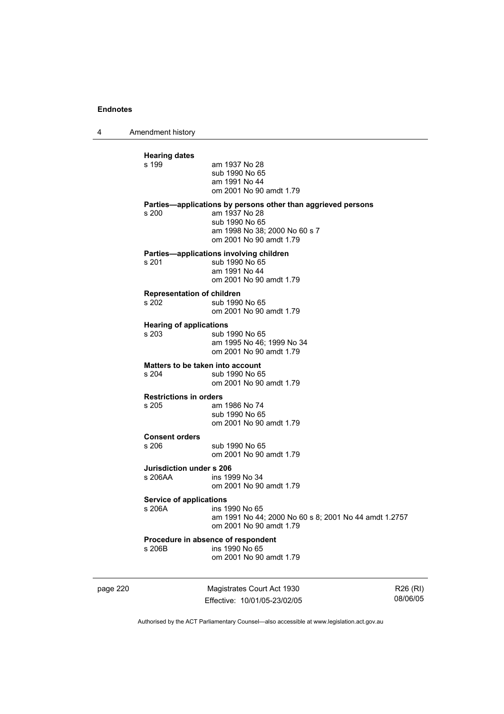4 Amendment history

| <b>Hearing dates</b><br>s 199              | am 1937 No 28<br>sub 1990 No 65<br>am 1991 No 44<br>om 2001 No 90 amdt 1.79                                                                                 |
|--------------------------------------------|-------------------------------------------------------------------------------------------------------------------------------------------------------------|
| s 200                                      | Parties-applications by persons other than aggrieved persons<br>am 1937 No 28<br>sub 1990 No 65<br>am 1998 No 38; 2000 No 60 s 7<br>om 2001 No 90 amdt 1.79 |
| s 201                                      | Parties-applications involving children<br>sub 1990 No 65<br>am 1991 No 44<br>om 2001 No 90 amdt 1.79                                                       |
| <b>Representation of children</b><br>s 202 | sub 1990 No 65<br>om 2001 No 90 amdt 1.79                                                                                                                   |
| <b>Hearing of applications</b><br>s 203    | sub 1990 No 65<br>am 1995 No 46; 1999 No 34<br>om 2001 No 90 amdt 1.79                                                                                      |
| Matters to be taken into account<br>s 204  | sub 1990 No 65<br>om 2001 No 90 amdt 1.79                                                                                                                   |
| <b>Restrictions in orders</b><br>s 205     | am 1986 No 74<br>sub 1990 No 65<br>om 2001 No 90 amdt 1.79                                                                                                  |
| <b>Consent orders</b><br>s, 206            | sub 1990 No 65<br>om 2001 No 90 amdt 1.79                                                                                                                   |
| Jurisdiction under s 206<br>s 206AA        | ins 1999 No 34<br>om 2001 No 90 amdt 1.79                                                                                                                   |
| <b>Service of applications</b><br>s 206A   | ins 1990 No 65<br>am 1991 No 44; 2000 No 60 s 8; 2001 No 44 amdt 1.2757<br>om 2001 No 90 amdt 1.79                                                          |
| s 206B                                     | Procedure in absence of respondent<br>ins 1990 No 65<br>om 2001 No 90 amdt 1.79                                                                             |

page 220 Magistrates Court Act 1930 Effective: 10/01/05-23/02/05

R26 (RI) 08/06/05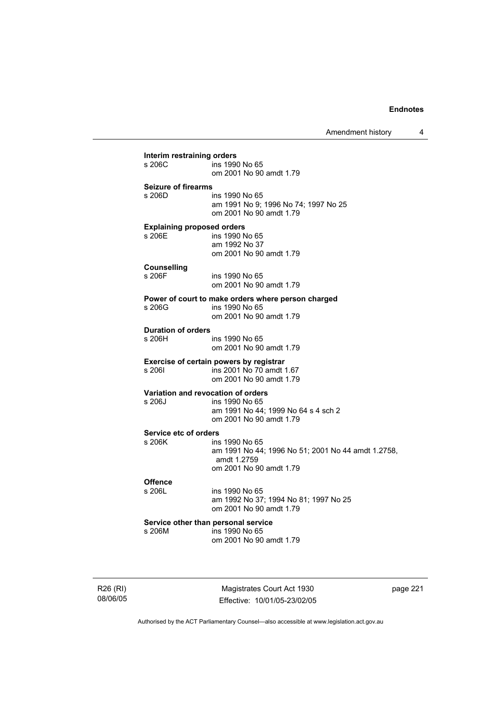Amendment history 4

| s 206C                                        | ins 1990 No 65                                                       |
|-----------------------------------------------|----------------------------------------------------------------------|
|                                               | om 2001 No 90 amdt 1.79                                              |
| <b>Seizure of firearms</b>                    |                                                                      |
| s 206D                                        | ins 1990 No 65                                                       |
|                                               | am 1991 No 9; 1996 No 74; 1997 No 25<br>om 2001 No 90 amdt 1.79      |
|                                               |                                                                      |
| <b>Explaining proposed orders</b><br>$s$ 206F |                                                                      |
|                                               | ins 1990 No 65<br>am 1992 No 37                                      |
|                                               | om 2001 No 90 amdt 1.79                                              |
|                                               |                                                                      |
| <b>Counselling</b><br>s 206F                  | ins 1990 No 65                                                       |
|                                               | om 2001 No 90 amdt 1.79                                              |
|                                               | Power of court to make orders where person charged                   |
| s 206G                                        | ins 1990 No 65                                                       |
|                                               | om 2001 No 90 amdt 1.79                                              |
| <b>Duration of orders</b>                     |                                                                      |
| s 206H                                        | ins 1990 No 65                                                       |
|                                               | om 2001 No 90 amdt 1.79                                              |
|                                               | Exercise of certain powers by registrar                              |
| s 206I                                        | ins 2001 No 70 amdt 1.67                                             |
|                                               | om 2001 No 90 amdt 1.79                                              |
|                                               | Variation and revocation of orders                                   |
| s 206J                                        | ins 1990 No 65                                                       |
|                                               | am 1991 No 44; 1999 No 64 s 4 sch 2<br>om 2001 No 90 amdt 1.79       |
|                                               |                                                                      |
| Service etc of orders                         |                                                                      |
| s 206K                                        | ins 1990 No 65<br>am 1991 No 44; 1996 No 51; 2001 No 44 amdt 1.2758, |
|                                               | amdt 1.2759                                                          |
|                                               | om 2001 No 90 amdt 1.79                                              |
| <b>Offence</b>                                |                                                                      |
| s 206L                                        | ins 1990 No 65                                                       |
|                                               | am 1992 No 37; 1994 No 81; 1997 No 25                                |
|                                               | om 2001 No 90 amdt 1.79                                              |
|                                               | Service other than personal service                                  |
| s 206M                                        | ins 1990 No 65                                                       |
|                                               | om 2001 No 90 amdt 1.79                                              |

R26 (RI) 08/06/05

Magistrates Court Act 1930 Effective: 10/01/05-23/02/05 page 221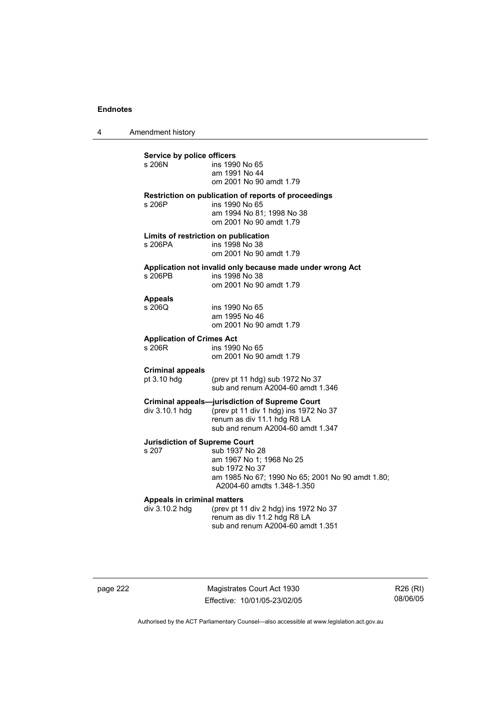4 Amendment history

**Service by police officers**  ins 1990 No 65 am 1991 No 44 om 2001 No 90 amdt 1.79 **Restriction on publication of reports of proceedings**  s 206P ins 1990 No 65 am 1994 No 81; 1998 No 38 om 2001 No 90 amdt 1.79 **Limits of restriction on publication**  s 206PA ins 1998 No 38 om 2001 No 90 amdt 1.79 **Application not invalid only because made under wrong Act**  ins 1998 No 38 om 2001 No 90 amdt 1.79 **Appeals**  ins 1990 No 65 am 1995 No 46 om 2001 No 90 amdt 1.79 **Application of Crimes Act**  ins 1990 No 65 om 2001 No 90 amdt 1.79 **Criminal appeals**  pt 3.10 hdg (prev pt 11 hdg) sub 1972 No 37 sub and renum A2004-60 amdt 1.346 **Criminal appeals—jurisdiction of Supreme Court**  div 3.10.1 hdg (prev pt 11 div 1 hdg) ins 1972 No 37 renum as div 11.1 hdg R8 LA sub and renum A2004-60 amdt 1.347 **Jurisdiction of Supreme Court**  sub 1937 No 28 am 1967 No 1; 1968 No 25 sub 1972 No 37 am 1985 No 67; 1990 No 65; 2001 No 90 amdt 1.80; A2004-60 amdts 1.348-1.350 **Appeals in criminal matters**  div 3.10.2 hdg (prev pt 11 div 2 hdg) ins 1972 No 37 renum as div 11.2 hdg R8 LA sub and renum A2004-60 amdt 1.351

page 222 Magistrates Court Act 1930 Effective: 10/01/05-23/02/05

R26 (RI) 08/06/05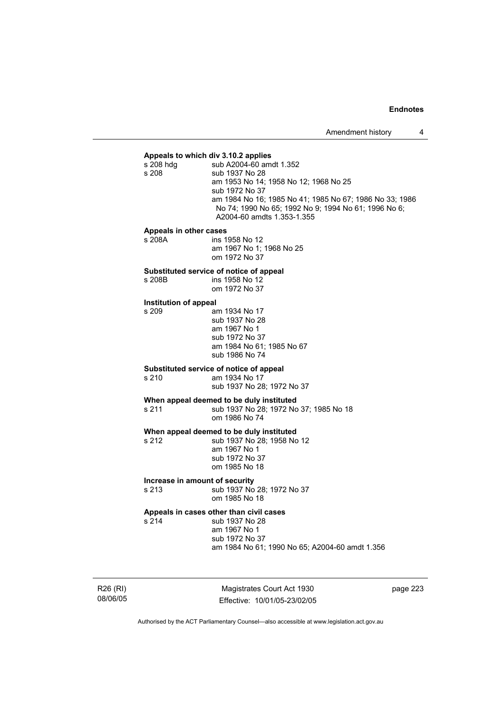**Appeals to which div 3.10.2 applies**  sub A2004-60 amdt 1.352 s 208 sub 1937 No 28 am 1953 No 14; 1958 No 12; 1968 No 25 sub 1972 No 37 am 1984 No 16; 1985 No 41; 1985 No 67; 1986 No 33; 1986 No 74; 1990 No 65; 1992 No 9; 1994 No 61; 1996 No 6; A2004-60 amdts 1.353-1.355

#### **Appeals in other cases**

| s 208A | ins 1958 No 12           |
|--------|--------------------------|
|        | am 1967 No 1: 1968 No 25 |
|        | om 1972 No 37            |

#### **Substituted service of notice of appeal**

s 208B ins 1958 No 12 om 1972 No 37

#### **Institution of appeal**

s 209 am 1934 No 17 sub 1937 No 28 am 1967 No 1 sub 1972 No 37 am 1984 No 61; 1985 No 67 sub 1986 No 74

#### **Substituted service of notice of appeal**

s 210 am 1934 No 17

sub 1937 No 28; 1972 No 37

## **When appeal deemed to be duly instituted**

s 211 sub 1937 No 28; 1972 No 37; 1985 No 18 om 1986 No 74

# **When appeal deemed to be duly instituted**<br>s 212 **b** sub 1937 No 28: 1958 No

sub 1937 No 28: 1958 No 12 am 1967 No 1 sub 1972 No 37 om 1985 No 18

#### **Increase in amount of security**

s 213 sub 1937 No 28; 1972 No 37 om 1985 No 18

#### **Appeals in cases other than civil cases**

s 214 sub 1937 No 28 am 1967 No 1 sub 1972 No 37

am 1984 No 61; 1990 No 65; A2004-60 amdt 1.356

R26 (RI) 08/06/05

Magistrates Court Act 1930 Effective: 10/01/05-23/02/05 page 223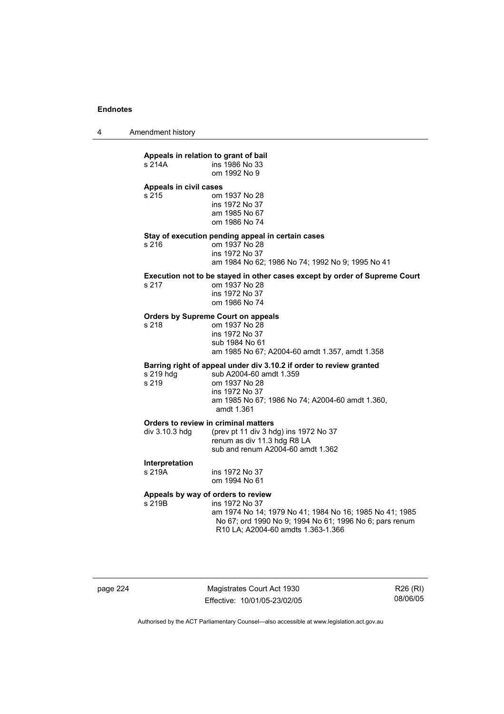4 Amendment history

| s 214A                          | Appeals in relation to grant of bail<br>ins 1986 No 33<br>om 1992 No 9                                                                                                                                           |
|---------------------------------|------------------------------------------------------------------------------------------------------------------------------------------------------------------------------------------------------------------|
| Appeals in civil cases<br>s 215 | om 1937 No 28<br>ins 1972 No 37<br>am 1985 No 67<br>om 1986 No 74                                                                                                                                                |
| s 216                           | Stay of execution pending appeal in certain cases<br>om 1937 No 28<br>ins 1972 No 37<br>am 1984 No 62; 1986 No 74; 1992 No 9; 1995 No 41                                                                         |
| s 217                           | Execution not to be stayed in other cases except by order of Supreme Court<br>om 1937 No 28<br>ins 1972 No 37<br>om 1986 No 74                                                                                   |
| s 218                           | <b>Orders by Supreme Court on appeals</b><br>om 1937 No 28<br>ins 1972 No 37<br>sub 1984 No 61<br>am 1985 No 67; A2004-60 amdt 1.357, amdt 1.358                                                                 |
| s 219 hdg<br>s 219              | Barring right of appeal under div 3.10.2 if order to review granted<br>sub A2004-60 amdt 1.359<br>om 1937 No 28<br>ins 1972 No 37<br>am 1985 No 67; 1986 No 74; A2004-60 amdt 1.360,<br>amdt 1.361               |
| div 3.10.3 hdg                  | Orders to review in criminal matters<br>(prev pt 11 div 3 hdg) ins 1972 No 37<br>renum as div 11.3 hdg R8 LA<br>sub and renum A2004-60 amdt 1.362                                                                |
| Interpretation<br>s 219A        | ins 1972 No 37<br>om 1994 No 61                                                                                                                                                                                  |
| s 219B                          | Appeals by way of orders to review<br>ins 1972 No 37<br>am 1974 No 14; 1979 No 41; 1984 No 16; 1985 No 41; 1985<br>No 67; ord 1990 No 9; 1994 No 61; 1996 No 6; pars renum<br>R10 LA; A2004-60 amdts 1.363-1.366 |

page 224 Magistrates Court Act 1930 Effective: 10/01/05-23/02/05

R26 (RI) 08/06/05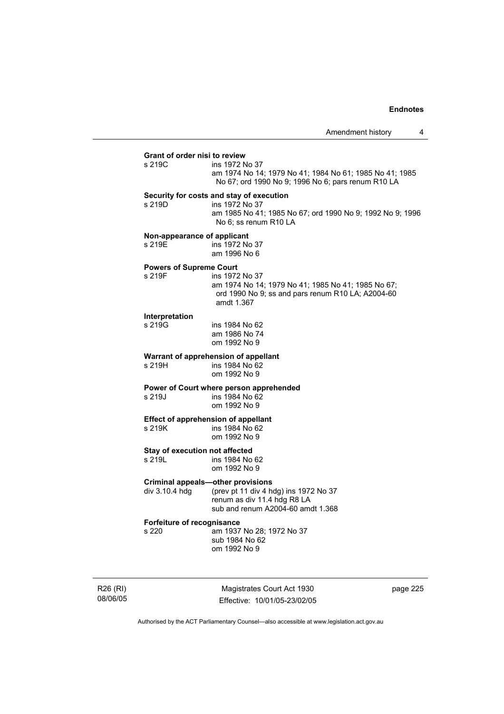## **Grant of order nisi to review**  ins 1972 No 37 am 1974 No 14; 1979 No 41; 1984 No 61; 1985 No 41; 1985 No 67; ord 1990 No 9; 1996 No 6; pars renum R10 LA **Security for costs and stay of execution**  s 219D ins 1972 No 37 am 1985 No 41; 1985 No 67; ord 1990 No 9; 1992 No 9; 1996 No 6; ss renum R10 LA **Non-appearance of applicant**  s 219E ins 1972 No 37 am 1996 No 6 **Powers of Supreme Court**  ins 1972 No 37 am 1974 No 14; 1979 No 41; 1985 No 41; 1985 No 67; ord 1990 No 9; ss and pars renum R10 LA; A2004-60 amdt 1.367 **Interpretation**  s 219G ins 1984 No 62 am 1986 No 74 om 1992 No 9 **Warrant of apprehension of appellant**<br>s 219H **ins 1984** No 62 ins 1984 No 62 om 1992 No 9 **Power of Court where person apprehended**  s 219J ins 1984 No 62 om 1992 No 9 **Effect of apprehension of appellant**  s 219K ins 1984 No 62 om 1992 No 9 **Stay of execution not affected**<br>s 219L ins 1984 No ins 1984 No 62 om 1992 No 9 **Criminal appeals—other provisions**<br>div 3.10.4 hdg (prev pt 11 div 4 hd (prev pt 11 div 4 hdg) ins 1972 No 37 renum as div 11.4 hdg R8 LA sub and renum A2004-60 amdt 1.368 **Forfeiture of recognisance**  s 220 am 1937 No 28; 1972 No 37 sub 1984 No 62 om 1992 No 9

R26 (RI) 08/06/05

Magistrates Court Act 1930 Effective: 10/01/05-23/02/05 page 225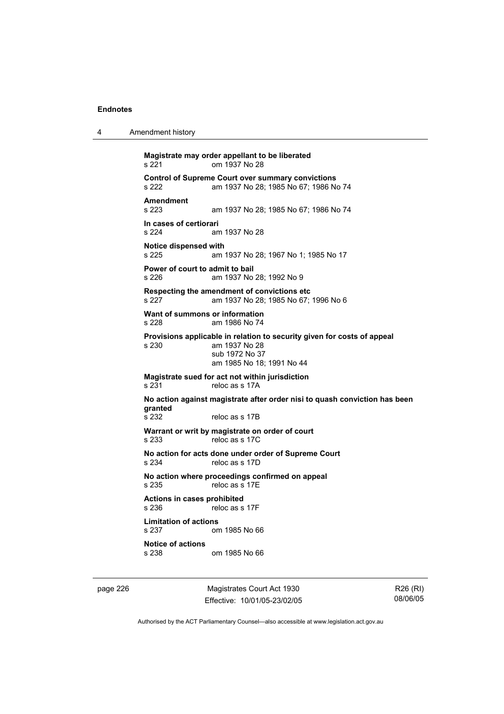4 Amendment history

**Magistrate may order appellant to be liberated**  s 221 om 1937 No 28 **Control of Supreme Court over summary convictions**  am 1937 No 28; 1985 No 67; 1986 No 74 **Amendment**  am 1937 No 28; 1985 No 67; 1986 No 74 **In cases of certiorari**  s 224 am 1937 No 28 **Notice dispensed with**  s 225 am 1937 No 28; 1967 No 1; 1985 No 17 **Power of court to admit to bail**  s 226 am 1937 No 28; 1992 No 9 **Respecting the amendment of convictions etc**  s 227 am 1937 No 28; 1985 No 67; 1996 No 6 **Want of summons or information**  s 228 am 1986 No 74 **Provisions applicable in relation to security given for costs of appeal**  s 230 am 1937 No 28 sub 1972 No 37 am 1985 No 18; 1991 No 44 **Magistrate sued for act not within jurisdiction**  reloc as s 17A **No action against magistrate after order nisi to quash conviction has been granted**  reloc as s 17B **Warrant or writ by magistrate on order of court**  s 233 reloc as s 17C **No action for acts done under order of Supreme Court**  s 234 reloc as s 17D **No action where proceedings confirmed on appeal**  s 235 reloc as s 17E **Actions in cases prohibited**  reloc as s 17F **Limitation of actions**  s 237 om 1985 No 66 **Notice of actions**  om 1985 No 66

page 226 Magistrates Court Act 1930 Effective: 10/01/05-23/02/05

R26 (RI) 08/06/05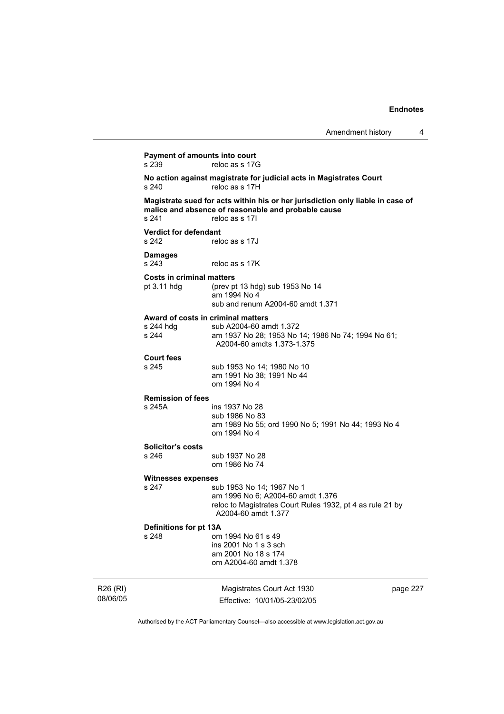| Amendment history |  |
|-------------------|--|
|-------------------|--|

R26 (RI) Magistrates Court Act 1930 **Payment of amounts into court**<br>s 239 reloc as s 17G reloc as s 17G **No action against magistrate for judicial acts in Magistrates Court**  s 240 reloc as s 17H **Magistrate sued for acts within his or her jurisdiction only liable in case of malice and absence of reasonable and probable cause**  s 241 reloc as s 17I **Verdict for defendant**  s 242 reloc as s 17J **Damages**  reloc as s 17K **Costs in criminal matters**  pt 3.11 hdg (prev pt 13 hdg) sub 1953 No 14 am 1994 No 4 sub and renum A2004-60 amdt 1.371 **Award of costs in criminal matters**  s 244 hdg sub A2004-60 amdt 1.372 s 244 am 1937 No 28; 1953 No 14; 1986 No 74; 1994 No 61; A2004-60 amdts 1.373-1.375 **Court fees**  sub 1953 No 14; 1980 No 10 am 1991 No 38; 1991 No 44 om 1994 No 4 **Remission of fees**  s 245A ins 1937 No 28 sub 1986 No 83 am 1989 No 55; ord 1990 No 5; 1991 No 44; 1993 No 4 om 1994 No 4 **Solicitor's costs**  s 246 sub 1937 No 28 om 1986 No 74 **Witnesses expenses**  s 247 sub 1953 No 14; 1967 No 1 am 1996 No 6; A2004-60 amdt 1.376 reloc to Magistrates Court Rules 1932, pt 4 as rule 21 by A2004-60 amdt 1.377 **Definitions for pt 13A**  om 1994 No 61 s 49 ins 2001 No 1 s 3 sch am 2001 No 18 s 174 om A2004-60 amdt 1.378

08/06/05

Effective: 10/01/05-23/02/05

page 227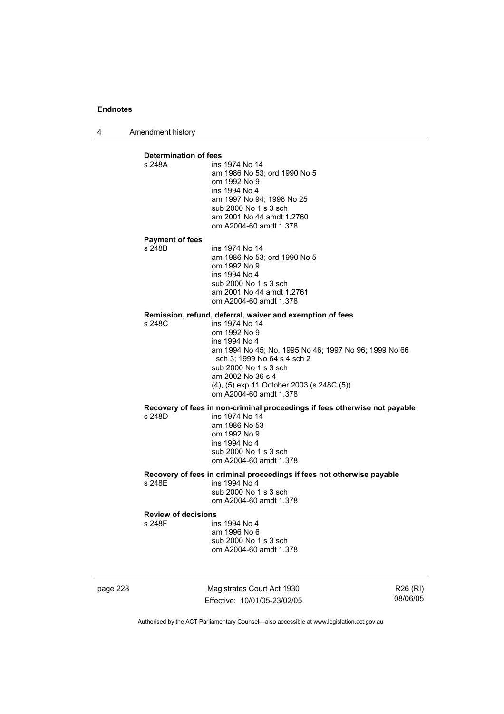4 Amendment history

**Determination of fees**  ins 1974 No 14 am 1986 No 53; ord 1990 No 5 om 1992 No 9 ins 1994 No 4 am 1997 No 94; 1998 No 25 sub 2000 No 1 s 3 sch am 2001 No 44 amdt 1.2760 om A2004-60 amdt 1.378 **Payment of fees**  ins 1974 No 14 am 1986 No 53; ord 1990 No 5 om 1992 No 9 ins 1994 No 4 sub 2000 No 1 s 3 sch am 2001 No 44 amdt 1.2761 om A2004-60 amdt 1.378 **Remission, refund, deferral, waiver and exemption of fees**  s 248C ins 1974 No 14 om 1992 No 9 ins 1994 No 4 am 1994 No 45; No. 1995 No 46; 1997 No 96; 1999 No 66 sch 3; 1999 No 64 s 4 sch 2 sub 2000 No 1 s 3 sch am 2002 No 36 s 4 (4), (5) exp 11 October 2003 (s 248C (5)) om A2004-60 amdt 1.378 **Recovery of fees in non-criminal proceedings if fees otherwise not payable**  s 248D ins 1974 No 14 am 1986 No 53 om 1992 No 9 ins 1994 No 4 sub 2000 No 1 s 3 sch om A2004-60 amdt 1.378 **Recovery of fees in criminal proceedings if fees not otherwise payable**  s 248E ins 1994 No 4 sub 2000 No 1 s 3 sch om A2004-60 amdt 1.378 **Review of decisions**  s 248F ins 1994 No 4 am 1996 No 6 sub 2000 No 1 s 3 sch om A2004-60 amdt 1.378

page 228 Magistrates Court Act 1930 Effective: 10/01/05-23/02/05

R26 (RI) 08/06/05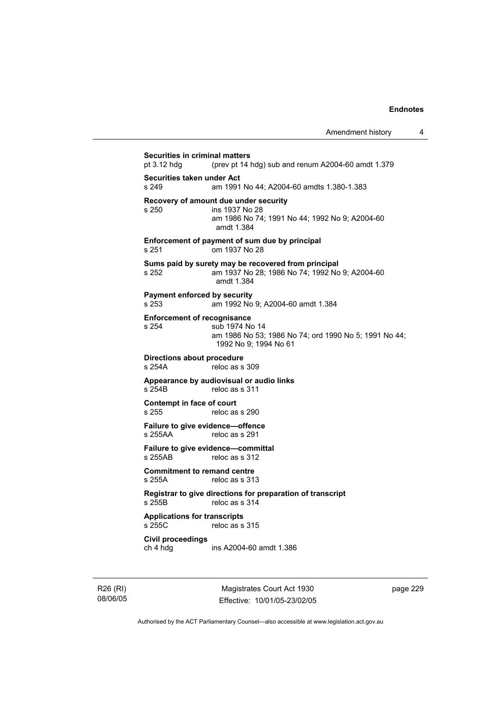**Securities in criminal matters**<br>pt 3.12 hdg (prev pt 14) (prev pt 14 hdg) sub and renum A2004-60 amdt  $1.379$ **Securities taken under Act**  s 249 am 1991 No 44; A2004-60 amdts 1.380-1.383 **Recovery of amount due under security**  ins 1937 No 28 am 1986 No 74; 1991 No 44; 1992 No 9; A2004-60 amdt 1.384 **Enforcement of payment of sum due by principal**  s 251 om 1937 No 28 **Sums paid by surety may be recovered from principal**  s 252 am 1937 No 28; 1986 No 74; 1992 No 9; A2004-60 amdt 1.384 **Payment enforced by security**  s 253 am 1992 No 9; A2004-60 amdt 1.384 **Enforcement of recognisance**  s 254 sub 1974 No 14 am 1986 No 53; 1986 No 74; ord 1990 No 5; 1991 No 44; 1992 No 9; 1994 No 61 **Directions about procedure**<br>s 254A reloc as s reloc as s 309 **Appearance by audiovisual or audio links**  s 254B reloc as s 311 **Contempt in face of court**  reloc as s 290 **Failure to give evidence—offence**  s 255AA reloc as s 291 **Failure to give evidence—committal**  s 255AB reloc as s 312 **Commitment to remand centre**  s 255A reloc as s 313 **Registrar to give directions for preparation of transcript**  s 255B reloc as s 314 **Applications for transcripts**  s 255C reloc as s 315 **Civil proceedings**  ins A2004-60 amdt 1.386

R26 (RI) 08/06/05

Magistrates Court Act 1930 Effective: 10/01/05-23/02/05 page 229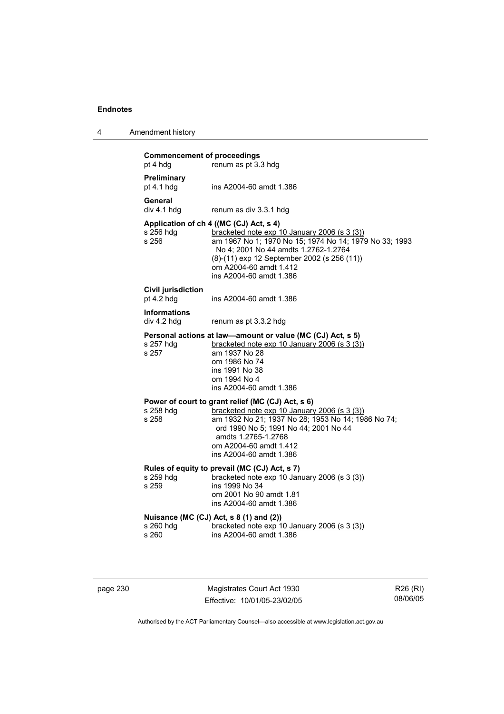| 4 | Amendment history |
|---|-------------------|
|---|-------------------|

| <b>Commencement of proceedings</b><br>pt 4 hdg | renum as pt 3.3 hdg                                                                                                                                                                                                                                                                           |
|------------------------------------------------|-----------------------------------------------------------------------------------------------------------------------------------------------------------------------------------------------------------------------------------------------------------------------------------------------|
| Preliminary<br>pt $4.1$ hdg                    | ins A2004-60 amdt 1.386                                                                                                                                                                                                                                                                       |
| General<br>div 4.1 hdg                         | renum as div 3.3.1 hdg                                                                                                                                                                                                                                                                        |
| s 256 hdg<br>s 256                             | Application of ch 4 ((MC (CJ) Act, s 4)<br>bracketed note exp 10 January 2006 (s 3 (3))<br>am 1967 No 1; 1970 No 15; 1974 No 14; 1979 No 33; 1993<br>No 4; 2001 No 44 amdts 1.2762-1.2764<br>(8)-(11) exp 12 September 2002 (s 256 (11))<br>om A2004-60 amdt 1.412<br>ins A2004-60 amdt 1.386 |
| <b>Civil jurisdiction</b><br>pt $4.2$ hdg      | ins A2004-60 amdt 1.386                                                                                                                                                                                                                                                                       |
| <b>Informations</b><br>div 4.2 hdg             | renum as pt 3.3.2 hdg                                                                                                                                                                                                                                                                         |
| s 257 hdg<br>s 257                             | Personal actions at law—amount or value (MC (CJ) Act, s 5)<br>bracketed note exp 10 January 2006 (s 3 (3))<br>am 1937 No 28<br>om 1986 No 74<br>ins 1991 No 38<br>om 1994 No 4<br>ins A2004-60 amdt 1.386                                                                                     |
| s 258 hdg<br>s 258                             | Power of court to grant relief (MC (CJ) Act, s 6)<br>bracketed note exp 10 January 2006 (s 3 (3))<br>am 1932 No 21; 1937 No 28; 1953 No 14; 1986 No 74;<br>ord 1990 No 5; 1991 No 44; 2001 No 44<br>amdts 1.2765-1.2768<br>om A2004-60 amdt 1.412<br>ins A2004-60 amdt 1.386                  |
| s 259 hdg<br>s 259                             | Rules of equity to prevail (MC (CJ) Act, s 7)<br>bracketed note exp 10 January 2006 (s 3 (3))<br>ins 1999 No 34<br>om 2001 No 90 amdt 1.81<br>ins A2004-60 amdt 1.386                                                                                                                         |
| s 260 hdg<br>s 260                             | Nuisance (MC (CJ) Act, s 8 (1) and (2))<br>bracketed note exp 10 January 2006 (s 3 (3))<br>ins A2004-60 amdt 1.386                                                                                                                                                                            |

page 230 Magistrates Court Act 1930 Effective: 10/01/05-23/02/05

R26 (RI) 08/06/05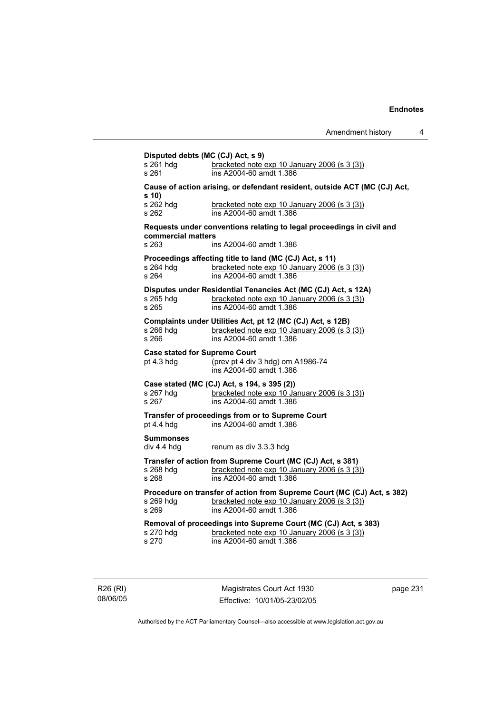| s 261 hdg<br>s 261              | bracketed note exp 10 January 2006 (s 3 (3))<br>ins A2004-60 amdt 1.386                                       |
|---------------------------------|---------------------------------------------------------------------------------------------------------------|
|                                 | Cause of action arising, or defendant resident, outside ACT (MC (CJ) Act,                                     |
| s(10)                           |                                                                                                               |
| s 262 hdg<br>s 262              | bracketed note exp 10 January 2006 (s 3 (3))<br>ins A2004-60 amdt 1.386                                       |
|                                 | Requests under conventions relating to legal proceedings in civil and                                         |
| commercial matters              |                                                                                                               |
| s 263                           | ins A2004-60 amdt 1.386                                                                                       |
|                                 | Proceedings affecting title to land (MC (CJ) Act, s 11)                                                       |
| s 264 hdg<br>s 264              | bracketed note exp 10 January 2006 (s 3 (3))<br>ins A2004-60 amdt 1.386                                       |
|                                 |                                                                                                               |
| s 265 hdg                       | Disputes under Residential Tenancies Act (MC (CJ) Act, s 12A)<br>bracketed note exp 10 January 2006 (s 3 (3)) |
| s 265                           | ins A2004-60 amdt 1.386                                                                                       |
|                                 | Complaints under Utilities Act, pt 12 (MC (CJ) Act, s 12B)                                                    |
| s 266 hdg                       | bracketed note exp 10 January 2006 (s 3 (3))<br>ins A2004-60 amdt 1.386                                       |
| s 266                           |                                                                                                               |
| pt $4.3$ hdg                    | <b>Case stated for Supreme Court</b><br>(prev pt 4 div 3 hdg) om A1986-74                                     |
|                                 | ins A2004-60 amdt 1.386                                                                                       |
|                                 | Case stated (MC (CJ) Act, s 194, s 395 (2))                                                                   |
| s 267 hdg                       | bracketed note exp 10 January 2006 (s 3 (3))                                                                  |
| s 267                           | ins A2004-60 amdt 1.386                                                                                       |
| pt 4.4 hdg                      | Transfer of proceedings from or to Supreme Court<br>ins A2004-60 amdt 1.386                                   |
|                                 |                                                                                                               |
| <b>Summonses</b><br>div 4.4 hdg | renum as div 3.3.3 hdg                                                                                        |
|                                 | Transfer of action from Supreme Court (MC (CJ) Act, s 381)                                                    |
| s 268 hdg                       | bracketed note exp 10 January 2006 (s 3 (3))                                                                  |
| s 268                           | ins A2004-60 amdt 1.386                                                                                       |
|                                 | Procedure on transfer of action from Supreme Court (MC (CJ) Act, s 382)                                       |
| s 269 hdg<br>s 269              | bracketed note exp 10 January 2006 (s 3 (3))<br>ins A2004-60 amdt 1.386                                       |
|                                 | Removal of proceedings into Supreme Court (MC (CJ) Act, s 383)                                                |
| s 270 hdg                       | bracketed note exp 10 January 2006 (s 3 (3))                                                                  |
| s 270                           | ins A2004-60 amdt 1.386                                                                                       |

R26 (RI) 08/06/05

Magistrates Court Act 1930 Effective: 10/01/05-23/02/05 page 231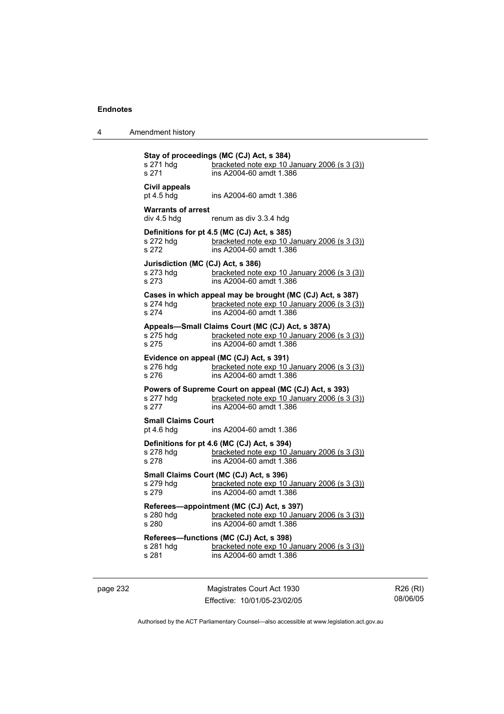4 Amendment history

| s 271 hdg<br>s 271                                                                                                                       | Stay of proceedings (MC (CJ) Act, s 384)<br>bracketed note exp 10 January 2006 (s 3 (3))<br>ins A2004-60 amdt 1.386                  |  |
|------------------------------------------------------------------------------------------------------------------------------------------|--------------------------------------------------------------------------------------------------------------------------------------|--|
| Civil appeals<br>pt $4.5$ hdg                                                                                                            | ins A2004-60 amdt 1.386                                                                                                              |  |
| <b>Warrants of arrest</b><br>div 4.5 hdg                                                                                                 | renum as div 3.3.4 hdg                                                                                                               |  |
| s 272 hdg<br>s 272                                                                                                                       | Definitions for pt 4.5 (MC (CJ) Act, s 385)<br>bracketed note exp 10 January 2006 (s 3 (3))<br>ins A2004-60 amdt 1.386               |  |
| Jurisdiction (MC (CJ) Act, s 386)<br>s 273 hdq<br>s 273                                                                                  | bracketed note exp 10 January 2006 (s 3 (3))<br>ins A2004-60 amdt 1.386                                                              |  |
| s 274 hdg<br>s 274                                                                                                                       | Cases in which appeal may be brought (MC (CJ) Act, s 387)<br>bracketed note exp 10 January 2006 (s 3 (3))<br>ins A2004-60 amdt 1.386 |  |
| s 275 hdg<br>s 275                                                                                                                       | Appeals-Small Claims Court (MC (CJ) Act, s 387A)<br>bracketed note exp 10 January 2006 (s 3 (3))<br>ins A2004-60 amdt 1.386          |  |
| Evidence on appeal (MC (CJ) Act, s 391)<br>bracketed note exp 10 January 2006 (s 3 (3))<br>s 276 hdg<br>ins A2004-60 amdt 1.386<br>s 276 |                                                                                                                                      |  |
| s 277 hdq<br>s 277                                                                                                                       | Powers of Supreme Court on appeal (MC (CJ) Act, s 393)<br>bracketed note exp 10 January 2006 (s 3 (3))<br>ins A2004-60 amdt 1.386    |  |
| <b>Small Claims Court</b><br>pt $4.6$ hdg                                                                                                | ins A2004-60 amdt 1.386                                                                                                              |  |
| s 278 hdg<br>s 278                                                                                                                       | Definitions for pt 4.6 (MC (CJ) Act, s 394)<br>bracketed note exp 10 January 2006 (s 3 (3))<br>ins A2004-60 amdt 1.386               |  |
| s 279 hdg<br>s 279                                                                                                                       | Small Claims Court (MC (CJ) Act, s 396)<br>bracketed note exp 10 January 2006 (s 3 (3))<br>ins A2004-60 amdt 1.386                   |  |
| s 280 hdg<br>s 280                                                                                                                       | Referees-appointment (MC (CJ) Act, s 397)<br>bracketed note exp 10 January 2006 (s 3 (3))<br>ins A2004-60 amdt 1.386                 |  |
| Referees-functions (MC (CJ) Act, s 398)<br>bracketed note exp 10 January 2006 (s 3 (3))<br>s 281 hdg<br>s 281<br>ins A2004-60 amdt 1.386 |                                                                                                                                      |  |

page 232 Magistrates Court Act 1930 Effective: 10/01/05-23/02/05

R26 (RI) 08/06/05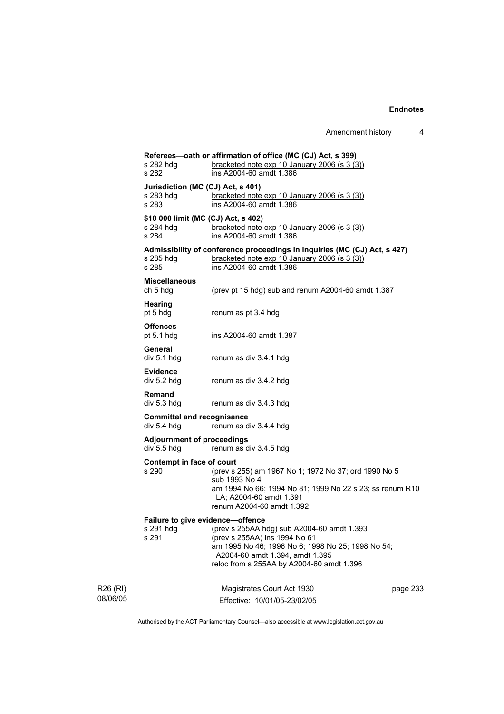|                      | s 282 hdg<br>s 282                                        | Referees-oath or affirmation of office (MC (CJ) Act, s 399)<br>bracketed note $exp 10$ January 2006 (s 3 (3))<br>ins A2004-60 amdt 1.386                                                                         |          |
|----------------------|-----------------------------------------------------------|------------------------------------------------------------------------------------------------------------------------------------------------------------------------------------------------------------------|----------|
|                      | Jurisdiction (MC (CJ) Act, s 401)<br>s 283 hdg<br>s 283   | bracketed note exp 10 January 2006 (s 3 (3))<br>ins A2004-60 amdt 1.386                                                                                                                                          |          |
|                      | \$10 000 limit (MC (CJ) Act, s 402)<br>s 284 hdg<br>s 284 | bracketed note exp 10 January 2006 (s 3 (3))<br>ins A2004-60 amdt 1.386                                                                                                                                          |          |
|                      | s 285 hdg<br>s 285                                        | Admissibility of conference proceedings in inquiries (MC (CJ) Act, s 427)<br>bracketed note exp 10 January 2006 (s 3 (3))<br>ins A2004-60 amdt 1.386                                                             |          |
|                      | <b>Miscellaneous</b><br>ch 5 hdg                          | (prev pt 15 hdg) sub and renum A2004-60 amdt 1.387                                                                                                                                                               |          |
|                      | <b>Hearing</b><br>pt 5 hdg                                | renum as pt 3.4 hdg                                                                                                                                                                                              |          |
|                      | <b>Offences</b><br>pt $5.1$ hdg                           | ins A2004-60 amdt 1.387                                                                                                                                                                                          |          |
|                      | General<br>div 5.1 hdg                                    | renum as div 3.4.1 hdg                                                                                                                                                                                           |          |
|                      | <b>Evidence</b><br>div 5.2 hdg                            | renum as div 3.4.2 hdg                                                                                                                                                                                           |          |
|                      | Remand<br>div 5.3 hdg                                     | renum as div 3.4.3 hdg                                                                                                                                                                                           |          |
|                      | <b>Committal and recognisance</b><br>div 5.4 hdg          | renum as div 3.4.4 hdg                                                                                                                                                                                           |          |
|                      | <b>Adjournment of proceedings</b><br>div 5.5 hdg          | renum as div 3.4.5 hdg                                                                                                                                                                                           |          |
|                      | Contempt in face of court<br>s 290                        | (prev s 255) am 1967 No 1; 1972 No 37; ord 1990 No 5<br>sub 1993 No 4<br>am 1994 No 66; 1994 No 81; 1999 No 22 s 23; ss renum R10<br>LA; A2004-60 amdt 1.391<br>renum A2004-60 amdt 1.392                        |          |
|                      | Failure to give evidence-offence<br>s 291 hdg<br>s 291    | (prev s 255AA hdg) sub A2004-60 amdt 1.393<br>(prev s 255AA) ins 1994 No 61<br>am 1995 No 46; 1996 No 6; 1998 No 25; 1998 No 54;<br>A2004-60 amdt 1.394, amdt 1.395<br>reloc from s 255AA by A2004-60 amdt 1.396 |          |
| R26 (RI)<br>08/06/05 |                                                           | Magistrates Court Act 1930<br>Effective: 10/01/05-23/02/05                                                                                                                                                       | page 233 |

Authorised by the ACT Parliamentary Counsel—also accessible at www.legislation.act.gov.au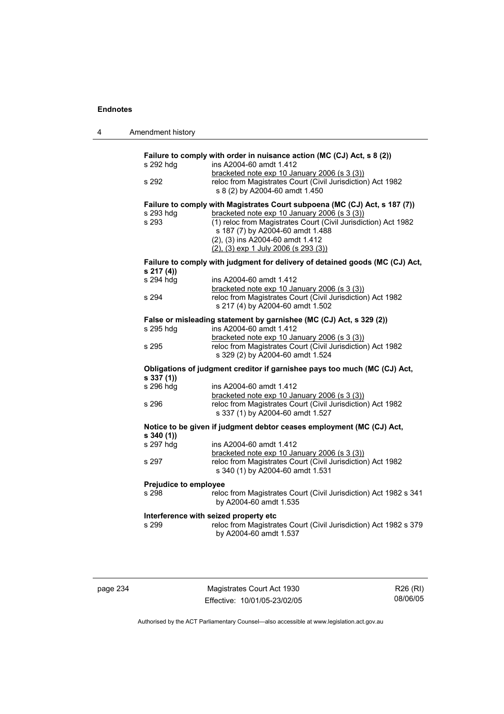| 4 | Amendment history            |                                                                                                                                                |
|---|------------------------------|------------------------------------------------------------------------------------------------------------------------------------------------|
|   |                              | Failure to comply with order in nuisance action (MC (CJ) Act, s 8 (2))                                                                         |
|   | s 292 hdg                    | ins A2004-60 amdt 1.412                                                                                                                        |
|   | s 292                        | bracketed note exp 10 January 2006 (s 3 (3))<br>reloc from Magistrates Court (Civil Jurisdiction) Act 1982<br>s 8 (2) by A2004-60 amdt 1.450   |
|   |                              | Failure to comply with Magistrates Court subpoena (MC (CJ) Act, s 187 (7))                                                                     |
|   | s 293 hdg                    | bracketed note exp 10 January 2006 (s 3 (3))                                                                                                   |
|   | s 293                        | (1) reloc from Magistrates Court (Civil Jurisdiction) Act 1982<br>s 187 (7) by A2004-60 amdt 1.488                                             |
|   |                              | (2), (3) ins A2004-60 amdt 1.412                                                                                                               |
|   |                              | $(2)$ , $(3)$ exp 1 July 2006 (s 293 $(3)$ )                                                                                                   |
|   | s 217(4)                     | Failure to comply with judgment for delivery of detained goods (MC (CJ) Act,                                                                   |
|   | s 294 hdg                    | ins A2004-60 amdt 1.412<br>bracketed note exp 10 January 2006 (s 3 (3))                                                                        |
|   | s 294                        | reloc from Magistrates Court (Civil Jurisdiction) Act 1982<br>s 217 (4) by A2004-60 amdt 1.502                                                 |
|   |                              | False or misleading statement by garnishee (MC (CJ) Act, s 329 (2))                                                                            |
|   | s 295 hdg                    | ins A2004-60 amdt 1.412                                                                                                                        |
|   | s 295                        | bracketed note exp 10 January 2006 (s 3 (3))<br>reloc from Magistrates Court (Civil Jurisdiction) Act 1982<br>s 329 (2) by A2004-60 amdt 1.524 |
|   | s 337(1)                     | Obligations of judgment creditor if garnishee pays too much (MC (CJ) Act,                                                                      |
|   | s 296 hdg                    | ins A2004-60 amdt 1.412<br>bracketed note exp 10 January 2006 (s 3 (3))                                                                        |
|   | s 296                        | reloc from Magistrates Court (Civil Jurisdiction) Act 1982<br>s 337 (1) by A2004-60 amdt 1.527                                                 |
|   | $s$ 340 (1))                 | Notice to be given if judgment debtor ceases employment (MC (CJ) Act,                                                                          |
|   | s 297 hdg                    | ins A2004-60 amdt 1.412<br>bracketed note exp 10 January 2006 (s 3 (3))                                                                        |
|   | s 297                        | reloc from Magistrates Court (Civil Jurisdiction) Act 1982<br>s 340 (1) by A2004-60 amdt 1.531                                                 |
|   | <b>Prejudice to employee</b> |                                                                                                                                                |
|   | s 298                        | reloc from Magistrates Court (Civil Jurisdiction) Act 1982 s 341<br>by A2004-60 amdt 1.535                                                     |
|   |                              | Interference with seized property etc                                                                                                          |
|   | s 299                        | reloc from Magistrates Court (Civil Jurisdiction) Act 1982 s 379<br>by A2004-60 amdt 1.537                                                     |
|   |                              |                                                                                                                                                |

| aane | 4 |
|------|---|
|      |   |

Magistrates Court Act 1930 Effective: 10/01/05-23/02/05

R26 (RI) 08/06/05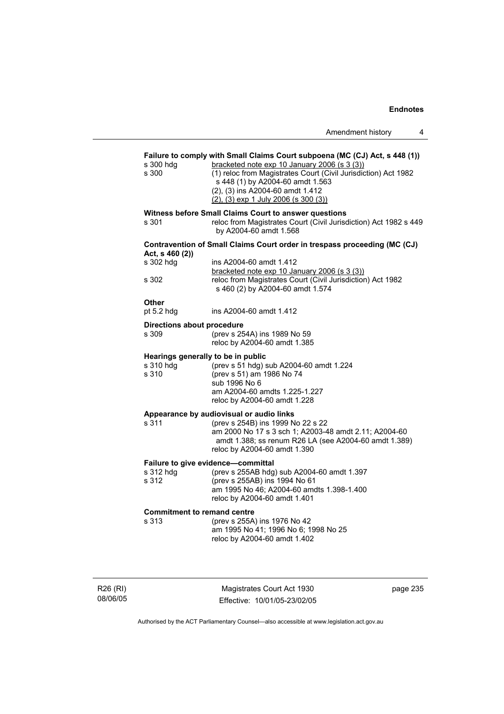## **Failure to comply with Small Claims Court subpoena (MC (CJ) Act, s 448 (1))**  s 300 hdg bracketed note exp 10 January 2006 (s 3 (3)) s 300 (1) reloc from Magistrates Court (Civil Jurisdiction) Act 1982 s 448 (1) by A2004-60 amdt 1.563 (2), (3) ins A2004-60 amdt 1.412 (2), (3) exp 1 July 2006 (s 300 (3)) **Witness before Small Claims Court to answer questions**  s 301 reloc from Magistrates Court (Civil Jurisdiction) Act 1982 s 449 by A2004-60 amdt 1.568 **Contravention of Small Claims Court order in trespass proceeding (MC (CJ) Act, s 460 (2))**  s 302 hdg ins A2004-60 amdt 1.412 bracketed note exp 10 January 2006 (s 3 (3))<br>reloc from Magistrates Court (Civil Jurisdiction reloc from Magistrates Court (Civil Jurisdiction) Act 1982 s 460 (2) by A2004-60 amdt 1.574 **Other**  pt 5.2 hdg ins A2004-60 amdt 1.412 **Directions about procedure**  s 309 (prev s 254A) ins 1989 No 59 reloc by A2004-60 amdt 1.385 **Hearings generally to be in public s 310 hdg** (prev s 51 hdg) s (prev s  $51$  hdg) sub A2004-60 amdt 1.224 s 310 (prev s 51) am 1986 No 74 sub 1996 No 6 am A2004-60 amdts 1.225-1.227 reloc by A2004-60 amdt 1.228 **Appearance by audiovisual or audio links**  s 311 (prev s 254B) ins 1999 No 22 s 22 am 2000 No 17 s 3 sch 1; A2003-48 amdt 2.11; A2004-60 amdt 1.388; ss renum R26 LA (see A2004-60 amdt 1.389) reloc by A2004-60 amdt 1.390 **Failure to give evidence—committal**<br>s 312 hdg (prev s 255AB hdg) (prev s 255AB hdg) sub A2004-60 amdt 1.397 s 312 (prev s 255AB) ins 1994 No 61 am 1995 No 46; A2004-60 amdts 1.398-1.400 reloc by A2004-60 amdt 1.401 **Commitment to remand centre**  s 313 (prev s 255A) ins 1976 No 42 am 1995 No 41; 1996 No 6; 1998 No 25 reloc by A2004-60 amdt 1.402

R26 (RI) 08/06/05

Magistrates Court Act 1930 Effective: 10/01/05-23/02/05 page 235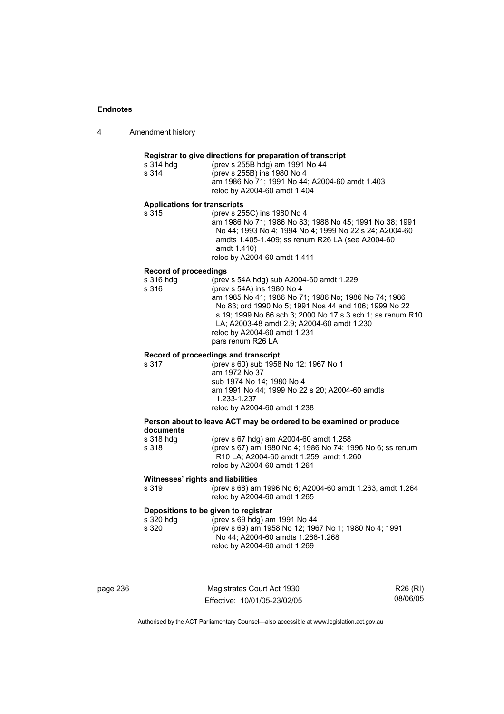4 Amendment history

### **Registrar to give directions for preparation of transcript**

| s 314 hdg | (prev s 255B hdg) am 1991 No 44                |
|-----------|------------------------------------------------|
| s 314     | (prev s 255B) ins 1980 No 4                    |
|           | am 1986 No 71: 1991 No 44: A2004-60 amdt 1.403 |
|           | reloc by A2004-60 amdt 1.404                   |

#### **Applications for transcripts**

| s 315 | (prev s 255C) ins 1980 No 4                             |
|-------|---------------------------------------------------------|
|       | am 1986 No 71: 1986 No 83: 1988 No 45: 1991 No 38: 1991 |
|       | No 44: 1993 No 4: 1994 No 4: 1999 No 22 s 24: A2004-60  |
|       | amdts 1.405-1.409; ss renum R26 LA (see A2004-60)       |
|       | amdt 1.410)                                             |
|       | reloc by A2004-60 amdt 1.411                            |

#### **Record of proceedings**

| s 316 hdg | (prev s 54A hdg) sub A2004-60 amdt 1.229                   |
|-----------|------------------------------------------------------------|
| s 316     | (prev s 54A) ins 1980 No 4                                 |
|           | am 1985 No 41; 1986 No 71; 1986 No; 1986 No 74; 1986       |
|           | No 83; ord 1990 No 5; 1991 Nos 44 and 106; 1999 No 22      |
|           | s 19: 1999 No 66 sch 3: 2000 No 17 s 3 sch 1: ss renum R10 |
|           | LA; A2003-48 amdt 2.9; A2004-60 amdt 1.230                 |
|           | reloc by A2004-60 amdt 1.231                               |
|           | pars renum R26 LA                                          |
|           |                                                            |

### **Record of proceedings and transcript**

| am 1972 No 37<br>sub 1974 No 14: 1980 No 4<br>am 1991 No 44: 1999 No 22 s 20: A2004-60 amdts<br>1.233-1.237 |  |
|-------------------------------------------------------------------------------------------------------------|--|
|                                                                                                             |  |
|                                                                                                             |  |
|                                                                                                             |  |
| reloc by A2004-60 amdt 1.238                                                                                |  |

#### **Person about to leave ACT may be ordered to be examined or produce documents**   $(n_{\text{S}} \cdot 67 \text{ hda})$  am  $(2004-60 \text{ m} + 1.258)$

| S 3 I 8 NO.Q | (prev s 67 ngg) am A2004-60 amou 1.258                           |
|--------------|------------------------------------------------------------------|
| s 318        | (prev s 67) am 1980 No 4; 1986 No 74; 1996 No 6; ss renum        |
|              | R <sub>10</sub> LA: A <sub>2004</sub> -60 amdt 1.259, amdt 1.260 |
|              | reloc by A2004-60 amdt 1.261                                     |

### **Witnesses' rights and liabilities**

| s 319 | (prev s 68) am 1996 No 6; A2004-60 amdt 1.263, amdt 1.264 |
|-------|-----------------------------------------------------------|
|       | reloc by A2004-60 amdt 1.265                              |

### **Depositions to be given to registrar**

| s 320 hdq | (prev s 69 hdg) am 1991 No 44                         |
|-----------|-------------------------------------------------------|
| s 320     | (prev s 69) am 1958 No 12; 1967 No 1; 1980 No 4; 1991 |
|           | No 44: A2004-60 amdts 1.266-1.268                     |
|           | reloc by A2004-60 amdt 1.269                          |

page 236 Magistrates Court Act 1930 Effective: 10/01/05-23/02/05

R26 (RI) 08/06/05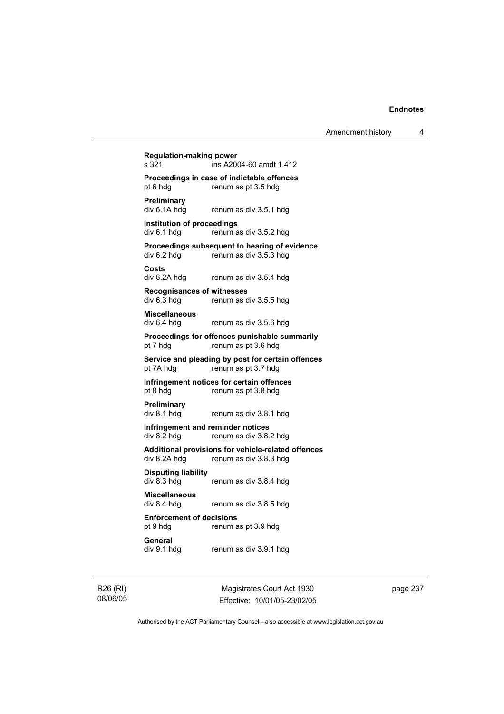| pt 6 hdg                                         | Proceedings in case of indictable offences<br>renum as pt 3.5 hdg            |
|--------------------------------------------------|------------------------------------------------------------------------------|
| Preliminary<br>div 6.1A hdg                      | renum as div 3.5.1 hdg                                                       |
| <b>Institution of proceedings</b><br>div 6.1 hdg | renum as div 3.5.2 hdg                                                       |
| div 6.2 hdg                                      | Proceedings subsequent to hearing of evidence<br>renum as div 3.5.3 hdg      |
| Costs<br>div 6.2A hdg                            | renum as div 3.5.4 hdg                                                       |
| <b>Recognisances of witnesses</b><br>div 6.3 hdg | renum as div 3.5.5 hdg                                                       |
| <b>Miscellaneous</b><br>div 6.4 hdg              | renum as div 3.5.6 hdg                                                       |
| pt 7 hdg                                         | Proceedings for offences punishable summarily<br>renum as pt 3.6 hdg         |
| pt 7A hdg                                        | Service and pleading by post for certain offences<br>renum as pt 3.7 hdg     |
| pt 8 hdg                                         | Infringement notices for certain offences<br>renum as pt 3.8 hdg             |
| Preliminary<br>div 8.1 hdg                       | renum as div 3.8.1 hdg                                                       |
| div 8.2 hdg                                      | Infringement and reminder notices<br>renum as div 3.8.2 hdg                  |
| div 8.2A hdg                                     | Additional provisions for vehicle-related offences<br>renum as div 3.8.3 hdg |
| <b>Disputing liability</b><br>div 8.3 hdg        | renum as div 3.8.4 hdg                                                       |
| <b>Miscellaneous</b><br>div 8.4 hdg              | renum as div 3.8.5 hdg                                                       |
| <b>Enforcement of decisions</b><br>pt 9 hdg      | renum as pt 3.9 hdg                                                          |
| General<br>div 9.1 hdg                           | renum as div 3.9.1 hdg                                                       |

R26 (RI) 08/06/05

Magistrates Court Act 1930 Effective: 10/01/05-23/02/05 page 237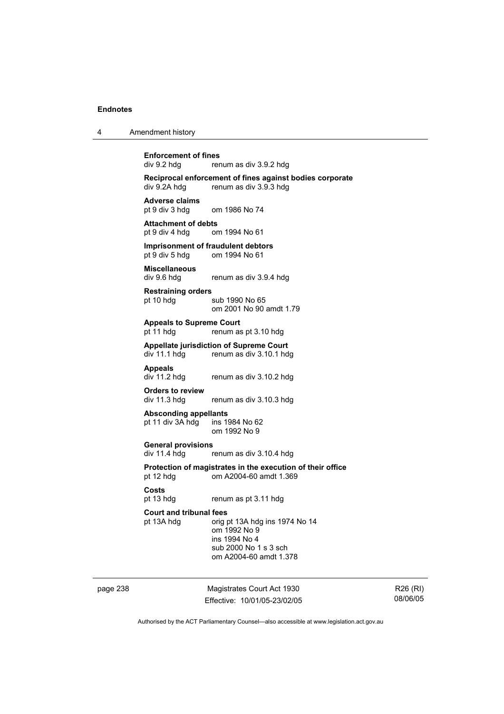| Amendment history<br>$\overline{4}$ |  |
|-------------------------------------|--|
|-------------------------------------|--|

# **Enforcement of fines**<br>div 9.2 hda rer

renum as div 3.9.2 hdg

**Reciprocal enforcement of fines against bodies corporate**  div 9.2A hdg renum as div 3.9.3 hdg

**Adverse claims**  om 1986 No 74

**Attachment of debts**  pt 9 div 4 hdg om 1994 No 61

**Imprisonment of fraudulent debtors**<br>
pt 9 div 5 hdg om 1994 No 61 om 1994 No 61

**Miscellaneous**  div 9.6 hdg renum as div 3.9.4 hdg

**Restraining orders**  pt 10 hdg sub 1990 No 65 om 2001 No 90 amdt 1.79

**Appeals to Supreme Court** 

pt 11 hdg renum as pt 3.10 hdg

**Appellate jurisdiction of Supreme Court**  div 11.1 hdg renum as div 3.10.1 hdg

**Appeals** 

renum as div 3.10.2 hdg

**Orders to review**  div 11.3 hdg renum as div 3.10.3 hdg

**Absconding appellants**  pt 11 div  $3A$  hdg

om 1992 No 9

**General provisions** 

renum as div 3.10.4 hdg

**Protection of magistrates in the execution of their office**  pt 12 hdg om A2004-60 amdt 1.369

#### **Costs**

pt 13 hdg renum as pt 3.11 hdg

#### **Court and tribunal fees**

pt 13A hdg orig pt 13A hdg ins 1974 No 14 om 1992 No 9 ins 1994 No 4 sub 2000 No 1 s 3 sch om A2004-60 amdt 1.378

page 238 Magistrates Court Act 1930 Effective: 10/01/05-23/02/05

R26 (RI) 08/06/05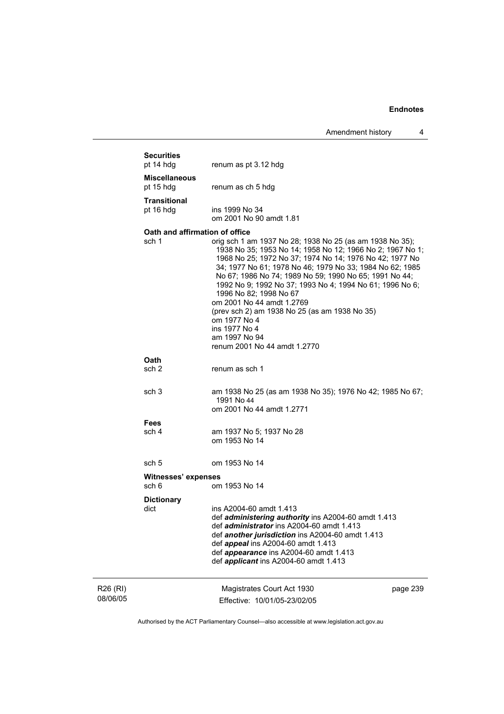Amendment history 4

|                      | <b>Securities</b><br>pt 14 hdg    | renum as pt 3.12 hdg                                                                                                                                                                                                                                                                                                                                                                                                                                                                                                                                         |          |  |
|----------------------|-----------------------------------|--------------------------------------------------------------------------------------------------------------------------------------------------------------------------------------------------------------------------------------------------------------------------------------------------------------------------------------------------------------------------------------------------------------------------------------------------------------------------------------------------------------------------------------------------------------|----------|--|
|                      | <b>Miscellaneous</b><br>pt 15 hdg | renum as ch 5 hdg                                                                                                                                                                                                                                                                                                                                                                                                                                                                                                                                            |          |  |
|                      | <b>Transitional</b><br>pt 16 hdg  | ins 1999 No 34<br>om 2001 No 90 amdt 1.81                                                                                                                                                                                                                                                                                                                                                                                                                                                                                                                    |          |  |
|                      | Oath and affirmation of office    |                                                                                                                                                                                                                                                                                                                                                                                                                                                                                                                                                              |          |  |
|                      | sch 1                             | orig sch 1 am 1937 No 28; 1938 No 25 (as am 1938 No 35);<br>1938 No 35; 1953 No 14; 1958 No 12; 1966 No 2; 1967 No 1;<br>1968 No 25; 1972 No 37; 1974 No 14; 1976 No 42; 1977 No<br>34; 1977 No 61; 1978 No 46; 1979 No 33; 1984 No 62; 1985<br>No 67; 1986 No 74; 1989 No 59; 1990 No 65; 1991 No 44;<br>1992 No 9; 1992 No 37; 1993 No 4; 1994 No 61; 1996 No 6;<br>1996 No 82; 1998 No 67<br>om 2001 No 44 amdt 1.2769<br>(prev sch 2) am 1938 No 25 (as am 1938 No 35)<br>om 1977 No 4<br>ins 1977 No 4<br>am 1997 No 94<br>renum 2001 No 44 amdt 1.2770 |          |  |
|                      | <b>Oath</b>                       |                                                                                                                                                                                                                                                                                                                                                                                                                                                                                                                                                              |          |  |
|                      | sch 2                             | renum as sch 1                                                                                                                                                                                                                                                                                                                                                                                                                                                                                                                                               |          |  |
|                      | sch <sub>3</sub>                  | am 1938 No 25 (as am 1938 No 35); 1976 No 42; 1985 No 67;<br>1991 No 44<br>om 2001 No 44 amdt 1.2771                                                                                                                                                                                                                                                                                                                                                                                                                                                         |          |  |
|                      | Fees                              |                                                                                                                                                                                                                                                                                                                                                                                                                                                                                                                                                              |          |  |
|                      | sch 4                             | am 1937 No 5; 1937 No 28<br>om 1953 No 14                                                                                                                                                                                                                                                                                                                                                                                                                                                                                                                    |          |  |
|                      | sch 5                             | om 1953 No 14                                                                                                                                                                                                                                                                                                                                                                                                                                                                                                                                                |          |  |
|                      | <b>Witnesses' expenses</b>        |                                                                                                                                                                                                                                                                                                                                                                                                                                                                                                                                                              |          |  |
|                      | sch 6                             | om 1953 No 14                                                                                                                                                                                                                                                                                                                                                                                                                                                                                                                                                |          |  |
|                      | <b>Dictionary</b><br>dict         | ins A2004-60 amdt 1.413<br>def <i>administering authority</i> ins A2004-60 amdt 1.413<br>def <i>administrator</i> ins A2004-60 amdt 1.413<br>def another jurisdiction ins A2004-60 amdt 1.413<br>def appeal ins A2004-60 amdt 1.413<br>def appearance ins A2004-60 amdt 1.413<br>def applicant ins A2004-60 amdt 1.413                                                                                                                                                                                                                                       |          |  |
| R26 (RI)<br>08/06/05 |                                   | Magistrates Court Act 1930<br>Effective: 10/01/05-23/02/05                                                                                                                                                                                                                                                                                                                                                                                                                                                                                                   | page 239 |  |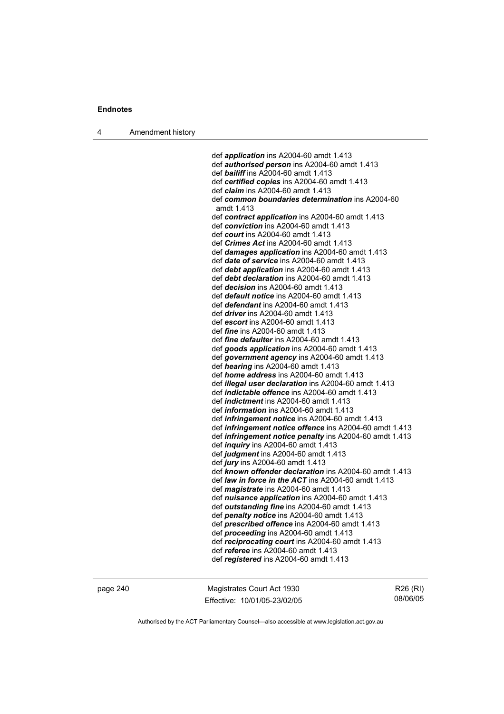4 Amendment history

 def *application* ins A2004-60 amdt 1.413 def *authorised person* ins A2004-60 amdt 1.413 def *bailiff* ins A2004-60 amdt 1.413 def *certified copies* ins A2004-60 amdt 1.413 def *claim* ins A2004-60 amdt 1.413 def *common boundaries determination* ins A2004-60 amdt 1.413 def *contract application* ins A2004-60 amdt 1.413 def *conviction* ins A2004-60 amdt 1.413 def *court* ins A2004-60 amdt 1.413 def *Crimes Act* ins A2004-60 amdt 1.413 def *damages application* ins A2004-60 amdt 1.413 def *date of service* ins A2004-60 amdt 1.413 def *debt application* ins A2004-60 amdt 1.413 def *debt declaration* ins A2004-60 amdt 1.413 def *decision* ins A2004-60 amdt 1.413 def *default notice* ins A2004-60 amdt 1.413 def *defendant* ins A2004-60 amdt 1.413 def *driver* ins A2004-60 amdt 1.413 def *escort* ins A2004-60 amdt 1.413 def *fine* ins A2004-60 amdt 1.413 def *fine defaulter* ins A2004-60 amdt 1.413 def *goods application* ins A2004-60 amdt 1.413 def *government agency* ins A2004-60 amdt 1.413 def *hearing* ins A2004-60 amdt 1.413 def *home address* ins A2004-60 amdt 1.413 def *illegal user declaration* ins A2004-60 amdt 1.413 def *indictable offence* ins A2004-60 amdt 1.413 def *indictment* ins A2004-60 amdt 1.413 def *information* ins A2004-60 amdt 1.413 def *infringement notice* ins A2004-60 amdt 1.413 def *infringement notice offence* ins A2004-60 amdt 1.413 def *infringement notice penalty* ins A2004-60 amdt 1.413 def *inquiry* ins A2004-60 amdt 1.413 def *judgment* ins A2004-60 amdt 1.413 def *jury* ins A2004-60 amdt 1.413 def *known offender declaration* ins A2004-60 amdt 1.413 def *law in force in the ACT* ins A2004-60 amdt 1.413 def *magistrate* ins A2004-60 amdt 1.413 def *nuisance application* ins A2004-60 amdt 1.413 def *outstanding fine* ins A2004-60 amdt 1.413 def *penalty notice* ins A2004-60 amdt 1.413 def *prescribed offence* ins A2004-60 amdt 1.413 def *proceeding* ins A2004-60 amdt 1.413 def *reciprocating court* ins A2004-60 amdt 1.413 def *referee* ins A2004-60 amdt 1.413 def *registered* ins A2004-60 amdt 1.413

page 240 Magistrates Court Act 1930 Effective: 10/01/05-23/02/05

R26 (RI) 08/06/05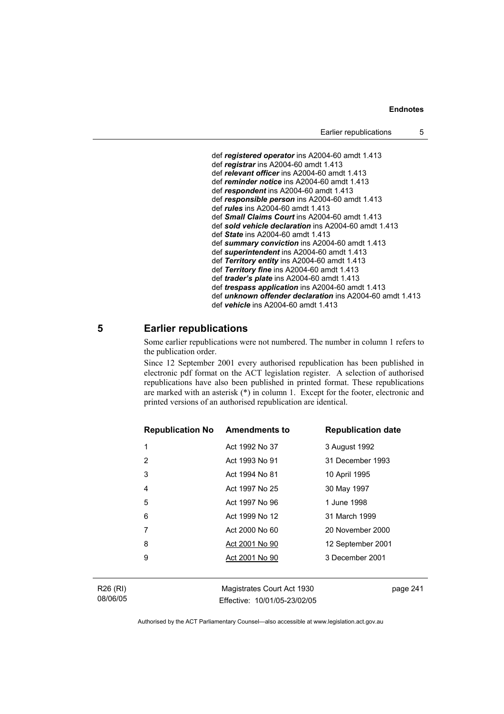```
 def registered operator ins A2004-60 amdt 1.413 
 def registrar ins A2004-60 amdt 1.413 
 def relevant officer ins A2004-60 amdt 1.413 
 def reminder notice ins A2004-60 amdt 1.413 
 def respondent ins A2004-60 amdt 1.413 
 def responsible person ins A2004-60 amdt 1.413 
 def rules ins A2004-60 amdt 1.413 
 def Small Claims Court ins A2004-60 amdt 1.413 
 def sold vehicle declaration ins A2004-60 amdt 1.413 
 def State ins A2004-60 amdt 1.413 
 def summary conviction ins A2004-60 amdt 1.413 
 def superintendent ins A2004-60 amdt 1.413 
 def Territory entity ins A2004-60 amdt 1.413 
 def Territory fine ins A2004-60 amdt 1.413 
 def trader's plate ins A2004-60 amdt 1.413 
 def trespass application ins A2004-60 amdt 1.413 
 def unknown offender declaration ins A2004-60 amdt 1.413 
 def vehicle ins A2004-60 amdt 1.413
```
## **5 Earlier republications**

Some earlier republications were not numbered. The number in column 1 refers to the publication order.

Since 12 September 2001 every authorised republication has been published in electronic pdf format on the ACT legislation register. A selection of authorised republications have also been published in printed format. These republications are marked with an asterisk (\*) in column 1. Except for the footer, electronic and printed versions of an authorised republication are identical.

| <b>Republication No Amendments to</b> |                | <b>Republication date</b> |
|---------------------------------------|----------------|---------------------------|
| 1                                     | Act 1992 No 37 | 3 August 1992             |
| 2                                     | Act 1993 No 91 | 31 December 1993          |
| 3                                     | Act 1994 No 81 | 10 April 1995             |
| 4                                     | Act 1997 No 25 | 30 May 1997               |
| 5                                     | Act 1997 No 96 | 1 June 1998               |
| 6                                     | Act 1999 No 12 | 31 March 1999             |
| 7                                     | Act 2000 No 60 | 20 November 2000          |
| 8                                     | Act 2001 No 90 | 12 September 2001         |
| 9                                     | Act 2001 No 90 | 3 December 2001           |
|                                       |                |                           |

| R26 (RI) |  |
|----------|--|
| 08/06/05 |  |

Magistrates Court Act 1930 Effective: 10/01/05-23/02/05 page 241